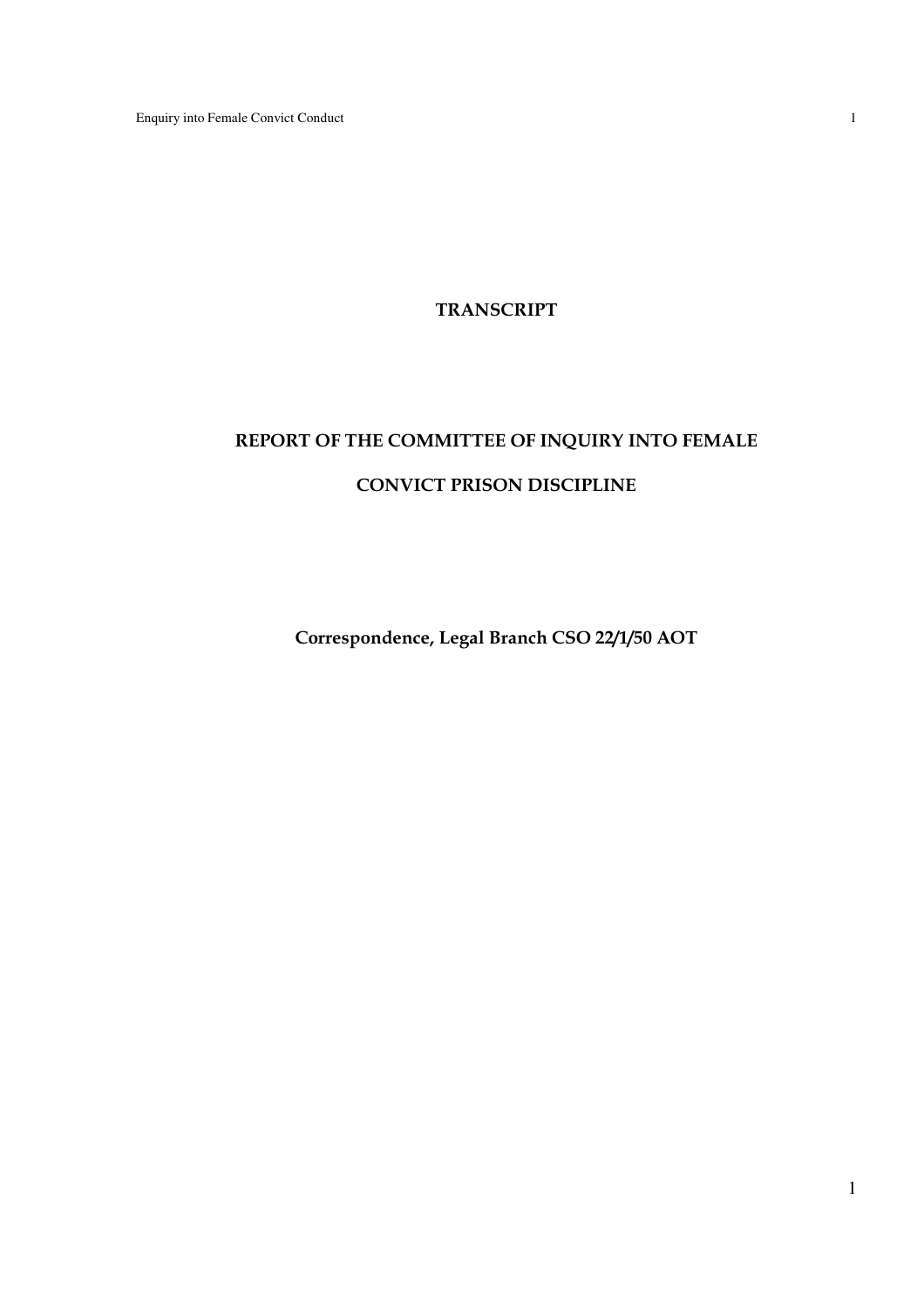TRANSCRIPT

# REPORT OF THE COMMITTEE OF INQUIRY INTO FEMALE CONVICT PRISON DISCIPLINE

Correspondence, Legal Branch CSO 22/1/50 AOT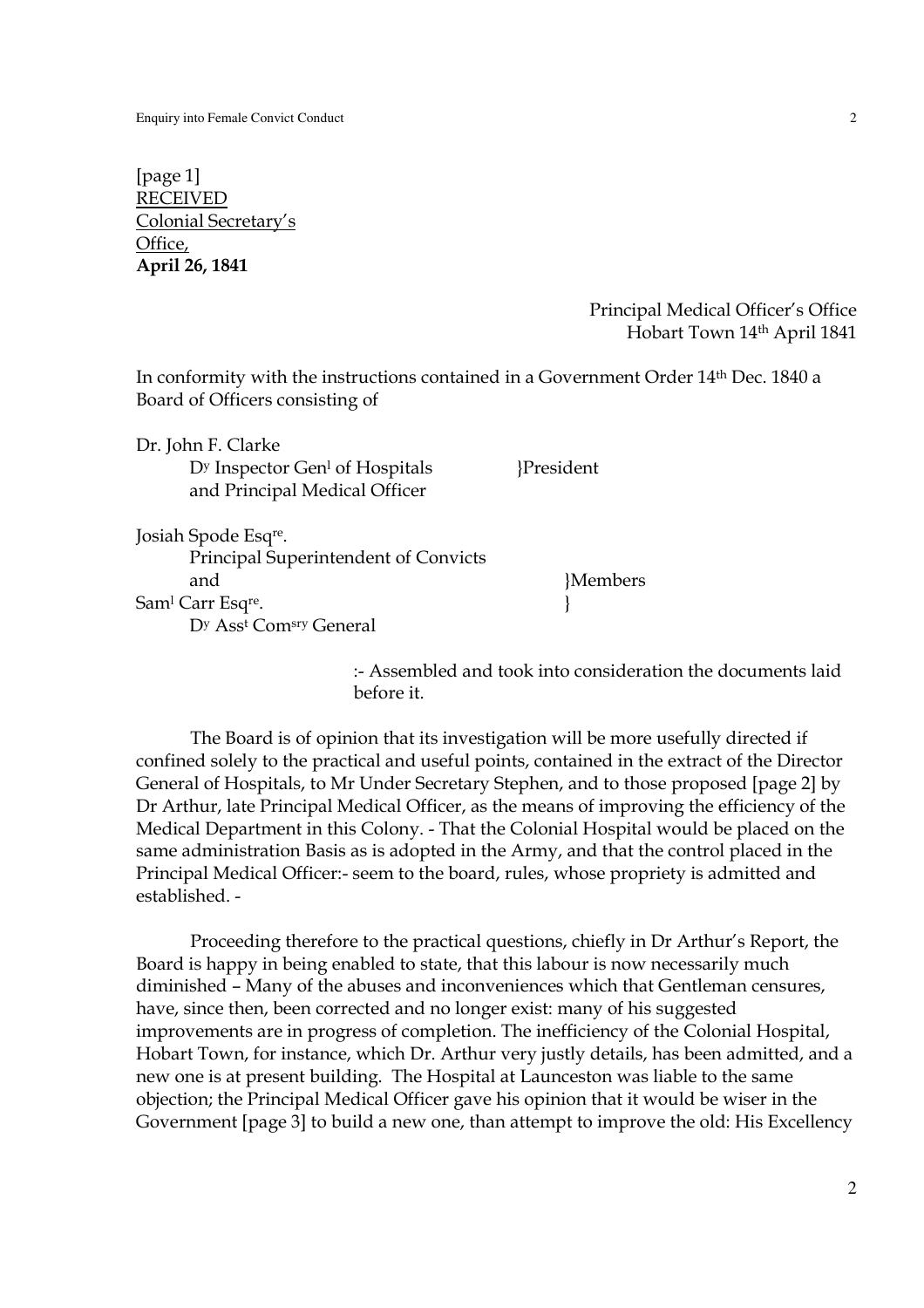Enquiry into Female Convict Conduct 2

[page 1] RECEIVED Colonial Secretary's Office, April 26, 1841

> Principal Medical Officer's Office Hobart Town 14th April 1841

In conformity with the instructions contained in a Government Order 14th Dec. 1840 a Board of Officers consisting of

| Dr. John F. Clarke                         |            |
|--------------------------------------------|------------|
| Dy Inspector Gen <sup>1</sup> of Hospitals | }President |
| and Principal Medical Officer              |            |
| Josiah Spode Esq <sup>re</sup> .           |            |
| Principal Superintendent of Convicts       |            |
| and                                        | Members    |
| Sam <sup>l</sup> Carr Esq <sup>re</sup> .  |            |

D<sup>y</sup> Ass<sup>t</sup> Comsry General

:- Assembled and took into consideration the documents laid before it.

 The Board is of opinion that its investigation will be more usefully directed if confined solely to the practical and useful points, contained in the extract of the Director General of Hospitals, to Mr Under Secretary Stephen, and to those proposed [page 2] by Dr Arthur, late Principal Medical Officer, as the means of improving the efficiency of the Medical Department in this Colony. - That the Colonial Hospital would be placed on the same administration Basis as is adopted in the Army, and that the control placed in the Principal Medical Officer:- seem to the board, rules, whose propriety is admitted and established. -

 Proceeding therefore to the practical questions, chiefly in Dr Arthur's Report, the Board is happy in being enabled to state, that this labour is now necessarily much diminished – Many of the abuses and inconveniences which that Gentleman censures, have, since then, been corrected and no longer exist: many of his suggested improvements are in progress of completion. The inefficiency of the Colonial Hospital, Hobart Town, for instance, which Dr. Arthur very justly details, has been admitted, and a new one is at present building. The Hospital at Launceston was liable to the same objection; the Principal Medical Officer gave his opinion that it would be wiser in the Government [page 3] to build a new one, than attempt to improve the old: His Excellency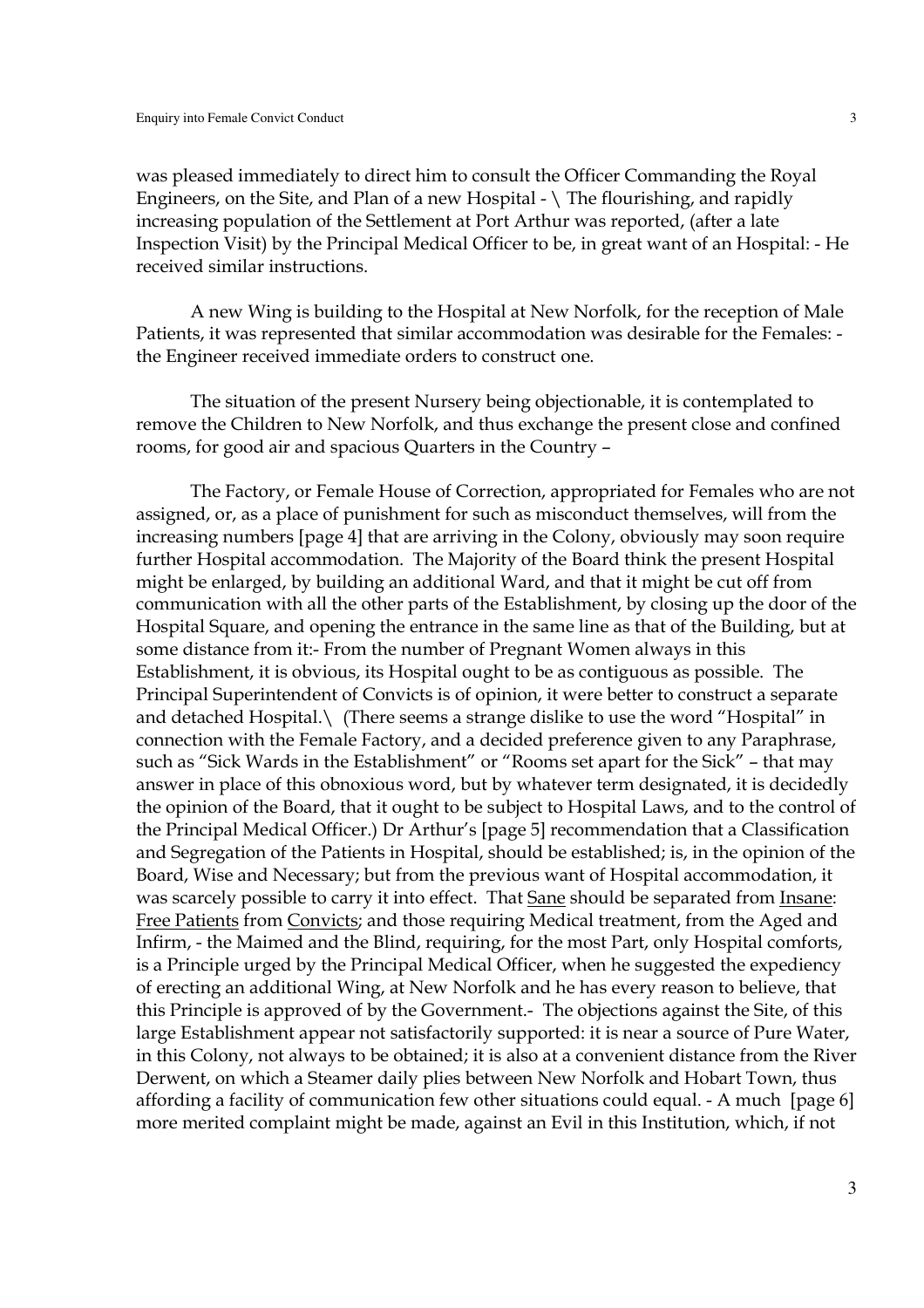was pleased immediately to direct him to consult the Officer Commanding the Royal Engineers, on the Site, and Plan of a new Hospital  $-\setminus$  The flourishing, and rapidly increasing population of the Settlement at Port Arthur was reported, (after a late Inspection Visit) by the Principal Medical Officer to be, in great want of an Hospital: - He received similar instructions.

 A new Wing is building to the Hospital at New Norfolk, for the reception of Male Patients, it was represented that similar accommodation was desirable for the Females: the Engineer received immediate orders to construct one.

 The situation of the present Nursery being objectionable, it is contemplated to remove the Children to New Norfolk, and thus exchange the present close and confined rooms, for good air and spacious Quarters in the Country –

 The Factory, or Female House of Correction, appropriated for Females who are not assigned, or, as a place of punishment for such as misconduct themselves, will from the increasing numbers [page 4] that are arriving in the Colony, obviously may soon require further Hospital accommodation. The Majority of the Board think the present Hospital might be enlarged, by building an additional Ward, and that it might be cut off from communication with all the other parts of the Establishment, by closing up the door of the Hospital Square, and opening the entrance in the same line as that of the Building, but at some distance from it:- From the number of Pregnant Women always in this Establishment, it is obvious, its Hospital ought to be as contiguous as possible. The Principal Superintendent of Convicts is of opinion, it were better to construct a separate and detached Hospital.\ (There seems a strange dislike to use the word "Hospital" in connection with the Female Factory, and a decided preference given to any Paraphrase, such as "Sick Wards in the Establishment" or "Rooms set apart for the Sick" – that may answer in place of this obnoxious word, but by whatever term designated, it is decidedly the opinion of the Board, that it ought to be subject to Hospital Laws, and to the control of the Principal Medical Officer.) Dr Arthur's [page 5] recommendation that a Classification and Segregation of the Patients in Hospital, should be established; is, in the opinion of the Board, Wise and Necessary; but from the previous want of Hospital accommodation, it was scarcely possible to carry it into effect. That Sane should be separated from Insane: Free Patients from Convicts; and those requiring Medical treatment, from the Aged and Infirm, - the Maimed and the Blind, requiring, for the most Part, only Hospital comforts, is a Principle urged by the Principal Medical Officer, when he suggested the expediency of erecting an additional Wing, at New Norfolk and he has every reason to believe, that this Principle is approved of by the Government.- The objections against the Site, of this large Establishment appear not satisfactorily supported: it is near a source of Pure Water, in this Colony, not always to be obtained; it is also at a convenient distance from the River Derwent, on which a Steamer daily plies between New Norfolk and Hobart Town, thus affording a facility of communication few other situations could equal. - A much [page 6] more merited complaint might be made, against an Evil in this Institution, which, if not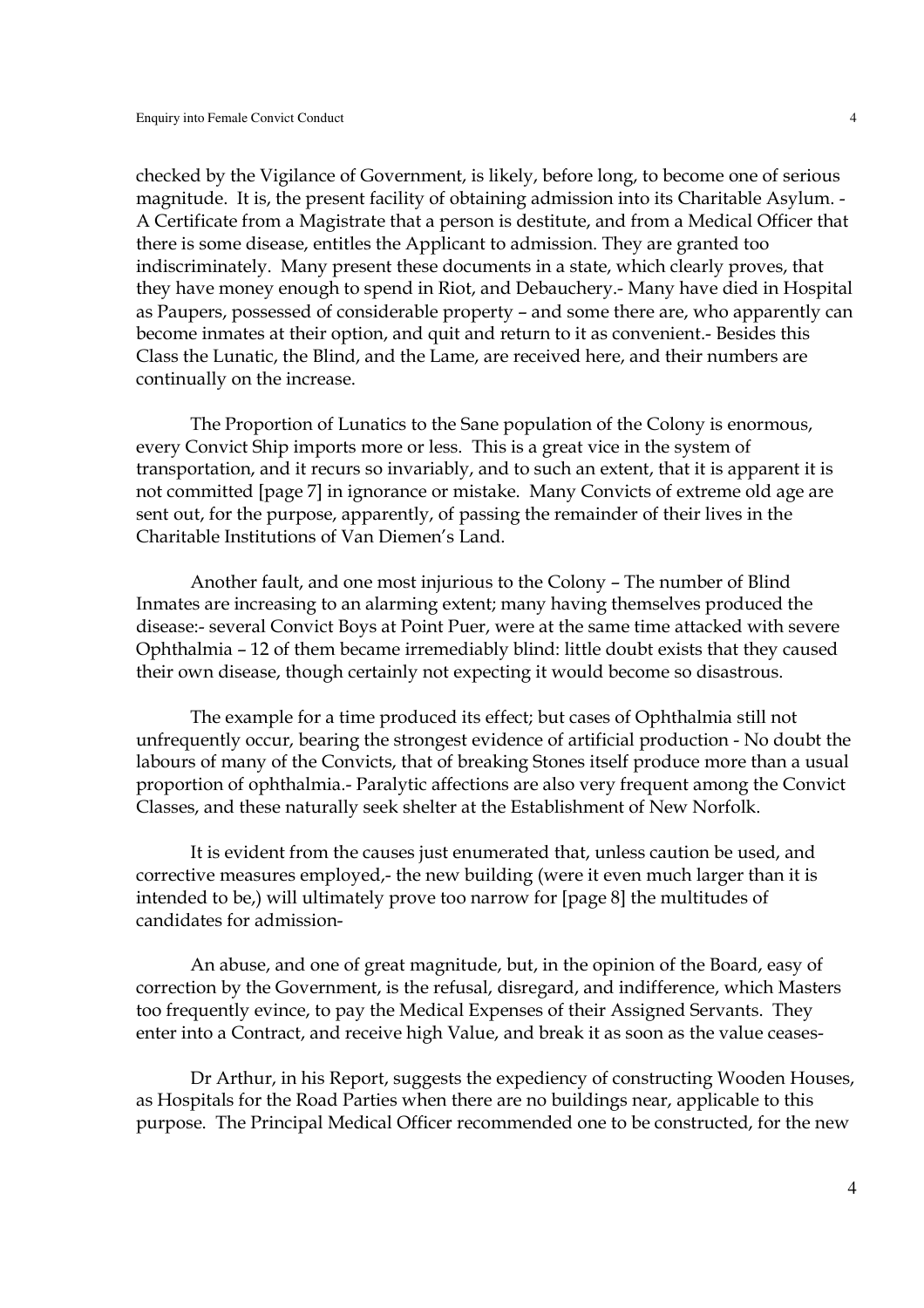checked by the Vigilance of Government, is likely, before long, to become one of serious magnitude. It is, the present facility of obtaining admission into its Charitable Asylum. - A Certificate from a Magistrate that a person is destitute, and from a Medical Officer that there is some disease, entitles the Applicant to admission. They are granted too indiscriminately. Many present these documents in a state, which clearly proves, that they have money enough to spend in Riot, and Debauchery.- Many have died in Hospital as Paupers, possessed of considerable property – and some there are, who apparently can become inmates at their option, and quit and return to it as convenient.- Besides this Class the Lunatic, the Blind, and the Lame, are received here, and their numbers are continually on the increase.

The Proportion of Lunatics to the Sane population of the Colony is enormous, every Convict Ship imports more or less. This is a great vice in the system of transportation, and it recurs so invariably, and to such an extent, that it is apparent it is not committed [page 7] in ignorance or mistake. Many Convicts of extreme old age are sent out, for the purpose, apparently, of passing the remainder of their lives in the Charitable Institutions of Van Diemen's Land.

Another fault, and one most injurious to the Colony – The number of Blind Inmates are increasing to an alarming extent; many having themselves produced the disease:- several Convict Boys at Point Puer, were at the same time attacked with severe Ophthalmia – 12 of them became irremediably blind: little doubt exists that they caused their own disease, though certainly not expecting it would become so disastrous.

The example for a time produced its effect; but cases of Ophthalmia still not unfrequently occur, bearing the strongest evidence of artificial production - No doubt the labours of many of the Convicts, that of breaking Stones itself produce more than a usual proportion of ophthalmia.- Paralytic affections are also very frequent among the Convict Classes, and these naturally seek shelter at the Establishment of New Norfolk.

It is evident from the causes just enumerated that, unless caution be used, and corrective measures employed,- the new building (were it even much larger than it is intended to be,) will ultimately prove too narrow for [page 8] the multitudes of candidates for admission-

An abuse, and one of great magnitude, but, in the opinion of the Board, easy of correction by the Government, is the refusal, disregard, and indifference, which Masters too frequently evince, to pay the Medical Expenses of their Assigned Servants. They enter into a Contract, and receive high Value, and break it as soon as the value ceases-

Dr Arthur, in his Report, suggests the expediency of constructing Wooden Houses, as Hospitals for the Road Parties when there are no buildings near, applicable to this purpose. The Principal Medical Officer recommended one to be constructed, for the new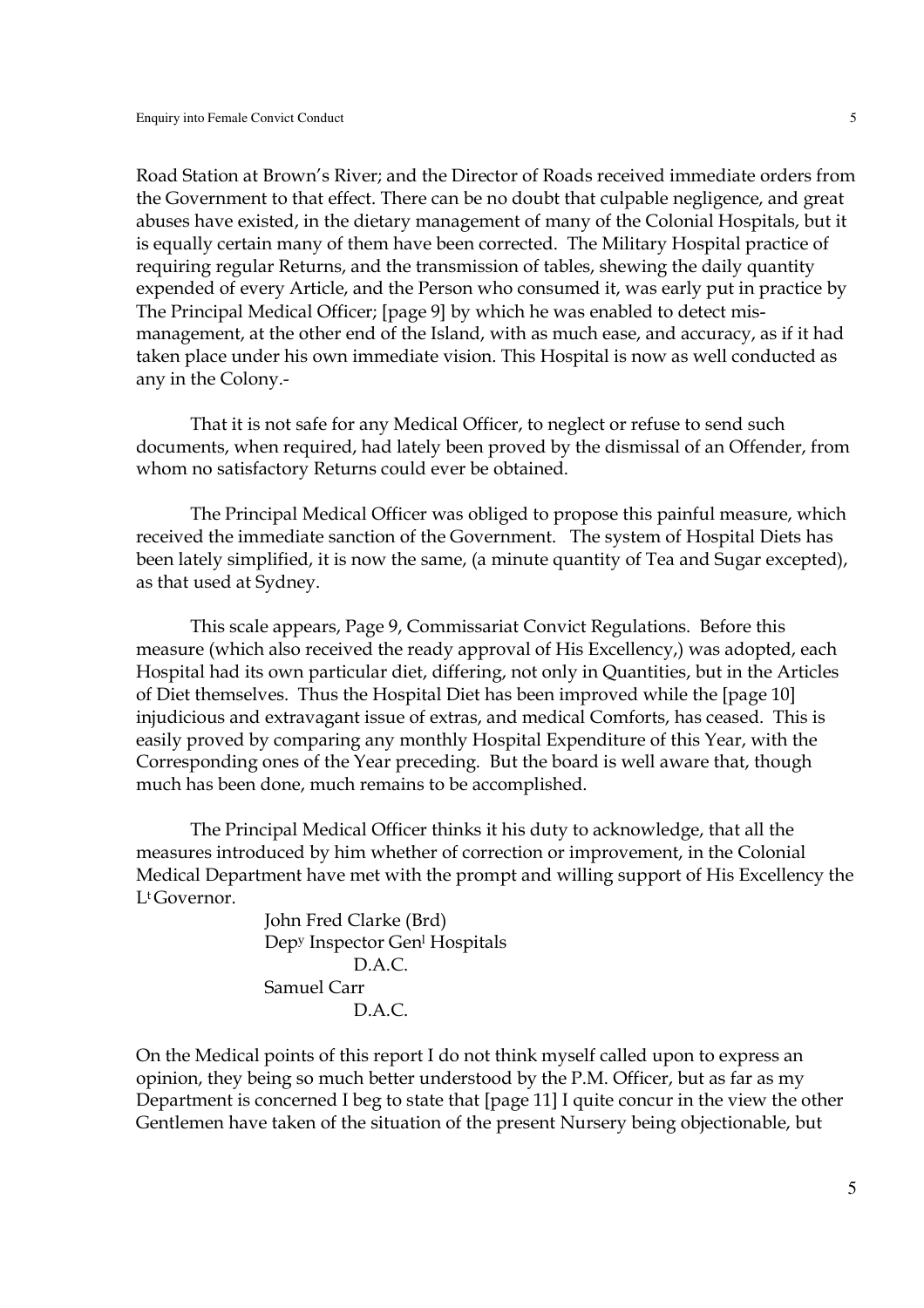Road Station at Brown's River; and the Director of Roads received immediate orders from the Government to that effect. There can be no doubt that culpable negligence, and great abuses have existed, in the dietary management of many of the Colonial Hospitals, but it is equally certain many of them have been corrected. The Military Hospital practice of requiring regular Returns, and the transmission of tables, shewing the daily quantity expended of every Article, and the Person who consumed it, was early put in practice by The Principal Medical Officer; [page 9] by which he was enabled to detect mismanagement, at the other end of the Island, with as much ease, and accuracy, as if it had taken place under his own immediate vision. This Hospital is now as well conducted as any in the Colony.-

That it is not safe for any Medical Officer, to neglect or refuse to send such documents, when required, had lately been proved by the dismissal of an Offender, from whom no satisfactory Returns could ever be obtained.

The Principal Medical Officer was obliged to propose this painful measure, which received the immediate sanction of the Government. The system of Hospital Diets has been lately simplified, it is now the same, (a minute quantity of Tea and Sugar excepted), as that used at Sydney.

This scale appears, Page 9, Commissariat Convict Regulations. Before this measure (which also received the ready approval of His Excellency,) was adopted, each Hospital had its own particular diet, differing, not only in Quantities, but in the Articles of Diet themselves. Thus the Hospital Diet has been improved while the [page 10] injudicious and extravagant issue of extras, and medical Comforts, has ceased. This is easily proved by comparing any monthly Hospital Expenditure of this Year, with the Corresponding ones of the Year preceding. But the board is well aware that, though much has been done, much remains to be accomplished.

The Principal Medical Officer thinks it his duty to acknowledge, that all the measures introduced by him whether of correction or improvement, in the Colonial Medical Department have met with the prompt and willing support of His Excellency the L<sup>t</sup>Governor.

> John Fred Clarke (Brd) Dep<sup>y</sup> Inspector Gen<sup>l</sup> Hospitals D.A.C. Samuel Carr D.A.C.

On the Medical points of this report I do not think myself called upon to express an opinion, they being so much better understood by the P.M. Officer, but as far as my Department is concerned I beg to state that [page 11] I quite concur in the view the other Gentlemen have taken of the situation of the present Nursery being objectionable, but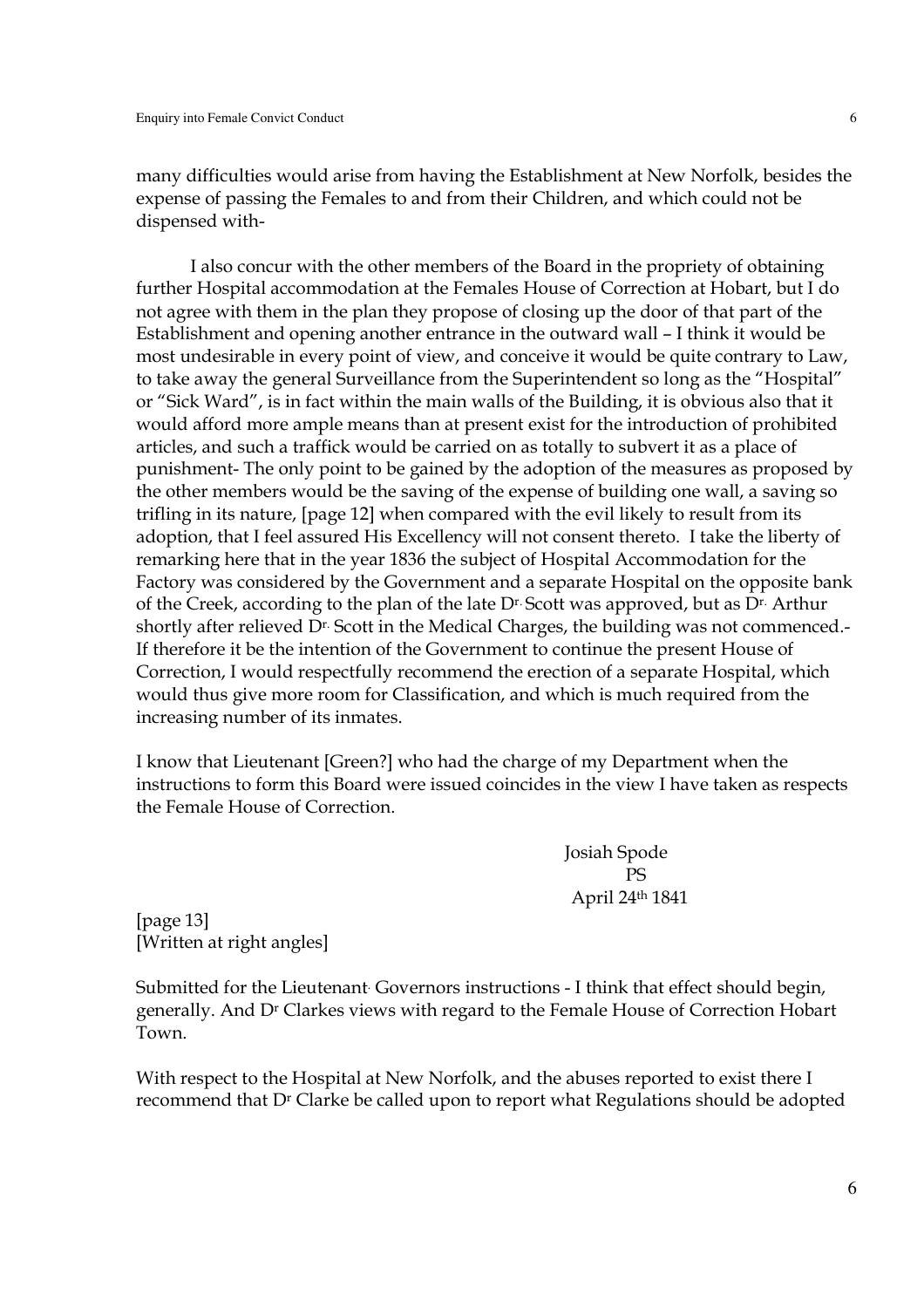many difficulties would arise from having the Establishment at New Norfolk, besides the expense of passing the Females to and from their Children, and which could not be dispensed with-

 I also concur with the other members of the Board in the propriety of obtaining further Hospital accommodation at the Females House of Correction at Hobart, but I do not agree with them in the plan they propose of closing up the door of that part of the Establishment and opening another entrance in the outward wall – I think it would be most undesirable in every point of view, and conceive it would be quite contrary to Law, to take away the general Surveillance from the Superintendent so long as the "Hospital" or "Sick Ward", is in fact within the main walls of the Building, it is obvious also that it would afford more ample means than at present exist for the introduction of prohibited articles, and such a traffick would be carried on as totally to subvert it as a place of punishment- The only point to be gained by the adoption of the measures as proposed by the other members would be the saving of the expense of building one wall, a saving so trifling in its nature, [page 12] when compared with the evil likely to result from its adoption, that I feel assured His Excellency will not consent thereto. I take the liberty of remarking here that in the year 1836 the subject of Hospital Accommodation for the Factory was considered by the Government and a separate Hospital on the opposite bank of the Creek, according to the plan of the late Dr. Scott was approved, but as Dr. Arthur shortly after relieved D<sup>r.</sup> Scott in the Medical Charges, the building was not commenced.-If therefore it be the intention of the Government to continue the present House of Correction, I would respectfully recommend the erection of a separate Hospital, which would thus give more room for Classification, and which is much required from the increasing number of its inmates.

I know that Lieutenant [Green?] who had the charge of my Department when the instructions to form this Board were issued coincides in the view I have taken as respects the Female House of Correction.

> Josiah Spode PS April 24th 1841

[page 13] [Written at right angles]

Submitted for the Lieutenant. Governors instructions - I think that effect should begin, generally. And D<sup>r</sup> Clarkes views with regard to the Female House of Correction Hobart Town.

With respect to the Hospital at New Norfolk, and the abuses reported to exist there I recommend that D<sup>r</sup> Clarke be called upon to report what Regulations should be adopted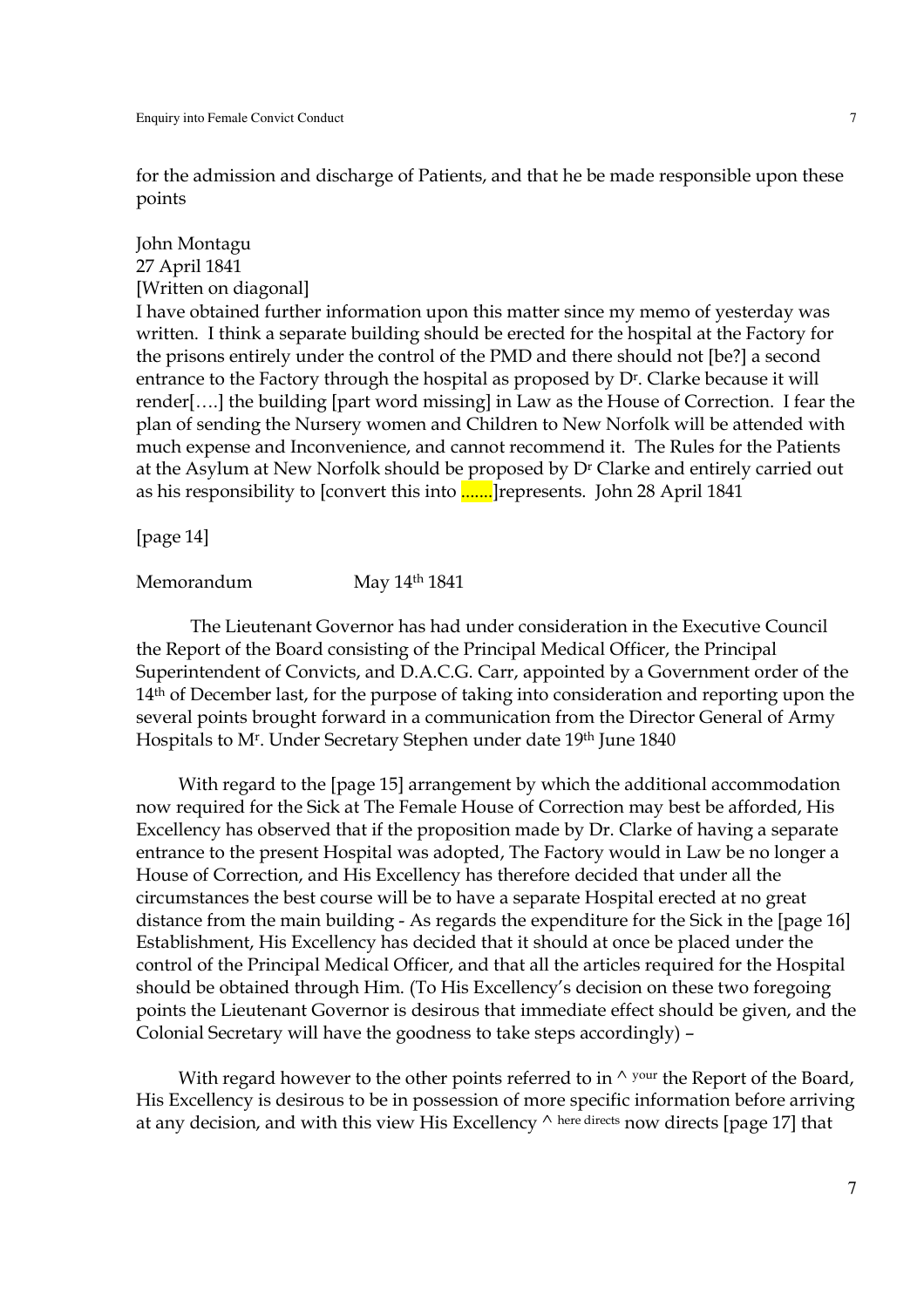for the admission and discharge of Patients, and that he be made responsible upon these points

# John Montagu 27 April 1841 [Written on diagonal]

I have obtained further information upon this matter since my memo of yesterday was written. I think a separate building should be erected for the hospital at the Factory for the prisons entirely under the control of the PMD and there should not [be?] a second entrance to the Factory through the hospital as proposed by D<sup>r</sup> . Clarke because it will render[….] the building [part word missing] in Law as the House of Correction. I fear the plan of sending the Nursery women and Children to New Norfolk will be attended with much expense and Inconvenience, and cannot recommend it. The Rules for the Patients at the Asylum at New Norfolk should be proposed by D<sup>r</sup> Clarke and entirely carried out as his responsibility to [convert this into .......]represents. John 28 April 1841

[page 14]

# Memorandum May 14<sup>th</sup> 1841

 The Lieutenant Governor has had under consideration in the Executive Council the Report of the Board consisting of the Principal Medical Officer, the Principal Superintendent of Convicts, and D.A.C.G. Carr, appointed by a Government order of the 14th of December last, for the purpose of taking into consideration and reporting upon the several points brought forward in a communication from the Director General of Army Hospitals to M<sup>r</sup> . Under Secretary Stephen under date 19th June 1840

With regard to the [page 15] arrangement by which the additional accommodation now required for the Sick at The Female House of Correction may best be afforded, His Excellency has observed that if the proposition made by Dr. Clarke of having a separate entrance to the present Hospital was adopted, The Factory would in Law be no longer a House of Correction, and His Excellency has therefore decided that under all the circumstances the best course will be to have a separate Hospital erected at no great distance from the main building - As regards the expenditure for the Sick in the [page 16] Establishment, His Excellency has decided that it should at once be placed under the control of the Principal Medical Officer, and that all the articles required for the Hospital should be obtained through Him. (To His Excellency's decision on these two foregoing points the Lieutenant Governor is desirous that immediate effect should be given, and the Colonial Secretary will have the goodness to take steps accordingly) –

With regard however to the other points referred to in  $\wedge$  your the Report of the Board, His Excellency is desirous to be in possession of more specific information before arriving at any decision, and with this view His Excellency  $\wedge$  here directs now directs [page 17] that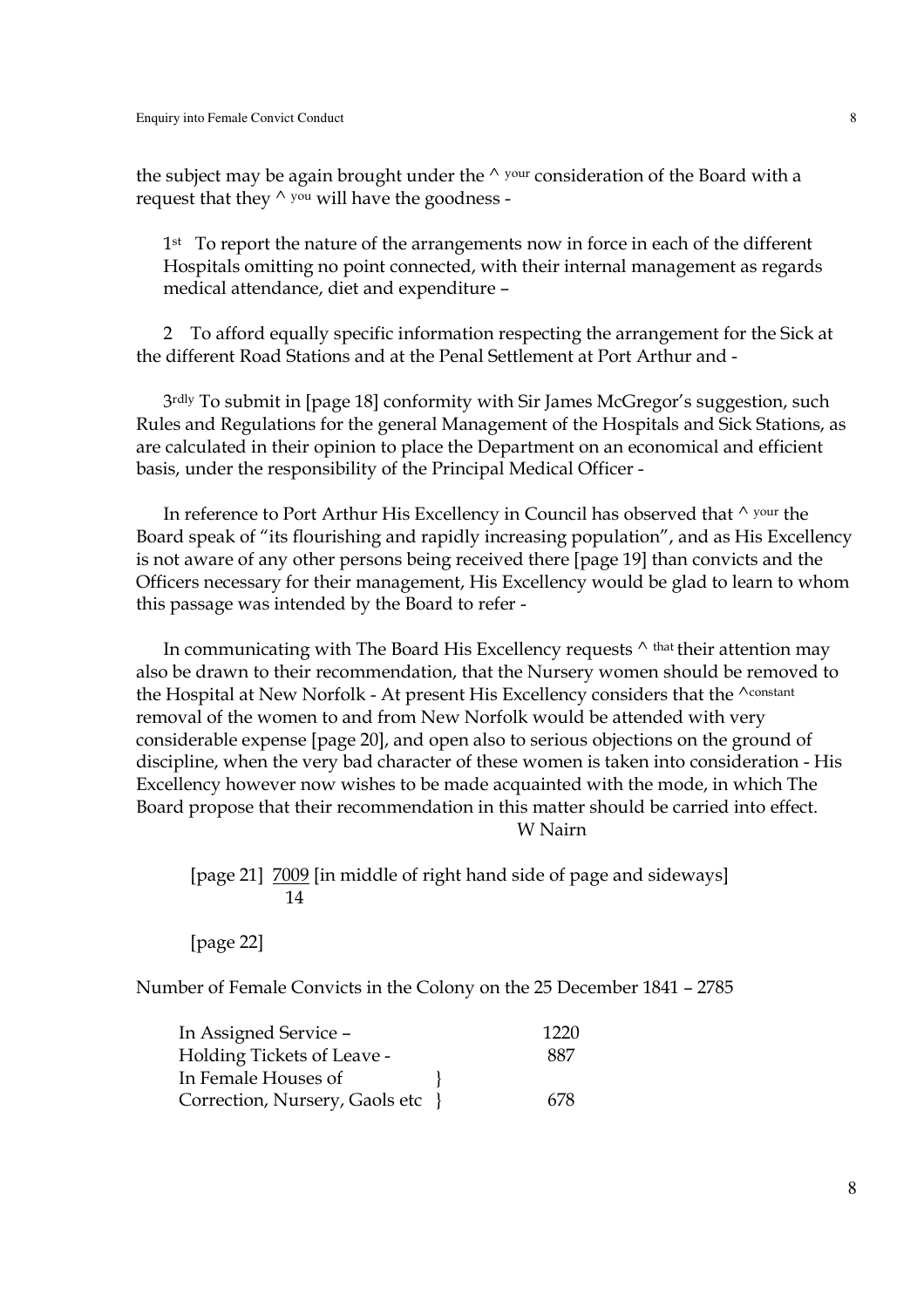the subject may be again brought under the  $\wedge$  your consideration of the Board with a request that they  $\wedge$  you will have the goodness -

1st To report the nature of the arrangements now in force in each of the different Hospitals omitting no point connected, with their internal management as regards medical attendance, diet and expenditure –

2 To afford equally specific information respecting the arrangement for the Sick at the different Road Stations and at the Penal Settlement at Port Arthur and -

3rdly To submit in [page 18] conformity with Sir James McGregor's suggestion, such Rules and Regulations for the general Management of the Hospitals and Sick Stations, as are calculated in their opinion to place the Department on an economical and efficient basis, under the responsibility of the Principal Medical Officer -

In reference to Port Arthur His Excellency in Council has observed that  $\wedge$  your the Board speak of "its flourishing and rapidly increasing population", and as His Excellency is not aware of any other persons being received there [page 19] than convicts and the Officers necessary for their management, His Excellency would be glad to learn to whom this passage was intended by the Board to refer -

In communicating with The Board His Excellency requests  $\wedge$  that their attention may also be drawn to their recommendation, that the Nursery women should be removed to the Hospital at New Norfolk - At present His Excellency considers that the ^constant removal of the women to and from New Norfolk would be attended with very considerable expense [page 20], and open also to serious objections on the ground of discipline, when the very bad character of these women is taken into consideration - His Excellency however now wishes to be made acquainted with the mode, in which The Board propose that their recommendation in this matter should be carried into effect. W Nairn

[page 21] 7009 [in middle of right hand side of page and sideways] 14

[page 22]

Number of Female Convicts in the Colony on the 25 December 1841 – 2785

| In Assigned Service -             | 1220 |
|-----------------------------------|------|
| <b>Holding Tickets of Leave -</b> | 887  |
| In Female Houses of               |      |
| Correction, Nursery, Gaols etc    | 678  |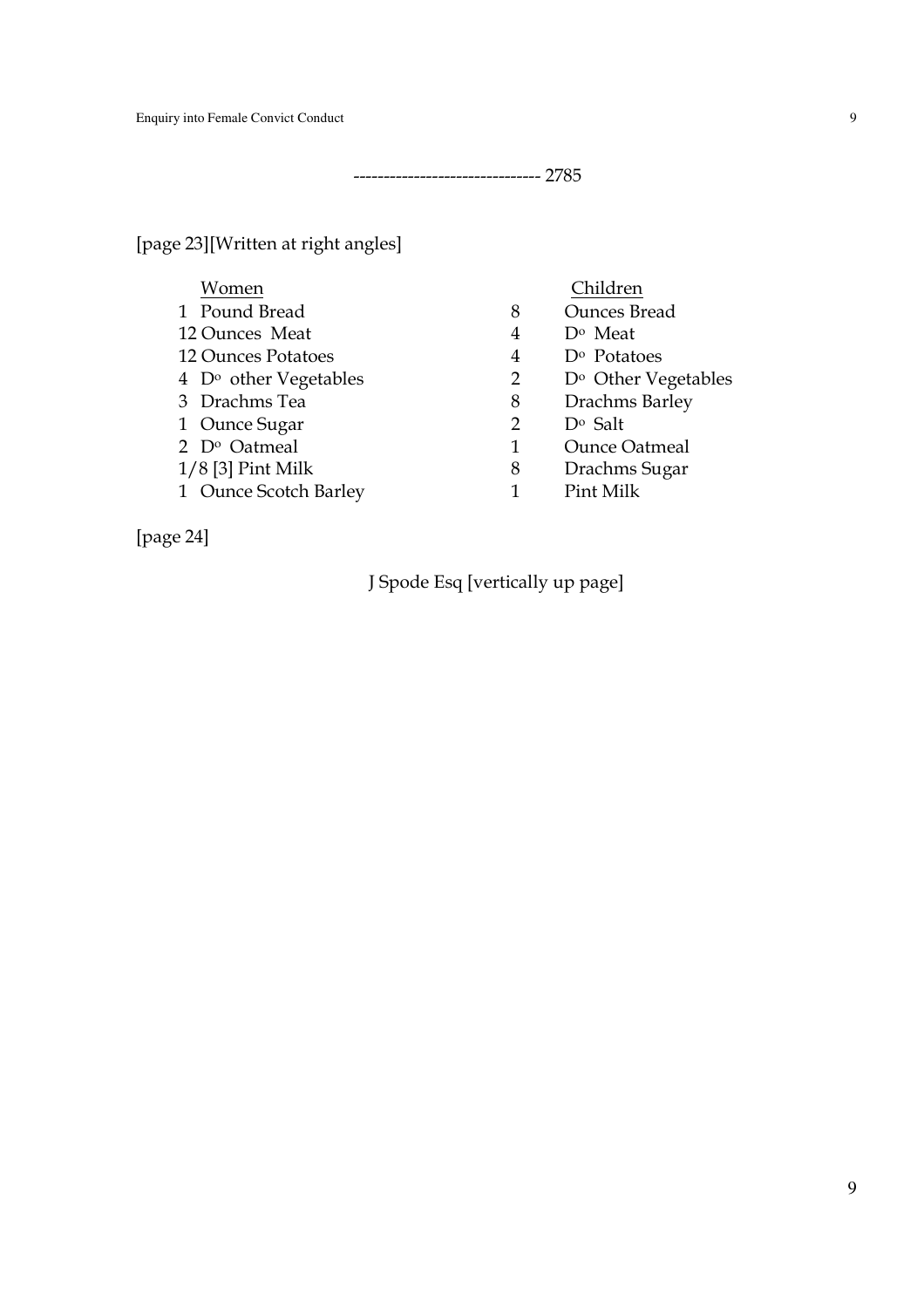------------------------------- 2785

[page 23][Written at right angles]

| Women                             |
|-----------------------------------|
| 1 Pound Bread                     |
| 12 Ounces Meat                    |
| <b>12 Ounces Potatoes</b>         |
| $4\;\;D^{\circ}$ other Vegetables |
| 3 Drachms Tea                     |
| 1 Ounce Sugar                     |
| 2 D <sup>o</sup> Oatmeal          |
| 1/8 [3] Pint Milk                 |
| 1 Ounce Scotch Barley             |

[page 24]

Children

- 8 Ounces Bread
- 4 D<sup>o</sup> Meat<br>4 D<sup>o</sup> Potato
- 4 D<sup>o</sup> Potatoes<br>2 D<sup>o</sup> Other Ve
- 2 D<sup>o</sup> Other Vegetables<br>8 Drachms Barley
- 8 Drachms Barley<br>2 D<sup>o</sup> Salt
- $D^{\circ}$  Salt
- 1 Ounce Oatmeal
- 8 Drachms Sugar<br>1 Pint Milk
- ey 1 Pint Milk

J Spode Esq [vertically up page]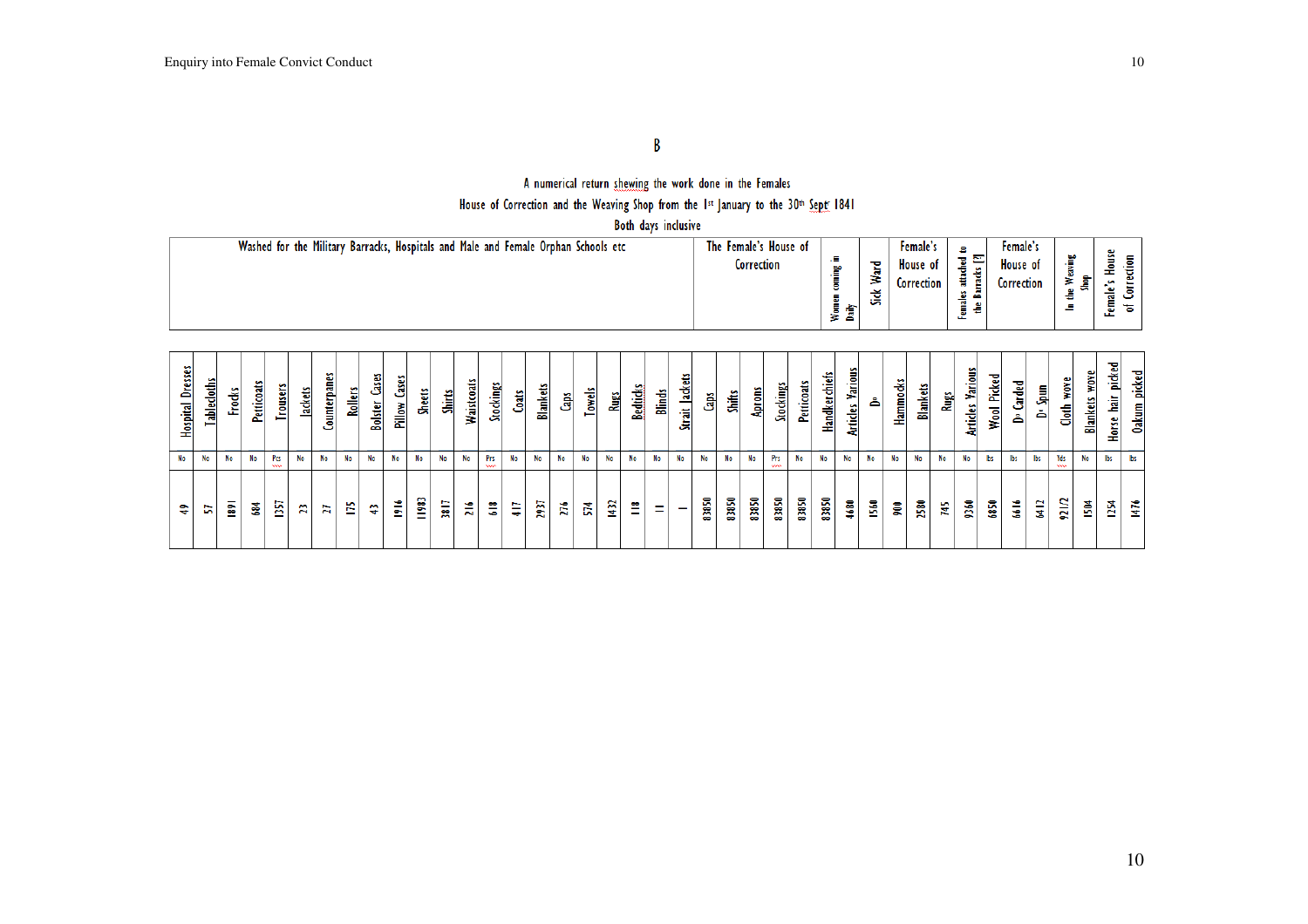#### $\mathbf{B}$

## A numerical return shewing the work done in the Females House of Correction and the Weaving Shop from the 1st January to the 30th Sept 1841

Both days inclusive

| Washed for the Military Barracks, Hospitals and Male and Female Orphan Schools etc | The Female's House of<br>Correction | . 5<br>60<br>۰<br>∮ा<br>प्रो | 70<br>Σ,<br>误 | Female's<br>House of<br>Correction | $\overline{\phantom{a}}$<br>œ<br>÷<br>a. | Female's<br><b>House of</b><br>Correction | 훉 | o.<br>e<br>ш. |
|------------------------------------------------------------------------------------|-------------------------------------|------------------------------|---------------|------------------------------------|------------------------------------------|-------------------------------------------|---|---------------|
|------------------------------------------------------------------------------------|-------------------------------------|------------------------------|---------------|------------------------------------|------------------------------------------|-------------------------------------------|---|---------------|

| š<br>呂<br>Š<br>E<br>я<br>R<br>\$<br>ы                                             | No<br>Pcs<br>No<br>No<br>No<br>No<br>No<br>No<br><b>WW</b>      | Hospital Dresses<br>Counterpanes<br><b>Tablecloths</b><br><b>Petticoats</b><br><b>Trousers</b><br>lackets<br><b>Rollers</b><br>Frocks                          |
|-----------------------------------------------------------------------------------|-----------------------------------------------------------------|----------------------------------------------------------------------------------------------------------------------------------------------------------------|
| <b>11983</b><br>š<br>$\frac{1}{28}$<br>ę                                          | No<br>No<br>No<br>No                                            | <u>Gies</u><br>Cases<br><b>Sheets</b><br>Shirts<br>Bolster<br>Pillow                                                                                           |
| 2937<br>Σf<br>e.<br>Ξ                                                             | No<br>No<br>No<br>Prs                                           | <b>Waistcoats</b><br><b>Stockings</b><br><b>Blankets</b><br><u>Loats</u>                                                                                       |
| 1432<br>ř.<br>276<br>≝<br>Ξ                                                       | No<br>No<br>No<br>No<br>No                                      | <b>Bedricks</b><br>Towels<br><b>Blinds</b><br>Rugs<br>$\ddot{\mathbf{g}}$                                                                                      |
| 83850<br>83850<br>83850<br>83850<br>83850<br>-                                    | No<br>No<br>No<br>No<br>No<br>Prs<br>ww                         | Strait Jackets<br>Petticoats<br>Stockings<br>Aprons<br><b>Shifts</b><br>Ğ                                                                                      |
| 83850<br>4680<br>560<br>ទ្ធ                                                       | No<br><b>No</b><br>No<br>No                                     | Various<br><b>Handkerchiefs</b><br>Hammocks<br>å,<br><b>Articles</b>                                                                                           |
| 21/2<br>6850<br>$\frac{1}{3}$<br>šé,<br>2580<br>9360<br>6616<br><b>1254</b><br>5M | No<br>Yds<br>No<br>No<br>lbs<br>Ibs<br>lbs<br>No<br>lbs<br>5666 | ≖<br>picker<br>Articles Various<br>wove<br>Picked<br>Cloth wove<br>Carded<br>Blankets<br>틟<br>Rugs<br>iair<br><b>Blankets</b><br>Wool I<br>ځ<br>ځ<br>orse<br>÷ |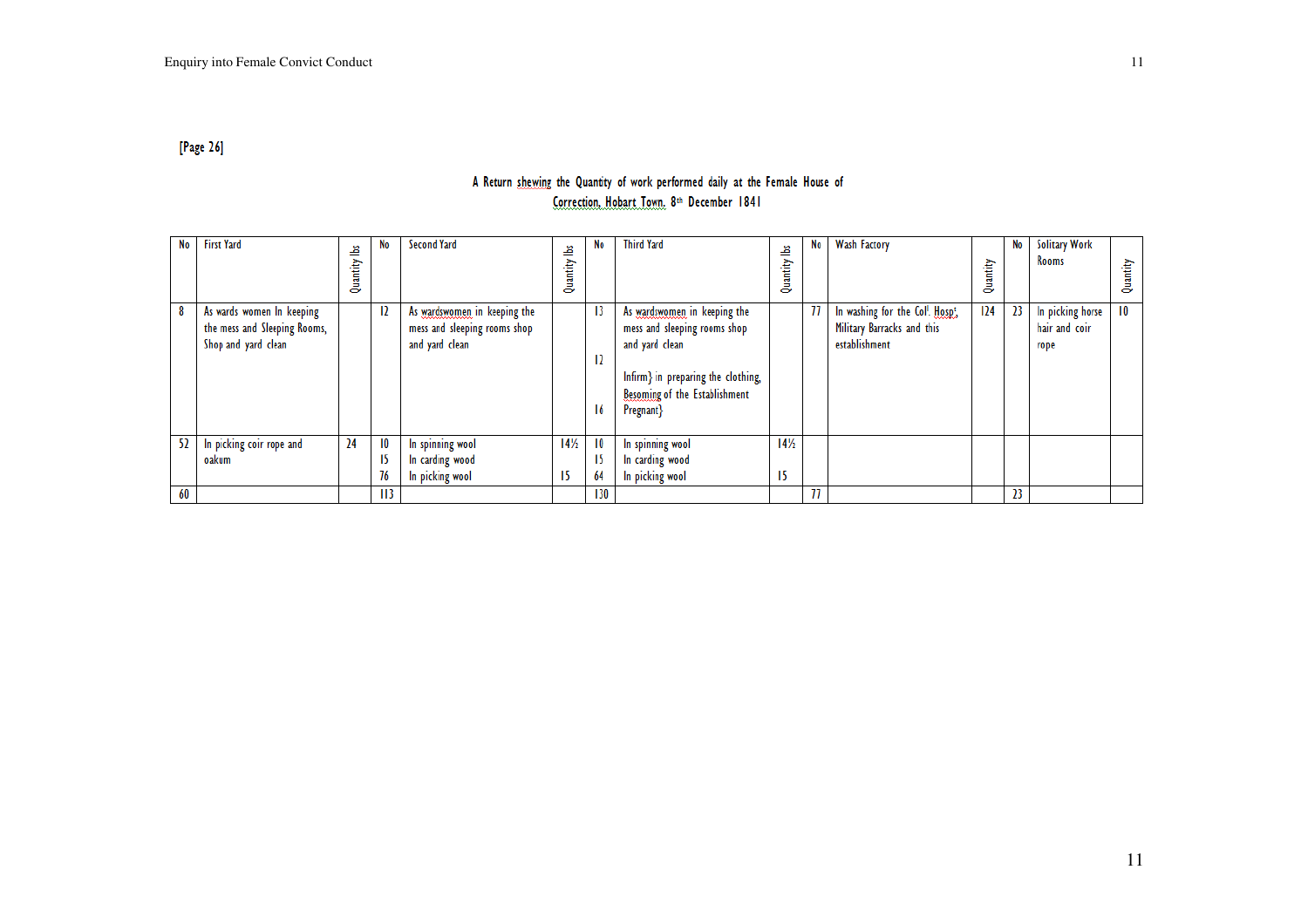# [Page 26]

#### A Return shewing the Quantity of work performed daily at the Female House of Correction, Hobart Town, 8th December 1841

| No | <b>First Yard</b>                                                                | 쓰<br>Quantity <sup>1</sup> | No              | Second Yard                                                                    | Quantity lbs | No             | <b>Third Yard</b>                                                                                                                                                  | ≝<br>Quantity | No | Wash Factory                                                                                             | Quantity | No | Solitary Work<br>Rooms                    | Quantity        |
|----|----------------------------------------------------------------------------------|----------------------------|-----------------|--------------------------------------------------------------------------------|--------------|----------------|--------------------------------------------------------------------------------------------------------------------------------------------------------------------|---------------|----|----------------------------------------------------------------------------------------------------------|----------|----|-------------------------------------------|-----------------|
| 8  | As wards women In keeping<br>the mess and Sleeping Rooms,<br>Shop and yard clean |                            | 12              | As wardswomen in keeping the<br>mess and sleeping rooms shop<br>and yard clean |              | 13<br>12<br>16 | As wardswomen in keeping the<br>mess and sleeping rooms shop<br>and yard clean<br>Infirm} in preparing the clothing,<br>Besoming of the Establishment<br>Pregnant} |               | 77 | In washing for the Col <sup>l</sup> . Hosp <sup>t</sup> ,<br>Military Barracks and this<br>establishment | 124      | 23 | In picking horse<br>hair and coir<br>rope | $\overline{10}$ |
| 52 | In picking coir rope and                                                         | 24                         | $\overline{10}$ | In spinning wool                                                               | 14½          | 10             | In spinning wool                                                                                                                                                   | 14%           |    |                                                                                                          |          |    |                                           |                 |
|    | oakum                                                                            |                            | 15<br>76        | In carding wood<br>In picking wool                                             | 15           | 15<br>64       | In carding wood<br>In picking wool                                                                                                                                 | 15            |    |                                                                                                          |          |    |                                           |                 |
| 60 |                                                                                  |                            | 113             |                                                                                |              | 130            |                                                                                                                                                                    |               | 77 |                                                                                                          |          | 23 |                                           |                 |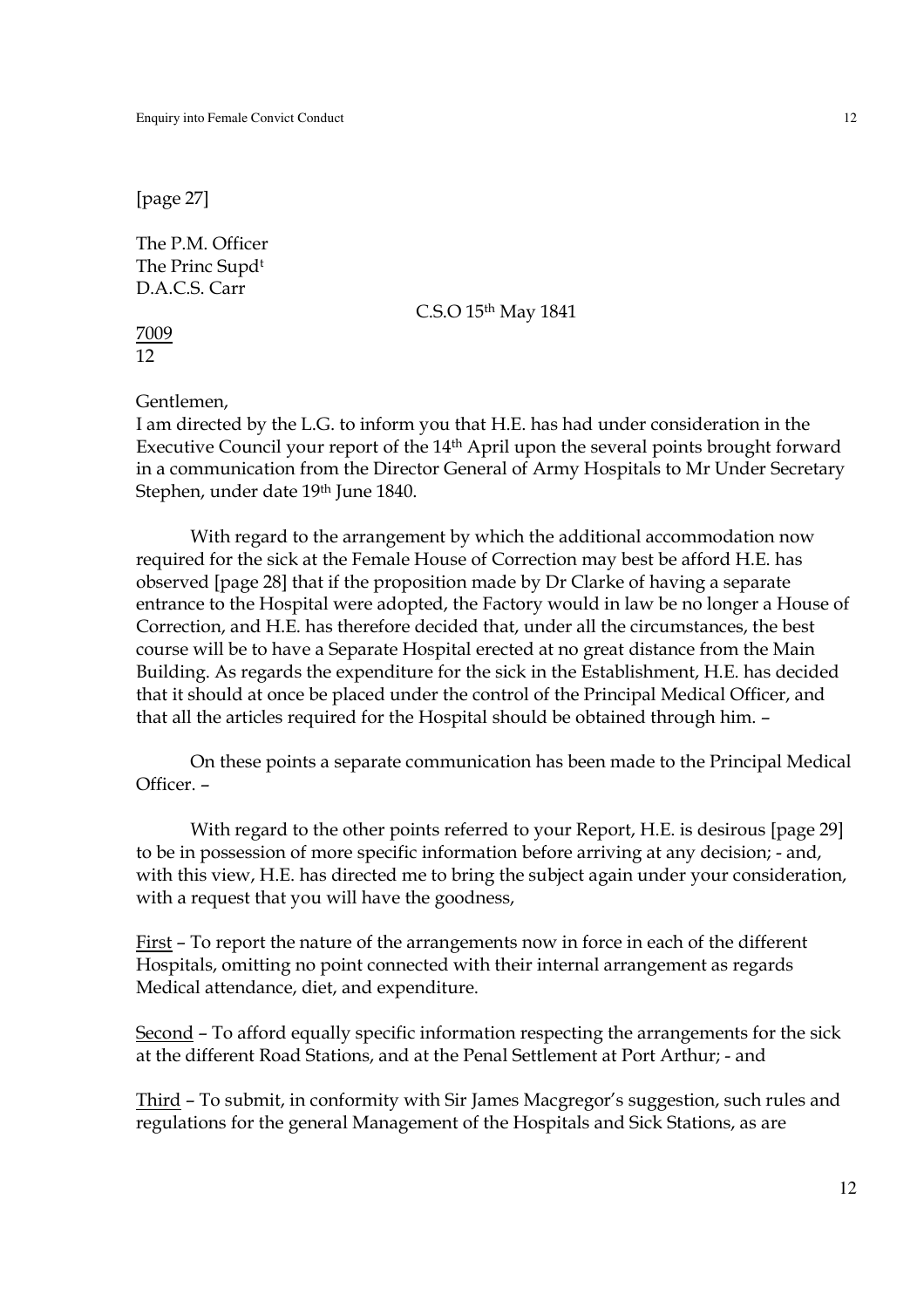[page 27]

The P.M. Officer The Princ Supd<sup>t</sup> D.A.C.S. Carr

# C.S.O 15th May 1841

7009 12

Gentlemen,

I am directed by the L.G. to inform you that H.E. has had under consideration in the Executive Council your report of the 14<sup>th</sup> April upon the several points brought forward in a communication from the Director General of Army Hospitals to Mr Under Secretary Stephen, under date 19th June 1840.

 With regard to the arrangement by which the additional accommodation now required for the sick at the Female House of Correction may best be afford H.E. has observed [page 28] that if the proposition made by Dr Clarke of having a separate entrance to the Hospital were adopted, the Factory would in law be no longer a House of Correction, and H.E. has therefore decided that, under all the circumstances, the best course will be to have a Separate Hospital erected at no great distance from the Main Building. As regards the expenditure for the sick in the Establishment, H.E. has decided that it should at once be placed under the control of the Principal Medical Officer, and that all the articles required for the Hospital should be obtained through him. –

 On these points a separate communication has been made to the Principal Medical Officer. –

 With regard to the other points referred to your Report, H.E. is desirous [page 29] to be in possession of more specific information before arriving at any decision; - and, with this view, H.E. has directed me to bring the subject again under your consideration, with a request that you will have the goodness,

First – To report the nature of the arrangements now in force in each of the different Hospitals, omitting no point connected with their internal arrangement as regards Medical attendance, diet, and expenditure.

Second – To afford equally specific information respecting the arrangements for the sick at the different Road Stations, and at the Penal Settlement at Port Arthur; - and

Third – To submit, in conformity with Sir James Macgregor's suggestion, such rules and regulations for the general Management of the Hospitals and Sick Stations, as are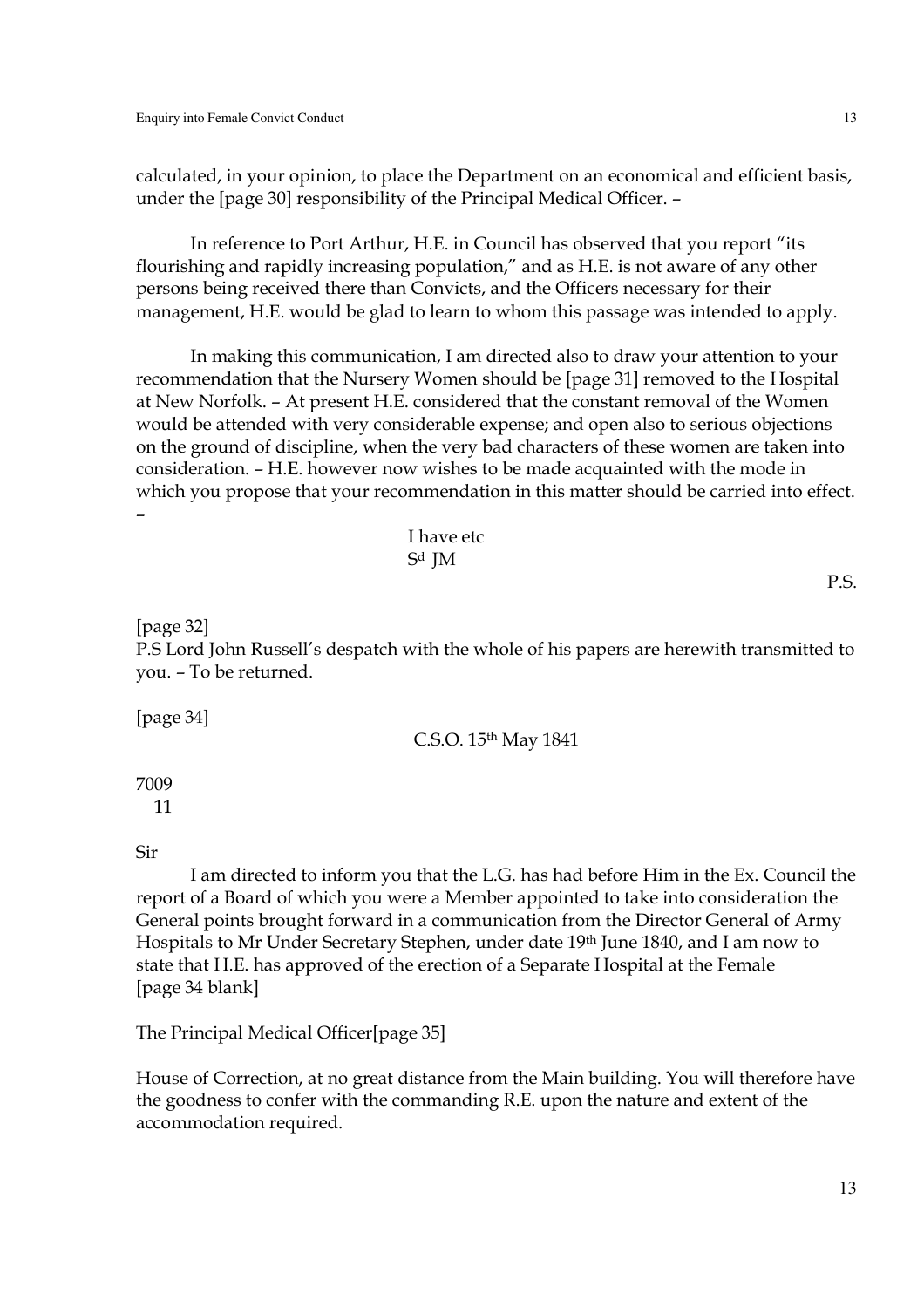calculated, in your opinion, to place the Department on an economical and efficient basis, under the [page 30] responsibility of the Principal Medical Officer. –

 In reference to Port Arthur, H.E. in Council has observed that you report "its flourishing and rapidly increasing population," and as H.E. is not aware of any other persons being received there than Convicts, and the Officers necessary for their management, H.E. would be glad to learn to whom this passage was intended to apply.

 In making this communication, I am directed also to draw your attention to your recommendation that the Nursery Women should be [page 31] removed to the Hospital at New Norfolk. – At present H.E. considered that the constant removal of the Women would be attended with very considerable expense; and open also to serious objections on the ground of discipline, when the very bad characters of these women are taken into consideration. – H.E. however now wishes to be made acquainted with the mode in which you propose that your recommendation in this matter should be carried into effect.

| I have etc |
|------------|
| $Sd$ JM    |

[page 32]

–

P.S Lord John Russell's despatch with the whole of his papers are herewith transmitted to you. – To be returned.

[page 34]

C.S.O. 15th May 1841

7009

11

Sir

 I am directed to inform you that the L.G. has had before Him in the Ex. Council the report of a Board of which you were a Member appointed to take into consideration the General points brought forward in a communication from the Director General of Army Hospitals to Mr Under Secretary Stephen, under date 19th June 1840, and I am now to state that H.E. has approved of the erection of a Separate Hospital at the Female [page 34 blank]

The Principal Medical Officer[page 35]

House of Correction, at no great distance from the Main building. You will therefore have the goodness to confer with the commanding R.E. upon the nature and extent of the accommodation required.

P.S.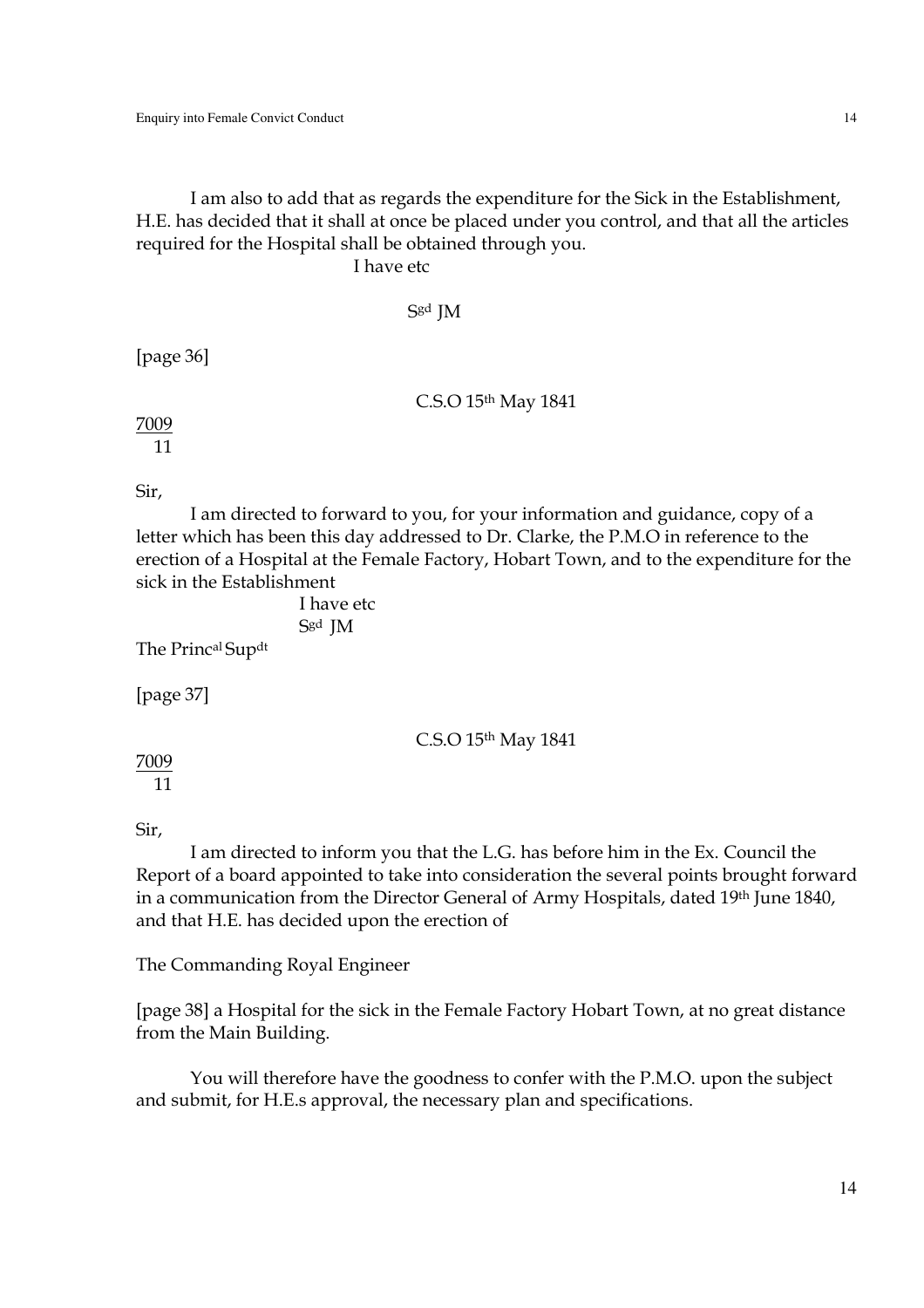I am also to add that as regards the expenditure for the Sick in the Establishment, H.E. has decided that it shall at once be placed under you control, and that all the articles required for the Hospital shall be obtained through you.

I have etc

#### Sgd JM

[page 36]

C.S.O 15th May 1841

7009

11

Sir,

 I am directed to forward to you, for your information and guidance, copy of a letter which has been this day addressed to Dr. Clarke, the P.M.O in reference to the erection of a Hospital at the Female Factory, Hobart Town, and to the expenditure for the sick in the Establishment

> I have etc Sgd JM

The Princal Supdt

[page 37]

C.S.O 15th May 1841

#### 7009

11

Sir,

 I am directed to inform you that the L.G. has before him in the Ex. Council the Report of a board appointed to take into consideration the several points brought forward in a communication from the Director General of Army Hospitals, dated 19th June 1840, and that H.E. has decided upon the erection of

The Commanding Royal Engineer

[page 38] a Hospital for the sick in the Female Factory Hobart Town, at no great distance from the Main Building.

 You will therefore have the goodness to confer with the P.M.O. upon the subject and submit, for H.E.s approval, the necessary plan and specifications.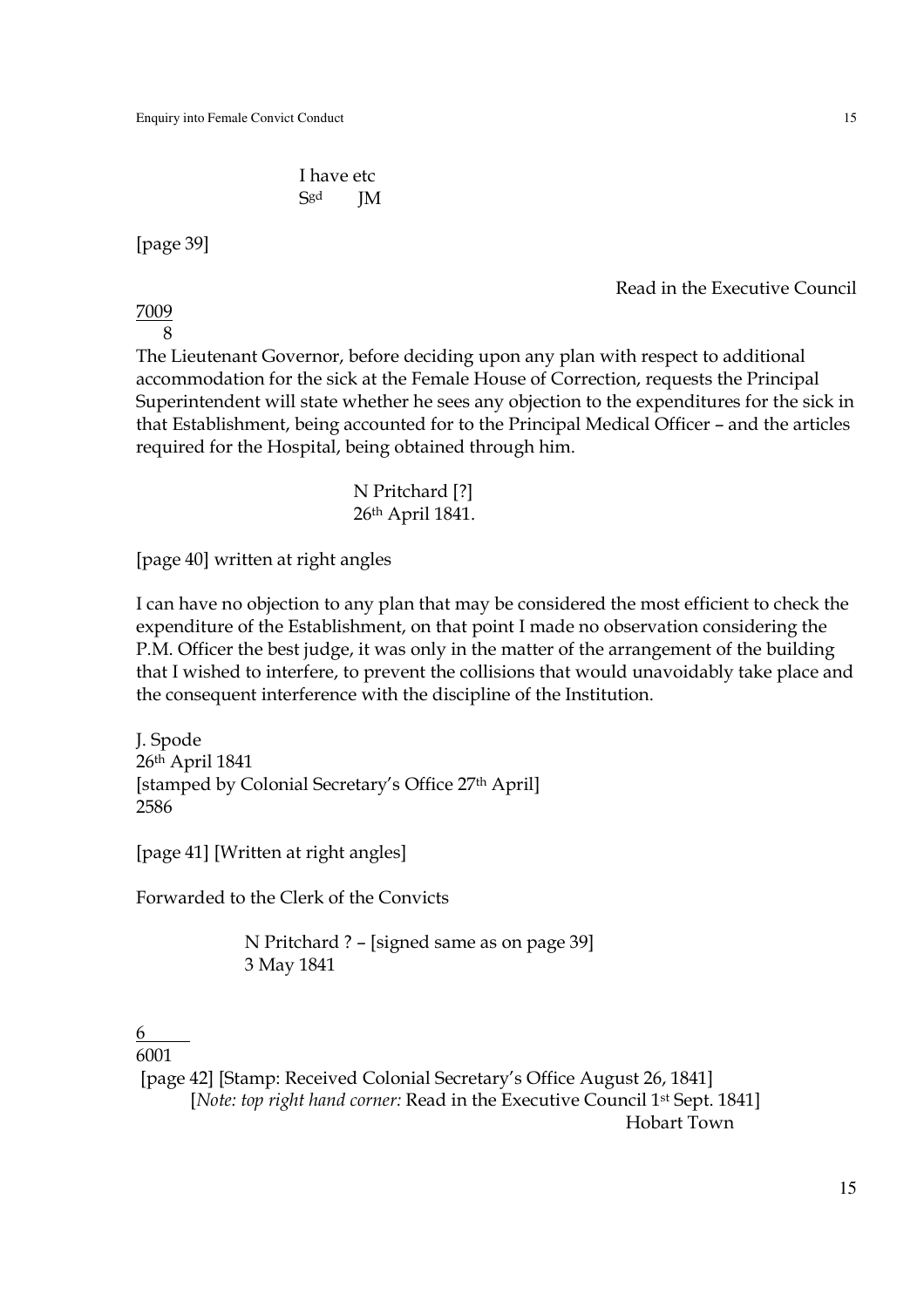I have etc Sgd JM

[page 39]

Read in the Executive Council

## 7009

8

The Lieutenant Governor, before deciding upon any plan with respect to additional accommodation for the sick at the Female House of Correction, requests the Principal Superintendent will state whether he sees any objection to the expenditures for the sick in that Establishment, being accounted for to the Principal Medical Officer – and the articles required for the Hospital, being obtained through him.

> N Pritchard [?] 26th April 1841.

[page 40] written at right angles

I can have no objection to any plan that may be considered the most efficient to check the expenditure of the Establishment, on that point I made no observation considering the P.M. Officer the best judge, it was only in the matter of the arrangement of the building that I wished to interfere, to prevent the collisions that would unavoidably take place and the consequent interference with the discipline of the Institution.

J. Spode 26th April 1841 [stamped by Colonial Secretary's Office 27th April] 2586

[page 41] [Written at right angles]

Forwarded to the Clerk of the Convicts

 N Pritchard ? – [signed same as on page 39] 3 May 1841

#### 6

6001

 [page 42] [Stamp: Received Colonial Secretary's Office August 26, 1841] [Note: top right hand corner: Read in the Executive Council 1<sup>st</sup> Sept. 1841] Hobart Town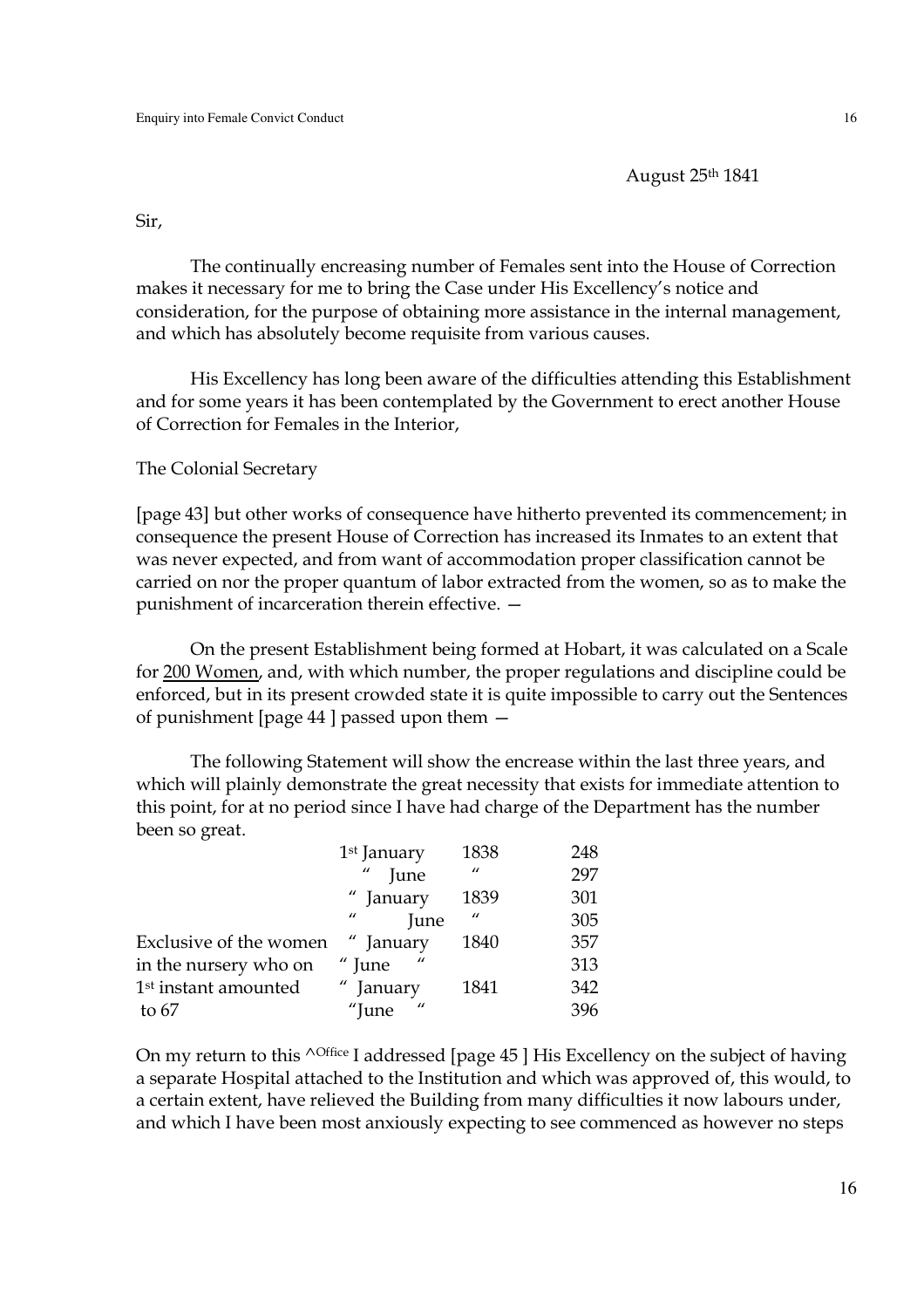August 25th 1841

Sir,

 The continually encreasing number of Females sent into the House of Correction makes it necessary for me to bring the Case under His Excellency's notice and consideration, for the purpose of obtaining more assistance in the internal management, and which has absolutely become requisite from various causes.

 His Excellency has long been aware of the difficulties attending this Establishment and for some years it has been contemplated by the Government to erect another House of Correction for Females in the Interior,

#### The Colonial Secretary

[page 43] but other works of consequence have hitherto prevented its commencement; in consequence the present House of Correction has increased its Inmates to an extent that was never expected, and from want of accommodation proper classification cannot be carried on nor the proper quantum of labor extracted from the women, so as to make the punishment of incarceration therein effective. —

 On the present Establishment being formed at Hobart, it was calculated on a Scale for 200 Women, and, with which number, the proper regulations and discipline could be enforced, but in its present crowded state it is quite impossible to carry out the Sentences of punishment [page 44 ] passed upon them —

 The following Statement will show the encrease within the last three years, and which will plainly demonstrate the great necessity that exists for immediate attention to this point, for at no period since I have had charge of the Department has the number been so great.

|                                  | $1st$ January          | 1838           | 248 |
|----------------------------------|------------------------|----------------|-----|
|                                  | $\prime\prime$<br>June | $\prime\prime$ | 297 |
|                                  | January                | 1839           | 301 |
|                                  | $\prime\prime$<br>June | $\prime\prime$ | 305 |
| Exclusive of the women           | " January              | 1840           | 357 |
| in the nursery who on            | $^{\prime\prime}$ June |                | 313 |
| 1 <sup>st</sup> instant amounted | " January              | 1841           | 342 |
| to $67$                          | "<br>"June             |                | 396 |

On my return to this <sup>^Office</sup> I addressed [page 45 ] His Excellency on the subject of having a separate Hospital attached to the Institution and which was approved of, this would, to a certain extent, have relieved the Building from many difficulties it now labours under, and which I have been most anxiously expecting to see commenced as however no steps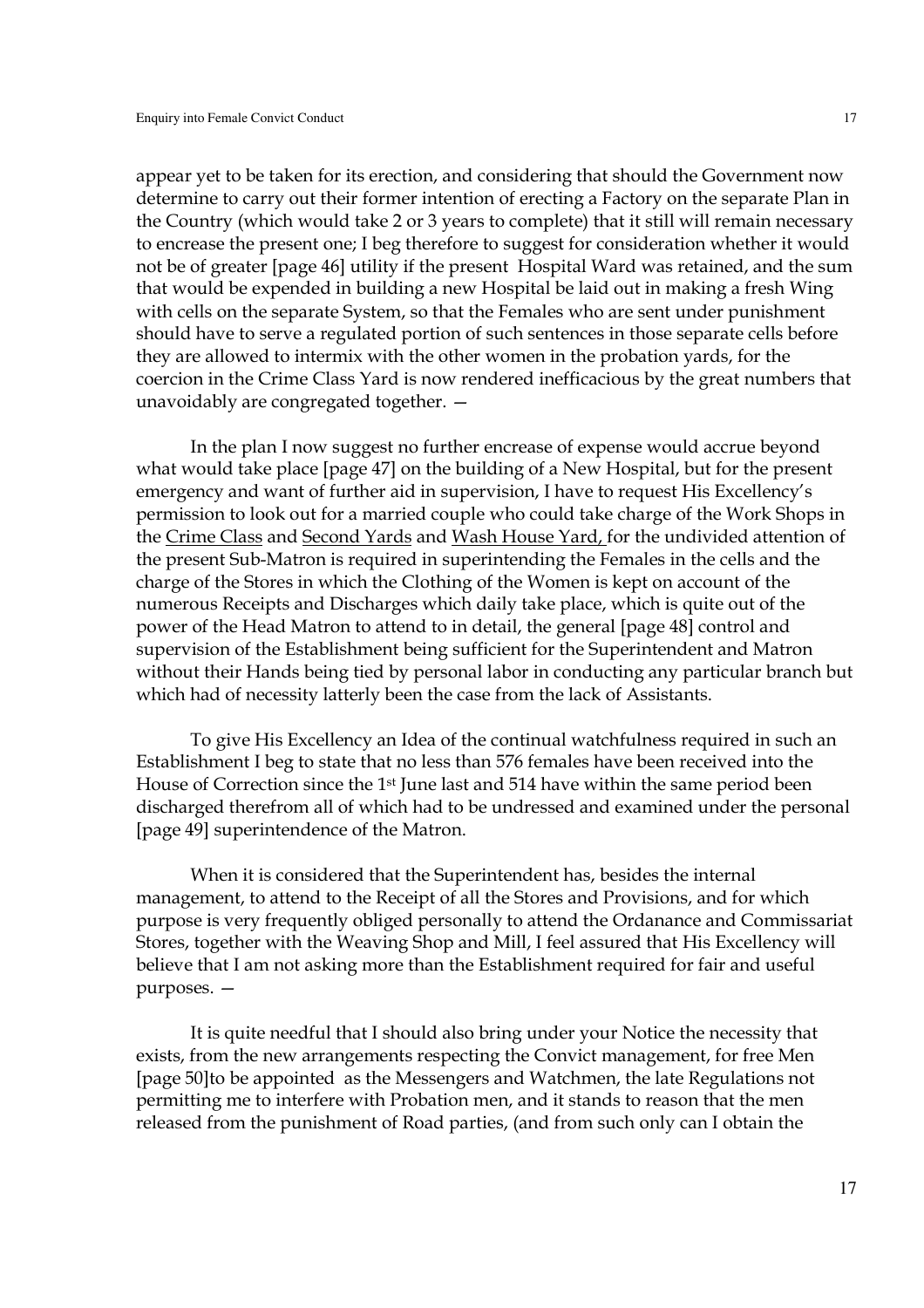appear yet to be taken for its erection, and considering that should the Government now determine to carry out their former intention of erecting a Factory on the separate Plan in the Country (which would take 2 or 3 years to complete) that it still will remain necessary to encrease the present one; I beg therefore to suggest for consideration whether it would not be of greater [page 46] utility if the present Hospital Ward was retained, and the sum that would be expended in building a new Hospital be laid out in making a fresh Wing with cells on the separate System, so that the Females who are sent under punishment should have to serve a regulated portion of such sentences in those separate cells before they are allowed to intermix with the other women in the probation yards, for the coercion in the Crime Class Yard is now rendered inefficacious by the great numbers that unavoidably are congregated together. —

 In the plan I now suggest no further encrease of expense would accrue beyond what would take place [page 47] on the building of a New Hospital, but for the present emergency and want of further aid in supervision, I have to request His Excellency's permission to look out for a married couple who could take charge of the Work Shops in the Crime Class and Second Yards and Wash House Yard, for the undivided attention of the present Sub-Matron is required in superintending the Females in the cells and the charge of the Stores in which the Clothing of the Women is kept on account of the numerous Receipts and Discharges which daily take place, which is quite out of the power of the Head Matron to attend to in detail, the general [page 48] control and supervision of the Establishment being sufficient for the Superintendent and Matron without their Hands being tied by personal labor in conducting any particular branch but which had of necessity latterly been the case from the lack of Assistants.

 To give His Excellency an Idea of the continual watchfulness required in such an Establishment I beg to state that no less than 576 females have been received into the House of Correction since the 1st June last and 514 have within the same period been discharged therefrom all of which had to be undressed and examined under the personal [page 49] superintendence of the Matron.

 When it is considered that the Superintendent has, besides the internal management, to attend to the Receipt of all the Stores and Provisions, and for which purpose is very frequently obliged personally to attend the Ordanance and Commissariat Stores, together with the Weaving Shop and Mill, I feel assured that His Excellency will believe that I am not asking more than the Establishment required for fair and useful purposes. —

 It is quite needful that I should also bring under your Notice the necessity that exists, from the new arrangements respecting the Convict management, for free Men [page 50]to be appointed as the Messengers and Watchmen, the late Regulations not permitting me to interfere with Probation men, and it stands to reason that the men released from the punishment of Road parties, (and from such only can I obtain the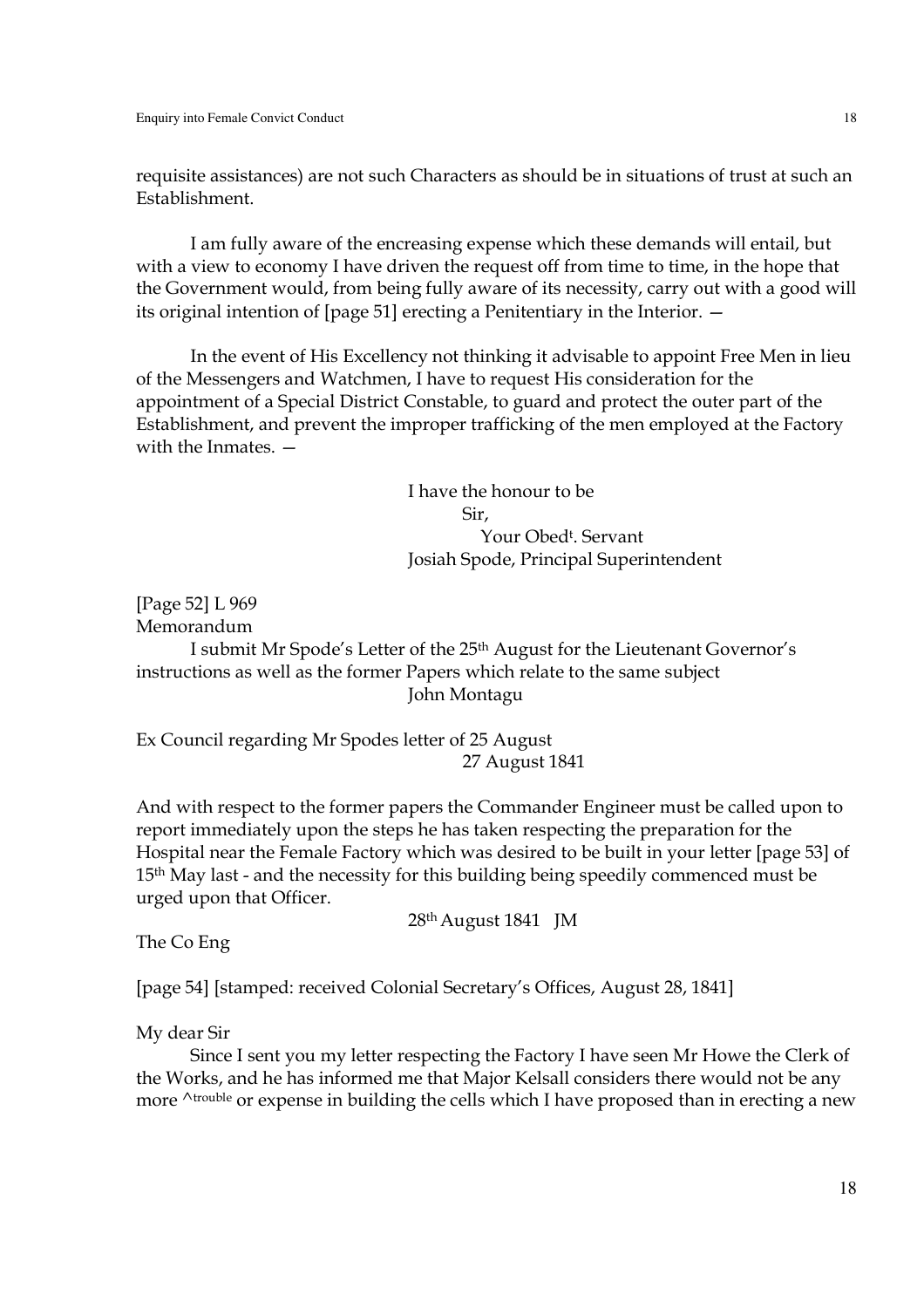requisite assistances) are not such Characters as should be in situations of trust at such an Establishment.

 I am fully aware of the encreasing expense which these demands will entail, but with a view to economy I have driven the request off from time to time, in the hope that the Government would, from being fully aware of its necessity, carry out with a good will its original intention of [page 51] erecting a Penitentiary in the Interior. —

 In the event of His Excellency not thinking it advisable to appoint Free Men in lieu of the Messengers and Watchmen, I have to request His consideration for the appointment of a Special District Constable, to guard and protect the outer part of the Establishment, and prevent the improper trafficking of the men employed at the Factory with the Inmates. —

 I have the honour to be Sir, Your Obed<sup>t</sup> . Servant Josiah Spode, Principal Superintendent

[Page 52] L 969 Memorandum

 I submit Mr Spode's Letter of the 25th August for the Lieutenant Governor's instructions as well as the former Papers which relate to the same subject John Montagu

Ex Council regarding Mr Spodes letter of 25 August 27 August 1841

And with respect to the former papers the Commander Engineer must be called upon to report immediately upon the steps he has taken respecting the preparation for the Hospital near the Female Factory which was desired to be built in your letter [page 53] of 15th May last - and the necessity for this building being speedily commenced must be urged upon that Officer.

28th August 1841 JM

The Co Eng

[page 54] [stamped: received Colonial Secretary's Offices, August 28, 1841]

My dear Sir

 Since I sent you my letter respecting the Factory I have seen Mr Howe the Clerk of the Works, and he has informed me that Major Kelsall considers there would not be any more <sup> $\wedge$ trouble</sup> or expense in building the cells which I have proposed than in erecting a new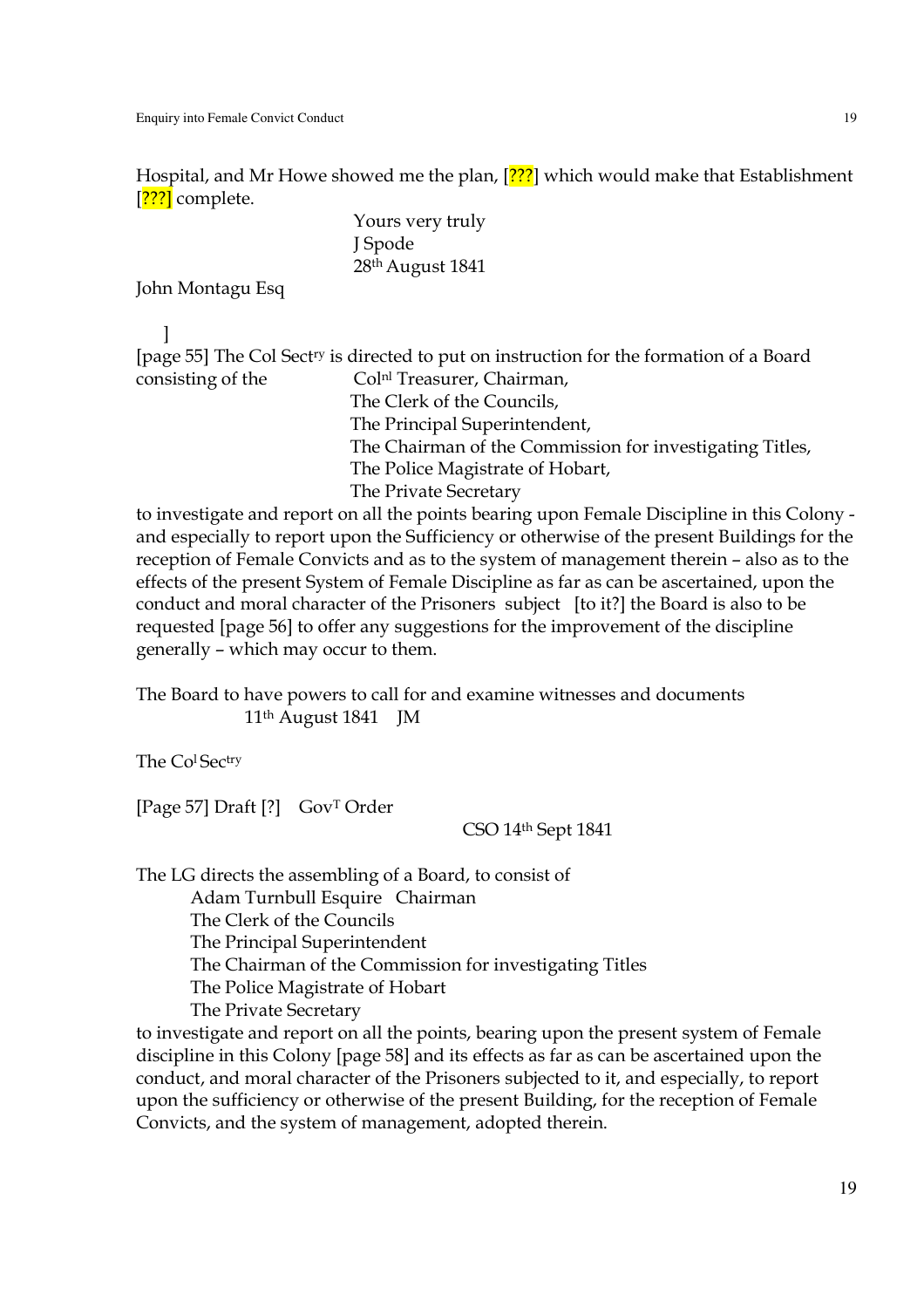Hospital, and Mr Howe showed me the plan, [???] which would make that Establishment [<sup>222]</sup> complete.

> Yours very truly J Spode 28th August 1841

John Montagu Esq

 ] [page 55] The Col Sectry is directed to put on instruction for the formation of a Board consisting of the Col<sup>nl</sup> Treasurer, Chairman, The Clerk of the Councils, The Principal Superintendent, The Chairman of the Commission for investigating Titles, The Police Magistrate of Hobart,

The Private Secretary

to investigate and report on all the points bearing upon Female Discipline in this Colony and especially to report upon the Sufficiency or otherwise of the present Buildings for the reception of Female Convicts and as to the system of management therein – also as to the effects of the present System of Female Discipline as far as can be ascertained, upon the conduct and moral character of the Prisoners subject [to it?] the Board is also to be requested [page 56] to offer any suggestions for the improvement of the discipline generally – which may occur to them.

The Board to have powers to call for and examine witnesses and documents 11th August 1841 JM

The Co<sup>1</sup>Sectry

[Page 57] Draft [?] Gov<sup>T</sup> Order

CSO 14th Sept 1841

The LG directs the assembling of a Board, to consist of Adam Turnbull Esquire Chairman The Clerk of the Councils The Principal Superintendent The Chairman of the Commission for investigating Titles The Police Magistrate of Hobart The Private Secretary

to investigate and report on all the points, bearing upon the present system of Female discipline in this Colony [page 58] and its effects as far as can be ascertained upon the conduct, and moral character of the Prisoners subjected to it, and especially, to report upon the sufficiency or otherwise of the present Building, for the reception of Female Convicts, and the system of management, adopted therein.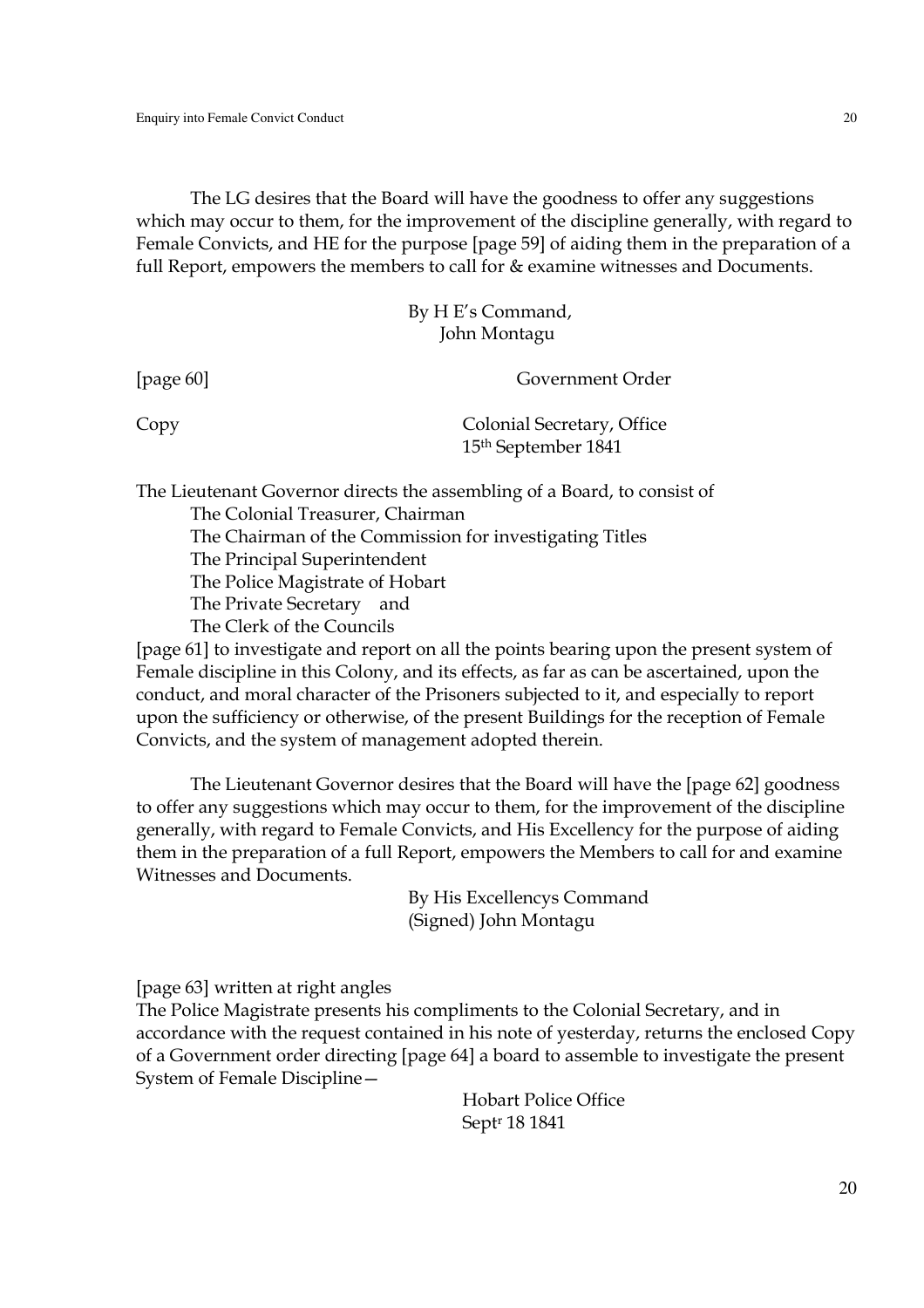The LG desires that the Board will have the goodness to offer any suggestions which may occur to them, for the improvement of the discipline generally, with regard to Female Convicts, and HE for the purpose [page 59] of aiding them in the preparation of a full Report, empowers the members to call for & examine witnesses and Documents.

# By H E's Command, John Montagu

#### [page 60] Government Order

Copy Colonial Secretary, Office 15th September 1841

The Lieutenant Governor directs the assembling of a Board, to consist of

 The Colonial Treasurer, Chairman The Chairman of the Commission for investigating Titles The Principal Superintendent The Police Magistrate of Hobart The Private Secretary and The Clerk of the Councils

[page 61] to investigate and report on all the points bearing upon the present system of Female discipline in this Colony, and its effects, as far as can be ascertained, upon the conduct, and moral character of the Prisoners subjected to it, and especially to report upon the sufficiency or otherwise, of the present Buildings for the reception of Female Convicts, and the system of management adopted therein.

 The Lieutenant Governor desires that the Board will have the [page 62] goodness to offer any suggestions which may occur to them, for the improvement of the discipline generally, with regard to Female Convicts, and His Excellency for the purpose of aiding them in the preparation of a full Report, empowers the Members to call for and examine Witnesses and Documents.

> By His Excellencys Command (Signed) John Montagu

[page 63] written at right angles

The Police Magistrate presents his compliments to the Colonial Secretary, and in accordance with the request contained in his note of yesterday, returns the enclosed Copy of a Government order directing [page 64] a board to assemble to investigate the present System of Female Discipline—

 Hobart Police Office Sept<sup>r</sup> Sept<sup>r</sup> 18 1841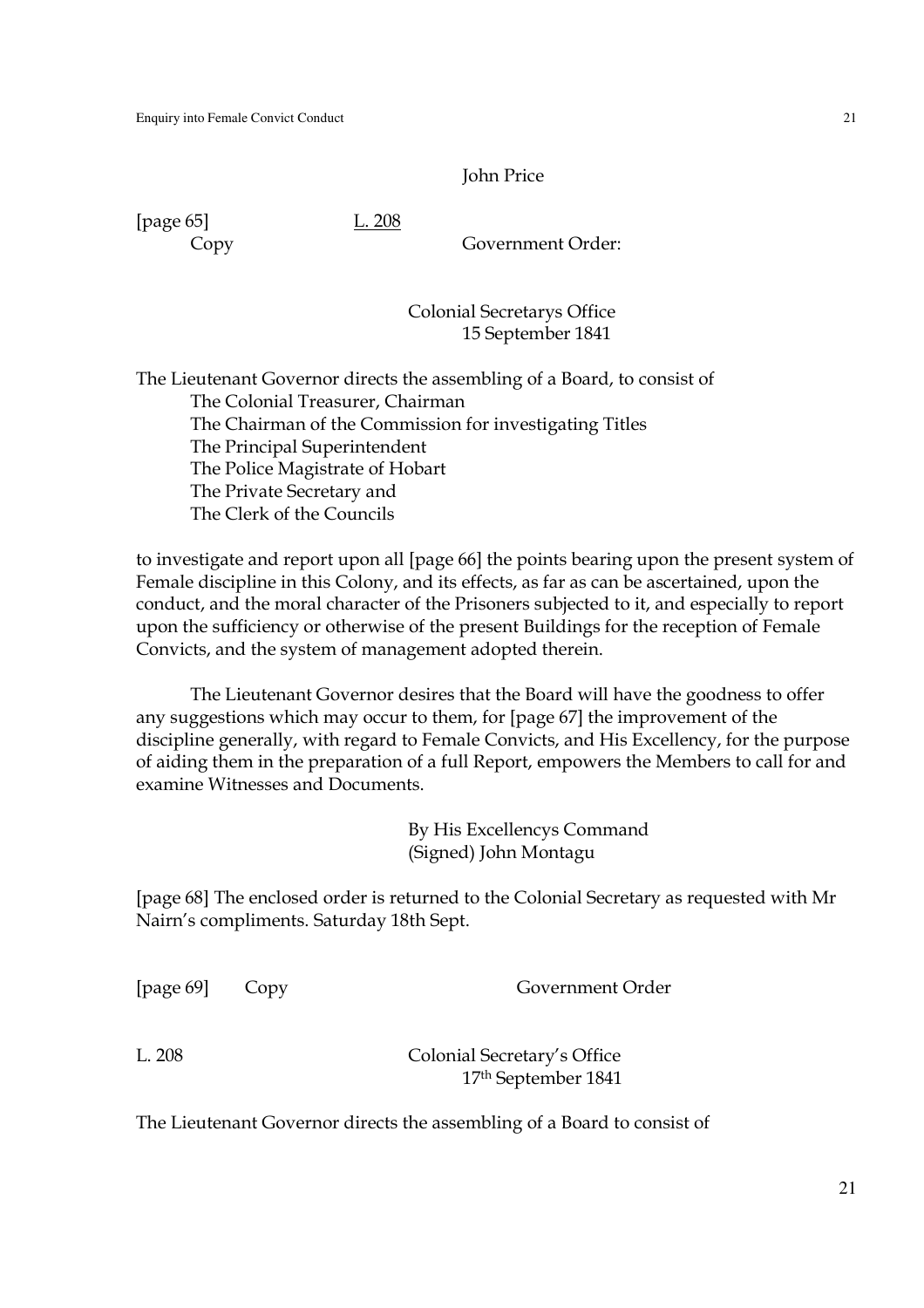John Price

[page 65] L. 208

Copy Government Order:

# Colonial Secretarys Office 15 September 1841

The Lieutenant Governor directs the assembling of a Board, to consist of The Colonial Treasurer, Chairman The Chairman of the Commission for investigating Titles The Principal Superintendent The Police Magistrate of Hobart The Private Secretary and The Clerk of the Councils

to investigate and report upon all [page 66] the points bearing upon the present system of Female discipline in this Colony, and its effects, as far as can be ascertained, upon the conduct, and the moral character of the Prisoners subjected to it, and especially to report upon the sufficiency or otherwise of the present Buildings for the reception of Female Convicts, and the system of management adopted therein.

 The Lieutenant Governor desires that the Board will have the goodness to offer any suggestions which may occur to them, for [page 67] the improvement of the discipline generally, with regard to Female Convicts, and His Excellency, for the purpose of aiding them in the preparation of a full Report, empowers the Members to call for and examine Witnesses and Documents.

> By His Excellencys Command (Signed) John Montagu

[page 68] The enclosed order is returned to the Colonial Secretary as requested with Mr Nairn's compliments. Saturday 18th Sept.

| [page 69] $Copy$ | Government Order                                               |
|------------------|----------------------------------------------------------------|
| L. 208           | Colonial Secretary's Office<br>17 <sup>th</sup> September 1841 |

The Lieutenant Governor directs the assembling of a Board to consist of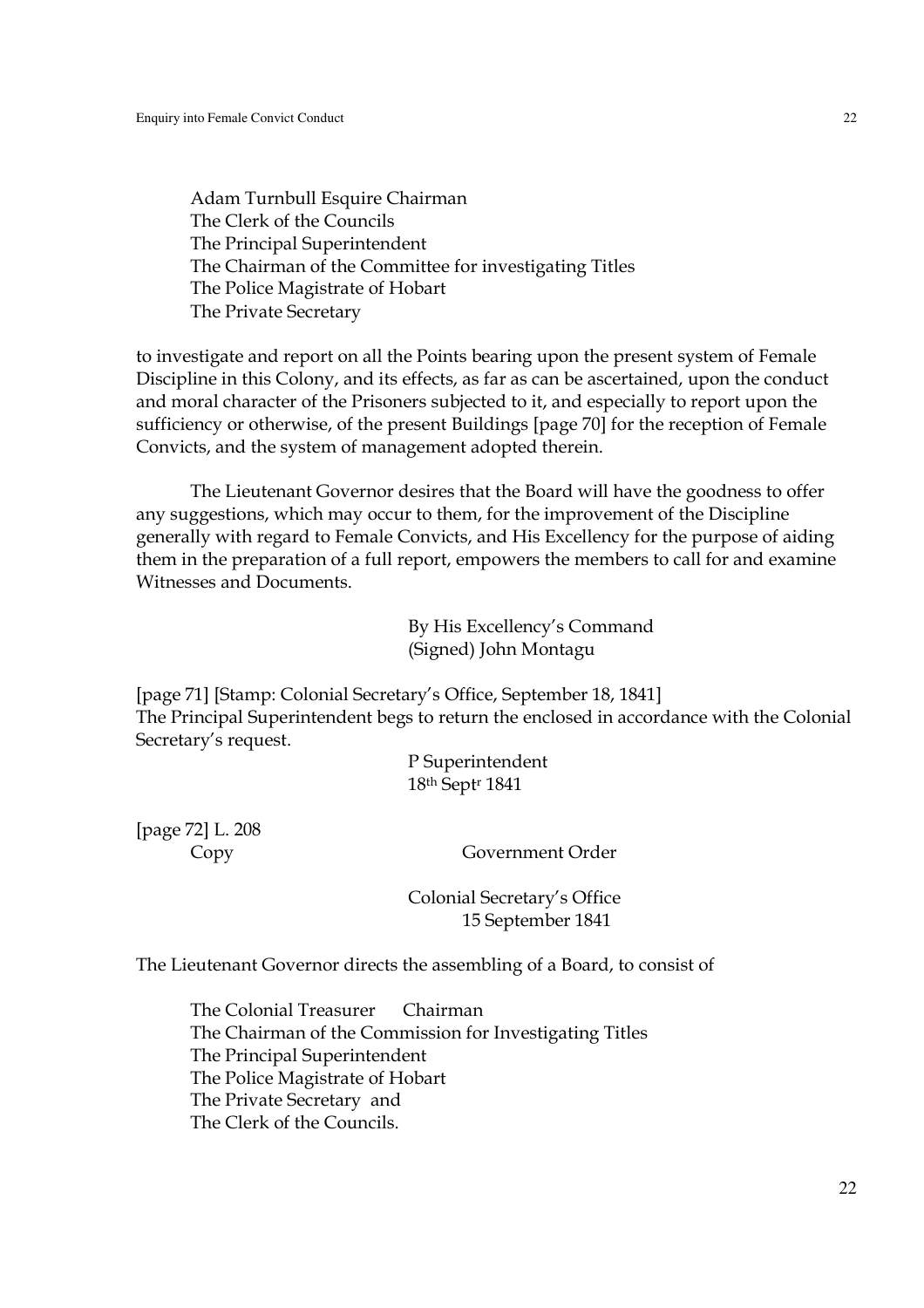Adam Turnbull Esquire Chairman The Clerk of the Councils The Principal Superintendent The Chairman of the Committee for investigating Titles The Police Magistrate of Hobart The Private Secretary

to investigate and report on all the Points bearing upon the present system of Female Discipline in this Colony, and its effects, as far as can be ascertained, upon the conduct and moral character of the Prisoners subjected to it, and especially to report upon the sufficiency or otherwise, of the present Buildings [page 70] for the reception of Female Convicts, and the system of management adopted therein.

 The Lieutenant Governor desires that the Board will have the goodness to offer any suggestions, which may occur to them, for the improvement of the Discipline generally with regard to Female Convicts, and His Excellency for the purpose of aiding them in the preparation of a full report, empowers the members to call for and examine Witnesses and Documents.

> By His Excellency's Command (Signed) John Montagu

[page 71] [Stamp: Colonial Secretary's Office, September 18, 1841] The Principal Superintendent begs to return the enclosed in accordance with the Colonial Secretary's request.

 P Superintendent 18th Sept<sup>r</sup> 1841

[page 72] L. 208

Copy Government Order

 Colonial Secretary's Office 15 September 1841

The Lieutenant Governor directs the assembling of a Board, to consist of

 The Colonial Treasurer Chairman The Chairman of the Commission for Investigating Titles The Principal Superintendent The Police Magistrate of Hobart The Private Secretary and The Clerk of the Councils.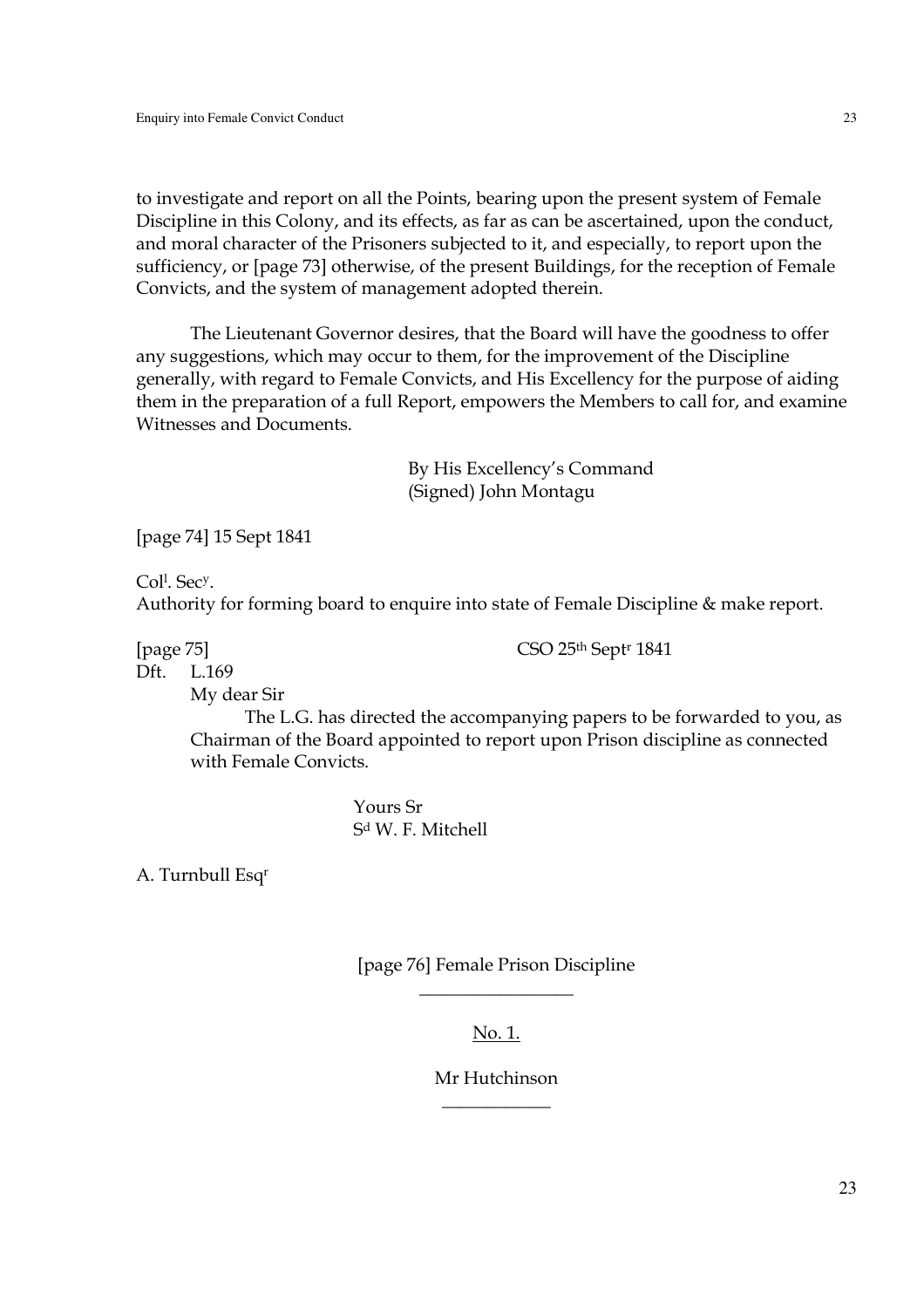to investigate and report on all the Points, bearing upon the present system of Female Discipline in this Colony, and its effects, as far as can be ascertained, upon the conduct, and moral character of the Prisoners subjected to it, and especially, to report upon the sufficiency, or [page 73] otherwise, of the present Buildings, for the reception of Female Convicts, and the system of management adopted therein.

 The Lieutenant Governor desires, that the Board will have the goodness to offer any suggestions, which may occur to them, for the improvement of the Discipline generally, with regard to Female Convicts, and His Excellency for the purpose of aiding them in the preparation of a full Report, empowers the Members to call for, and examine Witnesses and Documents.

> By His Excellency's Command (Signed) John Montagu

[page 74] 15 Sept 1841

Col<sup>l</sup> . Sec<sup>y</sup>.

Authority for forming board to enquire into state of Female Discipline & make report.

[page 75] CSO 25th Sept<sup>r</sup> 1841

Dft. L.169

My dear Sir

 The L.G. has directed the accompanying papers to be forwarded to you, as Chairman of the Board appointed to report upon Prison discipline as connected with Female Convicts.

> Yours Sr S<sup>d</sup> W. F. Mitchell

A. Turnbull Esq<sup>r</sup>

[page 76] Female Prison Discipline  $\frac{1}{\sqrt{2}}$ 

# No. 1.

Mr Hutchinson  $\frac{1}{2}$  ,  $\frac{1}{2}$  ,  $\frac{1}{2}$  ,  $\frac{1}{2}$  ,  $\frac{1}{2}$  ,  $\frac{1}{2}$  ,  $\frac{1}{2}$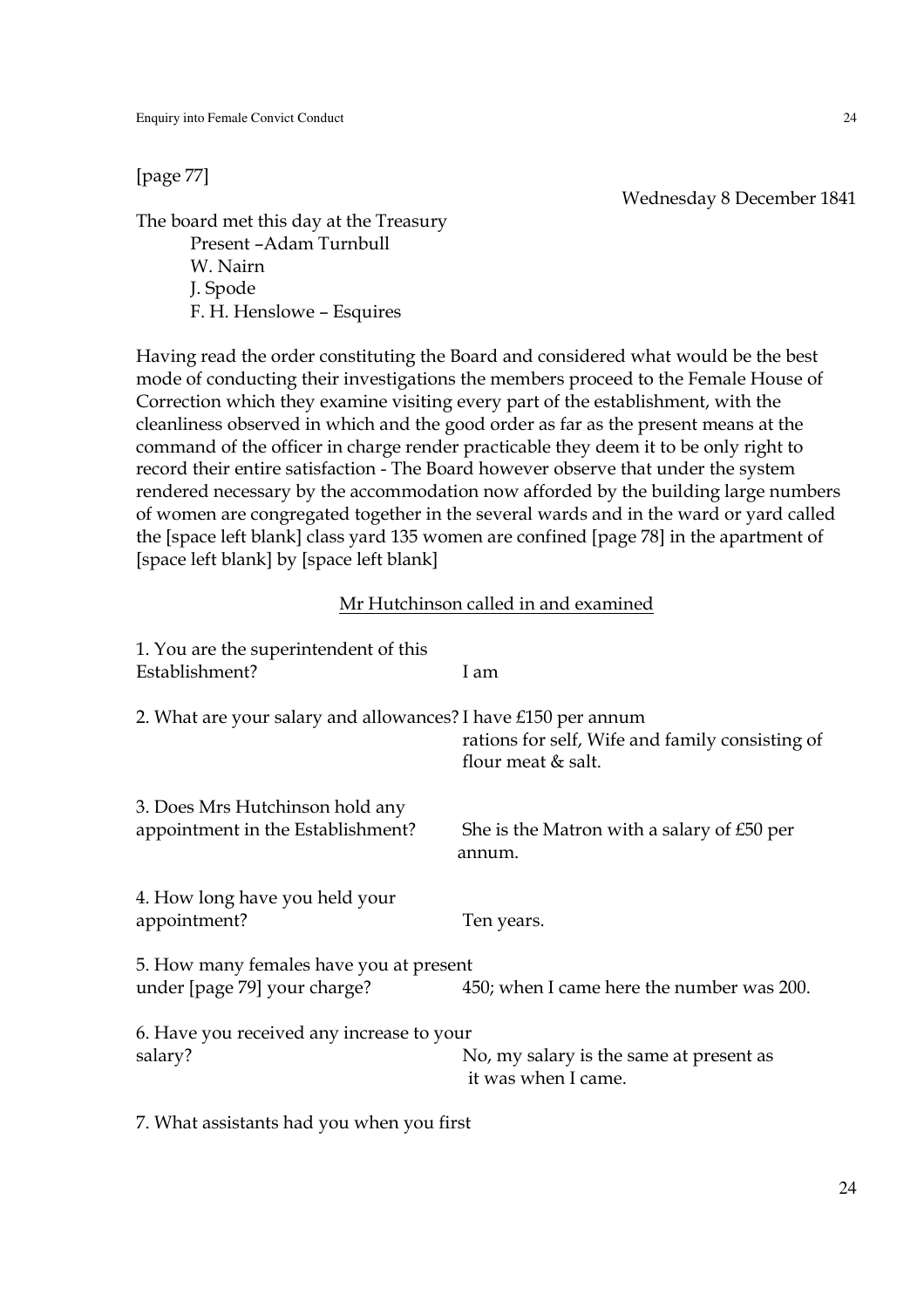Enquiry into Female Convict Conduct 24

[page 77]

Wednesday 8 December 1841

The board met this day at the Treasury Present –Adam Turnbull W. Nairn J. Spode F. H. Henslowe – Esquires

Having read the order constituting the Board and considered what would be the best mode of conducting their investigations the members proceed to the Female House of Correction which they examine visiting every part of the establishment, with the cleanliness observed in which and the good order as far as the present means at the command of the officer in charge render practicable they deem it to be only right to record their entire satisfaction - The Board however observe that under the system rendered necessary by the accommodation now afforded by the building large numbers of women are congregated together in the several wards and in the ward or yard called the [space left blank] class yard 135 women are confined [page 78] in the apartment of [space left blank] by [space left blank]

## Mr Hutchinson called in and examined

| I am                                                                                                                                   |
|----------------------------------------------------------------------------------------------------------------------------------------|
| 2. What are your salary and allowances? I have £150 per annum<br>rations for self, Wife and family consisting of<br>flour meat & salt. |
| She is the Matron with a salary of £50 per<br>annum.                                                                                   |
| Ten years.                                                                                                                             |
| 5. How many females have you at present<br>450; when I came here the number was 200.                                                   |
| 6. Have you received any increase to your<br>No, my salary is the same at present as<br>it was when I came.                            |
|                                                                                                                                        |

7. What assistants had you when you first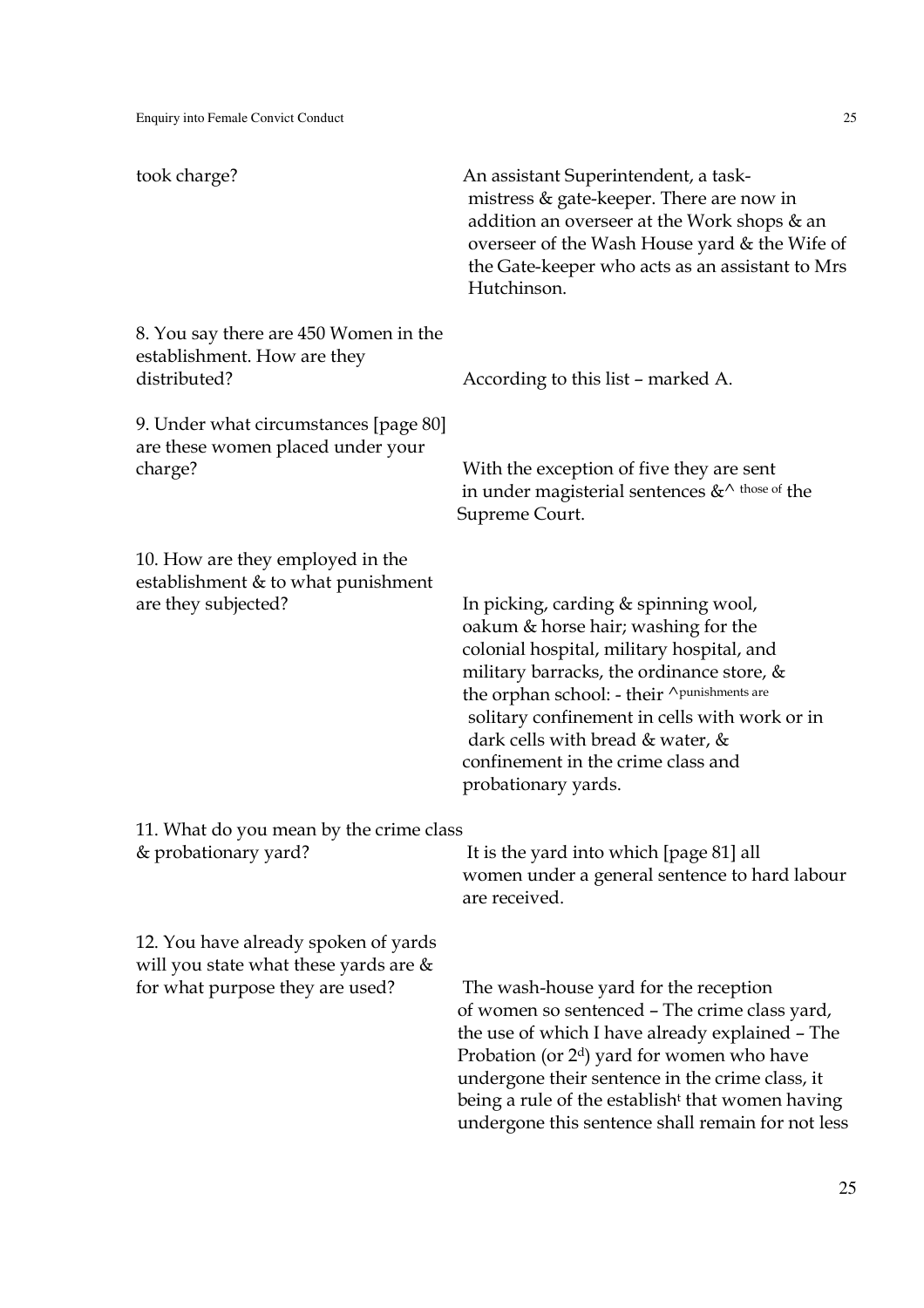| took charge?                                                                                                     | An assistant Superintendent, a task-<br>mistress & gate-keeper. There are now in<br>addition an overseer at the Work shops & an<br>overseer of the Wash House yard & the Wife of<br>the Gate-keeper who acts as an assistant to Mrs<br>Hutchinson.                                                                                                                     |
|------------------------------------------------------------------------------------------------------------------|------------------------------------------------------------------------------------------------------------------------------------------------------------------------------------------------------------------------------------------------------------------------------------------------------------------------------------------------------------------------|
| 8. You say there are 450 Women in the<br>establishment. How are they<br>distributed?                             | According to this list – marked A.                                                                                                                                                                                                                                                                                                                                     |
| 9. Under what circumstances [page 80]<br>are these women placed under your<br>charge?                            | With the exception of five they are sent<br>in under magisterial sentences $\&^{\wedge}$ those of the<br>Supreme Court.                                                                                                                                                                                                                                                |
| 10. How are they employed in the<br>establishment & to what punishment<br>are they subjected?                    | In picking, carding & spinning wool,<br>oakum & horse hair; washing for the<br>colonial hospital, military hospital, and<br>military barracks, the ordinance store, &<br>the orphan school: - their ^punishments are<br>solitary confinement in cells with work or in<br>dark cells with bread & water, &<br>confinement in the crime class and<br>probationary yards. |
| 11. What do you mean by the crime class<br>& probationary yard?                                                  | It is the yard into which [page 81] all<br>women under a general sentence to hard labour<br>are received.                                                                                                                                                                                                                                                              |
| 12. You have already spoken of yards<br>will you state what these yards are &<br>for what purpose they are used? | The wash-house yard for the reception<br>of women so sentenced - The crime class yard,<br>the use of which I have already explained - The<br>Probation (or $2d$ ) yard for women who have<br>undergone their sentence in the crime class, it<br>being a rule of the establish <sup>t</sup> that women having<br>undergone this sentence shall remain for not less      |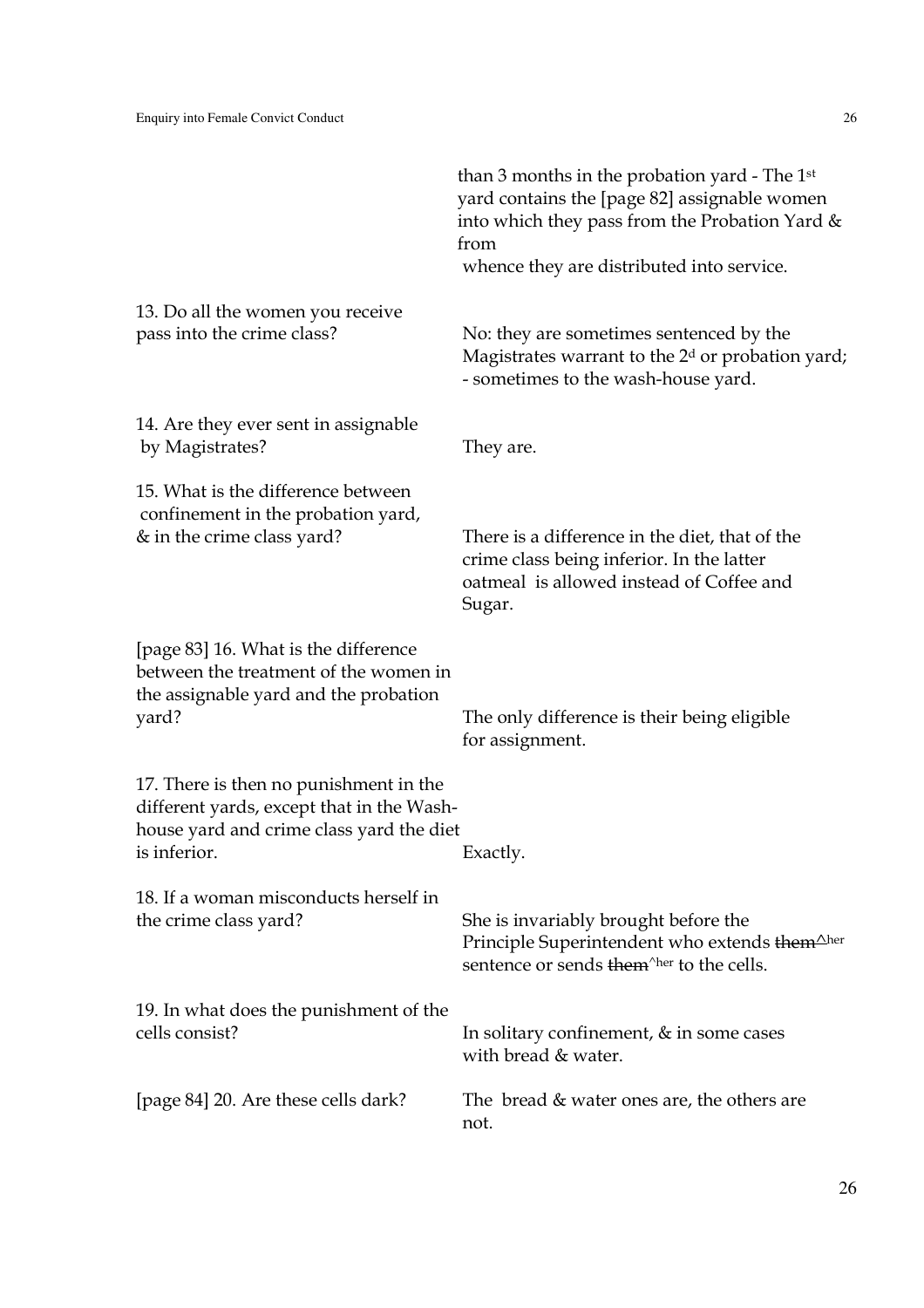|                                                                                                                                                 | than 3 months in the probation yard - The 1st<br>yard contains the [page 82] assignable women<br>into which they pass from the Probation Yard &<br>from<br>whence they are distributed into service. |
|-------------------------------------------------------------------------------------------------------------------------------------------------|------------------------------------------------------------------------------------------------------------------------------------------------------------------------------------------------------|
| 13. Do all the women you receive<br>pass into the crime class?                                                                                  | No: they are sometimes sentenced by the<br>Magistrates warrant to the 2 <sup>d</sup> or probation yard;<br>- sometimes to the wash-house yard.                                                       |
| 14. Are they ever sent in assignable<br>by Magistrates?                                                                                         | They are.                                                                                                                                                                                            |
| 15. What is the difference between<br>confinement in the probation yard,<br>& in the crime class yard?                                          | There is a difference in the diet, that of the<br>crime class being inferior. In the latter<br>oatmeal is allowed instead of Coffee and<br>Sugar.                                                    |
| [page 83] 16. What is the difference<br>between the treatment of the women in<br>the assignable yard and the probation<br>yard?                 | The only difference is their being eligible<br>for assignment.                                                                                                                                       |
| 17. There is then no punishment in the<br>different yards, except that in the Wash-<br>house yard and crime class yard the diet<br>is inferior. | Exactly.                                                                                                                                                                                             |
| 18. If a woman misconducts herself in<br>the crime class yard?                                                                                  | She is invariably brought before the<br>Principle Superintendent who extends them <sup>Aher</sup><br>sentence or sends them <sup>^her</sup> to the cells.                                            |
| 19. In what does the punishment of the<br>cells consist?                                                                                        | In solitary confinement, $\&$ in some cases<br>with bread & water.                                                                                                                                   |
| [page 84] 20. Are these cells dark?                                                                                                             | The bread & water ones are, the others are<br>not.                                                                                                                                                   |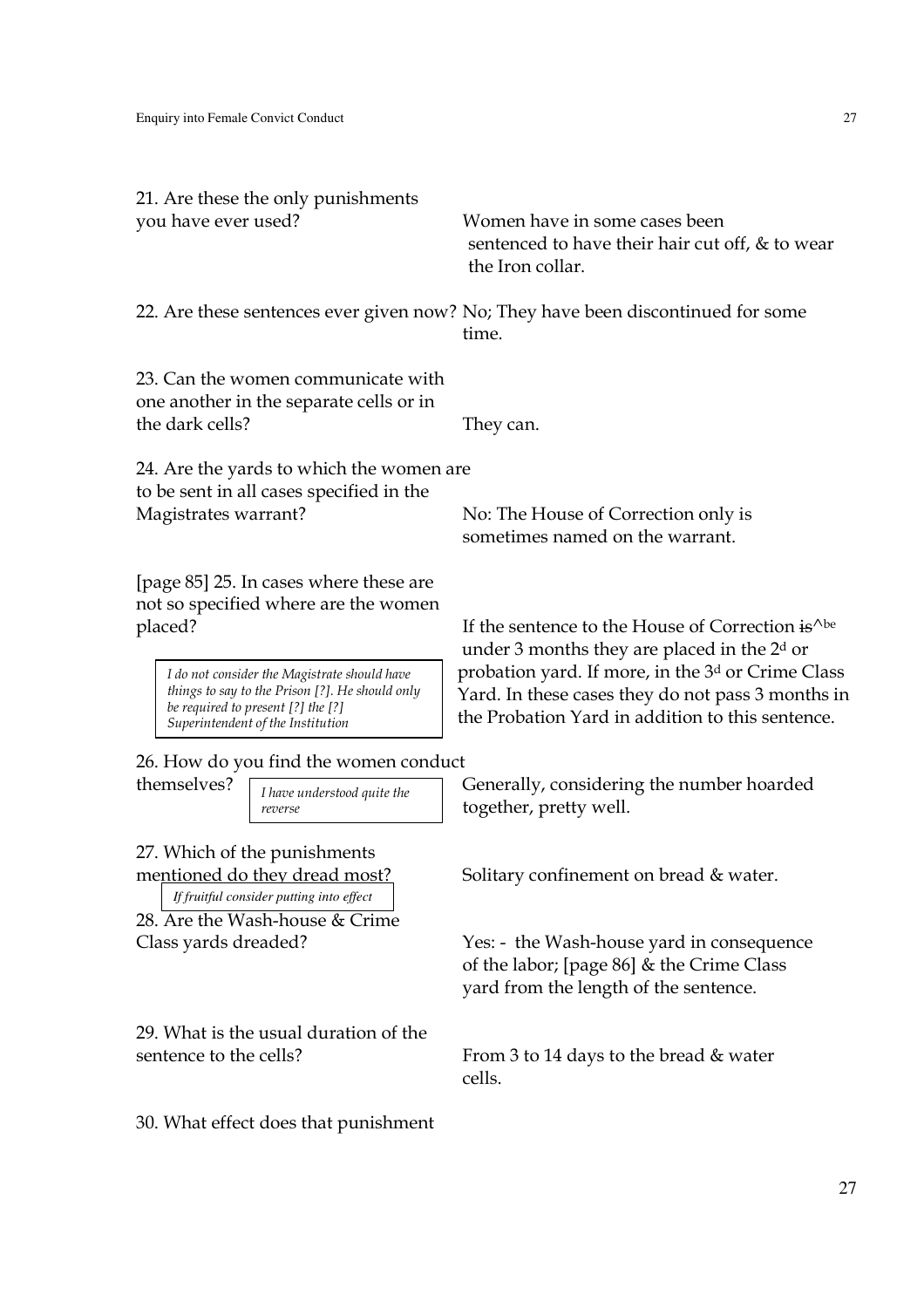| you have ever used?    | 21. Are these the only punishments                                                                                                                                                                                                                               | Women have in some cases been<br>sentenced to have their hair cut off, & to wear<br>the Iron collar.                                                                                                                                                                                                      |
|------------------------|------------------------------------------------------------------------------------------------------------------------------------------------------------------------------------------------------------------------------------------------------------------|-----------------------------------------------------------------------------------------------------------------------------------------------------------------------------------------------------------------------------------------------------------------------------------------------------------|
|                        |                                                                                                                                                                                                                                                                  | 22. Are these sentences ever given now? No; They have been discontinued for some<br>time.                                                                                                                                                                                                                 |
| the dark cells?        | 23. Can the women communicate with<br>one another in the separate cells or in                                                                                                                                                                                    | They can.                                                                                                                                                                                                                                                                                                 |
| Magistrates warrant?   | 24. Are the yards to which the women are<br>to be sent in all cases specified in the                                                                                                                                                                             | No: The House of Correction only is<br>sometimes named on the warrant.                                                                                                                                                                                                                                    |
| placed?                | [page 85] 25. In cases where these are<br>not so specified where are the women<br>I do not consider the Magistrate should have<br>things to say to the Prison [?]. He should only<br>be required to present $[?]$ the $[?]$<br>Superintendent of the Institution | If the sentence to the House of Correction is <sup><math>\wedge</math>be</sup><br>under 3 months they are placed in the $2d$ or<br>probation yard. If more, in the 3 <sup>d</sup> or Crime Class<br>Yard. In these cases they do not pass 3 months in<br>the Probation Yard in addition to this sentence. |
| themselves?            | 26. How do you find the women conduct<br>I have understood quite the<br>reverse                                                                                                                                                                                  | Generally, considering the number hoarded<br>together, pretty well.                                                                                                                                                                                                                                       |
|                        | 27. Which of the punishments<br>mentioned do they dread most?<br>If fruitful consider putting into effect<br>28. Are the Wash-house & Crime                                                                                                                      | Solitary confinement on bread & water.                                                                                                                                                                                                                                                                    |
| Class yards dreaded?   |                                                                                                                                                                                                                                                                  | Yes: - the Wash-house yard in consequence<br>of the labor; [page 86] & the Crime Class<br>yard from the length of the sentence.                                                                                                                                                                           |
| sentence to the cells? | 29. What is the usual duration of the                                                                                                                                                                                                                            | From 3 to 14 days to the bread & water<br>cells.                                                                                                                                                                                                                                                          |

30. What effect does that punishment

27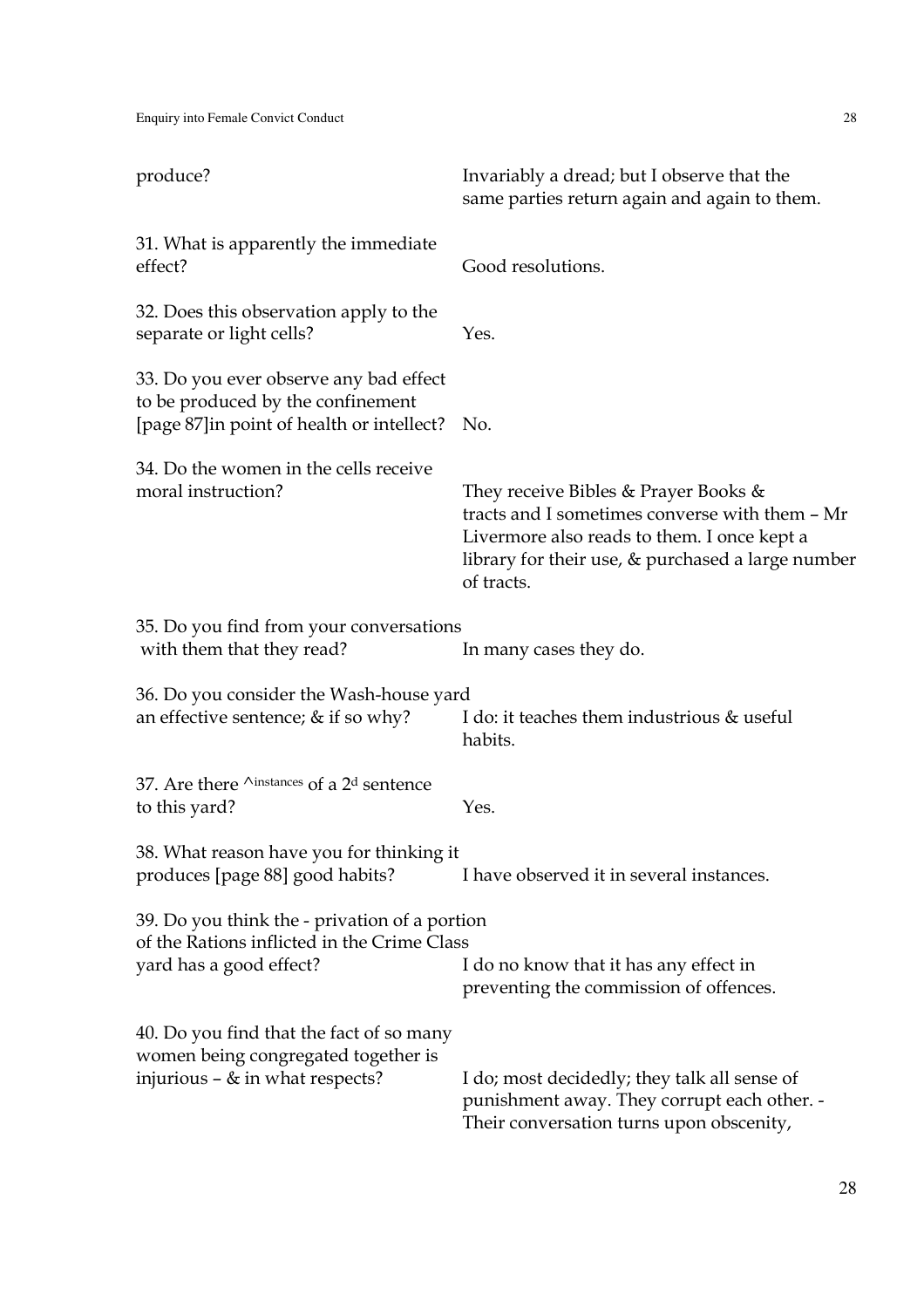Enquiry into Female Convict Conduct 28

| produce?                                                                                                                      | Invariably a dread; but I observe that the<br>same parties return again and again to them.                                                                                                               |
|-------------------------------------------------------------------------------------------------------------------------------|----------------------------------------------------------------------------------------------------------------------------------------------------------------------------------------------------------|
| 31. What is apparently the immediate<br>effect?                                                                               | Good resolutions.                                                                                                                                                                                        |
| 32. Does this observation apply to the<br>separate or light cells?                                                            | Yes.                                                                                                                                                                                                     |
| 33. Do you ever observe any bad effect<br>to be produced by the confinement<br>[page 87] in point of health or intellect? No. |                                                                                                                                                                                                          |
| 34. Do the women in the cells receive<br>moral instruction?                                                                   | They receive Bibles & Prayer Books &<br>tracts and I sometimes converse with them - Mr<br>Livermore also reads to them. I once kept a<br>library for their use, & purchased a large number<br>of tracts. |
| 35. Do you find from your conversations<br>with them that they read?                                                          | In many cases they do.                                                                                                                                                                                   |
| 36. Do you consider the Wash-house yard<br>an effective sentence; $&$ if so why?                                              | I do: it teaches them industrious & useful<br>habits.                                                                                                                                                    |
| 37. Are there ^instances of a 2 <sup>d</sup> sentence<br>to this yard?                                                        | Yes.                                                                                                                                                                                                     |
| 38. What reason have you for thinking it<br>produces [page 88] good habits?                                                   | I have observed it in several instances.                                                                                                                                                                 |
| 39. Do you think the - privation of a portion<br>of the Rations inflicted in the Crime Class<br>yard has a good effect?       | I do no know that it has any effect in<br>preventing the commission of offences.                                                                                                                         |
| 40. Do you find that the fact of so many<br>women being congregated together is<br>injurious - & in what respects?            | I do; most decidedly; they talk all sense of<br>punishment away. They corrupt each other. -<br>Their conversation turns upon obscenity,                                                                  |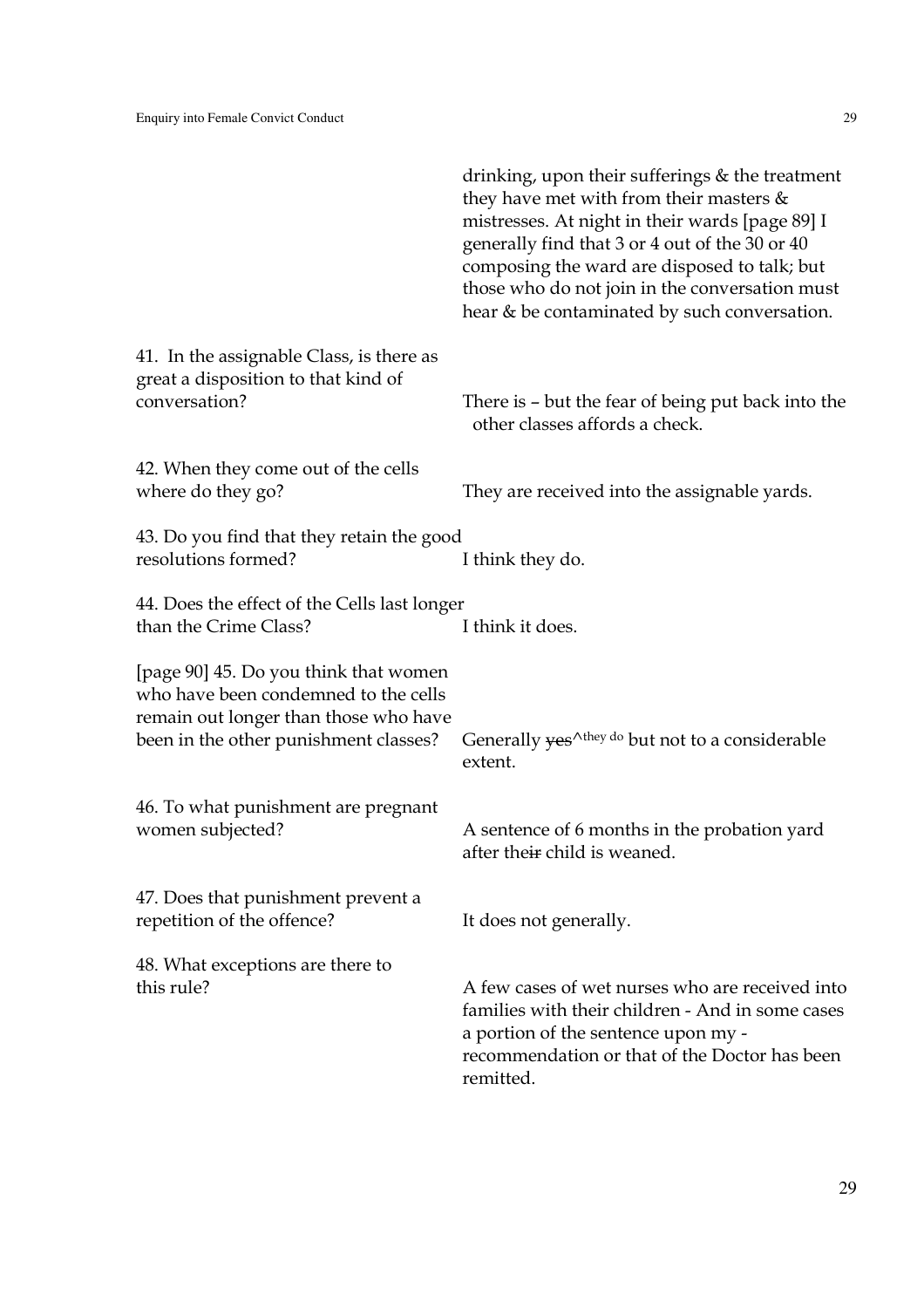|                                                                                                                                                                 | drinking, upon their sufferings & the treatment<br>they have met with from their masters &<br>mistresses. At night in their wards [page 89] I<br>generally find that 3 or 4 out of the 30 or 40<br>composing the ward are disposed to talk; but<br>those who do not join in the conversation must<br>hear & be contaminated by such conversation. |
|-----------------------------------------------------------------------------------------------------------------------------------------------------------------|---------------------------------------------------------------------------------------------------------------------------------------------------------------------------------------------------------------------------------------------------------------------------------------------------------------------------------------------------|
| 41. In the assignable Class, is there as<br>great a disposition to that kind of<br>conversation?                                                                | There is – but the fear of being put back into the<br>other classes affords a check.                                                                                                                                                                                                                                                              |
| 42. When they come out of the cells<br>where do they go?                                                                                                        | They are received into the assignable yards.                                                                                                                                                                                                                                                                                                      |
| 43. Do you find that they retain the good<br>resolutions formed?                                                                                                | I think they do.                                                                                                                                                                                                                                                                                                                                  |
| 44. Does the effect of the Cells last longer<br>than the Crime Class?                                                                                           | I think it does.                                                                                                                                                                                                                                                                                                                                  |
| [page 90] 45. Do you think that women<br>who have been condemned to the cells<br>remain out longer than those who have<br>been in the other punishment classes? | Generally yes <sup><math>\wedge</math>they do but not to a considerable</sup><br>extent.                                                                                                                                                                                                                                                          |
| 46. To what punishment are pregnant<br>women subjected?                                                                                                         | A sentence of 6 months in the probation yard<br>after their child is weaned.                                                                                                                                                                                                                                                                      |
| 47. Does that punishment prevent a<br>repetition of the offence?                                                                                                | It does not generally.                                                                                                                                                                                                                                                                                                                            |
| 48. What exceptions are there to<br>this rule?                                                                                                                  | A few cases of wet nurses who are received into<br>families with their children - And in some cases<br>a portion of the sentence upon my -<br>recommendation or that of the Doctor has been<br>remitted.                                                                                                                                          |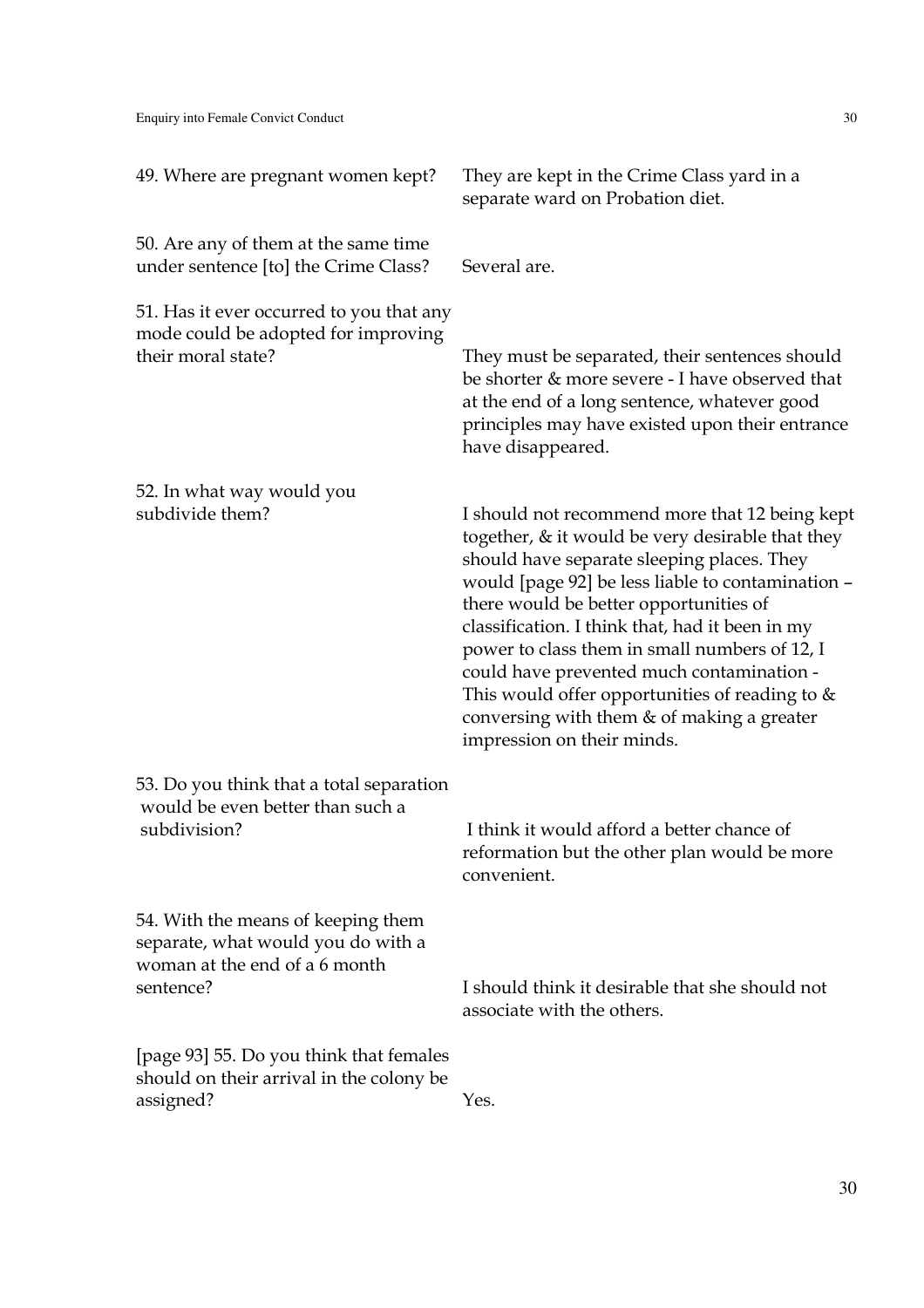| 49. Where are pregnant women kept?                                                                                     | They are kept in the Crime Class yard in a<br>separate ward on Probation diet.                                                                                                                                                                                                                                                                                                                                                                                                                                                    |
|------------------------------------------------------------------------------------------------------------------------|-----------------------------------------------------------------------------------------------------------------------------------------------------------------------------------------------------------------------------------------------------------------------------------------------------------------------------------------------------------------------------------------------------------------------------------------------------------------------------------------------------------------------------------|
| 50. Are any of them at the same time<br>under sentence [to] the Crime Class?                                           | Several are.                                                                                                                                                                                                                                                                                                                                                                                                                                                                                                                      |
| 51. Has it ever occurred to you that any<br>mode could be adopted for improving<br>their moral state?                  | They must be separated, their sentences should<br>be shorter & more severe - I have observed that<br>at the end of a long sentence, whatever good<br>principles may have existed upon their entrance<br>have disappeared.                                                                                                                                                                                                                                                                                                         |
| 52. In what way would you<br>subdivide them?                                                                           | I should not recommend more that 12 being kept<br>together, & it would be very desirable that they<br>should have separate sleeping places. They<br>would [page 92] be less liable to contamination -<br>there would be better opportunities of<br>classification. I think that, had it been in my<br>power to class them in small numbers of 12, I<br>could have prevented much contamination -<br>This would offer opportunities of reading to $\&$<br>conversing with them & of making a greater<br>impression on their minds. |
| 53. Do you think that a total separation<br>would be even better than such a<br>subdivision?                           | I think it would afford a better chance of<br>reformation but the other plan would be more<br>convenient.                                                                                                                                                                                                                                                                                                                                                                                                                         |
| 54. With the means of keeping them<br>separate, what would you do with a<br>woman at the end of a 6 month<br>sentence? | I should think it desirable that she should not<br>associate with the others.                                                                                                                                                                                                                                                                                                                                                                                                                                                     |
| [page 93] 55. Do you think that females<br>should on their arrival in the colony be<br>assigned?                       | Yes.                                                                                                                                                                                                                                                                                                                                                                                                                                                                                                                              |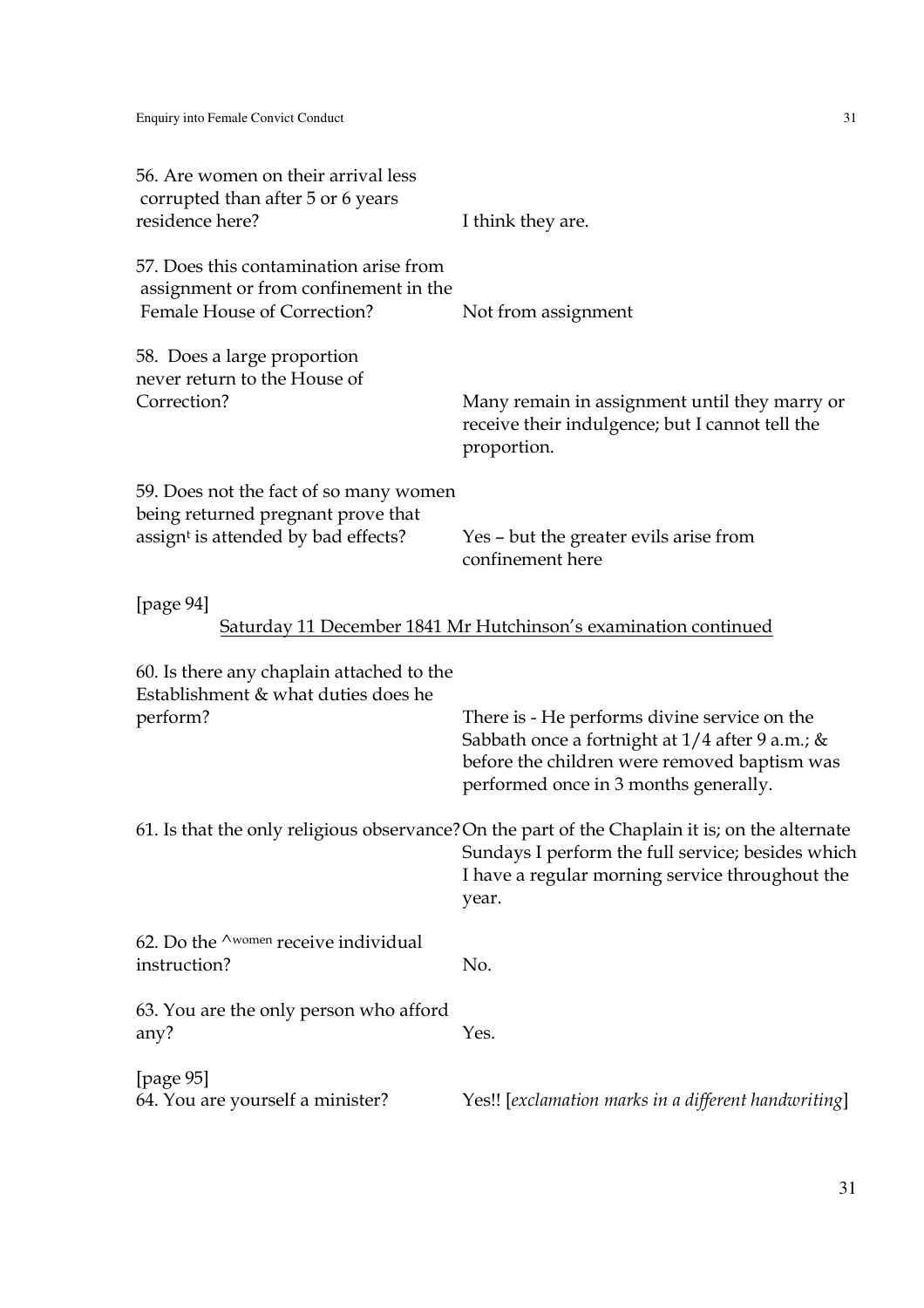Enquiry into Female Convict Conduct 31

| 56. Are women on their arrival less<br>corrupted than after 5 or 6 years<br>residence here?                                     | I think they are.                                                                                                                                                                                               |
|---------------------------------------------------------------------------------------------------------------------------------|-----------------------------------------------------------------------------------------------------------------------------------------------------------------------------------------------------------------|
| 57. Does this contamination arise from<br>assignment or from confinement in the<br>Female House of Correction?                  | Not from assignment                                                                                                                                                                                             |
| 58. Does a large proportion<br>never return to the House of<br>Correction?                                                      | Many remain in assignment until they marry or<br>receive their indulgence; but I cannot tell the<br>proportion.                                                                                                 |
| 59. Does not the fact of so many women<br>being returned pregnant prove that<br>assign <sup>t</sup> is attended by bad effects? | Yes – but the greater evils arise from<br>confinement here                                                                                                                                                      |
| [ $page 94$ ]                                                                                                                   | Saturday 11 December 1841 Mr Hutchinson's examination continued                                                                                                                                                 |
| 60. Is there any chaplain attached to the<br>Establishment & what duties does he<br>perform?                                    | There is - He performs divine service on the<br>Sabbath once a fortnight at 1/4 after 9 a.m.; &<br>before the children were removed baptism was<br>performed once in 3 months generally.                        |
|                                                                                                                                 | 61. Is that the only religious observance? On the part of the Chaplain it is; on the alternate<br>Sundays I perform the full service; besides which<br>I have a regular morning service throughout the<br>year. |
| 62. Do the Awomen receive individual<br>instruction?                                                                            | No.                                                                                                                                                                                                             |
| 63. You are the only person who afford<br>any?                                                                                  | Yes.                                                                                                                                                                                                            |
| [page 95]<br>64. You are yourself a minister?                                                                                   | Yes!! [exclamation marks in a different handwriting]                                                                                                                                                            |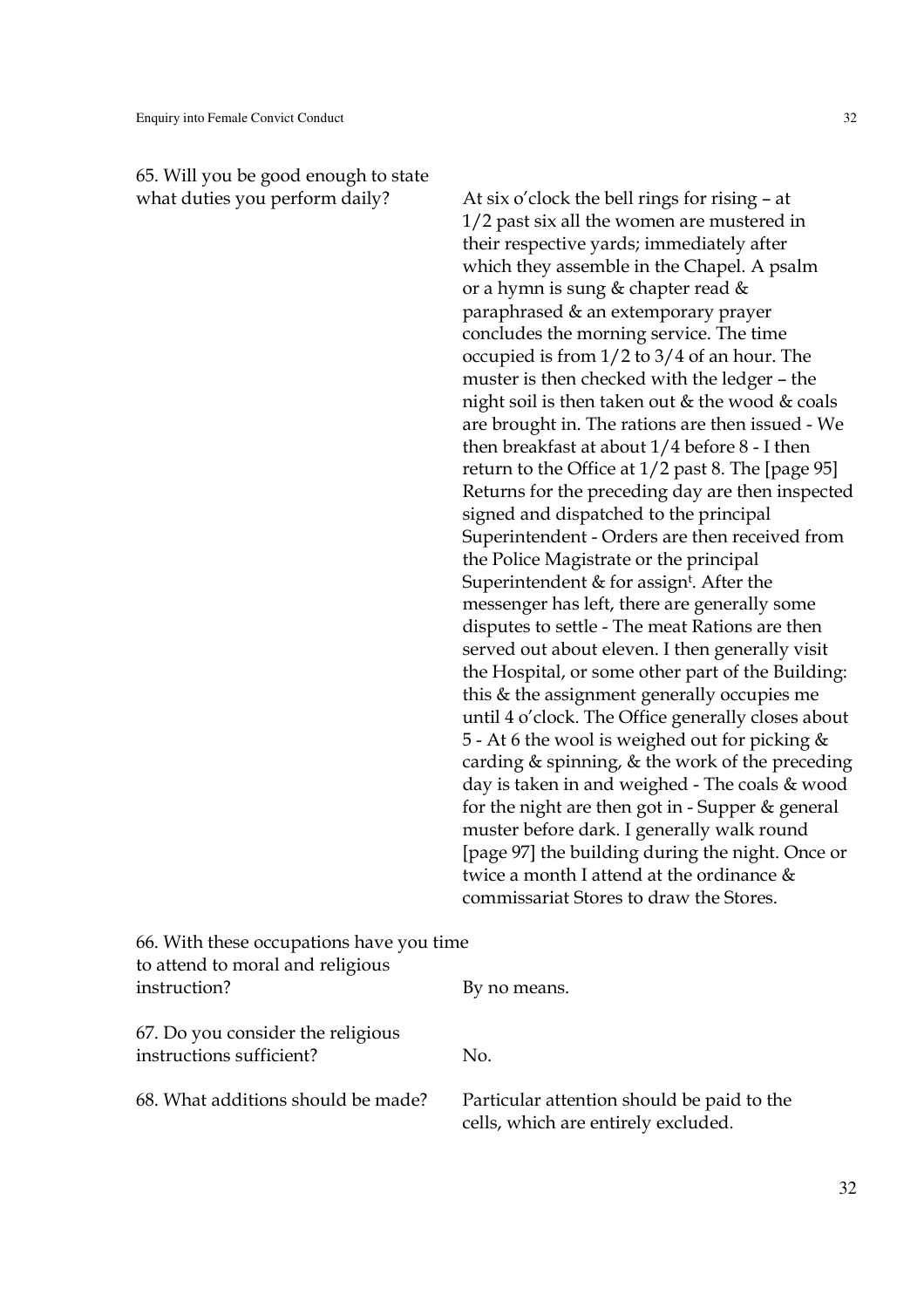65. Will you be good enough to state

what duties you perform daily? At six o'clock the bell rings for rising - at 1/2 past six all the women are mustered in their respective yards; immediately after which they assemble in the Chapel. A psalm or a hymn is sung & chapter read & paraphrased & an extemporary prayer concludes the morning service. The time occupied is from 1/2 to 3/4 of an hour. The muster is then checked with the ledger – the night soil is then taken out & the wood & coals are brought in. The rations are then issued - We then breakfast at about 1/4 before 8 - I then return to the Office at 1/2 past 8. The [page 95] Returns for the preceding day are then inspected signed and dispatched to the principal Superintendent - Orders are then received from the Police Magistrate or the principal Superintendent & for assign<sup>t</sup> . After the messenger has left, there are generally some disputes to settle - The meat Rations are then served out about eleven. I then generally visit the Hospital, or some other part of the Building: this & the assignment generally occupies me until 4 o'clock. The Office generally closes about 5 - At 6 the wool is weighed out for picking & carding & spinning, & the work of the preceding day is taken in and weighed - The coals & wood for the night are then got in - Supper & general muster before dark. I generally walk round [page 97] the building during the night. Once or twice a month I attend at the ordinance & commissariat Stores to draw the Stores.

| 66. With these occupations have you time<br>to attend to moral and religious |                                                                                   |  |
|------------------------------------------------------------------------------|-----------------------------------------------------------------------------------|--|
| instruction?                                                                 | By no means.                                                                      |  |
| 67. Do you consider the religious<br>instructions sufficient?                | No.                                                                               |  |
| 68. What additions should be made?                                           | Particular attention should be paid to the<br>cells, which are entirely excluded. |  |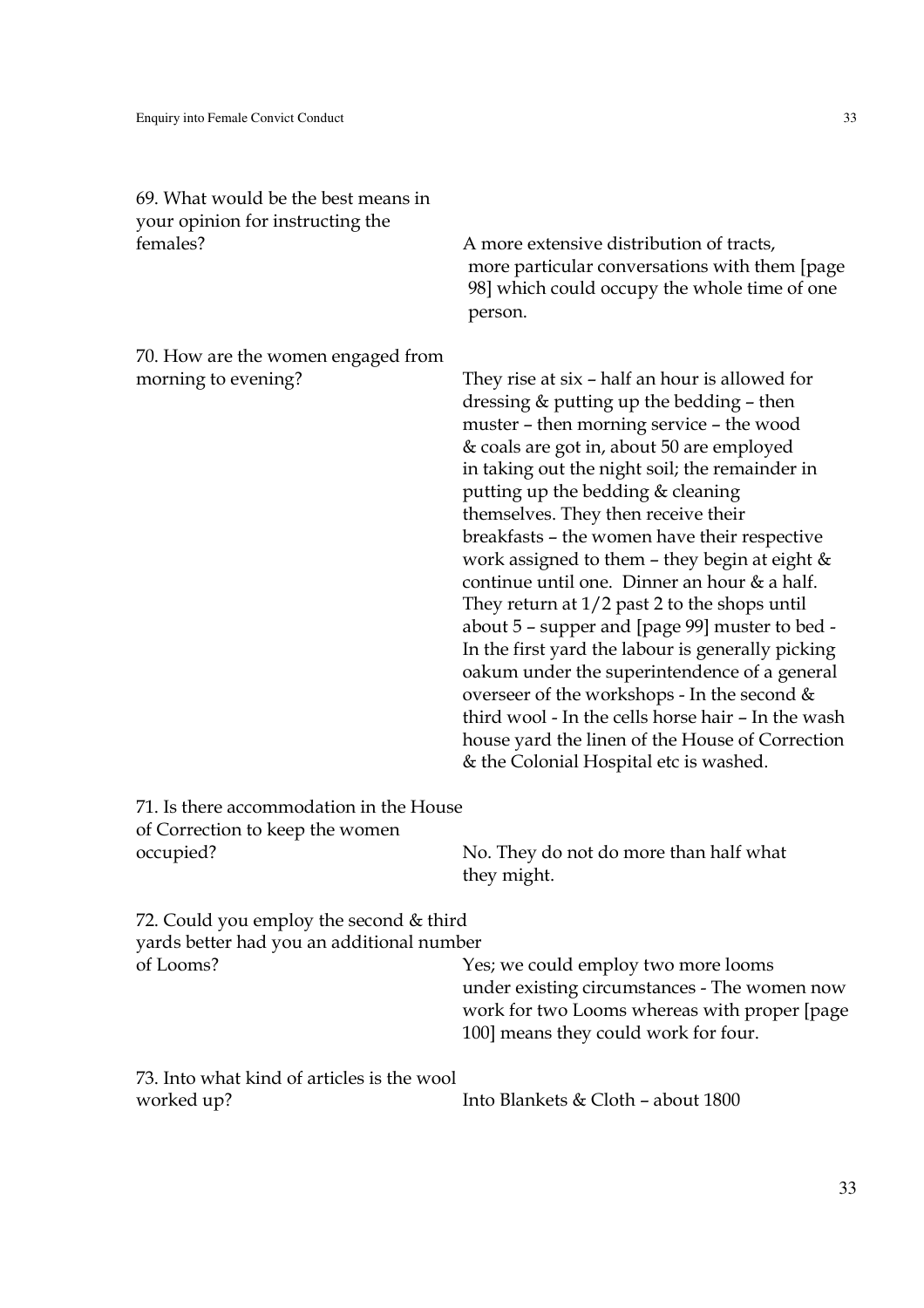| 69. What would be the best means in                                                  |                                                                                                                                                                                                                                                                                                                                                                                                                                                                                                                                                                                                                                                                                                                                                                                                                                                                                    |
|--------------------------------------------------------------------------------------|------------------------------------------------------------------------------------------------------------------------------------------------------------------------------------------------------------------------------------------------------------------------------------------------------------------------------------------------------------------------------------------------------------------------------------------------------------------------------------------------------------------------------------------------------------------------------------------------------------------------------------------------------------------------------------------------------------------------------------------------------------------------------------------------------------------------------------------------------------------------------------|
| your opinion for instructing the<br>females?                                         | A more extensive distribution of tracts,<br>more particular conversations with them [page<br>98] which could occupy the whole time of one<br>person.                                                                                                                                                                                                                                                                                                                                                                                                                                                                                                                                                                                                                                                                                                                               |
| 70. How are the women engaged from                                                   |                                                                                                                                                                                                                                                                                                                                                                                                                                                                                                                                                                                                                                                                                                                                                                                                                                                                                    |
| morning to evening?                                                                  | They rise at six – half an hour is allowed for<br>dressing & putting up the bedding - then<br>muster - then morning service - the wood<br>& coals are got in, about 50 are employed<br>in taking out the night soil; the remainder in<br>putting up the bedding & cleaning<br>themselves. They then receive their<br>breakfasts - the women have their respective<br>work assigned to them $-$ they begin at eight $\&$<br>continue until one. Dinner an hour & a half.<br>They return at $1/2$ past 2 to the shops until<br>about 5 - supper and [page 99] muster to bed -<br>In the first yard the labour is generally picking<br>oakum under the superintendence of a general<br>overseer of the workshops - In the second &<br>third wool - In the cells horse hair - In the wash<br>house yard the linen of the House of Correction<br>& the Colonial Hospital etc is washed. |
| 71. Is there accommodation in the House<br>of Correction to keep the women           |                                                                                                                                                                                                                                                                                                                                                                                                                                                                                                                                                                                                                                                                                                                                                                                                                                                                                    |
| occupied?                                                                            | No. They do not do more than half what<br>they might.                                                                                                                                                                                                                                                                                                                                                                                                                                                                                                                                                                                                                                                                                                                                                                                                                              |
| 72. Could you employ the second & third<br>yards better had you an additional number |                                                                                                                                                                                                                                                                                                                                                                                                                                                                                                                                                                                                                                                                                                                                                                                                                                                                                    |
| of Looms?                                                                            | Yes; we could employ two more looms<br>under existing circumstances - The women now<br>work for two Looms whereas with proper [page<br>100] means they could work for four.                                                                                                                                                                                                                                                                                                                                                                                                                                                                                                                                                                                                                                                                                                        |
| 73. Into what kind of articles is the wool                                           |                                                                                                                                                                                                                                                                                                                                                                                                                                                                                                                                                                                                                                                                                                                                                                                                                                                                                    |

worked up? Into Blankets & Cloth – about 1800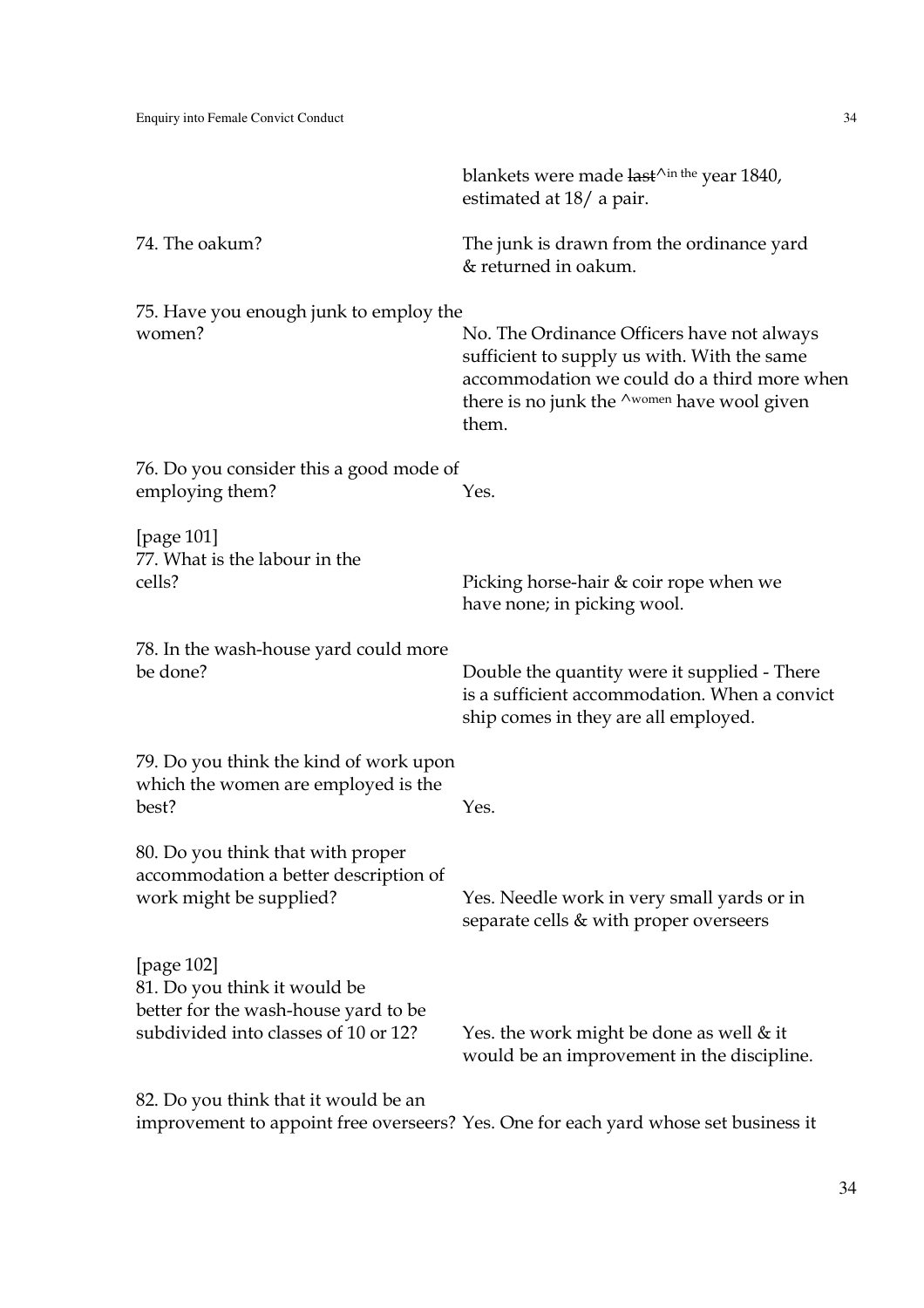|                                                                                                                            | blankets were made last <sup>^in the</sup> year 1840,<br>estimated at 18/ a pair.                                                                                                                |
|----------------------------------------------------------------------------------------------------------------------------|--------------------------------------------------------------------------------------------------------------------------------------------------------------------------------------------------|
| 74. The oakum?                                                                                                             | The junk is drawn from the ordinance yard<br>& returned in oakum.                                                                                                                                |
| 75. Have you enough junk to employ the<br>women?                                                                           | No. The Ordinance Officers have not always<br>sufficient to supply us with. With the same<br>accommodation we could do a third more when<br>there is no junk the Awomen have wool given<br>them. |
| 76. Do you consider this a good mode of<br>employing them?                                                                 | Yes.                                                                                                                                                                                             |
| [page 101]<br>77. What is the labour in the<br>cells?                                                                      | Picking horse-hair & coir rope when we<br>have none; in picking wool.                                                                                                                            |
| 78. In the wash-house yard could more<br>be done?                                                                          | Double the quantity were it supplied - There<br>is a sufficient accommodation. When a convict<br>ship comes in they are all employed.                                                            |
| 79. Do you think the kind of work upon<br>which the women are employed is the<br>best?                                     | Yes.                                                                                                                                                                                             |
| 80. Do you think that with proper<br>accommodation a better description of<br>work might be supplied?                      | Yes. Needle work in very small yards or in<br>separate cells & with proper overseers                                                                                                             |
| [page 102]<br>81. Do you think it would be<br>better for the wash-house yard to be<br>subdivided into classes of 10 or 12? | Yes. the work might be done as well & it<br>would be an improvement in the discipline.                                                                                                           |
| 82. Do you think that it would be an                                                                                       | improvement to appoint free overseers? Yes. One for each yard whose set business it                                                                                                              |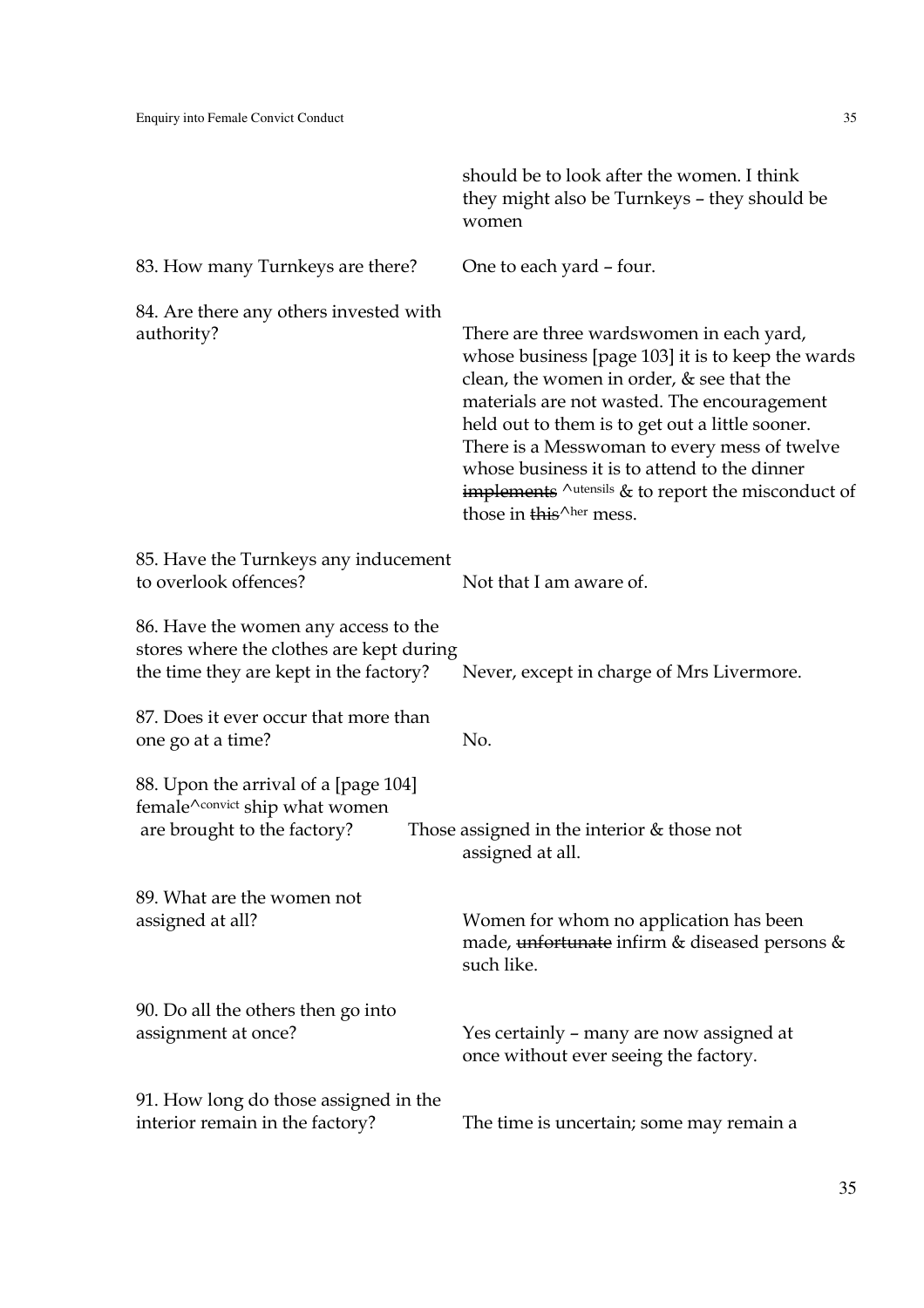|                                                                                                                                     | should be to look after the women. I think<br>they might also be Turnkeys - they should be<br>women                                                                                                                                                                                                                                                                                                                                                                    |
|-------------------------------------------------------------------------------------------------------------------------------------|------------------------------------------------------------------------------------------------------------------------------------------------------------------------------------------------------------------------------------------------------------------------------------------------------------------------------------------------------------------------------------------------------------------------------------------------------------------------|
| 83. How many Turnkeys are there?                                                                                                    | One to each yard – four.                                                                                                                                                                                                                                                                                                                                                                                                                                               |
| 84. Are there any others invested with<br>authority?                                                                                | There are three wardswomen in each yard,<br>whose business [page 103] it is to keep the wards<br>clean, the women in order, & see that the<br>materials are not wasted. The encouragement<br>held out to them is to get out a little sooner.<br>There is a Messwoman to every mess of twelve<br>whose business it is to attend to the dinner<br>implements <sup>Autensils</sup> & to report the misconduct of<br>those in this <sup><math>\wedge</math>her</sup> mess. |
| 85. Have the Turnkeys any inducement<br>to overlook offences?                                                                       | Not that I am aware of.                                                                                                                                                                                                                                                                                                                                                                                                                                                |
| 86. Have the women any access to the<br>stores where the clothes are kept during<br>the time they are kept in the factory?          | Never, except in charge of Mrs Livermore.                                                                                                                                                                                                                                                                                                                                                                                                                              |
| 87. Does it ever occur that more than<br>one go at a time?                                                                          | No.                                                                                                                                                                                                                                                                                                                                                                                                                                                                    |
| 88. Upon the arrival of a [page 104]<br>female <sup><math>\wedge</math>convict</sup> ship what women<br>are brought to the factory? | Those assigned in the interior & those not<br>assigned at all.                                                                                                                                                                                                                                                                                                                                                                                                         |
| 89. What are the women not<br>assigned at all?                                                                                      | Women for whom no application has been<br>made, unfortunate infirm & diseased persons &<br>such like.                                                                                                                                                                                                                                                                                                                                                                  |
| 90. Do all the others then go into<br>assignment at once?                                                                           | Yes certainly – many are now assigned at<br>once without ever seeing the factory.                                                                                                                                                                                                                                                                                                                                                                                      |
| 91. How long do those assigned in the<br>interior remain in the factory?                                                            | The time is uncertain; some may remain a                                                                                                                                                                                                                                                                                                                                                                                                                               |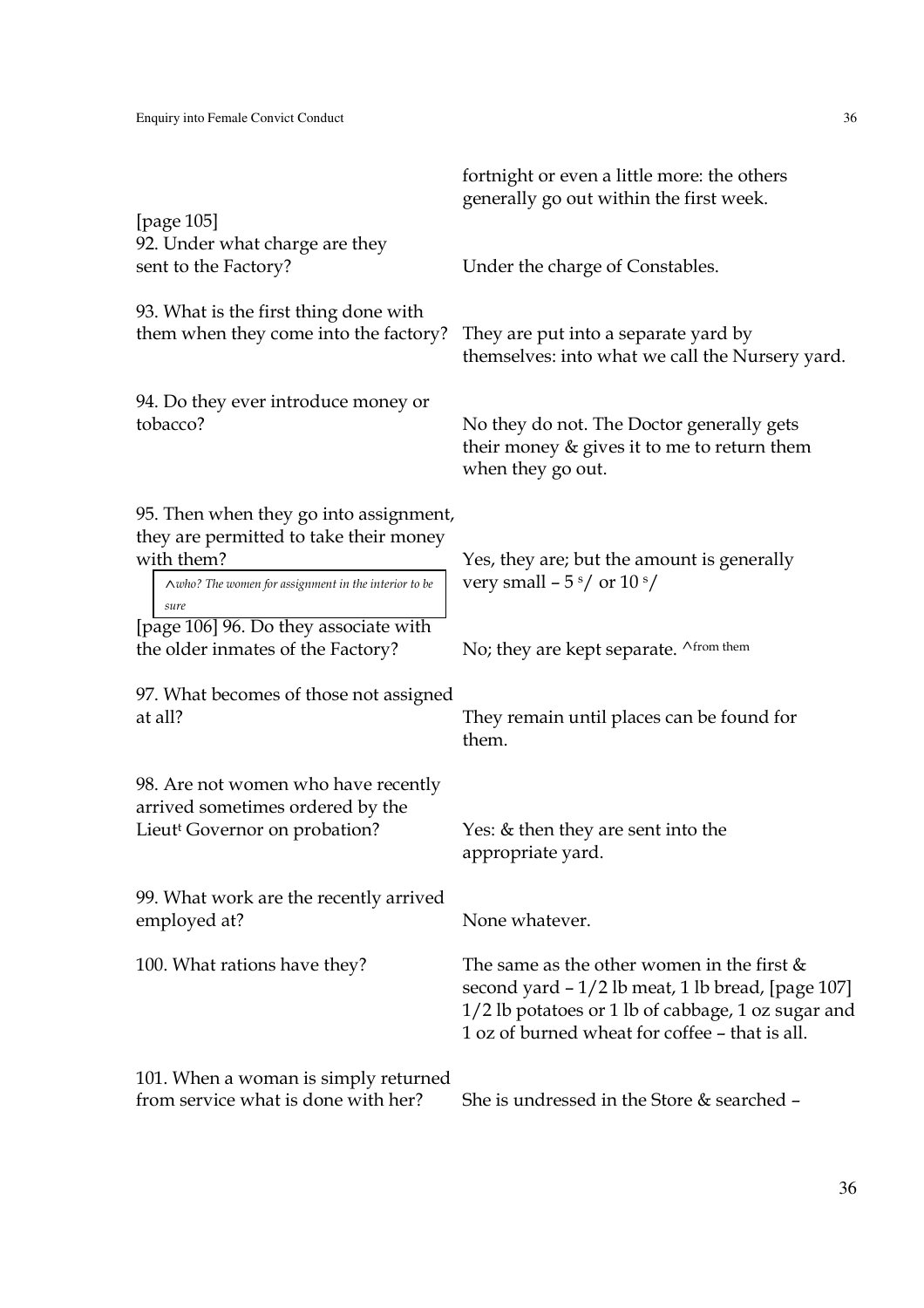|                                                                                                                                                                | fortnight or even a little more: the others<br>generally go out within the first week.                                                                                                                    |
|----------------------------------------------------------------------------------------------------------------------------------------------------------------|-----------------------------------------------------------------------------------------------------------------------------------------------------------------------------------------------------------|
| [page 105]<br>92. Under what charge are they<br>sent to the Factory?                                                                                           | Under the charge of Constables.                                                                                                                                                                           |
| 93. What is the first thing done with<br>them when they come into the factory?                                                                                 | They are put into a separate yard by<br>themselves: into what we call the Nursery yard.                                                                                                                   |
| 94. Do they ever introduce money or<br>tobacco?                                                                                                                | No they do not. The Doctor generally gets<br>their money & gives it to me to return them<br>when they go out.                                                                                             |
| 95. Then when they go into assignment,<br>they are permitted to take their money<br>with them?<br>Awho? The women for assignment in the interior to be<br>sure | Yes, they are; but the amount is generally<br>very small $-5$ <sup>s</sup> / or 10 <sup>s</sup> /                                                                                                         |
| [page 106] 96. Do they associate with<br>the older inmates of the Factory?                                                                                     | No; they are kept separate. Afrom them                                                                                                                                                                    |
| 97. What becomes of those not assigned<br>at all?                                                                                                              | They remain until places can be found for<br>them.                                                                                                                                                        |
| 98. Are not women who have recently<br>arrived sometimes ordered by the<br>Lieut <sup>t</sup> Governor on probation?                                           | Yes: & then they are sent into the<br>appropriate yard.                                                                                                                                                   |
| 99. What work are the recently arrived<br>employed at?                                                                                                         | None whatever.                                                                                                                                                                                            |
| 100. What rations have they?                                                                                                                                   | The same as the other women in the first $&$<br>second yard - 1/2 lb meat, 1 lb bread, [page 107]<br>1/2 lb potatoes or 1 lb of cabbage, 1 oz sugar and<br>1 oz of burned wheat for coffee - that is all. |
| 101. When a woman is simply returned<br>from service what is done with her?                                                                                    | She is undressed in the Store & searched -                                                                                                                                                                |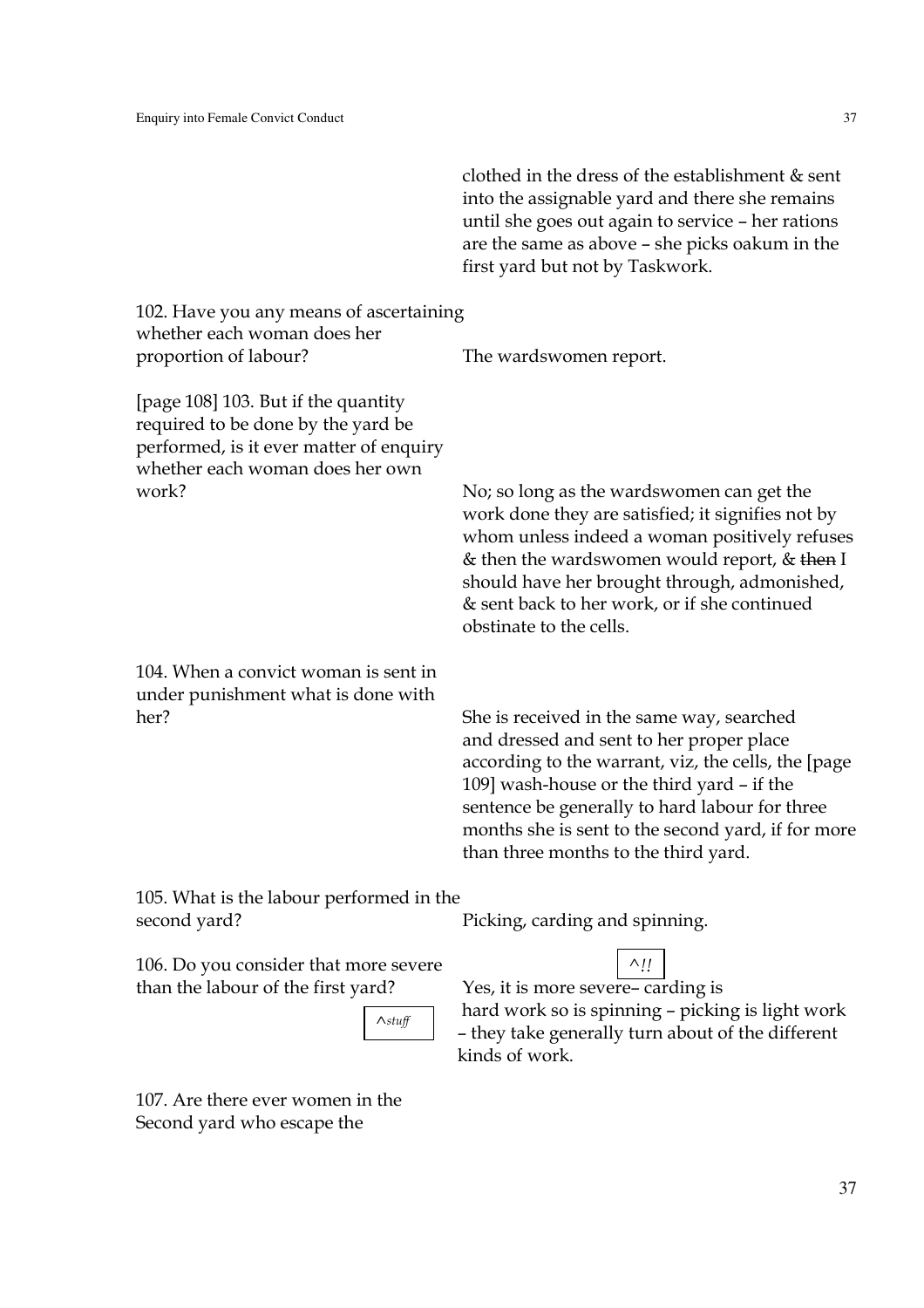clothed in the dress of the establishment & sent into the assignable yard and there she remains until she goes out again to service – her rations are the same as above – she picks oakum in the first yard but not by Taskwork. 102. Have you any means of ascertaining whether each woman does her proportion of labour? The wardswomen report. [page 108] 103. But if the quantity required to be done by the yard be performed, is it ever matter of enquiry whether each woman does her own work? No; so long as the wardswomen can get the work done they are satisfied; it signifies not by whom unless indeed a woman positively refuses & then the wardswomen would report, & then I should have her brought through, admonished, & sent back to her work, or if she continued obstinate to the cells. her? She is received in the same way, searched and dressed and sent to her proper place according to the warrant, viz, the cells, the [page 109] wash-house or the third yard – if the sentence be generally to hard labour for three months she is sent to the second yard, if for more than three months to the third yard. 105. What is the labour performed in the second yard? **Picking, carding and spinning.** 106. Do you consider that more severe than the labour of the first yard? Yes, it is more severe– carding is hard work so is spinning – picking is light work  $\wedge$ stuff  $\wedge$ //

107. Are there ever women in the Second yard who escape the

104. When a convict woman is sent in under punishment what is done with

– they take generally turn about of the different kinds of work.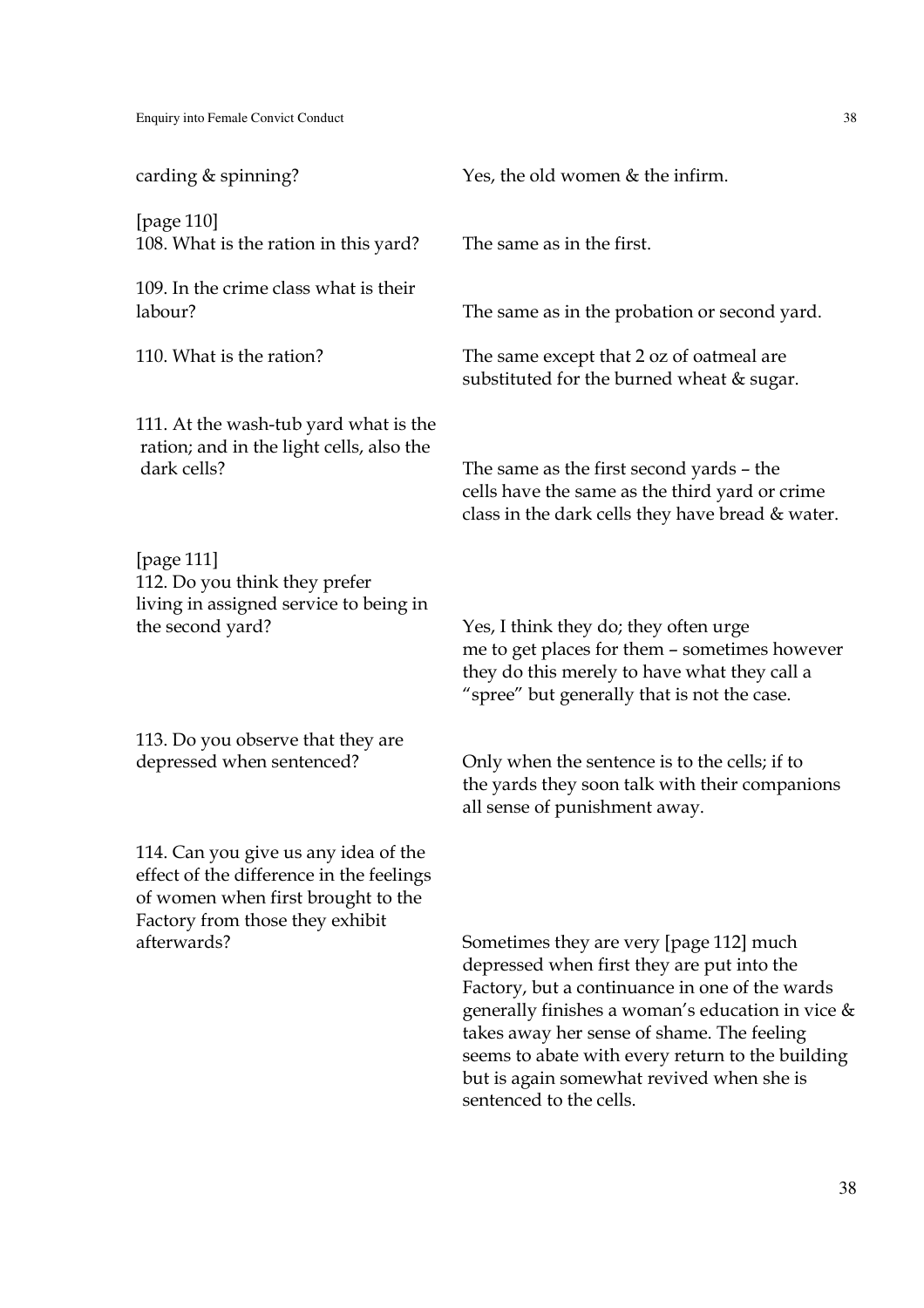| carding & spinning?                                                                                                                                                      | Yes, the old women & the infirm.                                                                                                                                                                                                                                                                                                                                      |
|--------------------------------------------------------------------------------------------------------------------------------------------------------------------------|-----------------------------------------------------------------------------------------------------------------------------------------------------------------------------------------------------------------------------------------------------------------------------------------------------------------------------------------------------------------------|
| [page 110]<br>108. What is the ration in this yard?                                                                                                                      | The same as in the first.                                                                                                                                                                                                                                                                                                                                             |
| 109. In the crime class what is their<br>labour?                                                                                                                         | The same as in the probation or second yard.                                                                                                                                                                                                                                                                                                                          |
| 110. What is the ration?                                                                                                                                                 | The same except that 2 oz of oatmeal are<br>substituted for the burned wheat & sugar.                                                                                                                                                                                                                                                                                 |
| 111. At the wash-tub yard what is the<br>ration; and in the light cells, also the<br>dark cells?                                                                         | The same as the first second yards - the<br>cells have the same as the third yard or crime<br>class in the dark cells they have bread & water.                                                                                                                                                                                                                        |
| [page 111]<br>112. Do you think they prefer<br>living in assigned service to being in<br>the second yard?                                                                | Yes, I think they do; they often urge<br>me to get places for them - sometimes however<br>they do this merely to have what they call a<br>"spree" but generally that is not the case.                                                                                                                                                                                 |
| 113. Do you observe that they are<br>depressed when sentenced?                                                                                                           | Only when the sentence is to the cells; if to<br>the yards they soon talk with their companions<br>all sense of punishment away.                                                                                                                                                                                                                                      |
| 114. Can you give us any idea of the<br>effect of the difference in the feelings<br>of women when first brought to the<br>Factory from those they exhibit<br>afterwards? | Sometimes they are very [page 112] much<br>depressed when first they are put into the<br>Factory, but a continuance in one of the wards<br>generally finishes a woman's education in vice &<br>takes away her sense of shame. The feeling<br>seems to abate with every return to the building<br>but is again somewhat revived when she is<br>sentenced to the cells. |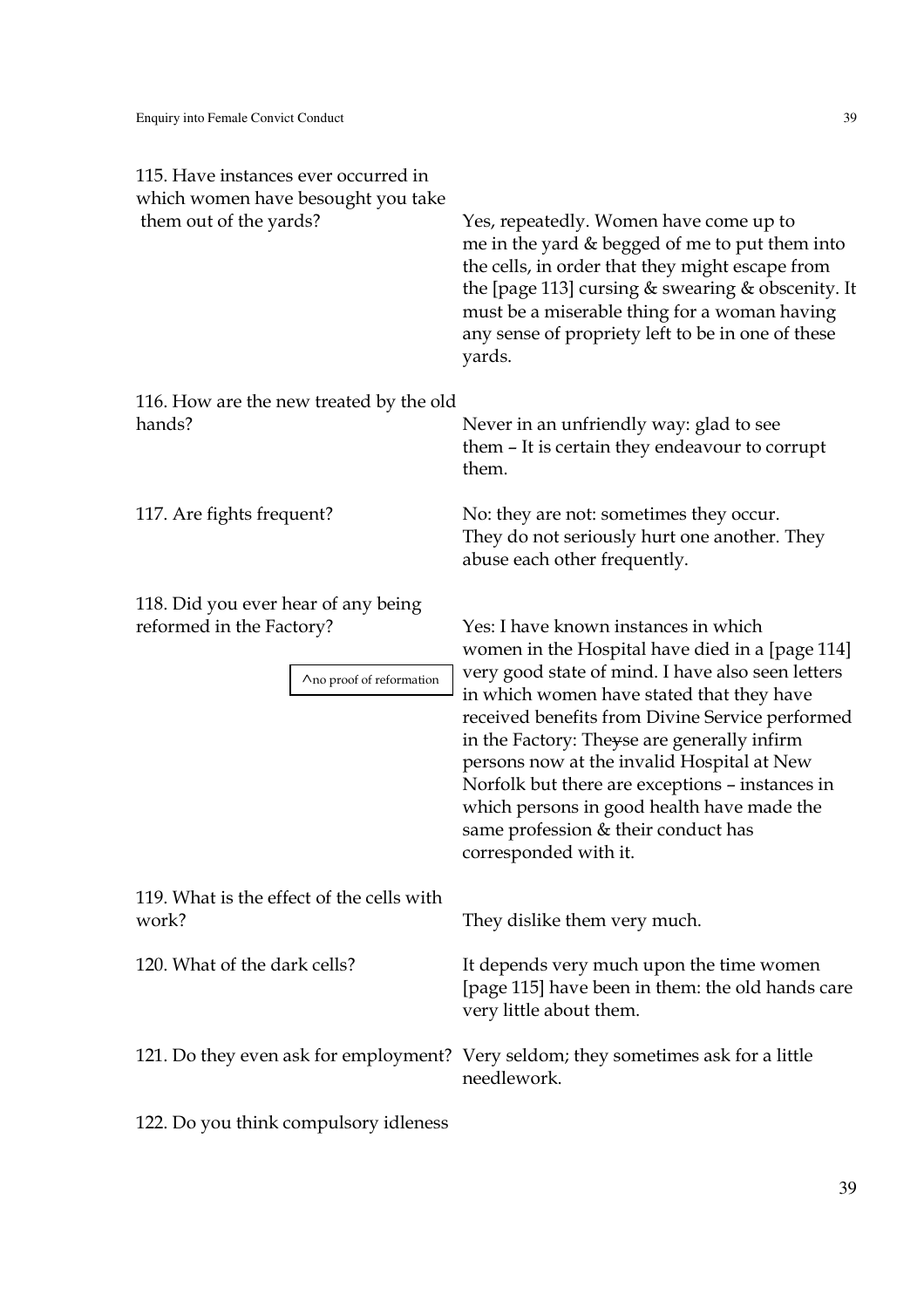| 115. Have instances ever occurred in<br>which women have besought you take |                                                                                                                                                                                                                                                                                                                                                                                                                                                                                                             |
|----------------------------------------------------------------------------|-------------------------------------------------------------------------------------------------------------------------------------------------------------------------------------------------------------------------------------------------------------------------------------------------------------------------------------------------------------------------------------------------------------------------------------------------------------------------------------------------------------|
| them out of the yards?                                                     | Yes, repeatedly. Women have come up to<br>me in the yard & begged of me to put them into<br>the cells, in order that they might escape from<br>the [page 113] cursing & swearing & obscenity. It<br>must be a miserable thing for a woman having<br>any sense of propriety left to be in one of these<br>yards.                                                                                                                                                                                             |
| 116. How are the new treated by the old                                    |                                                                                                                                                                                                                                                                                                                                                                                                                                                                                                             |
| hands?                                                                     | Never in an unfriendly way: glad to see<br>them - It is certain they endeavour to corrupt<br>them.                                                                                                                                                                                                                                                                                                                                                                                                          |
| 117. Are fights frequent?                                                  | No: they are not: sometimes they occur.<br>They do not seriously hurt one another. They<br>abuse each other frequently.                                                                                                                                                                                                                                                                                                                                                                                     |
| 118. Did you ever hear of any being                                        |                                                                                                                                                                                                                                                                                                                                                                                                                                                                                                             |
| reformed in the Factory?<br>Ano proof of reformation                       | Yes: I have known instances in which<br>women in the Hospital have died in a [page 114]<br>very good state of mind. I have also seen letters<br>in which women have stated that they have<br>received benefits from Divine Service performed<br>in the Factory: The yse are generally infirm<br>persons now at the invalid Hospital at New<br>Norfolk but there are exceptions - instances in<br>which persons in good health have made the<br>same profession & their conduct has<br>corresponded with it. |
| 119. What is the effect of the cells with<br>work?                         | They dislike them very much.                                                                                                                                                                                                                                                                                                                                                                                                                                                                                |
| 120. What of the dark cells?                                               | It depends very much upon the time women<br>[page 115] have been in them: the old hands care<br>very little about them.                                                                                                                                                                                                                                                                                                                                                                                     |
|                                                                            | 121. Do they even ask for employment? Very seldom; they sometimes ask for a little<br>needlework.                                                                                                                                                                                                                                                                                                                                                                                                           |

122. Do you think compulsory idleness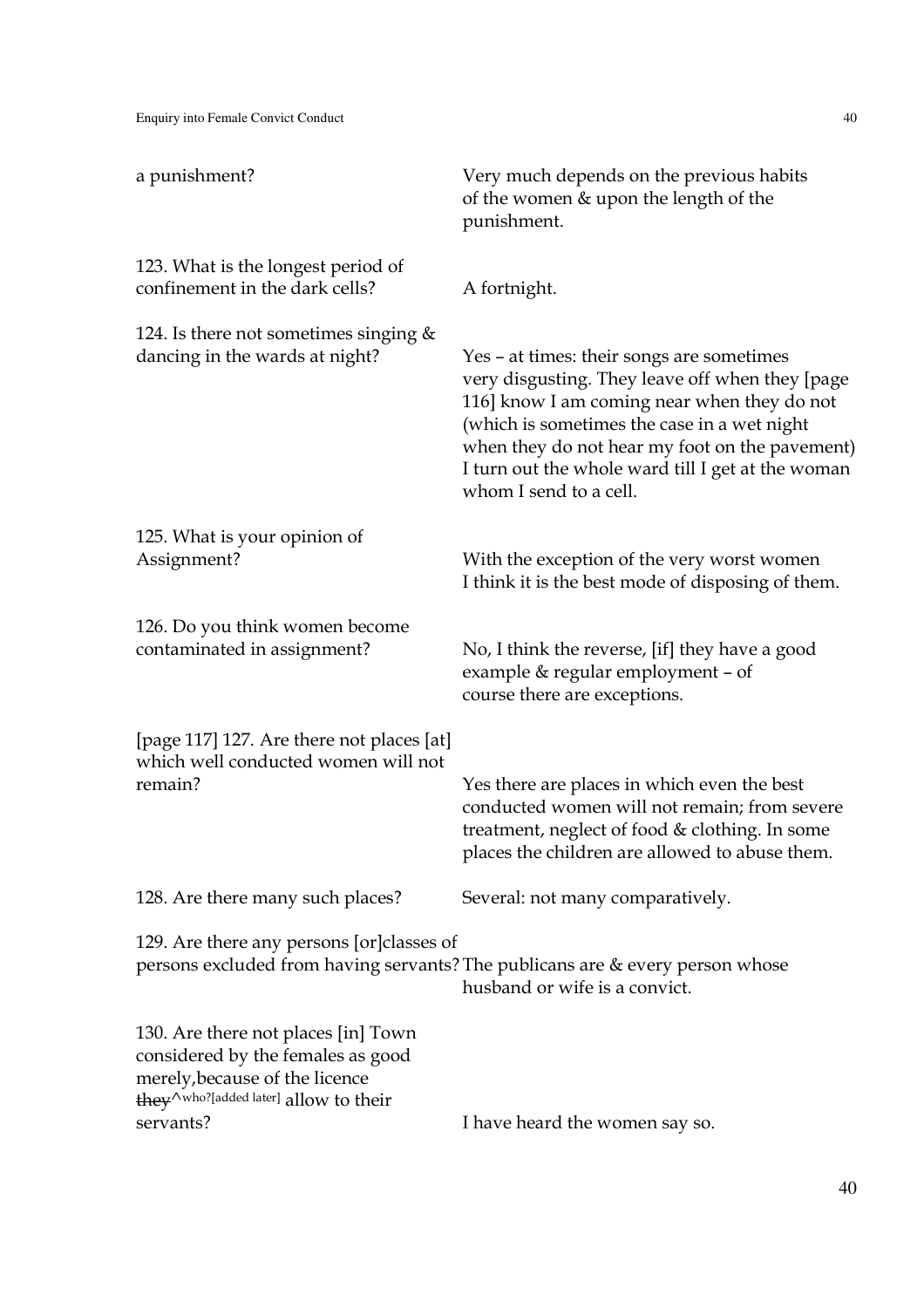| a punishment?                                                                                                                                                                | Very much depends on the previous habits<br>of the women & upon the length of the<br>punishment.                                                                                                                                                                                                                            |
|------------------------------------------------------------------------------------------------------------------------------------------------------------------------------|-----------------------------------------------------------------------------------------------------------------------------------------------------------------------------------------------------------------------------------------------------------------------------------------------------------------------------|
| 123. What is the longest period of<br>confinement in the dark cells?                                                                                                         | A fortnight.                                                                                                                                                                                                                                                                                                                |
| 124. Is there not sometimes singing $&$<br>dancing in the wards at night?                                                                                                    | Yes – at times: their songs are sometimes<br>very disgusting. They leave off when they [page<br>116] know I am coming near when they do not<br>(which is sometimes the case in a wet night<br>when they do not hear my foot on the pavement)<br>I turn out the whole ward till I get at the woman<br>whom I send to a cell. |
| 125. What is your opinion of<br>Assignment?                                                                                                                                  | With the exception of the very worst women<br>I think it is the best mode of disposing of them.                                                                                                                                                                                                                             |
| 126. Do you think women become<br>contaminated in assignment?                                                                                                                | No, I think the reverse, [if] they have a good<br>example & regular employment - of<br>course there are exceptions.                                                                                                                                                                                                         |
| [page 117] 127. Are there not places [at]<br>which well conducted women will not<br>remain?                                                                                  | Yes there are places in which even the best<br>conducted women will not remain; from severe<br>treatment, neglect of food & clothing. In some<br>places the children are allowed to abuse them.                                                                                                                             |
| 128. Are there many such places?                                                                                                                                             | Several: not many comparatively.                                                                                                                                                                                                                                                                                            |
| 129. Are there any persons [or] classes of                                                                                                                                   | persons excluded from having servants? The publicans are & every person whose<br>husband or wife is a convict.                                                                                                                                                                                                              |
| 130. Are there not places [in] Town<br>considered by the females as good<br>merely, because of the licence<br>they <sup>^who?[added later]</sup> allow to their<br>servants? | I have heard the women say so.                                                                                                                                                                                                                                                                                              |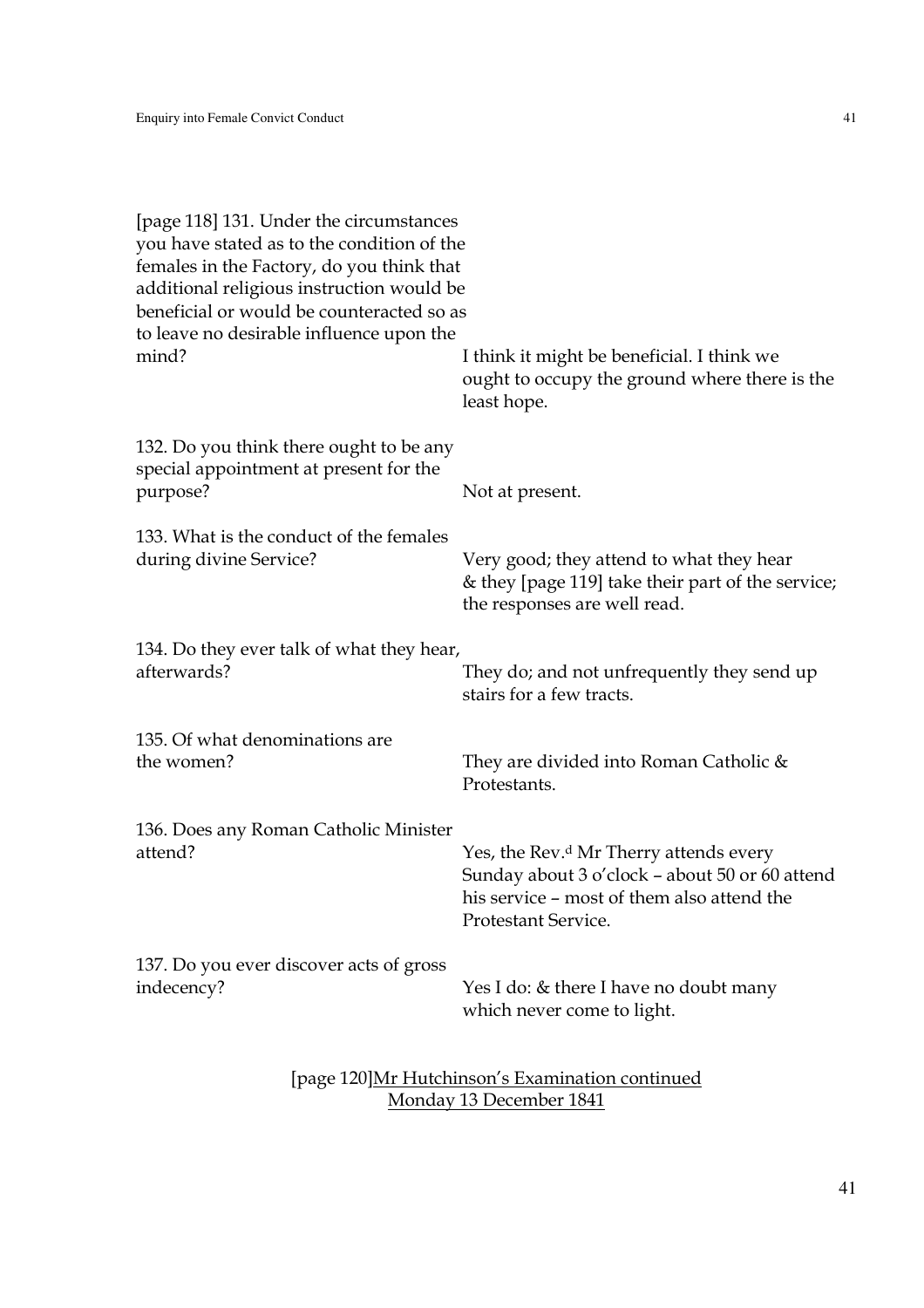| [page 118] 131. Under the circumstances<br>you have stated as to the condition of the<br>females in the Factory, do you think that<br>additional religious instruction would be<br>beneficial or would be counteracted so as<br>to leave no desirable influence upon the<br>mind? | I think it might be beneficial. I think we<br>ought to occupy the ground where there is the                                                                                      |
|-----------------------------------------------------------------------------------------------------------------------------------------------------------------------------------------------------------------------------------------------------------------------------------|----------------------------------------------------------------------------------------------------------------------------------------------------------------------------------|
|                                                                                                                                                                                                                                                                                   | least hope.                                                                                                                                                                      |
| 132. Do you think there ought to be any<br>special appointment at present for the<br>purpose?                                                                                                                                                                                     | Not at present.                                                                                                                                                                  |
| 133. What is the conduct of the females<br>during divine Service?                                                                                                                                                                                                                 | Very good; they attend to what they hear<br>& they [page 119] take their part of the service;<br>the responses are well read.                                                    |
| 134. Do they ever talk of what they hear,<br>afterwards?                                                                                                                                                                                                                          | They do; and not unfrequently they send up<br>stairs for a few tracts.                                                                                                           |
| 135. Of what denominations are<br>the women?                                                                                                                                                                                                                                      | They are divided into Roman Catholic &<br>Protestants.                                                                                                                           |
| 136. Does any Roman Catholic Minister<br>attend?                                                                                                                                                                                                                                  | Yes, the Rev. <sup>d</sup> Mr Therry attends every<br>Sunday about 3 o'clock - about 50 or 60 attend<br>his service – most of them also attend the<br><b>Protestant Service.</b> |
| 137. Do you ever discover acts of gross<br>indecency?                                                                                                                                                                                                                             | Yes I do: & there I have no doubt many<br>which never come to light.                                                                                                             |

[page 120]Mr Hutchinson's Examination continued Monday 13 December 1841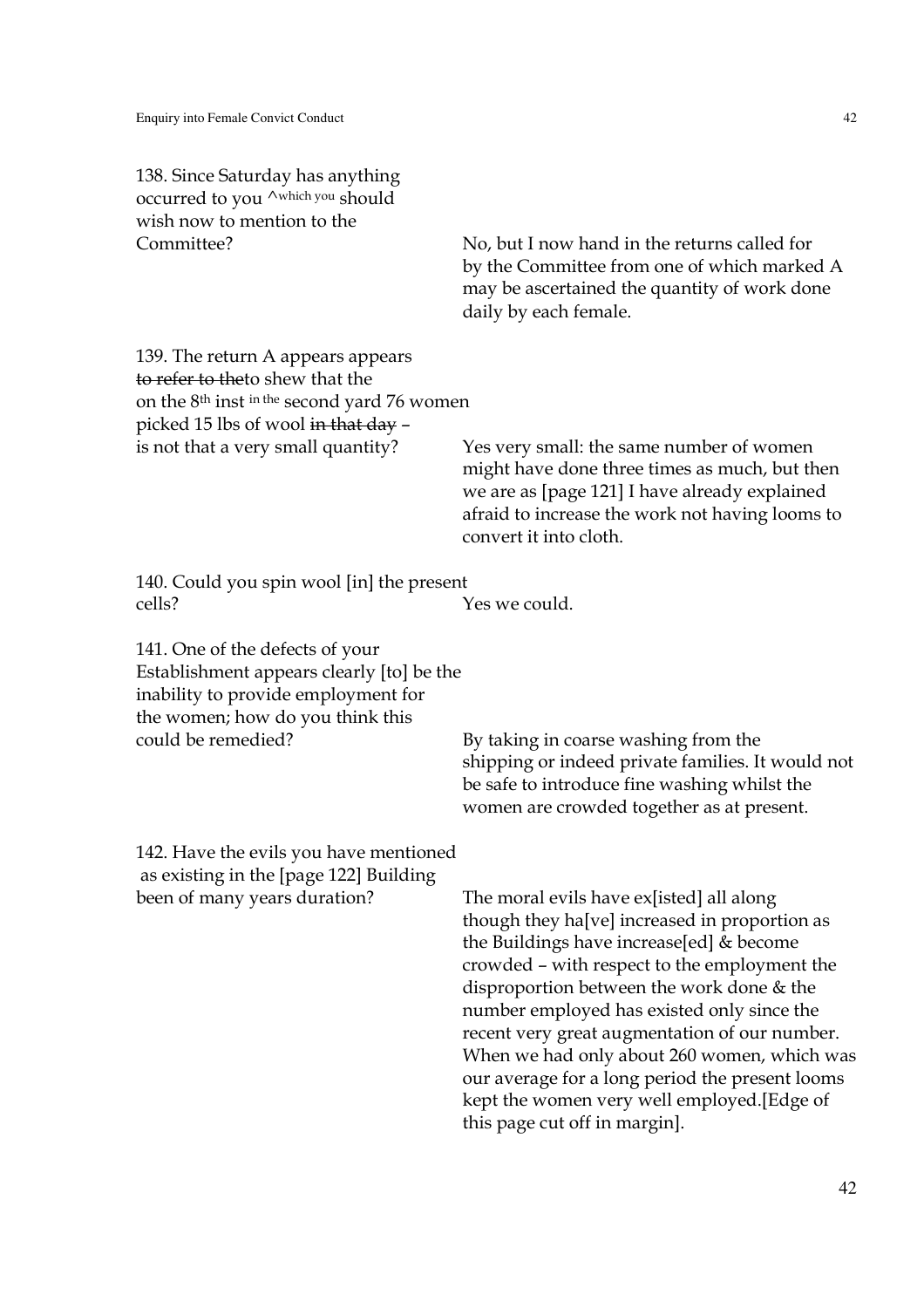| 138. Since Saturday has anything<br>occurred to you Awhich you should<br>wish now to mention to the                                                                     |                                                                                                                                                                                                                                                                                                                                                                                                                                                                                                                    |  |
|-------------------------------------------------------------------------------------------------------------------------------------------------------------------------|--------------------------------------------------------------------------------------------------------------------------------------------------------------------------------------------------------------------------------------------------------------------------------------------------------------------------------------------------------------------------------------------------------------------------------------------------------------------------------------------------------------------|--|
| Committee?                                                                                                                                                              | No, but I now hand in the returns called for<br>by the Committee from one of which marked A<br>may be ascertained the quantity of work done<br>daily by each female.                                                                                                                                                                                                                                                                                                                                               |  |
| 139. The return A appears appears<br>to refer to the to shew that the<br>on the 8 <sup>th</sup> inst in the second yard 76 women<br>picked 15 lbs of wool in that day - |                                                                                                                                                                                                                                                                                                                                                                                                                                                                                                                    |  |
| is not that a very small quantity?                                                                                                                                      | Yes very small: the same number of women<br>might have done three times as much, but then<br>we are as [page 121] I have already explained<br>afraid to increase the work not having looms to<br>convert it into cloth.                                                                                                                                                                                                                                                                                            |  |
| 140. Could you spin wool [in] the present<br>cells?                                                                                                                     | Yes we could.                                                                                                                                                                                                                                                                                                                                                                                                                                                                                                      |  |
| 141. One of the defects of your<br>Establishment appears clearly [to] be the<br>inability to provide employment for<br>the women; how do you think this                 |                                                                                                                                                                                                                                                                                                                                                                                                                                                                                                                    |  |
| could be remedied?                                                                                                                                                      | By taking in coarse washing from the<br>shipping or indeed private families. It would not<br>be safe to introduce fine washing whilst the<br>women are crowded together as at present.                                                                                                                                                                                                                                                                                                                             |  |
| 142. Have the evils you have mentioned                                                                                                                                  |                                                                                                                                                                                                                                                                                                                                                                                                                                                                                                                    |  |
| as existing in the [page 122] Building<br>been of many years duration?                                                                                                  | The moral evils have ex[isted] all along<br>though they ha[ve] increased in proportion as<br>the Buildings have increase[ed] & become<br>crowded - with respect to the employment the<br>disproportion between the work done & the<br>number employed has existed only since the<br>recent very great augmentation of our number.<br>When we had only about 260 women, which was<br>our average for a long period the present looms<br>kept the women very well employed.[Edge of<br>this page cut off in margin]. |  |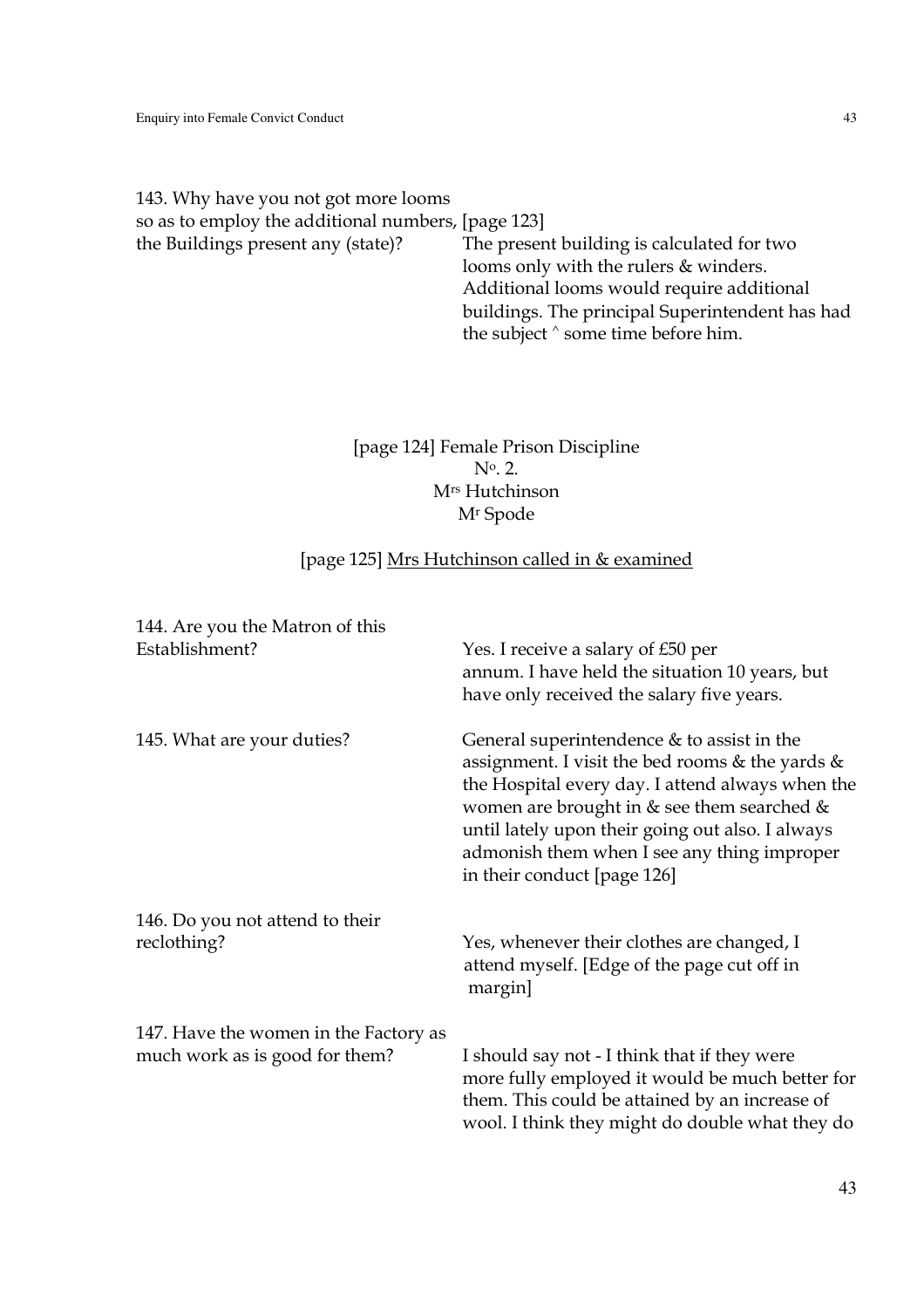143. Why have you not got more looms so as to employ the additional numbers, [page 123]<br>the Buildings present any (state)? The present The present building is calculated for two looms only with the rulers & winders. Additional looms would require additional buildings. The principal Superintendent has had the subject  $\hat{}$  some time before him.

> [page 124] Female Prison Discipline N<sup>o</sup>. 2. Mrs Hutchinson M<sup>r</sup> Spode

#### [page 125] Mrs Hutchinson called in & examined

| 144. Are you the Matron of this<br>Establishment?                       | Yes. I receive a salary of £50 per<br>annum. I have held the situation 10 years, but<br>have only received the salary five years.                                                                                                                                                                                                           |
|-------------------------------------------------------------------------|---------------------------------------------------------------------------------------------------------------------------------------------------------------------------------------------------------------------------------------------------------------------------------------------------------------------------------------------|
| 145. What are your duties?                                              | General superintendence $&$ to assist in the<br>assignment. I visit the bed rooms $&$ the yards $&$<br>the Hospital every day. I attend always when the<br>women are brought in $&$ see them searched $&$<br>until lately upon their going out also. I always<br>admonish them when I see any thing improper<br>in their conduct [page 126] |
| 146. Do you not attend to their<br>reclothing?                          | Yes, whenever their clothes are changed, I<br>attend myself. [Edge of the page cut off in<br>margin]                                                                                                                                                                                                                                        |
| 147. Have the women in the Factory as<br>much work as is good for them? | I should say not - I think that if they were<br>more fully employed it would be much better for<br>them. This could be attained by an increase of<br>wool. I think they might do double what they do                                                                                                                                        |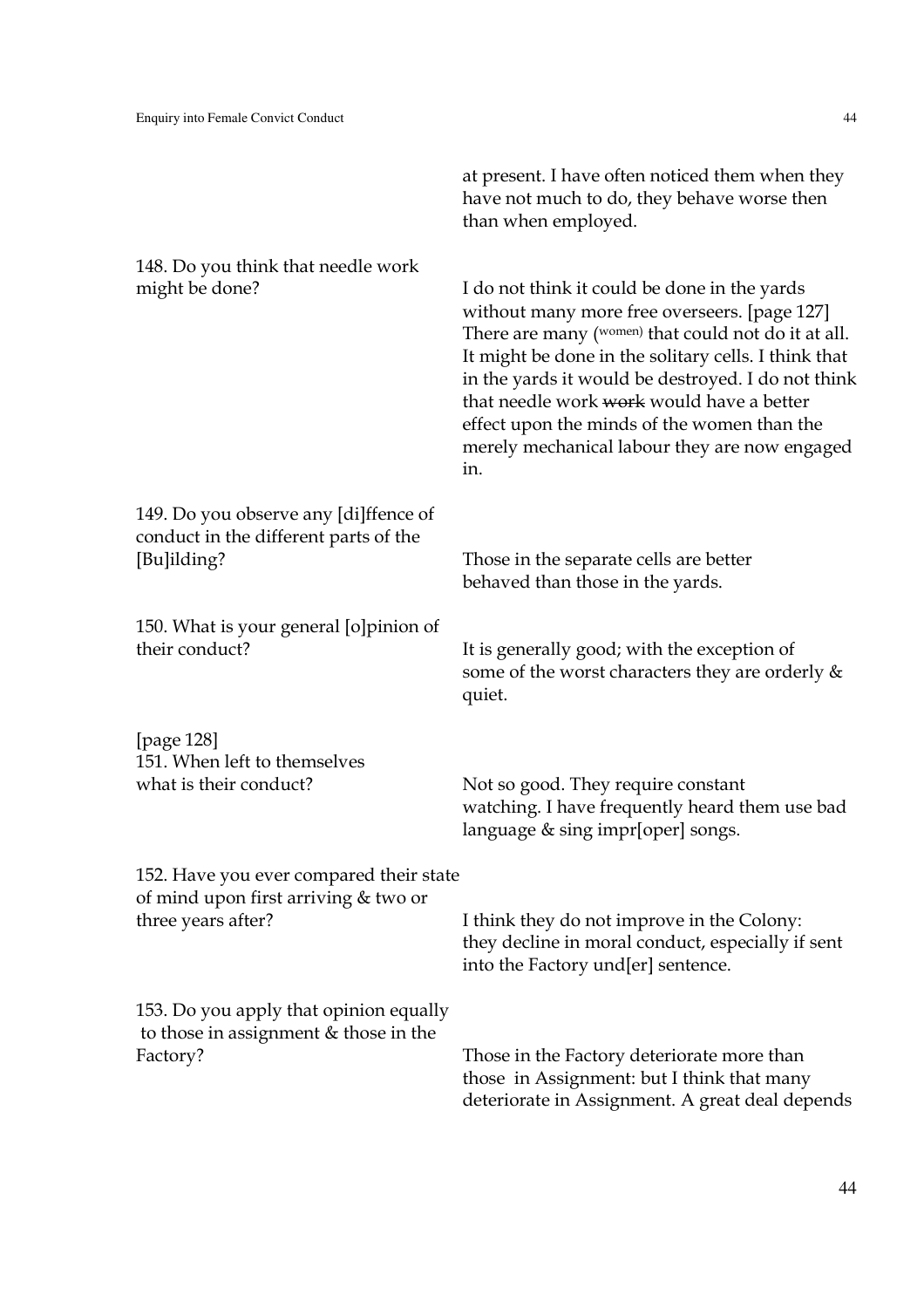|                                                                                                       | at present. I have often noticed them when they<br>have not much to do, they behave worse then<br>than when employed.                                                                                                                                                                                                                                                                                                 |
|-------------------------------------------------------------------------------------------------------|-----------------------------------------------------------------------------------------------------------------------------------------------------------------------------------------------------------------------------------------------------------------------------------------------------------------------------------------------------------------------------------------------------------------------|
| 148. Do you think that needle work<br>might be done?                                                  | I do not think it could be done in the yards<br>without many more free overseers. [page 127]<br>There are many (women) that could not do it at all.<br>It might be done in the solitary cells. I think that<br>in the yards it would be destroyed. I do not think<br>that needle work work would have a better<br>effect upon the minds of the women than the<br>merely mechanical labour they are now engaged<br>in. |
| 149. Do you observe any [di]ffence of<br>conduct in the different parts of the<br>[Bu]ilding?         | Those in the separate cells are better<br>behaved than those in the yards.                                                                                                                                                                                                                                                                                                                                            |
| 150. What is your general [o]pinion of<br>their conduct?                                              | It is generally good; with the exception of<br>some of the worst characters they are orderly &<br>quiet.                                                                                                                                                                                                                                                                                                              |
| [page 128]<br>151. When left to themselves<br>what is their conduct?                                  | Not so good. They require constant<br>watching. I have frequently heard them use bad<br>language & sing impr[oper] songs.                                                                                                                                                                                                                                                                                             |
| 152. Have you ever compared their state<br>of mind upon first arriving & two or<br>three years after? | I think they do not improve in the Colony:<br>they decline in moral conduct, especially if sent<br>into the Factory und[er] sentence.                                                                                                                                                                                                                                                                                 |
| 153. Do you apply that opinion equally<br>to those in assignment & those in the<br>Factory?           | Those in the Factory deteriorate more than<br>those in Assignment: but I think that many<br>deteriorate in Assignment. A great deal depends                                                                                                                                                                                                                                                                           |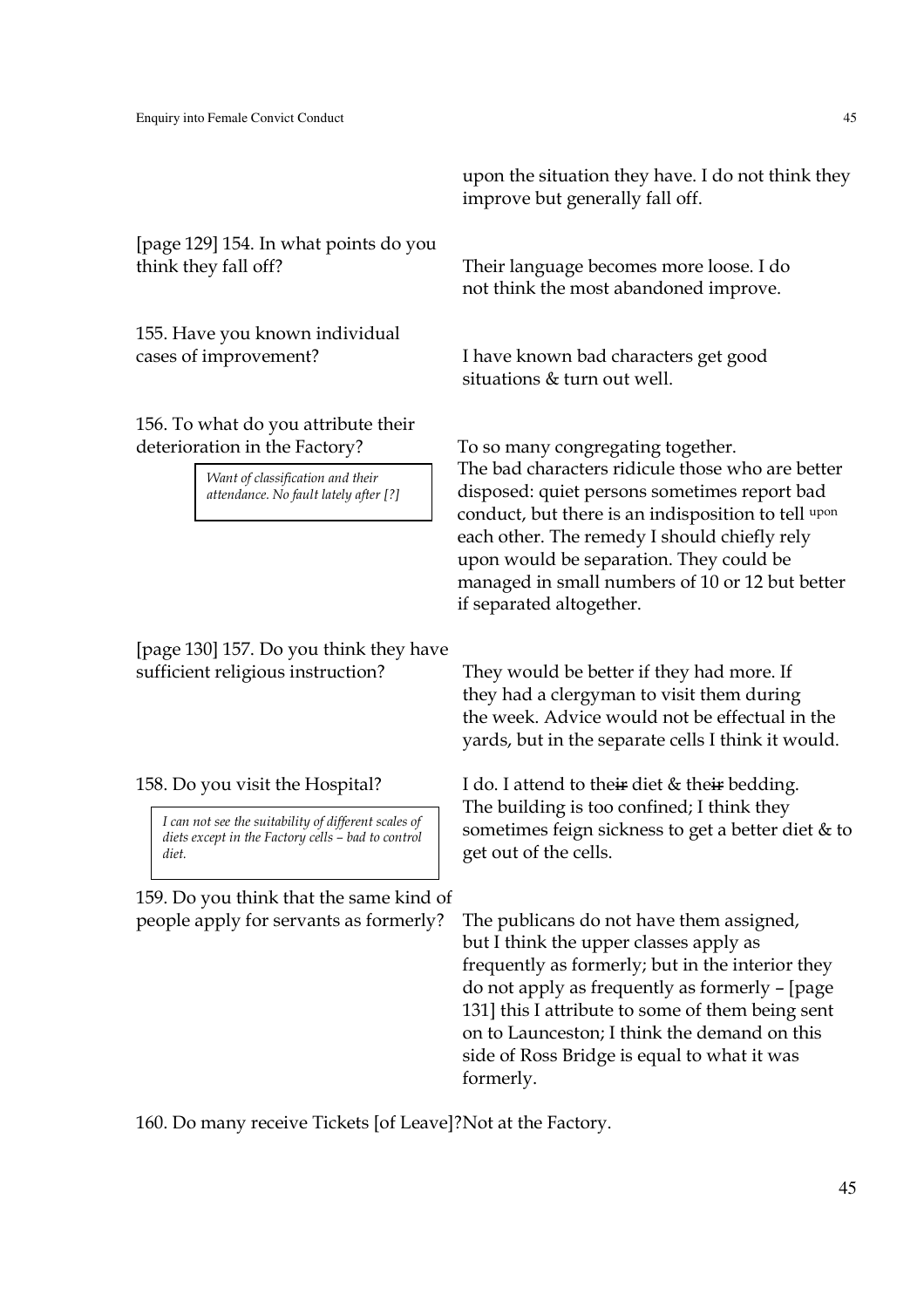[page 129] 154. In what points do you

155. Have you known individual

156. To what do you attribute their deterioration in the Factory? To so many congregating together.

> Want of classification and their attendance. No fault lately after [?]

[page 130] 157. Do you think they have

I can not see the suitability of different scales of diets except in the Factory cells – bad to control diet.

159. Do you think that the same kind of

upon the situation they have. I do not think they improve but generally fall off.

think they fall off? Their language becomes more loose. I do not think the most abandoned improve.

cases of improvement? I have known bad characters get good situations & turn out well.

> The bad characters ridicule those who are better disposed: quiet persons sometimes report bad conduct, but there is an indisposition to tell upon each other. The remedy I should chiefly rely upon would be separation. They could be managed in small numbers of 10 or 12 but better if separated altogether.

sufficient religious instruction? They would be better if they had more. If they had a clergyman to visit them during the week. Advice would not be effectual in the yards, but in the separate cells I think it would.

158. Do you visit the Hospital? I do. I attend to their diet & their bedding. The building is too confined; I think they sometimes feign sickness to get a better diet & to get out of the cells.

people apply for servants as formerly? The publicans do not have them assigned, but I think the upper classes apply as frequently as formerly; but in the interior they do not apply as frequently as formerly – [page 131] this I attribute to some of them being sent on to Launceston; I think the demand on this side of Ross Bridge is equal to what it was formerly.

160. Do many receive Tickets [of Leave]? Not at the Factory.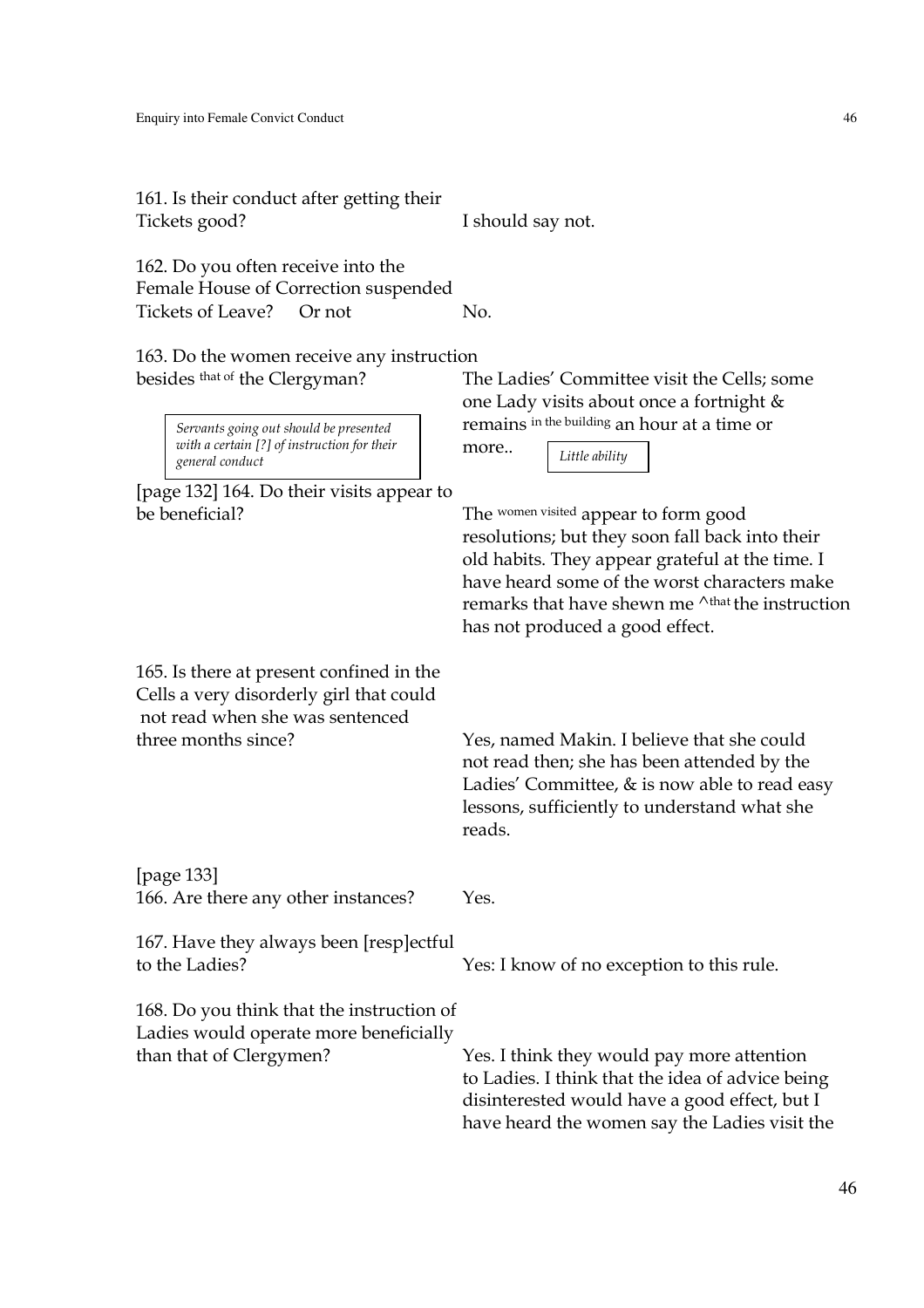161. Is their conduct after getting their Tickets good? I should say not.

162. Do you often receive into the Female House of Correction suspended Tickets of Leave? Or not No.

163. Do the women receive any instruction

Servants going out should be presented with a certain [?] of instruction for their  $\begin{array}{c|c}\n\text{if the number of vertices labeled as 1000, and the number of vertices labeled as 1000, and the number of vertices labeled as 1000, and the number of vertices labeled as 1000, and the number of vertices labeled as 1000, and the number of vertices labeled as 1000, and the number of vertices labeled as 1000, and the number of vertices labeled as 1000, and the number of vertices labeled as 1000, and the number of vertices labeled as 1000, and the number of vertices labeled as 1000, and the number of vertices labeled as 1000, and the number of vertices labeled as 1000, and the number of vertices labeled as 1000, and the number of vertices labeled as 1000, and the number of vertices labeled as 1000$ 

besides that of the Clergyman? The Ladies' Committee visit the Cells; some one Lady visits about once a fortnight & remains in the building an hour at a time or

more..

[page 132] 164. Do their visits appear to be beneficial? The women visited appear to form good

resolutions; but they soon fall back into their old habits. They appear grateful at the time. I have heard some of the worst characters make remarks that have shewn me <sup>Athat</sup> the instruction has not produced a good effect.

165. Is there at present confined in the Cells a very disorderly girl that could not read when she was sentenced three months since? Yes, named Makin. I believe that she could

not read then; she has been attended by the Ladies' Committee, & is now able to read easy lessons, sufficiently to understand what she reads.

[page 133] 166. Are there any other instances? Yes.

167. Have they always been [resp]ectful to the Ladies? Yes: I know of no exception to this rule.

168. Do you think that the instruction of Ladies would operate more beneficially

than that of Clergymen? Yes. I think they would pay more attention to Ladies. I think that the idea of advice being disinterested would have a good effect, but I have heard the women say the Ladies visit the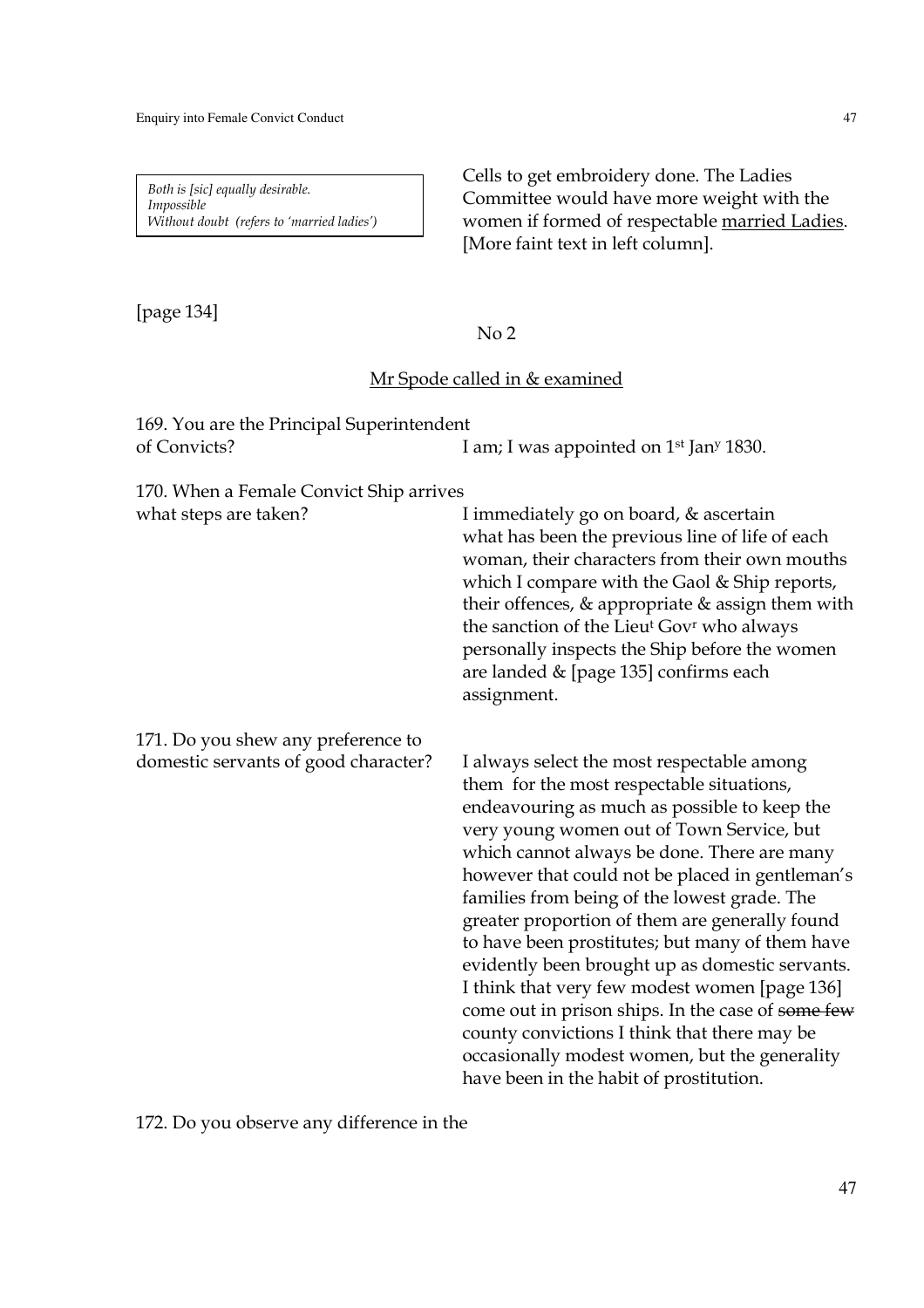[page 134]

Both is [sic] equally desirable. Impossible Without doubt (refers to 'married ladies') Cells to get embroidery done. The Ladies Committee would have more weight with the women if formed of respectable married Ladies. [More faint text in left column].

No 2

#### Mr Spode called in & examined

| 169. You are the Principal Superintendent                                  |                                                                                                                                                                                                                                                                                                                                                                                                                                                                                                                                                                                                                                                                                                                                                  |
|----------------------------------------------------------------------------|--------------------------------------------------------------------------------------------------------------------------------------------------------------------------------------------------------------------------------------------------------------------------------------------------------------------------------------------------------------------------------------------------------------------------------------------------------------------------------------------------------------------------------------------------------------------------------------------------------------------------------------------------------------------------------------------------------------------------------------------------|
| of Convicts?                                                               | I am; I was appointed on 1 <sup>st</sup> Jan <sup>y</sup> 1830.                                                                                                                                                                                                                                                                                                                                                                                                                                                                                                                                                                                                                                                                                  |
| 170. When a Female Convict Ship arrives                                    |                                                                                                                                                                                                                                                                                                                                                                                                                                                                                                                                                                                                                                                                                                                                                  |
| what steps are taken?                                                      | I immediately go on board, & ascertain<br>what has been the previous line of life of each<br>woman, their characters from their own mouths<br>which I compare with the Gaol & Ship reports,<br>their offences, & appropriate & assign them with<br>the sanction of the Lieu <sup>t</sup> Gov <sup>r</sup> who always<br>personally inspects the Ship before the women<br>are landed & [page 135] confirms each<br>assignment.                                                                                                                                                                                                                                                                                                                    |
| 171. Do you shew any preference to<br>domestic servants of good character? | I always select the most respectable among<br>them for the most respectable situations,<br>endeavouring as much as possible to keep the<br>very young women out of Town Service, but<br>which cannot always be done. There are many<br>however that could not be placed in gentleman's<br>families from being of the lowest grade. The<br>greater proportion of them are generally found<br>to have been prostitutes; but many of them have<br>evidently been brought up as domestic servants.<br>I think that very few modest women [page 136]<br>come out in prison ships. In the case of some few<br>county convictions I think that there may be<br>occasionally modest women, but the generality<br>have been in the habit of prostitution. |

172. Do you observe any difference in the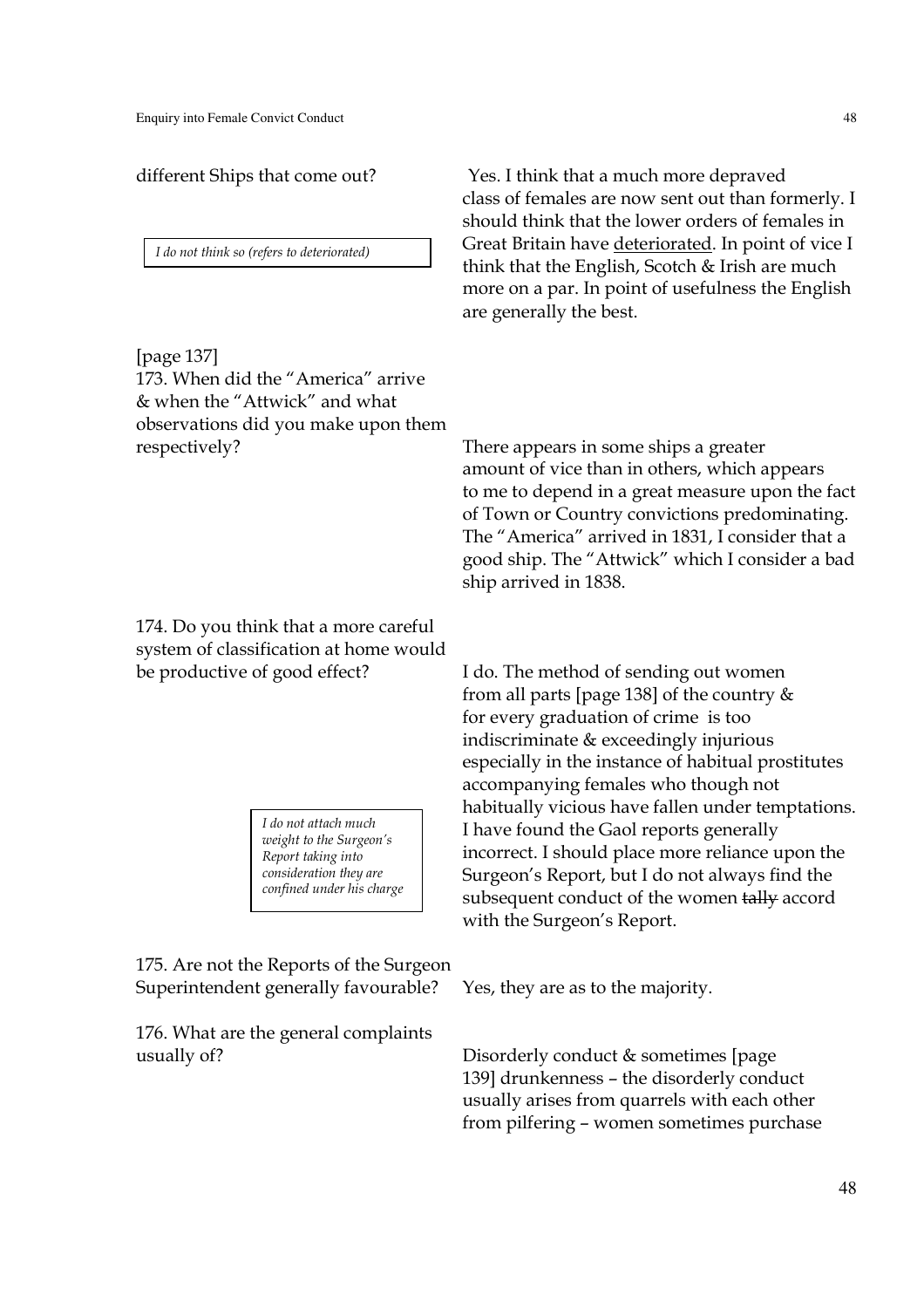#### different Ships that come out? Yes. I think that a much more depraved

I do not think so (refers to deteriorated)

[page 137] 173. When did the "America" arrive & when the "Attwick" and what observations did you make upon them

174. Do you think that a more careful system of classification at home would

> I do not attach much weight to the Surgeon's Report taking into consideration they are confined under his charge

175. Are not the Reports of the Surgeon Superintendent generally favourable? Yes, they are as to the majority.

176. What are the general complaints

class of females are now sent out than formerly. I should think that the lower orders of females in Great Britain have deteriorated. In point of vice I

think that the English, Scotch & Irish are much more on a par. In point of usefulness the English are generally the best.

respectively? There appears in some ships a greater amount of vice than in others, which appears to me to depend in a great measure upon the fact of Town or Country convictions predominating. The "America" arrived in 1831, I consider that a good ship. The "Attwick" which I consider a bad ship arrived in 1838.

be productive of good effect? I do. The method of sending out women from all parts [page 138] of the country & for every graduation of crime is too indiscriminate & exceedingly injurious especially in the instance of habitual prostitutes accompanying females who though not habitually vicious have fallen under temptations. I have found the Gaol reports generally incorrect. I should place more reliance upon the Surgeon's Report, but I do not always find the subsequent conduct of the women tally accord with the Surgeon's Report.

usually of? Disorderly conduct & sometimes [page 139] drunkenness – the disorderly conduct usually arises from quarrels with each other from pilfering – women sometimes purchase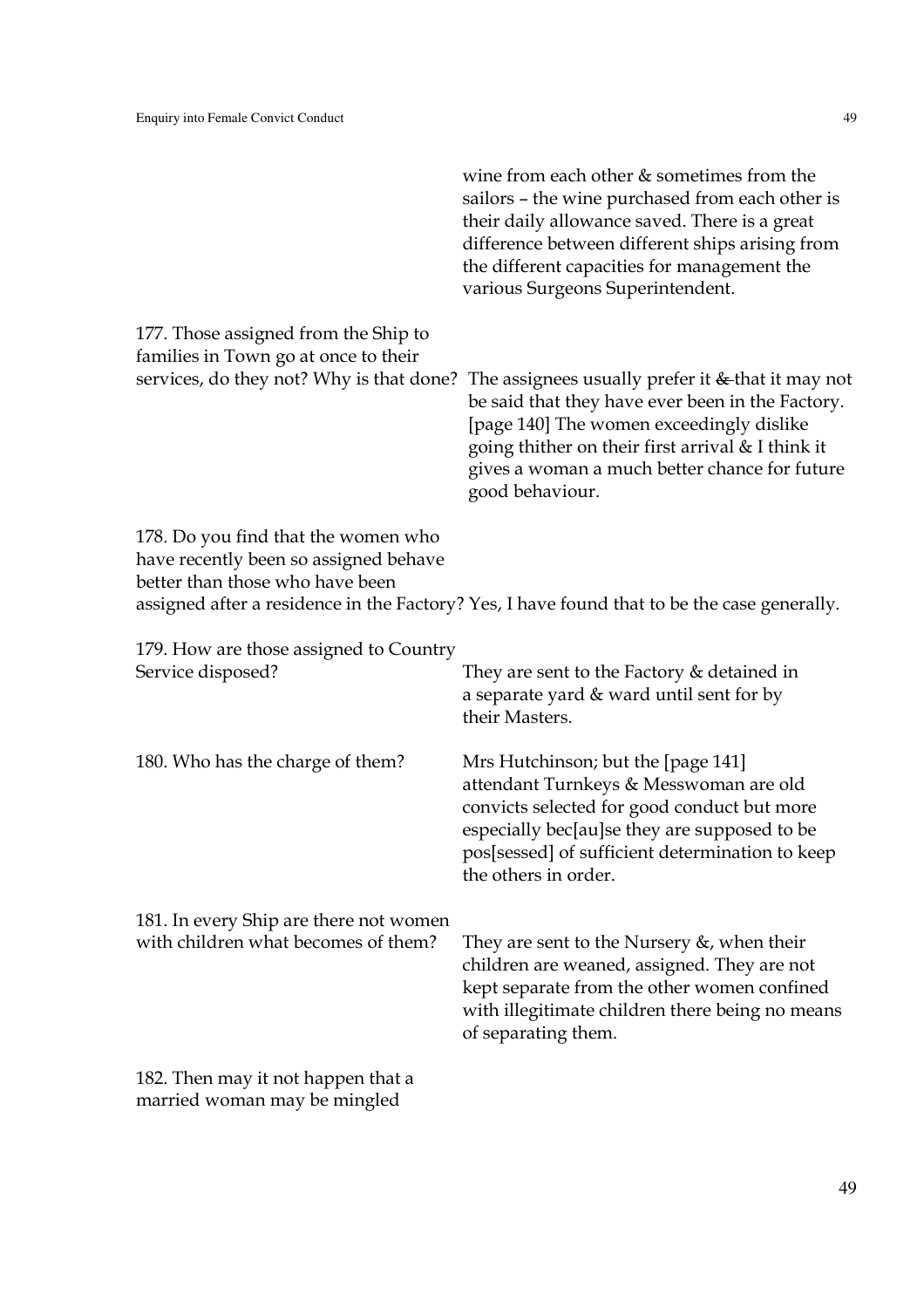|                                                                                                                 | wine from each other & sometimes from the<br>sailors - the wine purchased from each other is<br>their daily allowance saved. There is a great<br>difference between different ships arising from<br>the different capacities for management the<br>various Surgeons Superintendent.                                 |
|-----------------------------------------------------------------------------------------------------------------|---------------------------------------------------------------------------------------------------------------------------------------------------------------------------------------------------------------------------------------------------------------------------------------------------------------------|
| 177. Those assigned from the Ship to<br>families in Town go at once to their                                    | services, do they not? Why is that done? The assignees usually prefer it & that it may not<br>be said that they have ever been in the Factory.<br>[page 140] The women exceedingly dislike<br>going thither on their first arrival & I think it<br>gives a woman a much better chance for future<br>good behaviour. |
| 178. Do you find that the women who<br>have recently been so assigned behave<br>better than those who have been | assigned after a residence in the Factory? Yes, I have found that to be the case generally.                                                                                                                                                                                                                         |
| 179. How are those assigned to Country<br>Service disposed?                                                     | They are sent to the Factory & detained in<br>a separate yard & ward until sent for by<br>their Masters.                                                                                                                                                                                                            |
| 180. Who has the charge of them?                                                                                | Mrs Hutchinson; but the [page 141]<br>attendant Turnkeys & Messwoman are old<br>convicts selected for good conduct but more<br>especially bec[au]se they are supposed to be<br>pos[sessed] of sufficient determination to keep<br>the others in order.                                                              |
| 181. In every Ship are there not women<br>with children what becomes of them?                                   | They are sent to the Nursery $\&$ , when their<br>children are weaned, assigned. They are not<br>kept separate from the other women confined<br>with illegitimate children there being no means<br>of separating them.                                                                                              |
| 182. Then may it not happen that a                                                                              |                                                                                                                                                                                                                                                                                                                     |

married woman may be mingled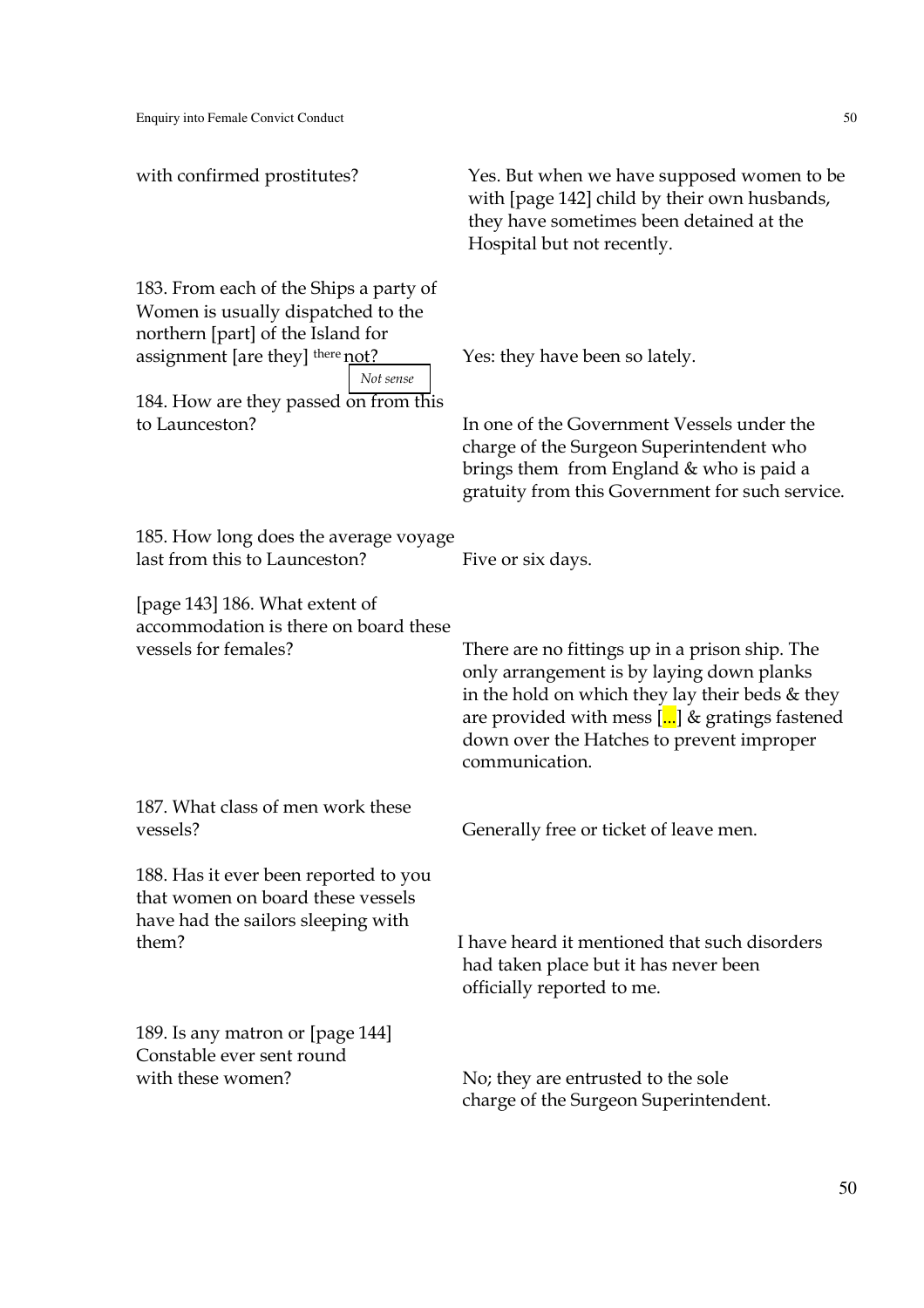| with confirmed prostitutes?                                                                                                                                        | Yes. But when we have supposed women to be<br>with [page 142] child by their own husbands,<br>they have sometimes been detained at the<br>Hospital but not recently.                                                                                                             |
|--------------------------------------------------------------------------------------------------------------------------------------------------------------------|----------------------------------------------------------------------------------------------------------------------------------------------------------------------------------------------------------------------------------------------------------------------------------|
| 183. From each of the Ships a party of<br>Women is usually dispatched to the<br>northern [part] of the Island for<br>assignment [are they] there not?<br>Not sense | Yes: they have been so lately.                                                                                                                                                                                                                                                   |
| 184. How are they passed on from this<br>to Launceston?                                                                                                            | In one of the Government Vessels under the<br>charge of the Surgeon Superintendent who<br>brings them from England & who is paid a<br>gratuity from this Government for such service.                                                                                            |
| 185. How long does the average voyage<br>last from this to Launceston?                                                                                             | Five or six days.                                                                                                                                                                                                                                                                |
| [page 143] 186. What extent of<br>accommodation is there on board these<br>vessels for females?                                                                    | There are no fittings up in a prison ship. The<br>only arrangement is by laying down planks<br>in the hold on which they lay their beds & they<br>are provided with mess $\left[\dots\right]$ & gratings fastened<br>down over the Hatches to prevent improper<br>communication. |
| 187. What class of men work these<br>vessels?                                                                                                                      | Generally free or ticket of leave men.                                                                                                                                                                                                                                           |
| 188. Has it ever been reported to you<br>that women on board these vessels<br>have had the sailors sleeping with<br>them?                                          | I have heard it mentioned that such disorders<br>had taken place but it has never been<br>officially reported to me.                                                                                                                                                             |
| 189. Is any matron or [page 144]<br>Constable ever sent round<br>with these women?                                                                                 | No; they are entrusted to the sole<br>charge of the Surgeon Superintendent.                                                                                                                                                                                                      |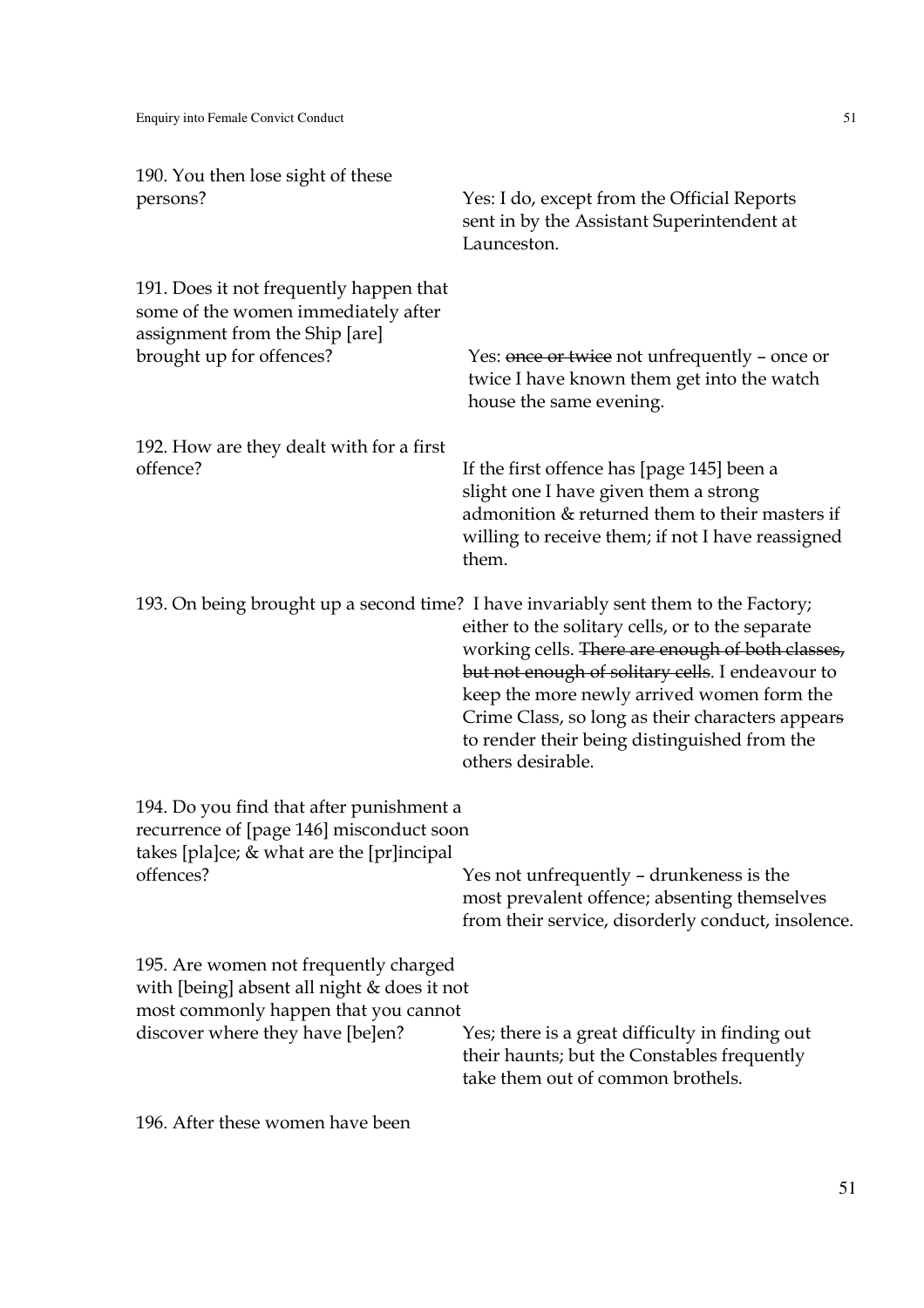| 190. You then lose sight of these<br>persons?                                                                                                                    | Yes: I do, except from the Official Reports<br>sent in by the Assistant Superintendent at<br>Launceston.                                                                                                                                                                                                                                                                                                               |
|------------------------------------------------------------------------------------------------------------------------------------------------------------------|------------------------------------------------------------------------------------------------------------------------------------------------------------------------------------------------------------------------------------------------------------------------------------------------------------------------------------------------------------------------------------------------------------------------|
| 191. Does it not frequently happen that<br>some of the women immediately after<br>assignment from the Ship [are]<br>brought up for offences?                     | Yes: <del>once or twice</del> not unfrequently <b>-</b> once or<br>twice I have known them get into the watch<br>house the same evening.                                                                                                                                                                                                                                                                               |
| 192. How are they dealt with for a first<br>offence?                                                                                                             | If the first offence has [page 145] been a<br>slight one I have given them a strong<br>admonition & returned them to their masters if<br>willing to receive them; if not I have reassigned<br>them.                                                                                                                                                                                                                    |
|                                                                                                                                                                  | 193. On being brought up a second time? I have invariably sent them to the Factory;<br>either to the solitary cells, or to the separate<br>working cells. There are enough of both classes,<br>but not enough of solitary cells. I endeavour to<br>keep the more newly arrived women form the<br>Crime Class, so long as their characters appears<br>to render their being distinguished from the<br>others desirable. |
| 194. Do you find that after punishment a<br>recurrence of [page 146] misconduct soon<br>takes [pla]ce; & what are the [pr]incipal<br>offences?                   | Yes not unfrequently - drunkeness is the<br>most prevalent offence; absenting themselves<br>from their service, disorderly conduct, insolence.                                                                                                                                                                                                                                                                         |
| 195. Are women not frequently charged<br>with [being] absent all night & does it not<br>most commonly happen that you cannot<br>discover where they have [be]en? | Yes; there is a great difficulty in finding out<br>their haunts; but the Constables frequently<br>take them out of common brothels.                                                                                                                                                                                                                                                                                    |

196. After these women have been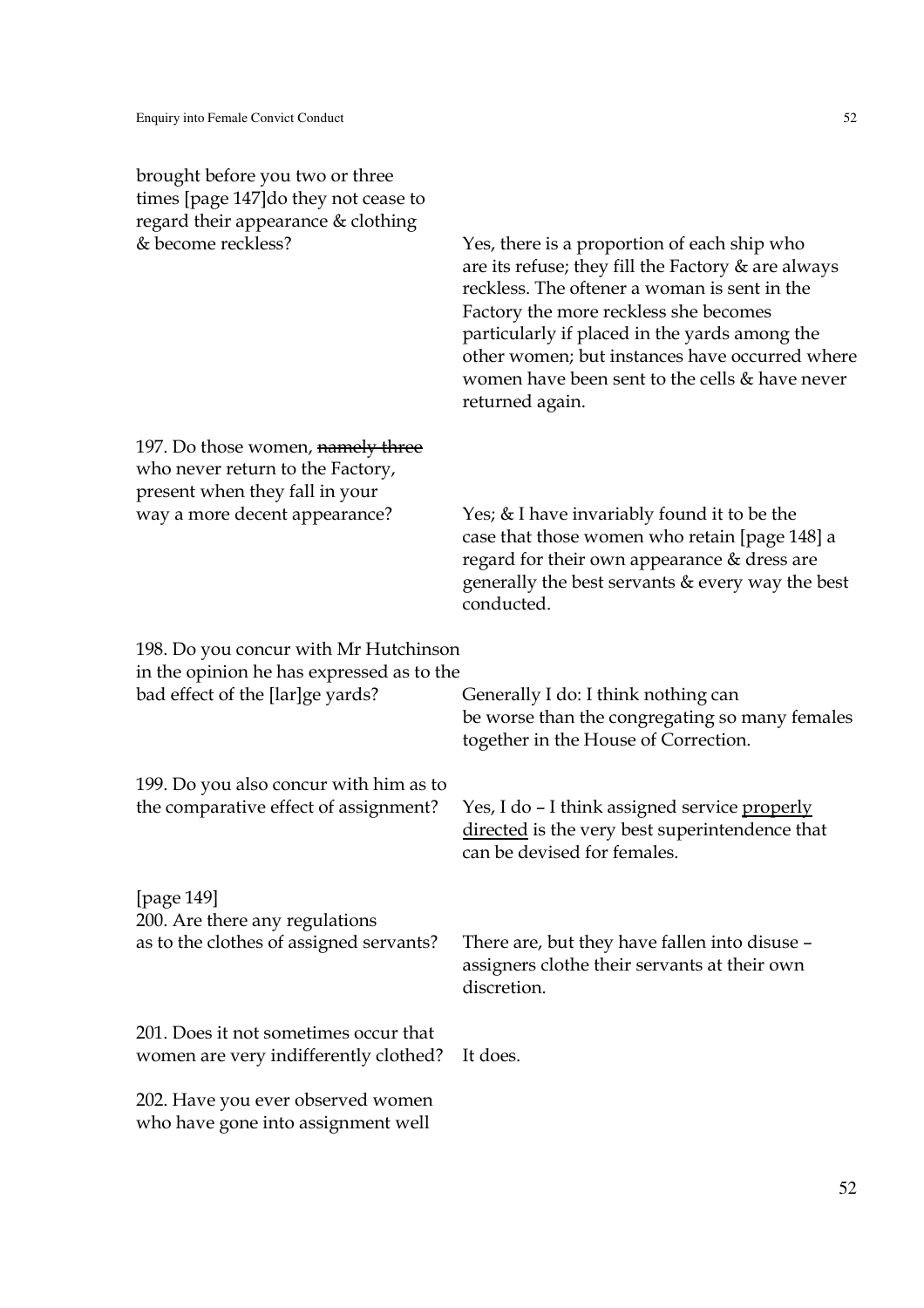| brought before you two or three<br>times [page 147] do they not cease to<br>regard their appearance & clothing<br>& become reckless? | Yes, there is a proportion of each ship who<br>are its refuse; they fill the Factory & are always<br>reckless. The oftener a woman is sent in the<br>Factory the more reckless she becomes<br>particularly if placed in the yards among the<br>other women; but instances have occurred where<br>women have been sent to the cells & have never<br>returned again. |
|--------------------------------------------------------------------------------------------------------------------------------------|--------------------------------------------------------------------------------------------------------------------------------------------------------------------------------------------------------------------------------------------------------------------------------------------------------------------------------------------------------------------|
| 197. Do those women, namely three<br>who never return to the Factory,<br>present when they fall in your                              |                                                                                                                                                                                                                                                                                                                                                                    |
| way a more decent appearance?                                                                                                        | Yes; & I have invariably found it to be the<br>case that those women who retain [page 148] a<br>regard for their own appearance & dress are<br>generally the best servants & every way the best<br>conducted.                                                                                                                                                      |
| 198. Do you concur with Mr Hutchinson<br>in the opinion he has expressed as to the<br>bad effect of the [lar]ge yards?               | Generally I do: I think nothing can<br>be worse than the congregating so many females<br>together in the House of Correction.                                                                                                                                                                                                                                      |
| 199. Do you also concur with him as to<br>the comparative effect of assignment?                                                      | Yes, I do - I think assigned service properly<br>directed is the very best superintendence that<br>can be devised for females.                                                                                                                                                                                                                                     |
| [page 149]<br>200. Are there any regulations<br>as to the clothes of assigned servants?                                              | There are, but they have fallen into disuse -<br>assigners clothe their servants at their own<br>discretion.                                                                                                                                                                                                                                                       |
| 201. Does it not sometimes occur that<br>women are very indifferently clothed?                                                       | It does.                                                                                                                                                                                                                                                                                                                                                           |
| 202. Have you ever observed women<br>who have gone into assignment well                                                              |                                                                                                                                                                                                                                                                                                                                                                    |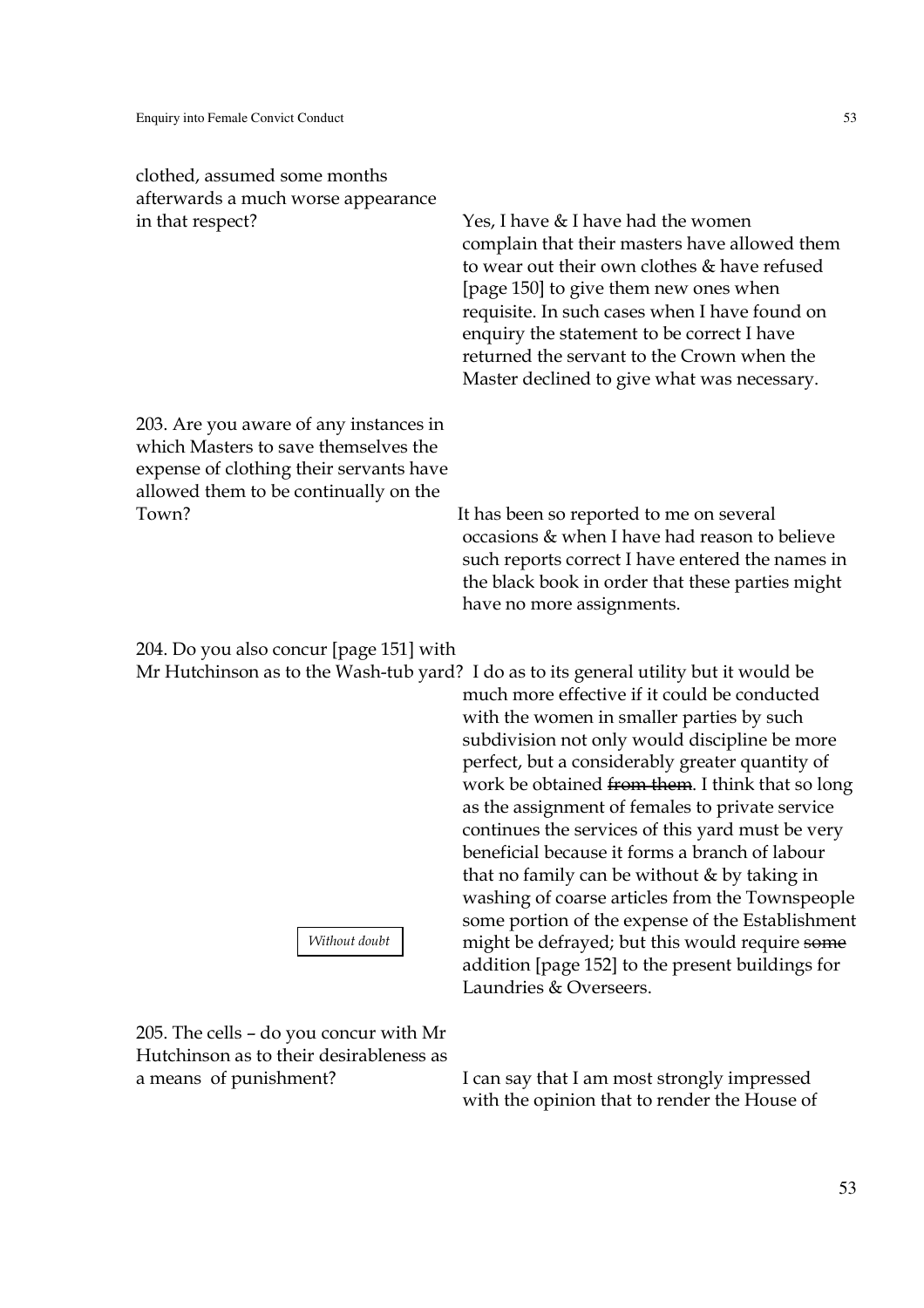| clothed, assumed some months                                                                                              |                                                                                                                                                                                                                                                                                                                                                                                                                                                                                                                                                                                                        |
|---------------------------------------------------------------------------------------------------------------------------|--------------------------------------------------------------------------------------------------------------------------------------------------------------------------------------------------------------------------------------------------------------------------------------------------------------------------------------------------------------------------------------------------------------------------------------------------------------------------------------------------------------------------------------------------------------------------------------------------------|
| afterwards a much worse appearance                                                                                        |                                                                                                                                                                                                                                                                                                                                                                                                                                                                                                                                                                                                        |
| in that respect?                                                                                                          | Yes, I have & I have had the women<br>complain that their masters have allowed them<br>to wear out their own clothes & have refused<br>[page 150] to give them new ones when<br>requisite. In such cases when I have found on<br>enquiry the statement to be correct I have<br>returned the servant to the Crown when the<br>Master declined to give what was necessary.                                                                                                                                                                                                                               |
| 203. Are you aware of any instances in<br>which Masters to save themselves the<br>expense of clothing their servants have |                                                                                                                                                                                                                                                                                                                                                                                                                                                                                                                                                                                                        |
| allowed them to be continually on the<br>Town?                                                                            | It has been so reported to me on several<br>occasions & when I have had reason to believe<br>such reports correct I have entered the names in<br>the black book in order that these parties might<br>have no more assignments.                                                                                                                                                                                                                                                                                                                                                                         |
| 204. Do you also concur [page 151] with                                                                                   | Mr Hutchinson as to the Wash-tub yard? I do as to its general utility but it would be<br>much more effective if it could be conducted<br>with the women in smaller parties by such<br>subdivision not only would discipline be more<br>perfect, but a considerably greater quantity of<br>work be obtained from them. I think that so long<br>as the assignment of females to private service<br>continues the services of this yard must be very<br>beneficial because it forms a branch of labour<br>that no family can be without & by taking in<br>washing of coarse articles from the Townspeople |
| Without doubt                                                                                                             | some portion of the expense of the Establishment<br>might be defrayed; but this would require some<br>addition [page 152] to the present buildings for                                                                                                                                                                                                                                                                                                                                                                                                                                                 |

205. The cells – do you concur with Mr Hutchinson as to their desirableness as

a means of punishment? I can say that I am most strongly impressed with the opinion that to render the House of

Laundries & Overseers.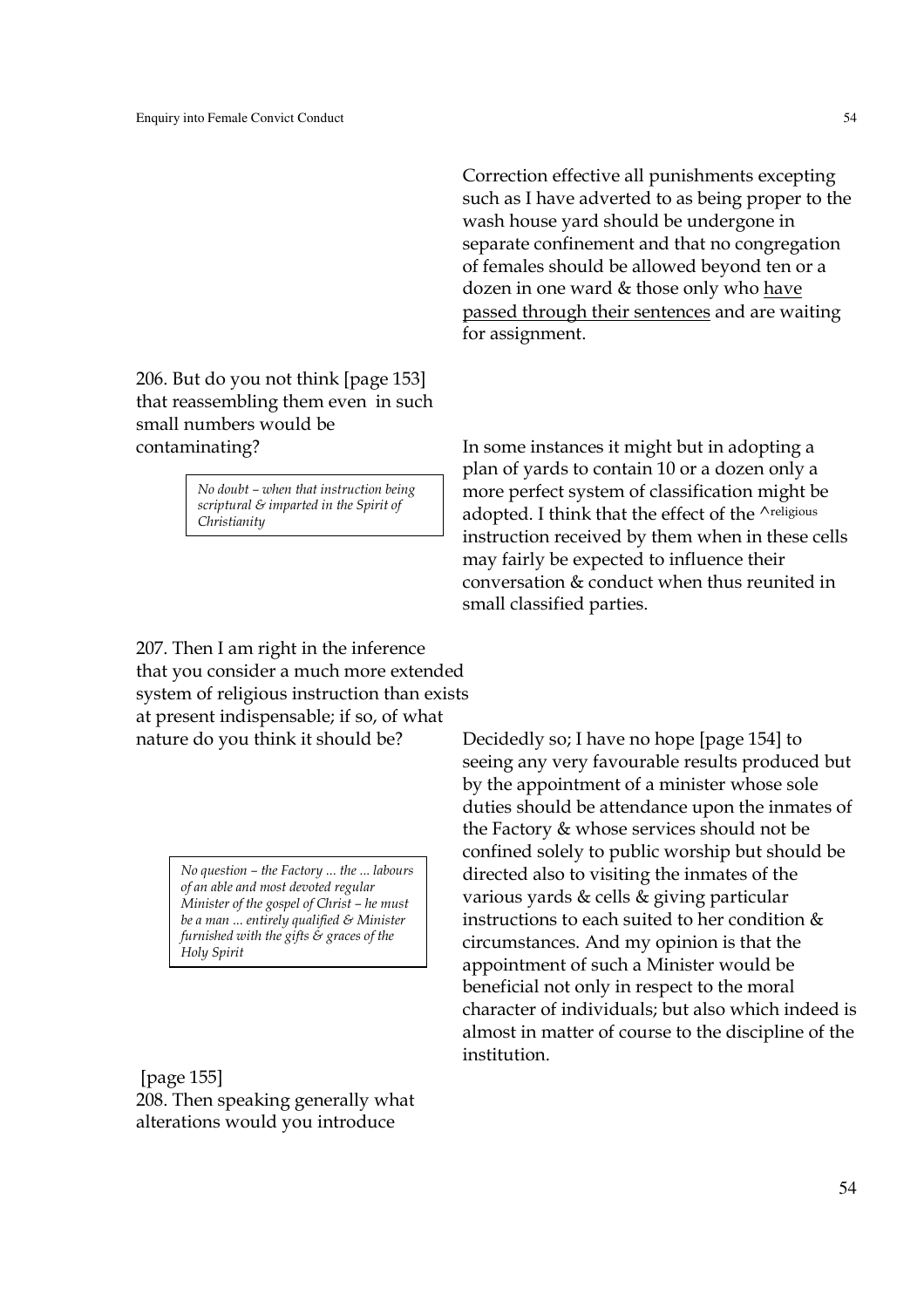## 206. But do you not think [page 153] that reassembling them even in such small numbers would be

No doubt – when that instruction being scriptural & imparted in the Spirit of Christianity

207. Then I am right in the inference that you consider a much more extended system of religious instruction than exists at present indispensable; if so, of what

> No question – the Factory ... the ... labours of an able and most devoted regular Minister of the gospel of Christ – he must be a man  $\ldots$  entirely qualified  $\mathcal S$  Minister furnished with the gifts & graces of the Holy Spirit

 [page 155] 208. Then speaking generally what alterations would you introduce

Correction effective all punishments excepting such as I have adverted to as being proper to the wash house yard should be undergone in separate confinement and that no congregation of females should be allowed beyond ten or a dozen in one ward & those only who have passed through their sentences and are waiting for assignment.

contaminating? In some instances it might but in adopting a plan of yards to contain 10 or a dozen only a more perfect system of classification might be adopted. I think that the effect of the ^religious instruction received by them when in these cells may fairly be expected to influence their conversation & conduct when thus reunited in small classified parties.

nature do you think it should be? Decidedly so; I have no hope [page 154] to seeing any very favourable results produced but by the appointment of a minister whose sole duties should be attendance upon the inmates of the Factory & whose services should not be confined solely to public worship but should be directed also to visiting the inmates of the various yards & cells & giving particular instructions to each suited to her condition & circumstances. And my opinion is that the appointment of such a Minister would be beneficial not only in respect to the moral character of individuals; but also which indeed is almost in matter of course to the discipline of the institution.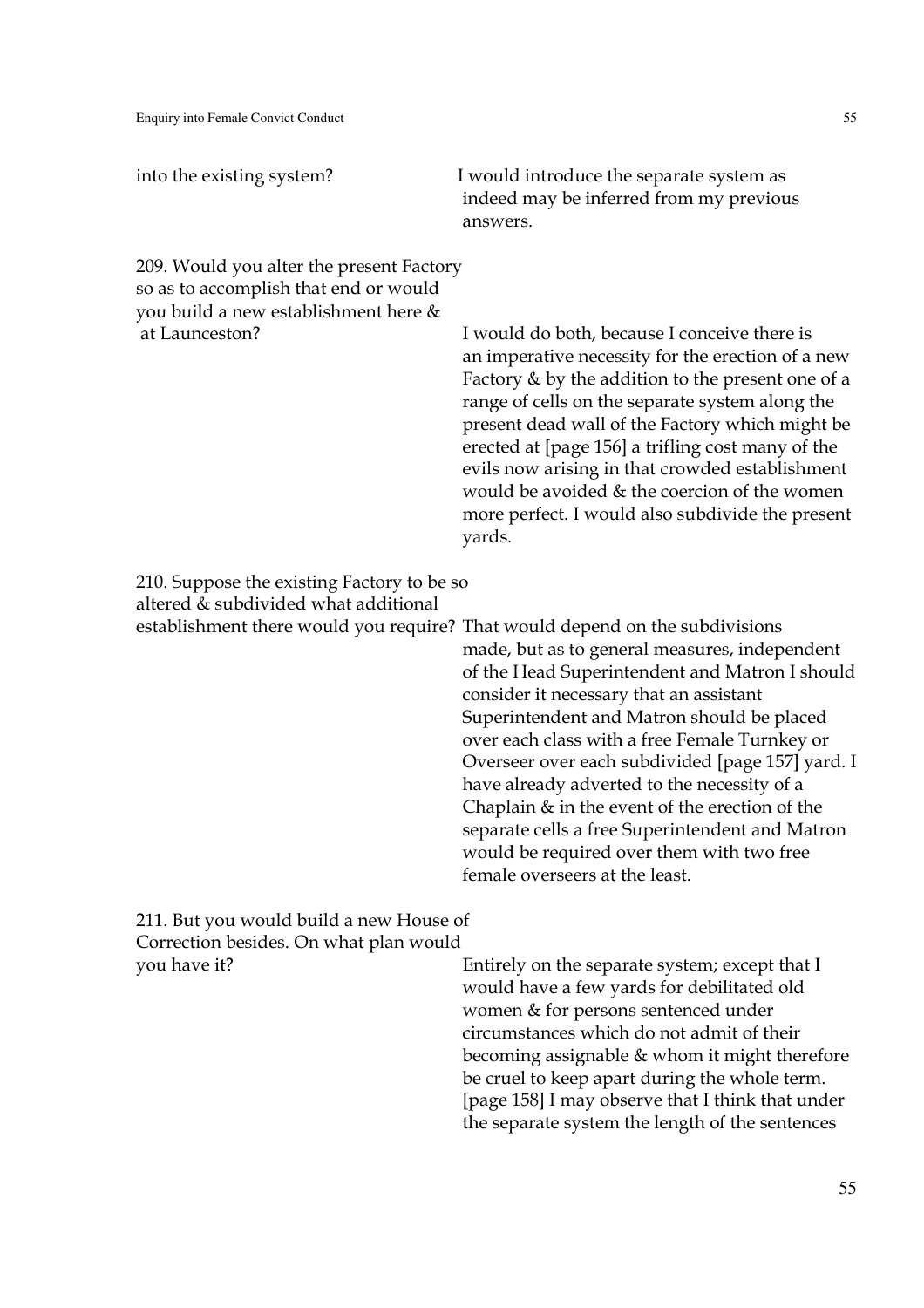| into the existing system?                                                          | I would introduce the separate system as<br>indeed may be inferred from my previous<br>answers.                                                                                                                                                                                                                                                                                                                                                                                                                                                                                                                  |
|------------------------------------------------------------------------------------|------------------------------------------------------------------------------------------------------------------------------------------------------------------------------------------------------------------------------------------------------------------------------------------------------------------------------------------------------------------------------------------------------------------------------------------------------------------------------------------------------------------------------------------------------------------------------------------------------------------|
| 209. Would you alter the present Factory<br>so as to accomplish that end or would  |                                                                                                                                                                                                                                                                                                                                                                                                                                                                                                                                                                                                                  |
| you build a new establishment here &<br>at Launceston?                             | I would do both, because I conceive there is<br>an imperative necessity for the erection of a new<br>Factory & by the addition to the present one of a<br>range of cells on the separate system along the<br>present dead wall of the Factory which might be<br>erected at [page 156] a trifling cost many of the<br>evils now arising in that crowded establishment<br>would be avoided & the coercion of the women<br>more perfect. I would also subdivide the present<br>yards.                                                                                                                               |
| 210. Suppose the existing Factory to be so<br>altered & subdivided what additional |                                                                                                                                                                                                                                                                                                                                                                                                                                                                                                                                                                                                                  |
|                                                                                    | establishment there would you require? That would depend on the subdivisions<br>made, but as to general measures, independent<br>of the Head Superintendent and Matron I should<br>consider it necessary that an assistant<br>Superintendent and Matron should be placed<br>over each class with a free Female Turnkey or<br>Overseer over each subdivided [page 157] yard. I<br>have already adverted to the necessity of a<br>Chaplain & in the event of the erection of the<br>separate cells a free Superintendent and Matron<br>would be required over them with two free<br>female overseers at the least. |
| 211. But you would build a new House of<br>Correction besides. On what plan would  |                                                                                                                                                                                                                                                                                                                                                                                                                                                                                                                                                                                                                  |
| you have it?                                                                       | Entirely on the separate system; except that I<br>would have a few yards for debilitated old<br>women & for persons sentenced under<br>circumstances which do not admit of their<br>becoming assignable & whom it might therefore<br>be cruel to keep apart during the whole term.<br>[page 158] I may observe that I think that under<br>the separate system the length of the sentences                                                                                                                                                                                                                        |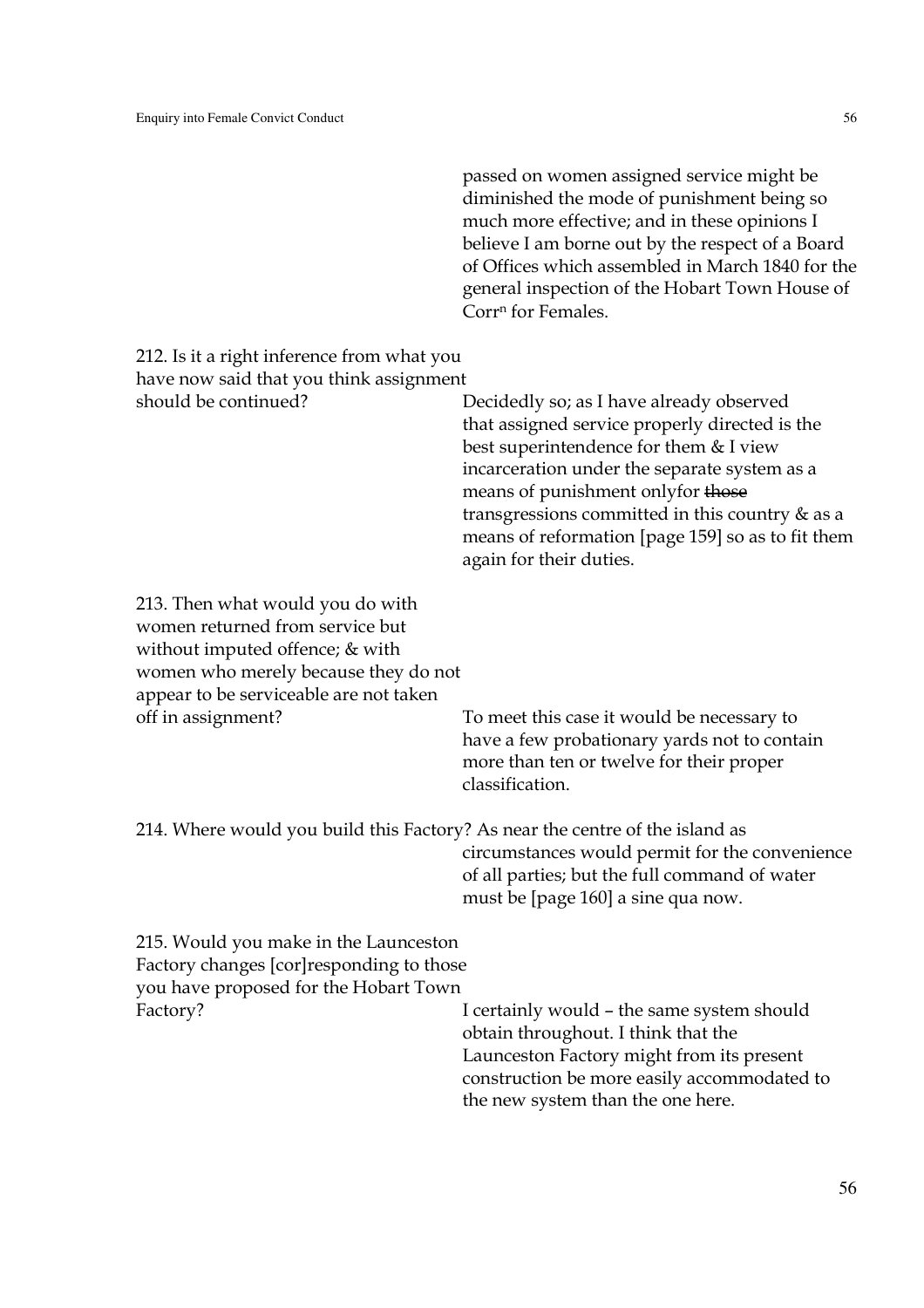passed on women assigned service might be diminished the mode of punishment being so much more effective; and in these opinions I believe I am borne out by the respect of a Board of Offices which assembled in March 1840 for the general inspection of the Hobart Town House of Corr<sup>n</sup> for Females.

## 212. Is it a right inference from what you have now said that you think assignment

should be continued? Decidedly so; as I have already observed that assigned service properly directed is the best superintendence for them & I view incarceration under the separate system as a means of punishment onlyfor those transgressions committed in this country & as a means of reformation [page 159] so as to fit them again for their duties.

| 213. Then what would you do with<br>women returned from service but<br>without imputed offence; & with<br>women who merely because they do not |                                                                                                                                                           |
|------------------------------------------------------------------------------------------------------------------------------------------------|-----------------------------------------------------------------------------------------------------------------------------------------------------------|
| appear to be serviceable are not taken                                                                                                         |                                                                                                                                                           |
| off in assignment?                                                                                                                             | To meet this case it would be necessary to<br>have a few probationary yards not to contain<br>more than ten or twelve for their proper<br>classification. |
| 214. Where would you build this Factory? As near the centre of the island as                                                                   | circumstances would permit for the convenience<br>of all parties; but the full command of water<br>must be [page 160] a sine qua now.                     |

| 215. Would you make in the Launceston     |                                            |
|-------------------------------------------|--------------------------------------------|
| Factory changes [cor] responding to those |                                            |
| you have proposed for the Hobart Town     |                                            |
| Factory?                                  | I certainly would – the same system should |
|                                           | obtain throughout. I think that the        |
|                                           | Launceston Factory might from its present  |

construction be more easily accommodated to the new system than the one here.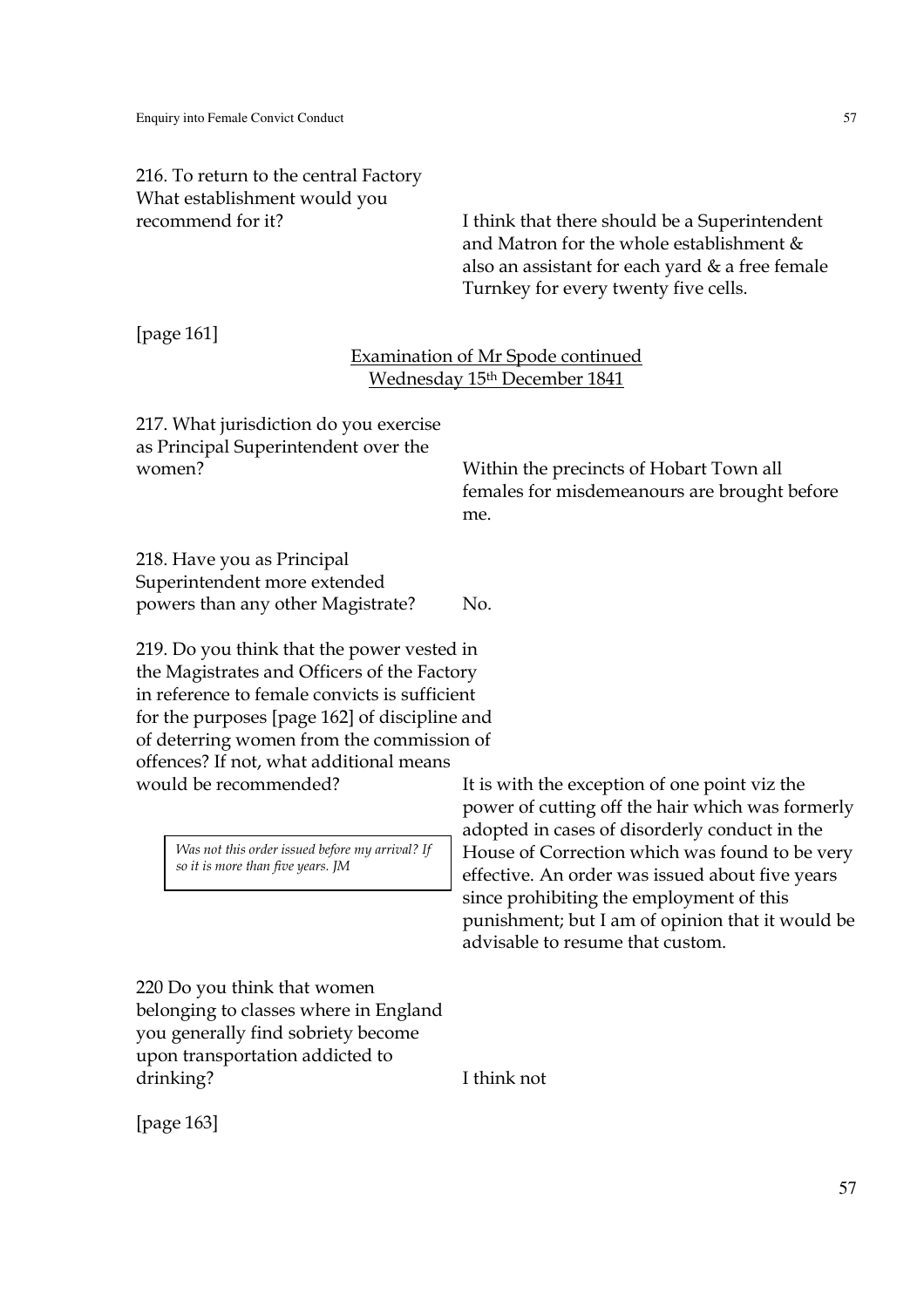## 216. To return to the central Factory What establishment would you

recommend for it? I think that there should be a Superintendent and Matron for the whole establishment & also an assistant for each yard & a free female Turnkey for every twenty five cells.

[page 161]

#### Examination of Mr Spode continued Wednesday 15th December 1841

217. What jurisdiction do you exercise as Principal Superintendent over the

women? Within the precincts of Hobart Town all females for misdemeanours are brought before me.

218. Have you as Principal Superintendent more extended powers than any other Magistrate? No.

219. Do you think that the power vested in the Magistrates and Officers of the Factory in reference to female convicts is sufficient for the purposes [page 162] of discipline and of deterring women from the commission of offences? If not, what additional means

> Was not this order issued before my arrival? If so it is more than five years. JM

would be recommended? It is with the exception of one point viz the power of cutting off the hair which was formerly adopted in cases of disorderly conduct in the House of Correction which was found to be very effective. An order was issued about five years since prohibiting the employment of this punishment; but I am of opinion that it would be advisable to resume that custom.

220 Do you think that women belonging to classes where in England you generally find sobriety become upon transportation addicted to drinking? I think not

[page 163]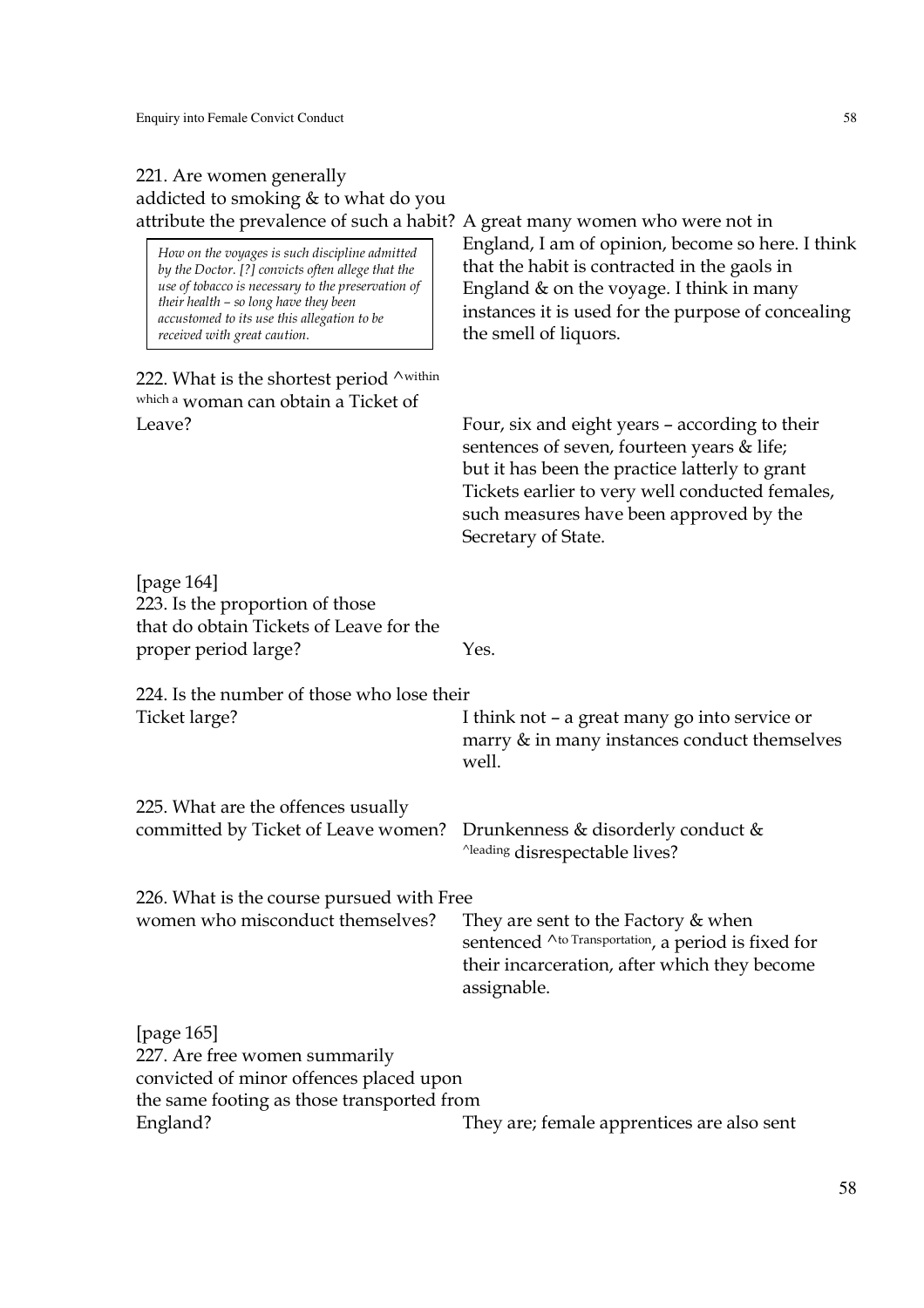#### 221. Are women generally addicted to smoking & to what do you attribute the prevalence of such a habit? A great many women who were not in England, I am of opinion, become so here. I think that the habit is contracted in the gaols in England & on the voyage. I think in many instances it is used for the purpose of concealing the smell of liquors. 222. What is the shortest period  $\wedge$ <sup>within</sup> which a woman can obtain a Ticket of Leave? Four, six and eight years – according to their sentences of seven, fourteen years & life; but it has been the practice latterly to grant Tickets earlier to very well conducted females, such measures have been approved by the Secretary of State. [page 164] 223. Is the proportion of those that do obtain Tickets of Leave for the proper period large? Yes. 224. Is the number of those who lose their Ticket large? I think not – a great many go into service or marry & in many instances conduct themselves well. 225. What are the offences usually committed by Ticket of Leave women? Drunkenness & disorderly conduct & ^leading disrespectable lives? 226. What is the course pursued with Free women who misconduct themselves? They are sent to the Factory & when sentenced ^to Transportation, a period is fixed for their incarceration, after which they become assignable. [page 165] 227. Are free women summarily convicted of minor offences placed upon the same footing as those transported from How on the voyages is such discipline admitted by the Doctor. [?] convicts often allege that the use of tobacco is necessary to the preservation of their health – so long have they been accustomed to its use this allegation to be received with great caution.

England? They are; female apprentices are also sent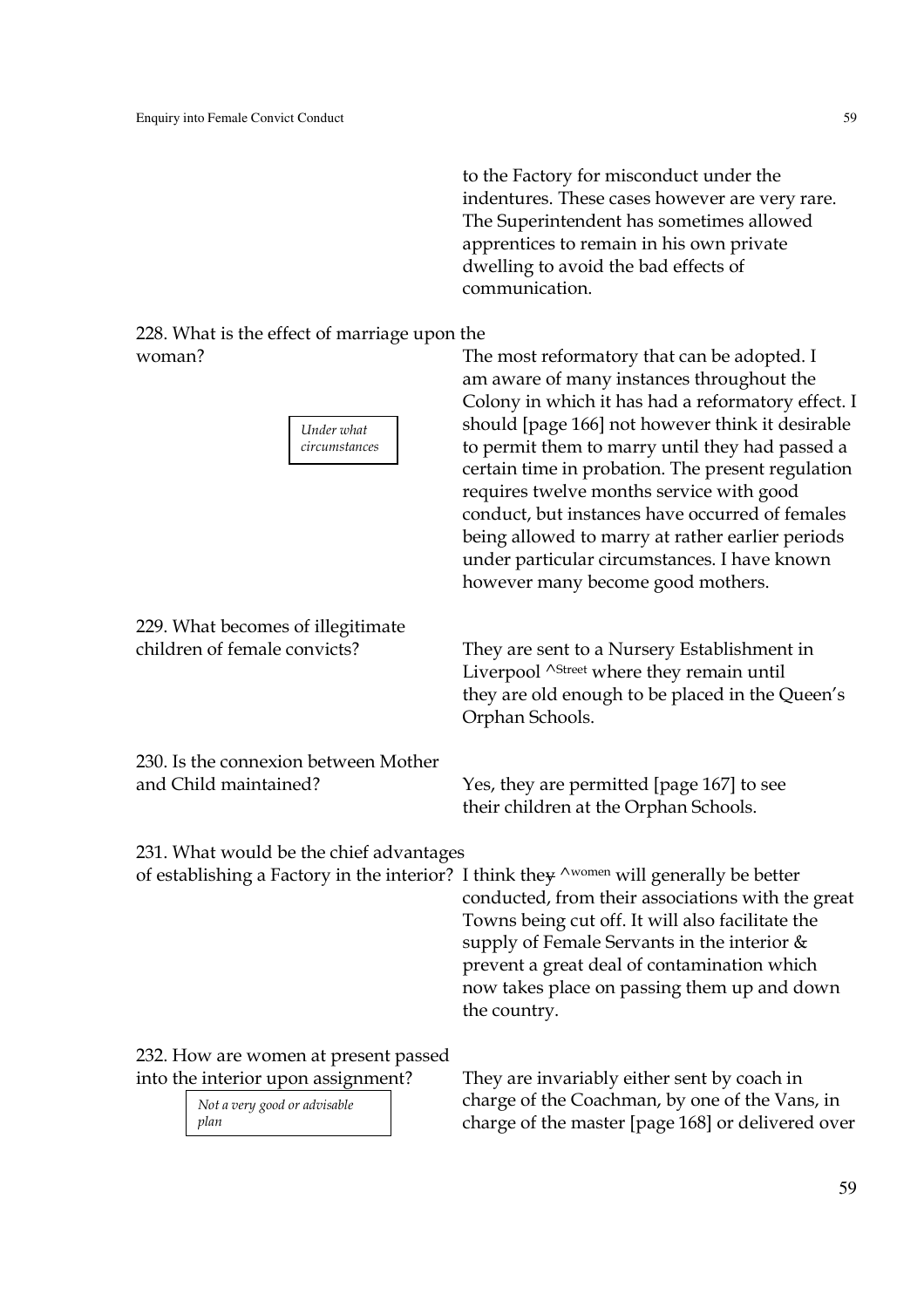to the Factory for misconduct under the indentures. These cases however are very rare. The Superintendent has sometimes allowed apprentices to remain in his own private dwelling to avoid the bad effects of communication.

am aware of many instances throughout the

228. What is the effect of marriage upon the woman? The most reformatory that can be adopted. I

| Under what<br>circumstances                                   | Colony in which it has had a reformatory effect. I<br>should [page 166] not however think it desirable<br>to permit them to marry until they had passed a<br>certain time in probation. The present regulation<br>requires twelve months service with good<br>conduct, but instances have occurred of females<br>being allowed to marry at rather earlier periods<br>under particular circumstances. I have known<br>however many become good mothers. |
|---------------------------------------------------------------|--------------------------------------------------------------------------------------------------------------------------------------------------------------------------------------------------------------------------------------------------------------------------------------------------------------------------------------------------------------------------------------------------------------------------------------------------------|
| 229. What becomes of illegitimate                             |                                                                                                                                                                                                                                                                                                                                                                                                                                                        |
| children of female convicts?                                  | They are sent to a Nursery Establishment in<br>Liverpool ^Street where they remain until<br>they are old enough to be placed in the Queen's<br>Orphan Schools.                                                                                                                                                                                                                                                                                         |
| 230. Is the connexion between Mother<br>and Child maintained? | Yes, they are permitted [page 167] to see<br>their children at the Orphan Schools.                                                                                                                                                                                                                                                                                                                                                                     |
| 231. What would be the chief advantages                       |                                                                                                                                                                                                                                                                                                                                                                                                                                                        |
|                                                               | of establishing a Factory in the interior? I think they Nwomen will generally be better<br>conducted, from their associations with the great<br>Towns being cut off. It will also facilitate the<br>supply of Female Servants in the interior &<br>prevent a great deal of contamination which<br>now takes place on passing them up and down<br>the country.                                                                                          |
| 232. How are women at present passed                          |                                                                                                                                                                                                                                                                                                                                                                                                                                                        |
| into the interior upon assignment?<br>$\mathbf{v}$            | They are invariably either sent by coach in<br>charge of the Coachman $\frac{1}{2}$ one of the Vans in                                                                                                                                                                                                                                                                                                                                                 |

Not a very good or advisable plan

charge of the Coachman, by one of the Vans, in charge of the master [page 168] or delivered over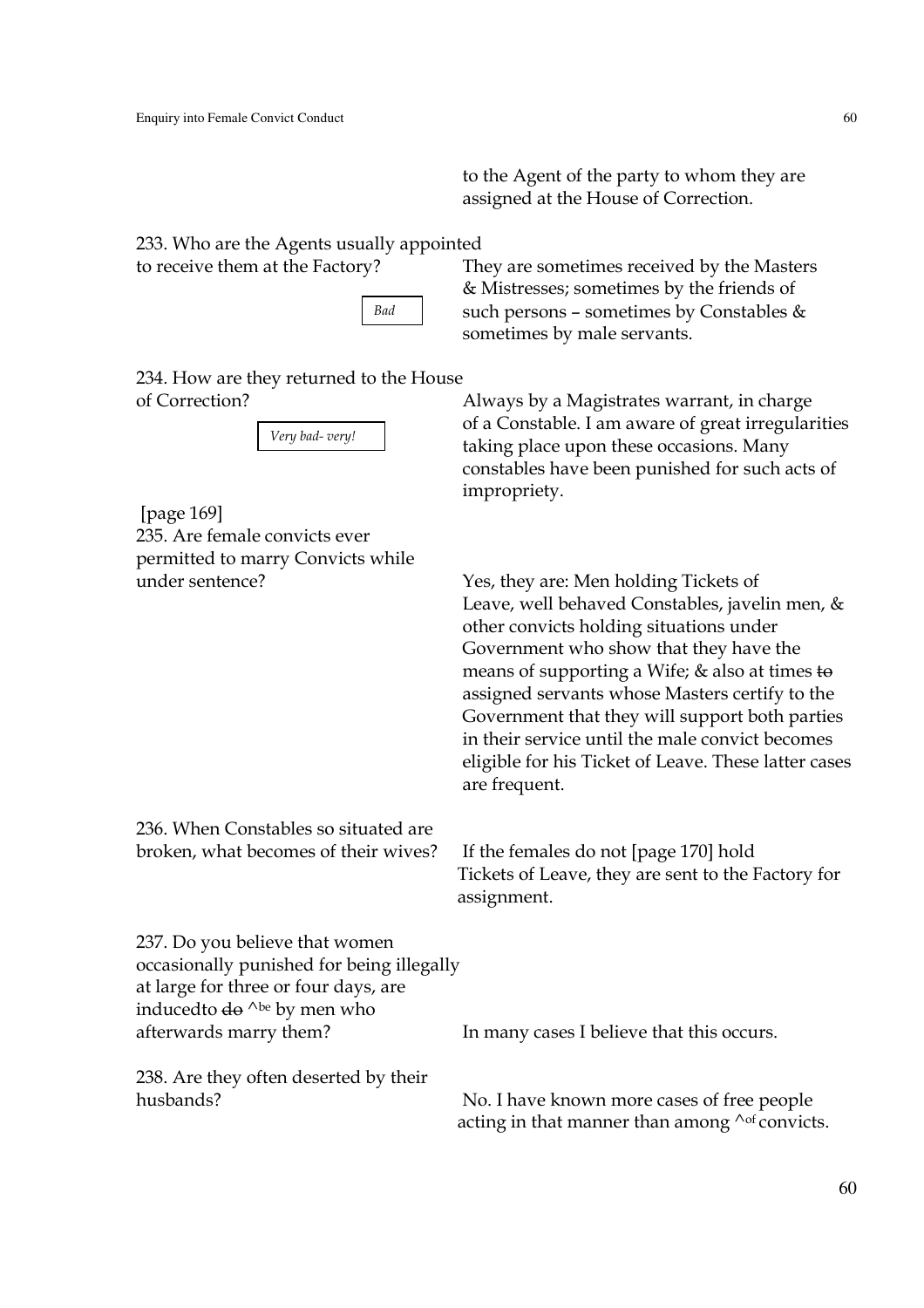to the Agent of the party to whom they are assigned at the House of Correction.

233. Who are the Agents usually appointed to receive them at the Factory? They are sometimes received by the Masters & Mistresses; sometimes by the friends of such persons – sometimes by Constables & sometimes by male servants. 234. How are they returned to the House of Correction? Always by a Magistrates warrant, in charge of a Constable. I am aware of great irregularities taking place upon these occasions. Many constables have been punished for such acts of impropriety. [page 169] 235. Are female convicts ever permitted to marry Convicts while under sentence? Yes, they are: Men holding Tickets of Leave, well behaved Constables, javelin men, & other convicts holding situations under Government who show that they have the means of supporting a Wife; & also at times to assigned servants whose Masters certify to the Government that they will support both parties in their service until the male convict becomes eligible for his Ticket of Leave. These latter cases are frequent. 236. When Constables so situated are broken, what becomes of their wives? If the females do not [page 170] hold Tickets of Leave, they are sent to the Factory for assignment. 237. Do you believe that women occasionally punished for being illegally at large for three or four days, are inducedto  $\frac{d}{dt}$   $\wedge$  be by men who afterwards marry them? In many cases I believe that this occurs. 238. Are they often deserted by their husbands? No. I have known more cases of free people acting in that manner than among <sup> $\wedge$ of</sup> convicts. Bad Very bad- very!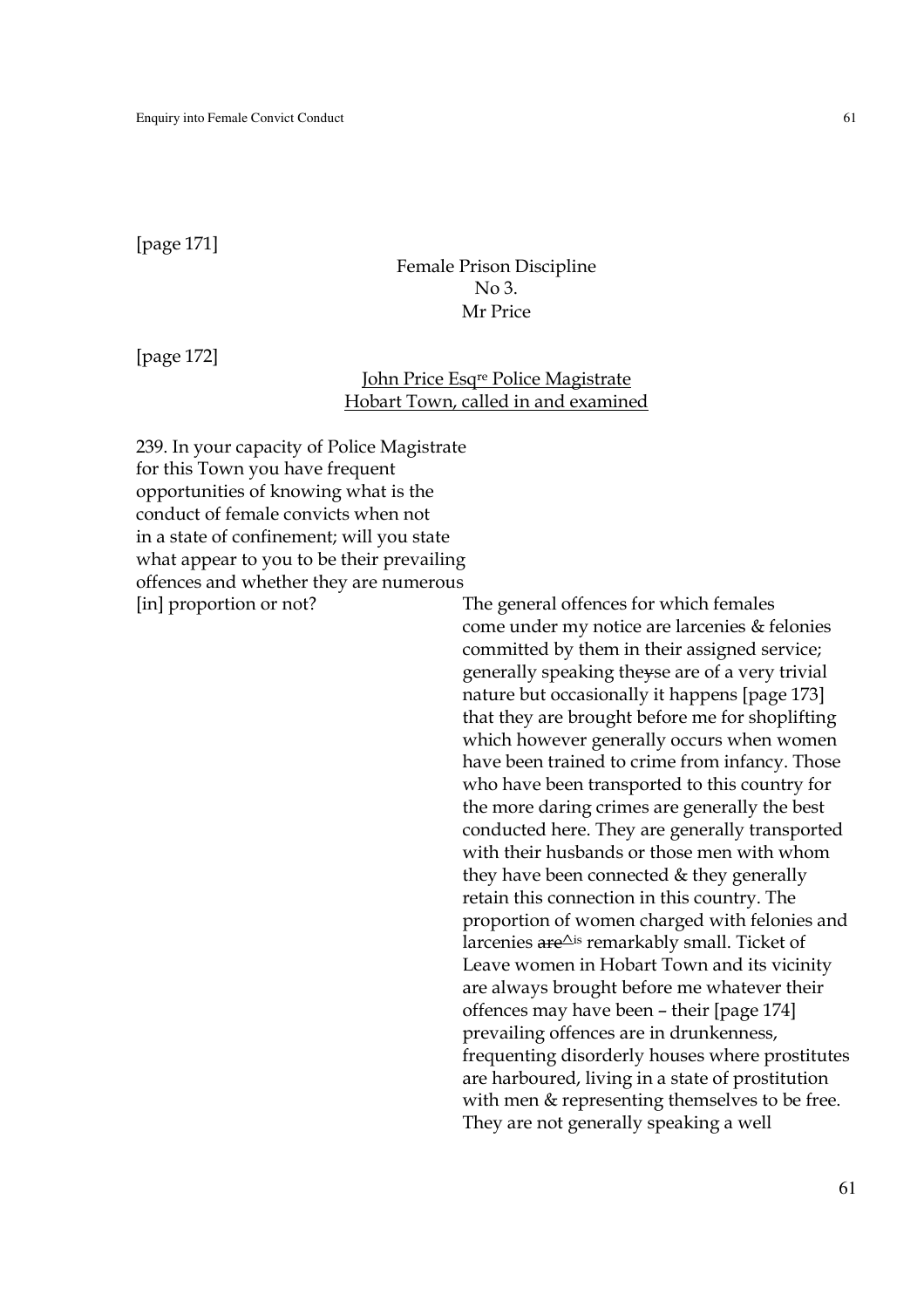[page 171]

#### Female Prison Discipline No 3. Mr Price

[page 172]

#### John Price Esqre Police Magistrate Hobart Town, called in and examined

239. In your capacity of Police Magistrate for this Town you have frequent opportunities of knowing what is the conduct of female convicts when not in a state of confinement; will you state what appear to you to be their prevailing offences and whether they are numerous [in] proportion or not? The general offences for which females

come under my notice are larcenies & felonies committed by them in their assigned service; generally speaking theyse are of a very trivial nature but occasionally it happens [page 173] that they are brought before me for shoplifting which however generally occurs when women have been trained to crime from infancy. Those who have been transported to this country for the more daring crimes are generally the best conducted here. They are generally transported with their husbands or those men with whom they have been connected & they generally retain this connection in this country. The proportion of women charged with felonies and larcenies  $\arctan \frac{\Delta}{s}$  remarkably small. Ticket of Leave women in Hobart Town and its vicinity are always brought before me whatever their offences may have been – their [page 174] prevailing offences are in drunkenness, frequenting disorderly houses where prostitutes are harboured, living in a state of prostitution with men & representing themselves to be free. They are not generally speaking a well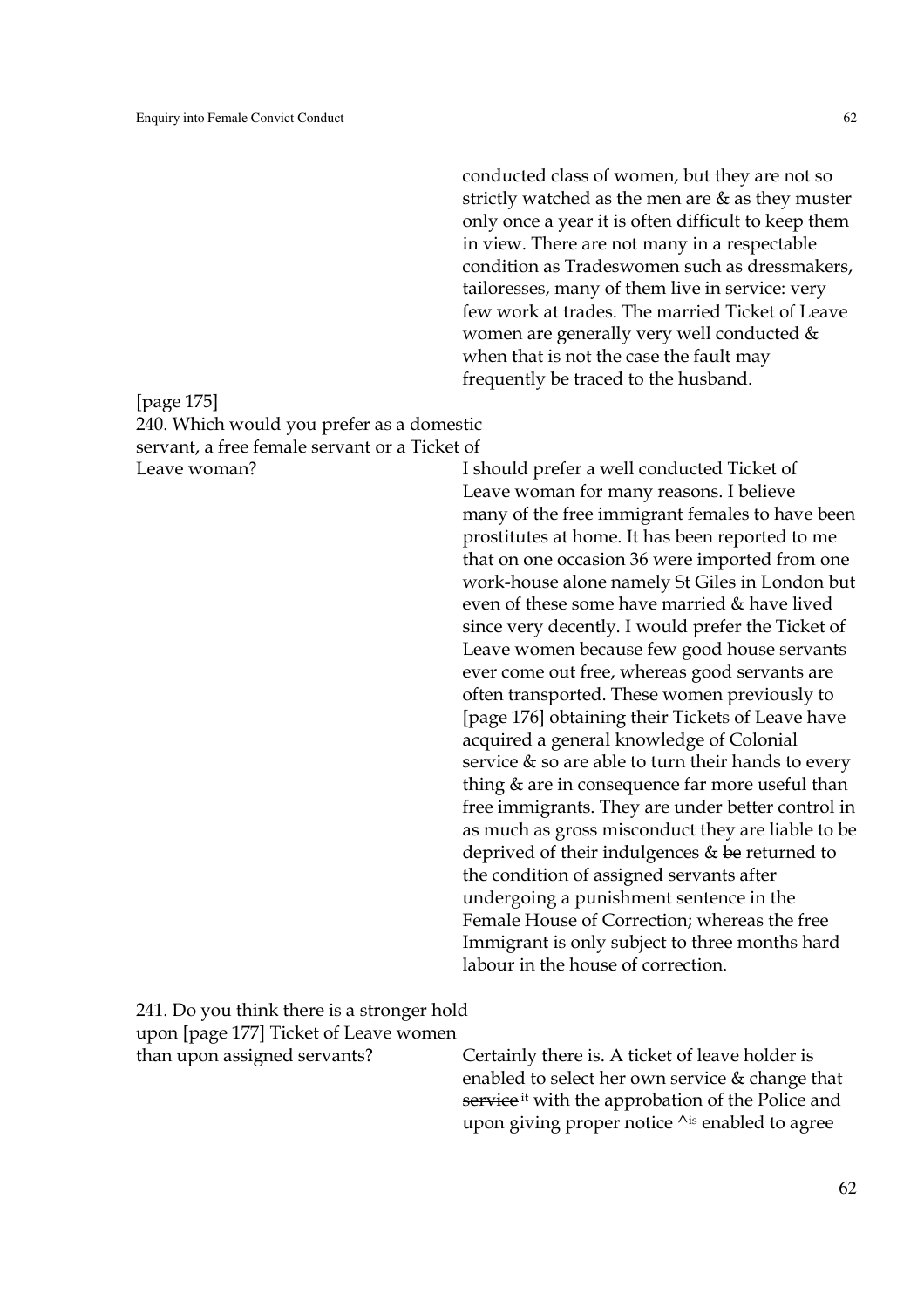conducted class of women, but they are not so strictly watched as the men are & as they muster only once a year it is often difficult to keep them in view. There are not many in a respectable condition as Tradeswomen such as dressmakers, tailoresses, many of them live in service: very few work at trades. The married Ticket of Leave women are generally very well conducted & when that is not the case the fault may frequently be traced to the husband.

#### [page 175] 240. Which would you prefer as a domestic servant, a free female servant or a Ticket of

Leave woman? I should prefer a well conducted Ticket of Leave woman for many reasons. I believe many of the free immigrant females to have been prostitutes at home. It has been reported to me that on one occasion 36 were imported from one work-house alone namely St Giles in London but even of these some have married & have lived since very decently. I would prefer the Ticket of Leave women because few good house servants ever come out free, whereas good servants are often transported. These women previously to [page 176] obtaining their Tickets of Leave have acquired a general knowledge of Colonial service & so are able to turn their hands to every thing & are in consequence far more useful than free immigrants. They are under better control in as much as gross misconduct they are liable to be deprived of their indulgences & be returned to the condition of assigned servants after undergoing a punishment sentence in the Female House of Correction; whereas the free Immigrant is only subject to three months hard labour in the house of correction.

# 241. Do you think there is a stronger hold upon [page 177] Ticket of Leave women than upon assigned servants? Certainly there is. A ticket of leave holder is

enabled to select her own service & change that service it with the approbation of the Police and upon giving proper notice  $\wedge$ is enabled to agree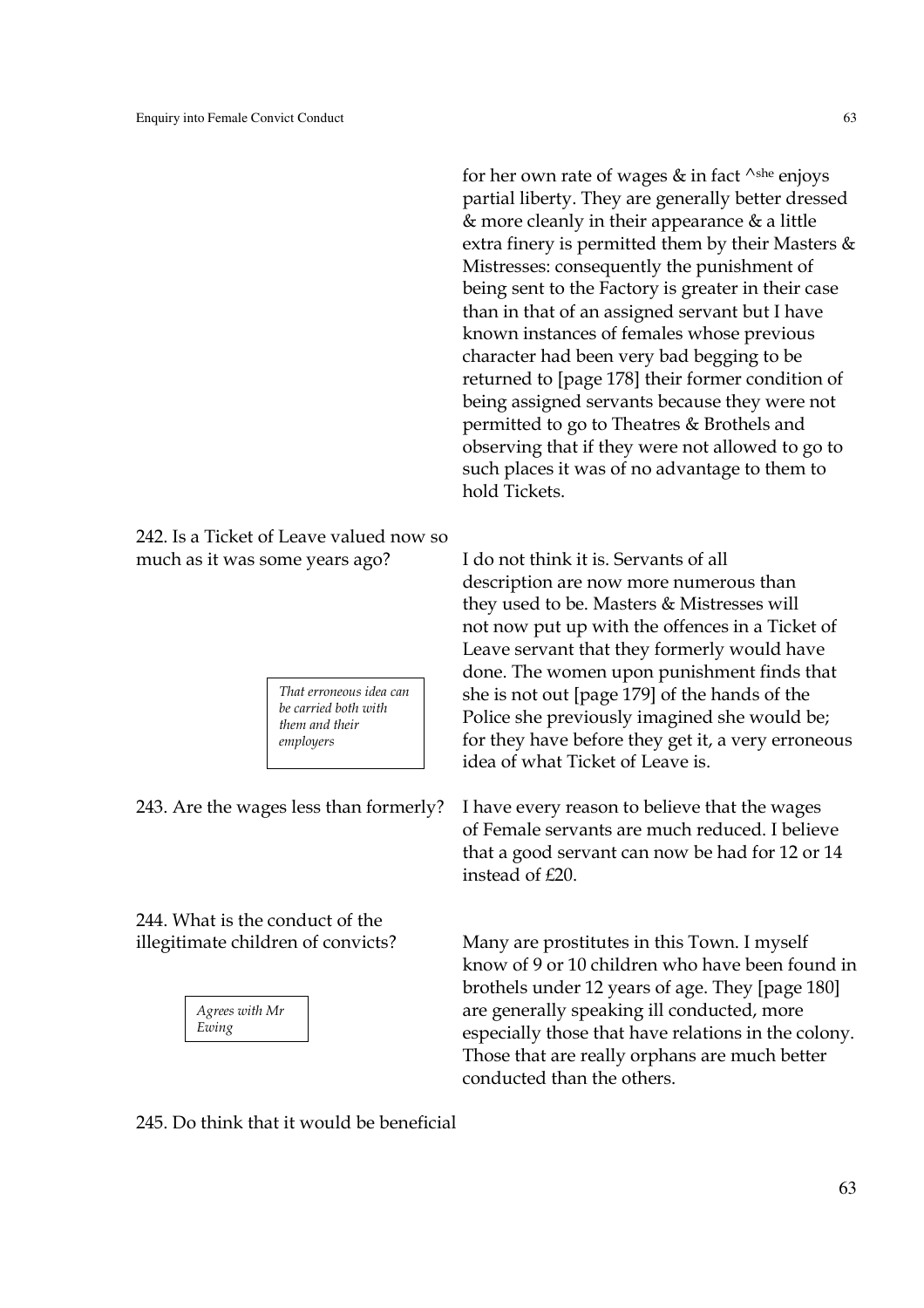242. Is a Ticket of Leave valued now so much as it was some years ago? I do not think it is. Servants of all

| That erroneous idea can |  |
|-------------------------|--|
| be carried both with    |  |
| them and their          |  |
| employers               |  |

244. What is the conduct of the

Agrees with Mr Ewing

for her own rate of wages  $\&$  in fact  $\wedge$ she enjoys partial liberty. They are generally better dressed & more cleanly in their appearance & a little extra finery is permitted them by their Masters & Mistresses: consequently the punishment of being sent to the Factory is greater in their case than in that of an assigned servant but I have known instances of females whose previous character had been very bad begging to be returned to [page 178] their former condition of being assigned servants because they were not permitted to go to Theatres & Brothels and observing that if they were not allowed to go to such places it was of no advantage to them to hold Tickets.

description are now more numerous than they used to be. Masters & Mistresses will not now put up with the offences in a Ticket of Leave servant that they formerly would have done. The women upon punishment finds that she is not out [page 179] of the hands of the Police she previously imagined she would be; for they have before they get it, a very erroneous idea of what Ticket of Leave is.

243. Are the wages less than formerly? I have every reason to believe that the wages of Female servants are much reduced. I believe that a good servant can now be had for 12 or 14 instead of £20.

illegitimate children of convicts? Many are prostitutes in this Town. I myself know of 9 or 10 children who have been found in brothels under 12 years of age. They [page 180] are generally speaking ill conducted, more especially those that have relations in the colony. Those that are really orphans are much better conducted than the others.

245. Do think that it would be beneficial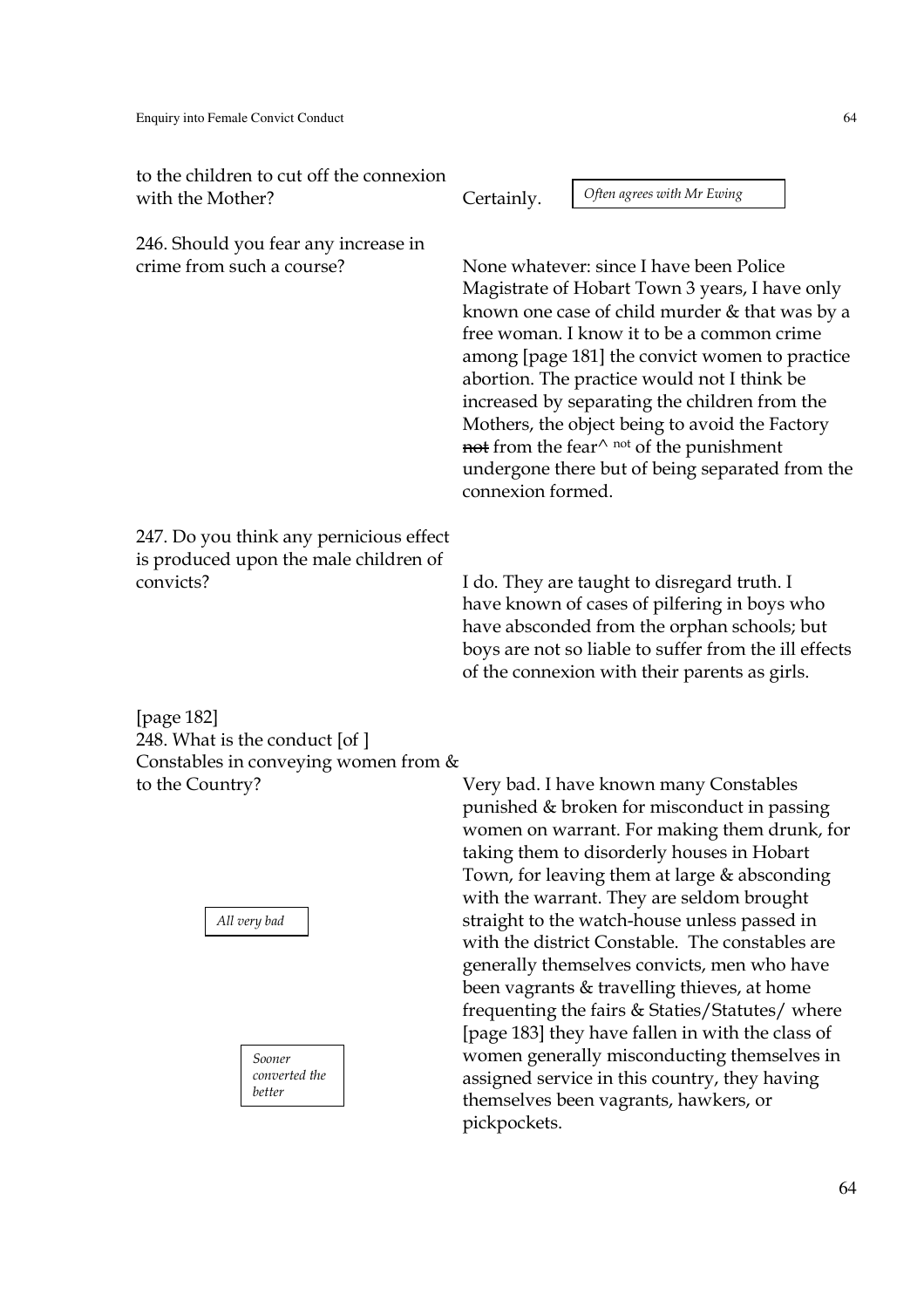| to the children to cut off the connexion<br>with the Mother?                                                            | Certainly.        | Often agrees with Mr Ewing                                                                                                                                                                                                                                                                                                                                                                                                                                                                                                 |  |
|-------------------------------------------------------------------------------------------------------------------------|-------------------|----------------------------------------------------------------------------------------------------------------------------------------------------------------------------------------------------------------------------------------------------------------------------------------------------------------------------------------------------------------------------------------------------------------------------------------------------------------------------------------------------------------------------|--|
| 246. Should you fear any increase in<br>crime from such a course?                                                       | connexion formed. | None whatever: since I have been Police<br>Magistrate of Hobart Town 3 years, I have only<br>known one case of child murder & that was by a<br>free woman. I know it to be a common crime<br>among [page 181] the convict women to practice<br>abortion. The practice would not I think be<br>increased by separating the children from the<br>Mothers, the object being to avoid the Factory<br>not from the fear <sup><math>\wedge</math> not of the punishment</sup><br>undergone there but of being separated from the |  |
| 247. Do you think any pernicious effect<br>is produced upon the male children of<br>convicts?                           |                   | I do. They are taught to disregard truth. I<br>have known of cases of pilfering in boys who<br>have absconded from the orphan schools; but<br>boys are not so liable to suffer from the ill effects<br>of the connexion with their parents as girls.                                                                                                                                                                                                                                                                       |  |
| [page 182]<br>248. What is the conduct [of ]<br>Constables in conveying women from &<br>to the Country?<br>All very bad |                   | Very bad. I have known many Constables<br>punished & broken for misconduct in passing<br>women on warrant. For making them drunk, for<br>taking them to disorderly houses in Hobart<br>Town, for leaving them at large & absconding<br>with the warrant. They are seldom brought<br>straight to the watch-house unless passed in<br>with the district Constable. The constables are<br>generally themselves convicts, men who have<br>been vagrants & travelling thieves, at home                                          |  |

Sooner converted the better

64

[page 183] they have fallen in with the class of women generally misconducting themselves in assigned service in this country, they having

themselves been vagrants, hawkers, or

pickpockets.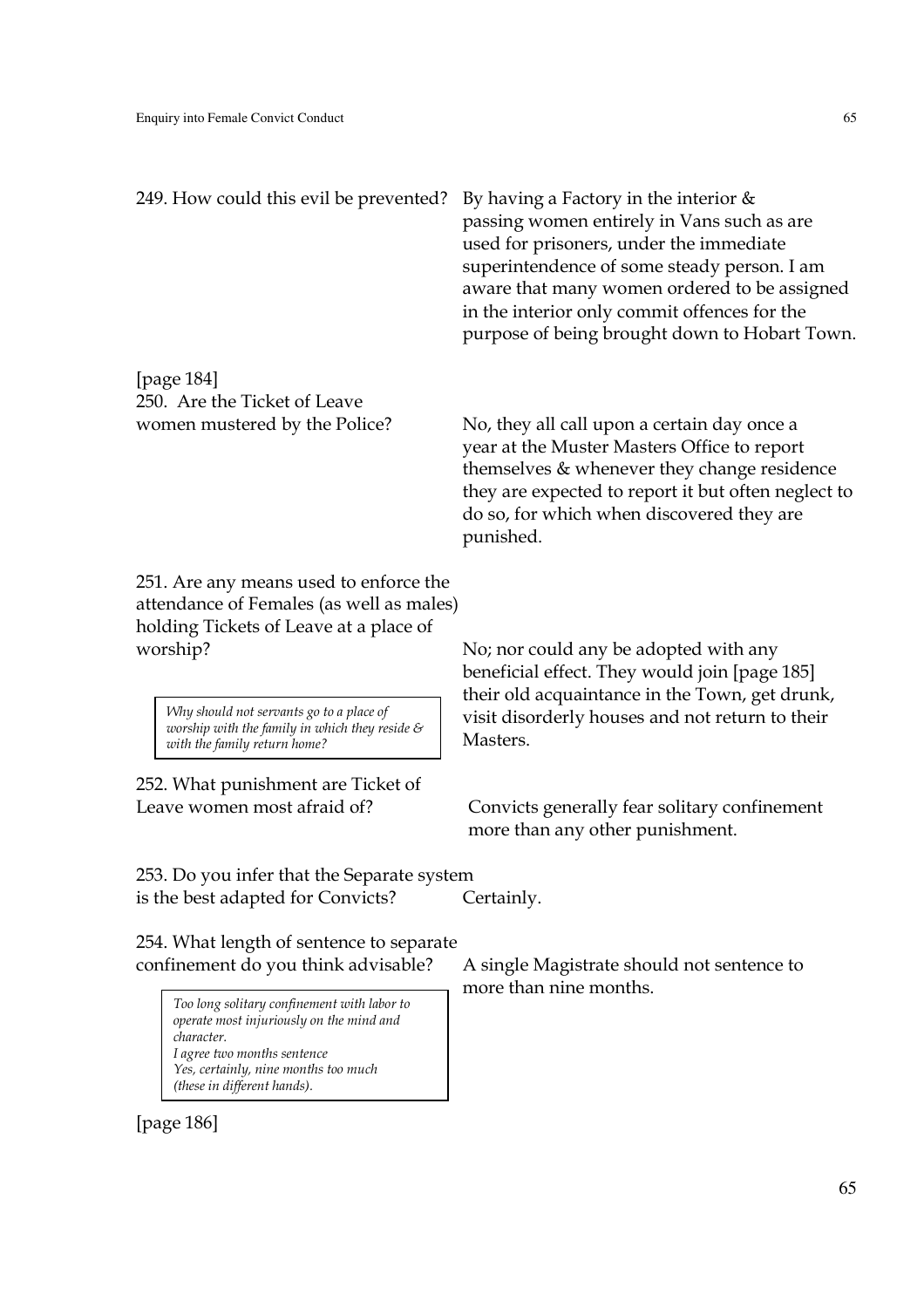| 249. How could this evil be prevented?        | By having a Factory in the interior $\&$<br>passing women entirely in Vans such as are<br>used for prisoners, under the immediate<br>superintendence of some steady person. I am<br>aware that many women ordered to be assigned<br>in the interior only commit offences for the<br>purpose of being brought down to Hobart Town. |
|-----------------------------------------------|-----------------------------------------------------------------------------------------------------------------------------------------------------------------------------------------------------------------------------------------------------------------------------------------------------------------------------------|
| [page $184$ ]<br>250. Are the Ticket of Leave |                                                                                                                                                                                                                                                                                                                                   |

women mustered by the Police? No, they all call upon a certain day once a

punished.

251. Are any means used to enforce the attendance of Females (as well as males) holding Tickets of Leave at a place of

Why should not servants go to a place of worship with the family in which they reside & with the family return home?

252. What punishment are Ticket of

253. Do you infer that the Separate system is the best adapted for Convicts? Certainly.

254. What length of sentence to separate

Too long solitary confinement with labor to operate most injuriously on the mind and character. I agree two months sentence Yes, certainly, nine months too much (these in different hands).

[page 186]

worship? No; nor could any be adopted with any beneficial effect. They would join [page 185] their old acquaintance in the Town, get drunk, visit disorderly houses and not return to their Masters.

year at the Muster Masters Office to report themselves & whenever they change residence they are expected to report it but often neglect to

do so, for which when discovered they are

Leave women most afraid of? Convicts generally fear solitary confinement more than any other punishment.

confinement do you think advisable? A single Magistrate should not sentence to more than nine months.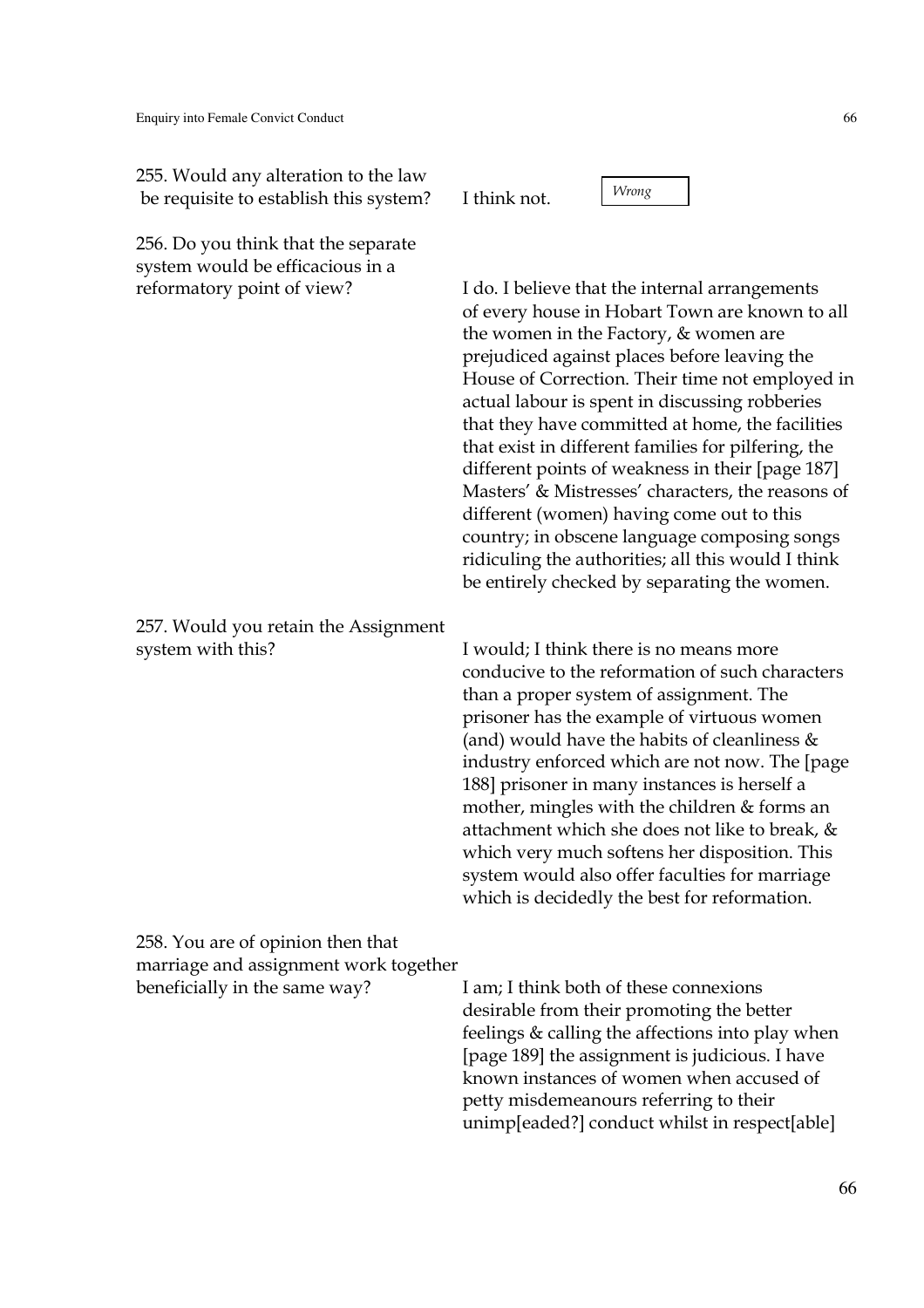| 255. Would any alteration to the law<br>be requisite to establish this system?                              | Wrong<br>I think not.                                                                                                                                                                                                                                                                                                                                                                                                                                                                                                                                                                                                                                                                                                 |
|-------------------------------------------------------------------------------------------------------------|-----------------------------------------------------------------------------------------------------------------------------------------------------------------------------------------------------------------------------------------------------------------------------------------------------------------------------------------------------------------------------------------------------------------------------------------------------------------------------------------------------------------------------------------------------------------------------------------------------------------------------------------------------------------------------------------------------------------------|
| 256. Do you think that the separate<br>system would be efficacious in a<br>reformatory point of view?       | I do. I believe that the internal arrangements<br>of every house in Hobart Town are known to all<br>the women in the Factory, & women are<br>prejudiced against places before leaving the<br>House of Correction. Their time not employed in<br>actual labour is spent in discussing robberies<br>that they have committed at home, the facilities<br>that exist in different families for pilfering, the<br>different points of weakness in their [page 187]<br>Masters' & Mistresses' characters, the reasons of<br>different (women) having come out to this<br>country; in obscene language composing songs<br>ridiculing the authorities; all this would I think<br>be entirely checked by separating the women. |
| 257. Would you retain the Assignment<br>system with this?                                                   | I would; I think there is no means more<br>conducive to the reformation of such characters<br>than a proper system of assignment. The<br>prisoner has the example of virtuous women<br>(and) would have the habits of cleanliness $\&$<br>industry enforced which are not now. The [page<br>188] prisoner in many instances is herself a<br>mother, mingles with the children & forms an<br>attachment which she does not like to break, &<br>which very much softens her disposition. This<br>system would also offer faculties for marriage<br>which is decidedly the best for reformation.                                                                                                                         |
| 258. You are of opinion then that<br>marriage and assignment work together<br>beneficially in the same way? | I am; I think both of these connexions<br>desirable from their promoting the better<br>feelings & calling the affections into play when<br>[page 189] the assignment is judicious. I have<br>known instances of women when accused of<br>petty misdemeanours referring to their<br>unimp[eaded?] conduct whilst in respect[able]                                                                                                                                                                                                                                                                                                                                                                                      |

66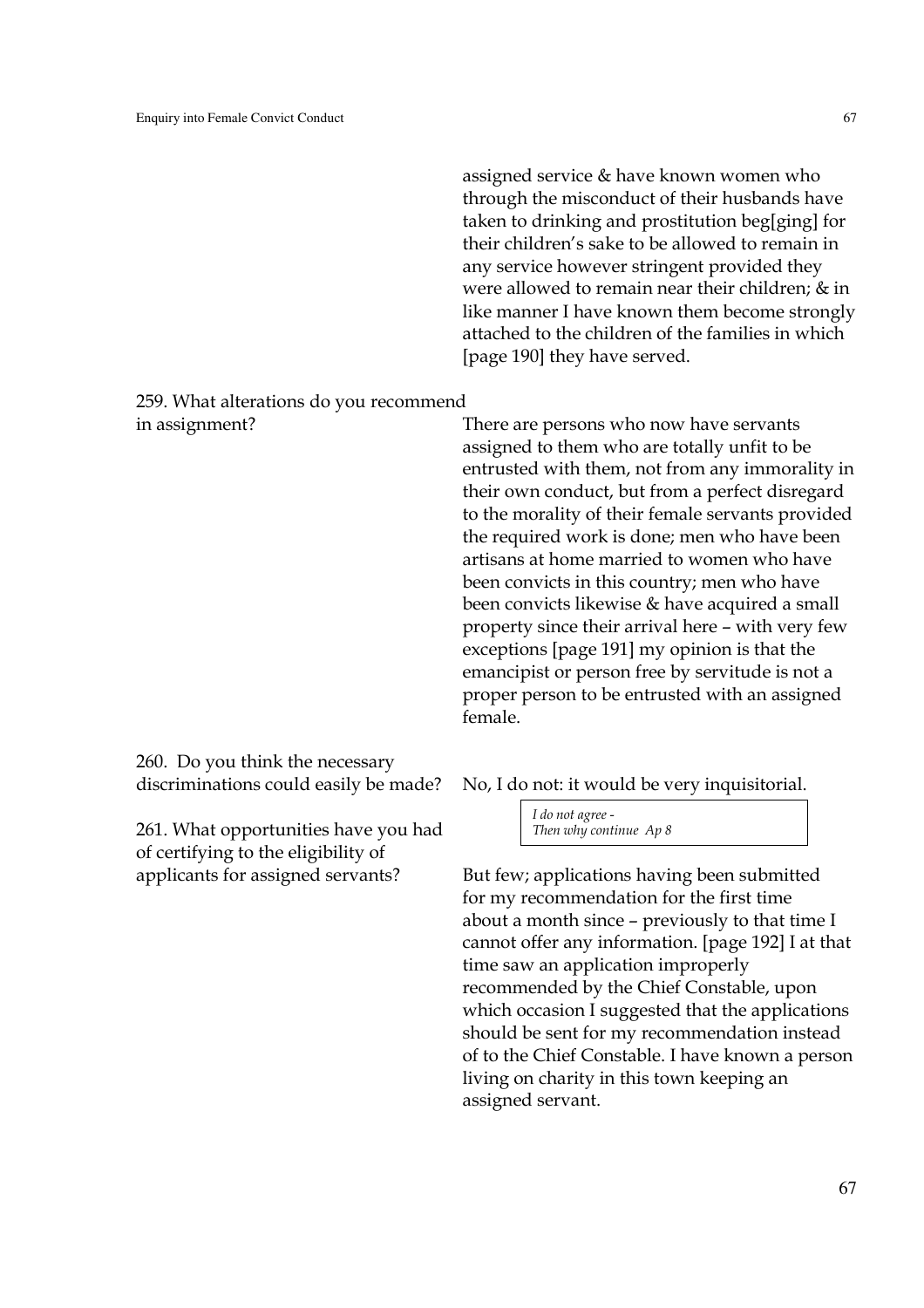assigned service & have known women who through the misconduct of their husbands have taken to drinking and prostitution beg[ging] for their children's sake to be allowed to remain in any service however stringent provided they were allowed to remain near their children; & in like manner I have known them become strongly attached to the children of the families in which [page 190] they have served.

### 259. What alterations do you recommend

in assignment? There are persons who now have servants assigned to them who are totally unfit to be entrusted with them, not from any immorality in their own conduct, but from a perfect disregard to the morality of their female servants provided the required work is done; men who have been artisans at home married to women who have been convicts in this country; men who have been convicts likewise & have acquired a small property since their arrival here – with very few exceptions [page 191] my opinion is that the emancipist or person free by servitude is not a proper person to be entrusted with an assigned female.

260. Do you think the necessary

261. What opportunities have you had of certifying to the eligibility of

discriminations could easily be made? No, I do not: it would be very inquisitorial.

I do not agree - Then why continue Ap 8

applicants for assigned servants? But few; applications having been submitted for my recommendation for the first time about a month since – previously to that time I cannot offer any information. [page 192] I at that time saw an application improperly recommended by the Chief Constable, upon which occasion I suggested that the applications should be sent for my recommendation instead of to the Chief Constable. I have known a person living on charity in this town keeping an assigned servant.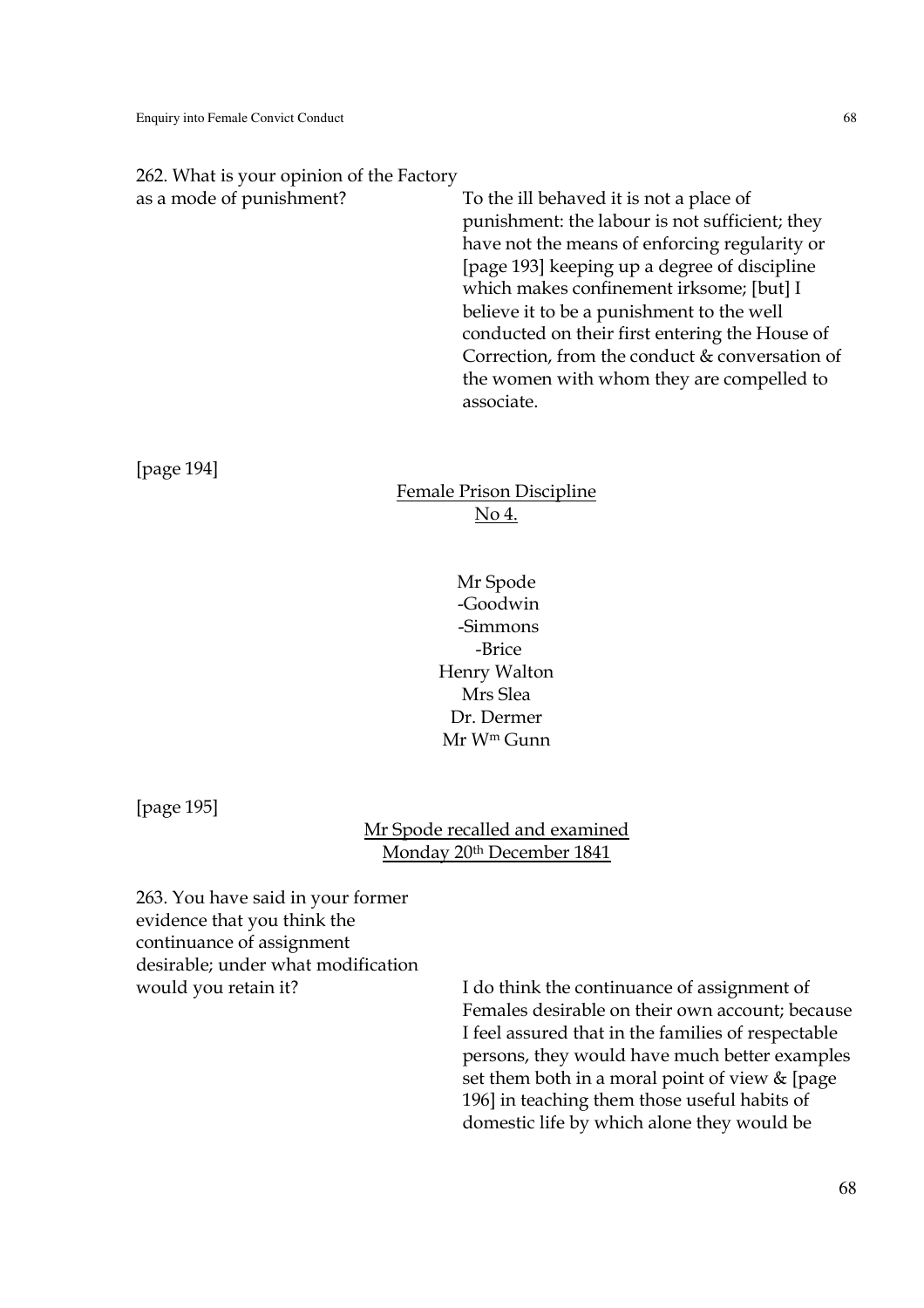# 262. What is your opinion of the Factory

as a mode of punishment? To the ill behaved it is not a place of punishment: the labour is not sufficient; they have not the means of enforcing regularity or [page 193] keeping up a degree of discipline which makes confinement irksome; [but] I believe it to be a punishment to the well conducted on their first entering the House of Correction, from the conduct & conversation of the women with whom they are compelled to associate.

[page 194]

#### Female Prison Discipline No 4.

Mr Spode -Goodwin -Simmons -Brice Henry Walton Mrs Slea Dr. Dermer Mr W<sup>m</sup> Gunn

[page 195]

#### Mr Spode recalled and examined Monday 20th December 1841

263. You have said in your former evidence that you think the continuance of assignment desirable; under what modification

would you retain it? I do think the continuance of assignment of Females desirable on their own account; because I feel assured that in the families of respectable persons, they would have much better examples set them both in a moral point of view & [page 196] in teaching them those useful habits of domestic life by which alone they would be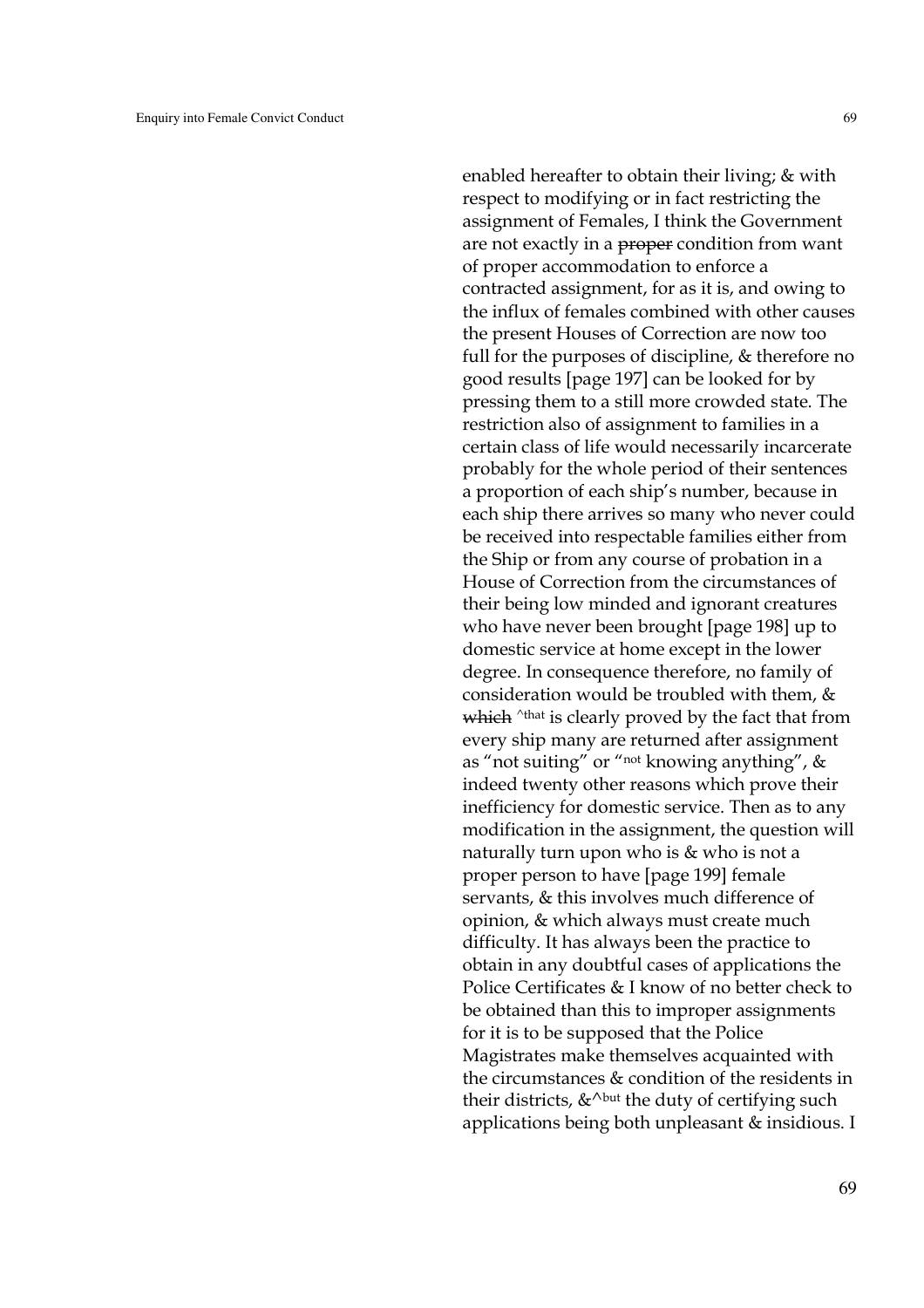enabled hereafter to obtain their living; & with respect to modifying or in fact restricting the assignment of Females, I think the Government are not exactly in a **proper** condition from want of proper accommodation to enforce a contracted assignment, for as it is, and owing to the influx of females combined with other causes the present Houses of Correction are now too full for the purposes of discipline, & therefore no good results [page 197] can be looked for by pressing them to a still more crowded state. The restriction also of assignment to families in a certain class of life would necessarily incarcerate probably for the whole period of their sentences a proportion of each ship's number, because in each ship there arrives so many who never could be received into respectable families either from the Ship or from any course of probation in a House of Correction from the circumstances of their being low minded and ignorant creatures who have never been brought [page 198] up to domestic service at home except in the lower degree. In consequence therefore, no family of consideration would be troubled with them, & which  $\lambda$ <sup>that</sup> is clearly proved by the fact that from every ship many are returned after assignment as "not suiting" or "not knowing anything", & indeed twenty other reasons which prove their inefficiency for domestic service. Then as to any modification in the assignment, the question will naturally turn upon who is & who is not a proper person to have [page 199] female servants, & this involves much difference of opinion, & which always must create much difficulty. It has always been the practice to obtain in any doubtful cases of applications the Police Certificates & I know of no better check to be obtained than this to improper assignments for it is to be supposed that the Police Magistrates make themselves acquainted with the circumstances & condition of the residents in their districts,  $\&^{\text{Aut}}$  the duty of certifying such applications being both unpleasant & insidious. I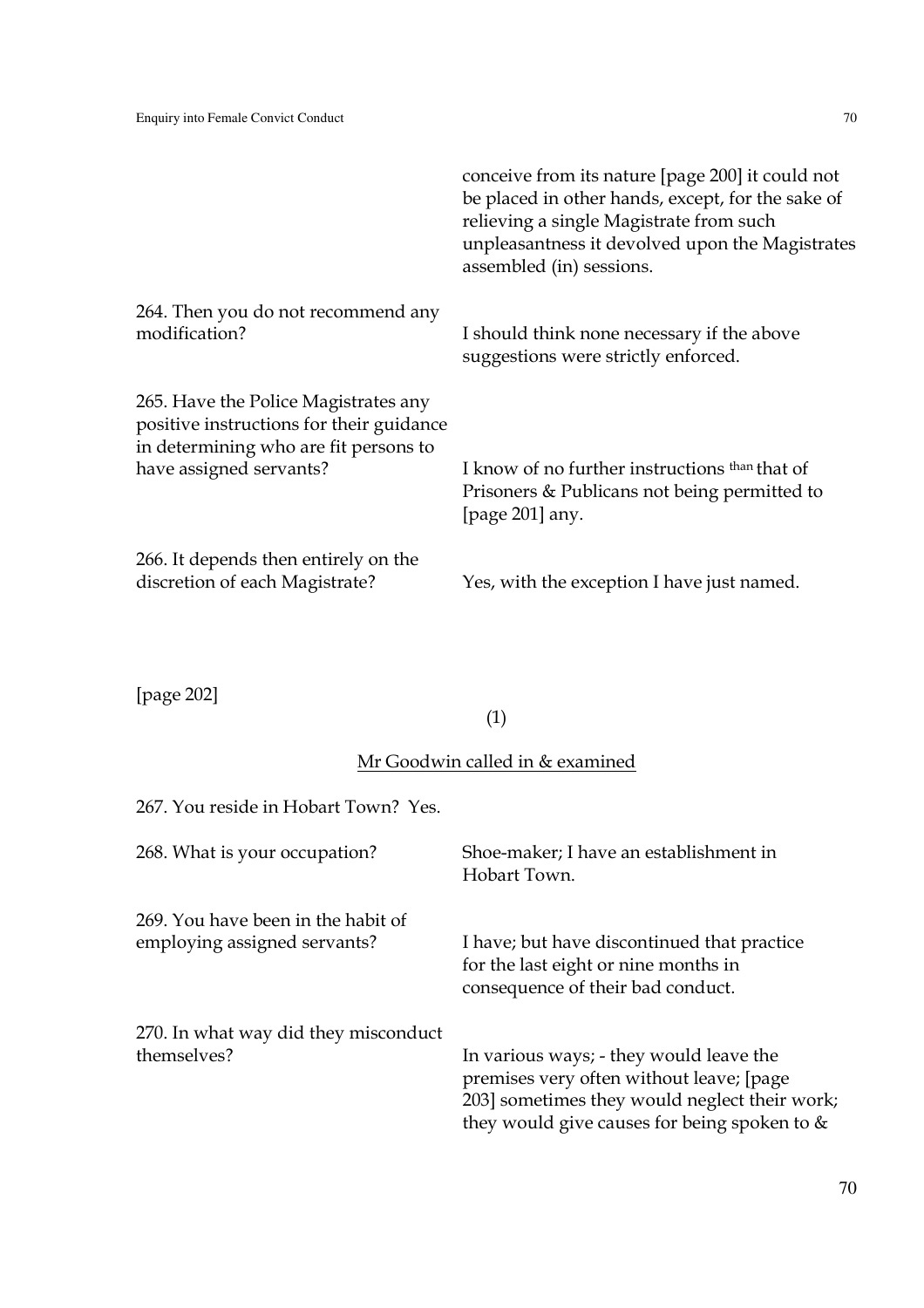|                                                                                                                                                      | conceive from its nature [page 200] it could not<br>be placed in other hands, except, for the sake of<br>relieving a single Magistrate from such<br>unpleasantness it devolved upon the Magistrates<br>assembled (in) sessions. |
|------------------------------------------------------------------------------------------------------------------------------------------------------|---------------------------------------------------------------------------------------------------------------------------------------------------------------------------------------------------------------------------------|
| 264. Then you do not recommend any<br>modification?                                                                                                  | I should think none necessary if the above<br>suggestions were strictly enforced.                                                                                                                                               |
| 265. Have the Police Magistrates any<br>positive instructions for their guidance<br>in determining who are fit persons to<br>have assigned servants? | I know of no further instructions than that of<br>Prisoners & Publicans not being permitted to<br>[page 201] any.                                                                                                               |
| 266. It depends then entirely on the<br>discretion of each Magistrate?                                                                               | Yes, with the exception I have just named.                                                                                                                                                                                      |

[page 202]

(1)

### Mr Goodwin called in & examined

| 267. You reside in Hobart Town? Yes. |                                                                                                                                                                                      |
|--------------------------------------|--------------------------------------------------------------------------------------------------------------------------------------------------------------------------------------|
| 268. What is your occupation?        | Shoe-maker; I have an establishment in<br>Hobart Town.                                                                                                                               |
| 269. You have been in the habit of   |                                                                                                                                                                                      |
| employing assigned servants?         | I have; but have discontinued that practice<br>for the last eight or nine months in<br>consequence of their bad conduct.                                                             |
| 270. In what way did they misconduct |                                                                                                                                                                                      |
| themselves?                          | In various ways; - they would leave the<br>premises very often without leave; [page<br>203] sometimes they would neglect their work;<br>they would give causes for being spoken to & |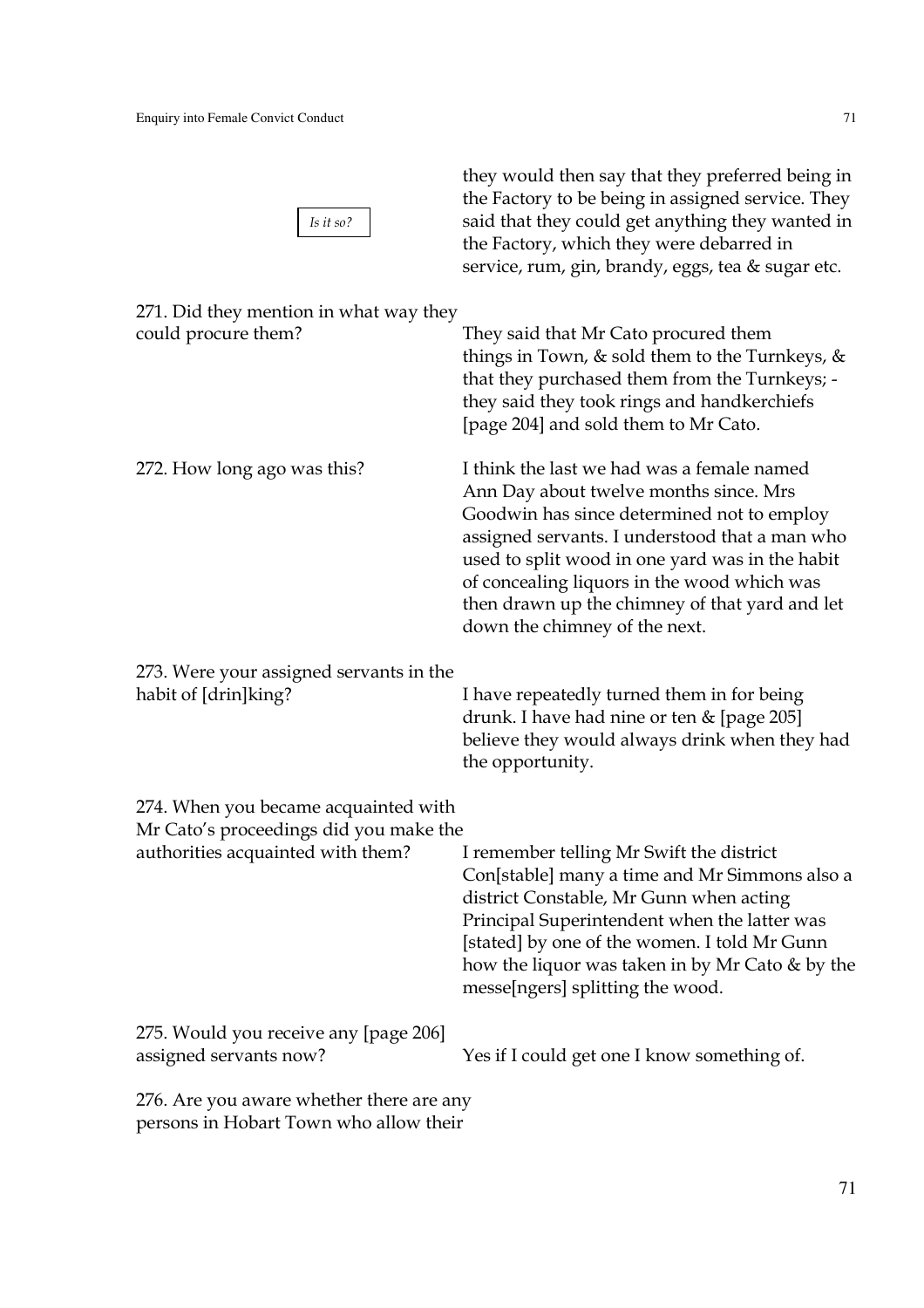| it so? |  |
|--------|--|

they would then say that they preferred being in the Factory to be being in assigned service. They said that they could get anything they wanted in the Factory, which they were debarred in service, rum, gin, brandy, eggs, tea & sugar etc.

| 271. Did they mention in what way they                                      |                                                                                                                                                                                                                                                                                                                                                                           |
|-----------------------------------------------------------------------------|---------------------------------------------------------------------------------------------------------------------------------------------------------------------------------------------------------------------------------------------------------------------------------------------------------------------------------------------------------------------------|
| could procure them?                                                         | They said that Mr Cato procured them<br>things in Town, $\&$ sold them to the Turnkeys, $\&$<br>that they purchased them from the Turnkeys; -<br>they said they took rings and handkerchiefs<br>[page 204] and sold them to Mr Cato.                                                                                                                                      |
| 272. How long ago was this?                                                 | I think the last we had was a female named<br>Ann Day about twelve months since. Mrs<br>Goodwin has since determined not to employ<br>assigned servants. I understood that a man who<br>used to split wood in one yard was in the habit<br>of concealing liquors in the wood which was<br>then drawn up the chimney of that yard and let<br>down the chimney of the next. |
| 273. Were your assigned servants in the                                     |                                                                                                                                                                                                                                                                                                                                                                           |
| habit of [drin]king?                                                        | I have repeatedly turned them in for being<br>drunk. I have had nine or ten & [page 205]<br>believe they would always drink when they had<br>the opportunity.                                                                                                                                                                                                             |
| 274. When you became acquainted with                                        |                                                                                                                                                                                                                                                                                                                                                                           |
| Mr Cato's proceedings did you make the<br>authorities acquainted with them? | I remember telling Mr Swift the district<br>Con[stable] many a time and Mr Simmons also a<br>district Constable, Mr Gunn when acting<br>Principal Superintendent when the latter was<br>[stated] by one of the women. I told Mr Gunn<br>how the liquor was taken in by Mr Cato & by the<br>messe[ngers] splitting the wood.                                               |
| 275. Would you receive any [page 206]<br>assigned servants now?             | Yes if I could get one I know something of.                                                                                                                                                                                                                                                                                                                               |
| 276. Are you aware whether there are any                                    |                                                                                                                                                                                                                                                                                                                                                                           |

persons in Hobart Town who allow their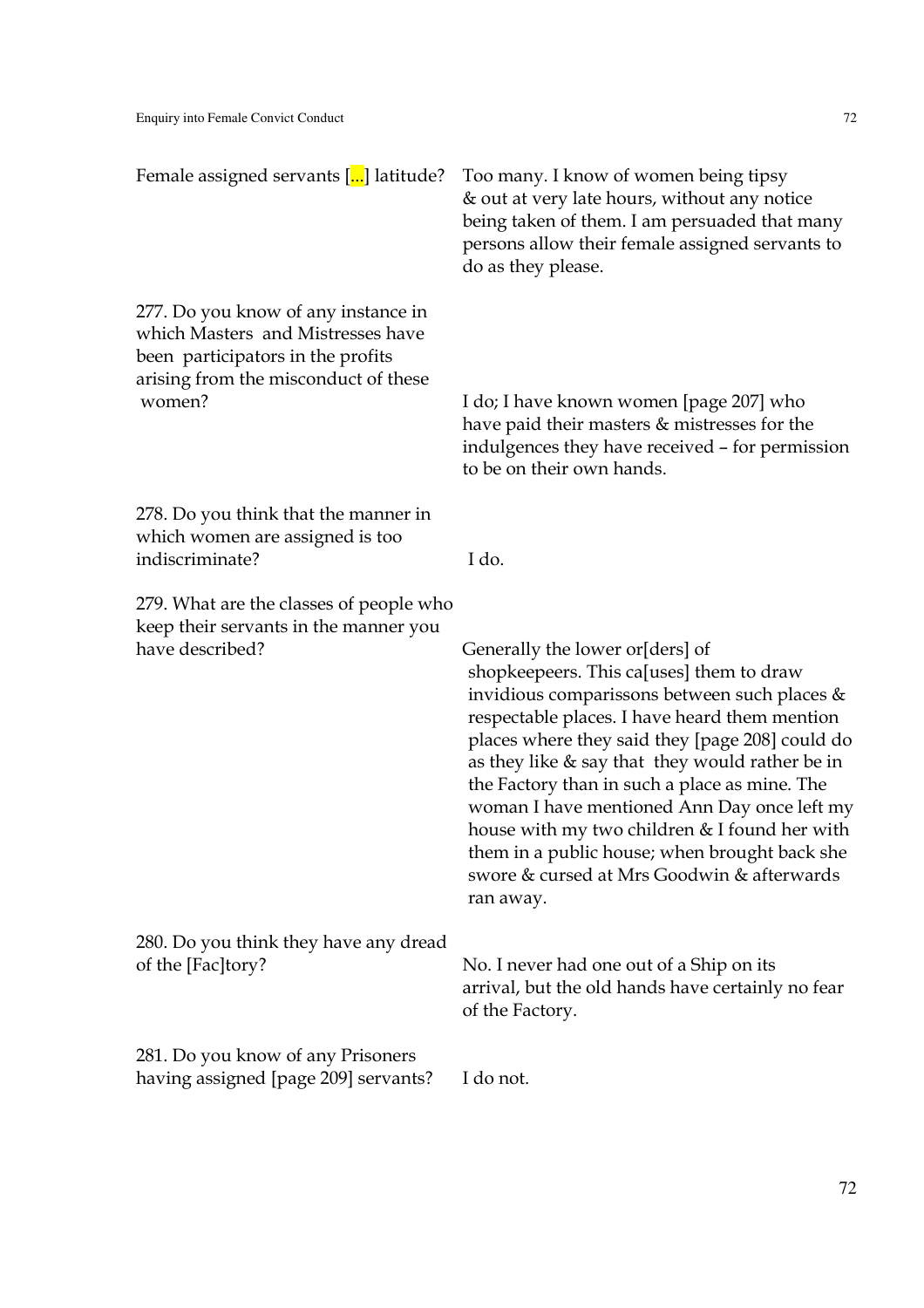| Female assigned servants [] latitude?                                                                                                                           | Too many. I know of women being tipsy<br>& out at very late hours, without any notice<br>being taken of them. I am persuaded that many<br>persons allow their female assigned servants to<br>do as they please.                                                                                                                                                                                                                                                                                                                                 |
|-----------------------------------------------------------------------------------------------------------------------------------------------------------------|-------------------------------------------------------------------------------------------------------------------------------------------------------------------------------------------------------------------------------------------------------------------------------------------------------------------------------------------------------------------------------------------------------------------------------------------------------------------------------------------------------------------------------------------------|
| 277. Do you know of any instance in<br>which Masters and Mistresses have<br>been participators in the profits<br>arising from the misconduct of these<br>women? | I do; I have known women [page 207] who<br>have paid their masters & mistresses for the<br>indulgences they have received - for permission<br>to be on their own hands.                                                                                                                                                                                                                                                                                                                                                                         |
| 278. Do you think that the manner in<br>which women are assigned is too<br>indiscriminate?                                                                      | I do.                                                                                                                                                                                                                                                                                                                                                                                                                                                                                                                                           |
| 279. What are the classes of people who<br>keep their servants in the manner you<br>have described?                                                             | Generally the lower or[ders] of<br>shopkeepeers. This ca[uses] them to draw<br>invidious comparissons between such places &<br>respectable places. I have heard them mention<br>places where they said they [page 208] could do<br>as they like & say that they would rather be in<br>the Factory than in such a place as mine. The<br>woman I have mentioned Ann Day once left my<br>house with my two children & I found her with<br>them in a public house; when brought back she<br>swore & cursed at Mrs Goodwin & afterwards<br>ran away. |
| 280. Do you think they have any dread<br>of the [Fac]tory?                                                                                                      | No. I never had one out of a Ship on its<br>arrival, but the old hands have certainly no fear<br>of the Factory.                                                                                                                                                                                                                                                                                                                                                                                                                                |
| 281. Do you know of any Prisoners<br>having assigned [page 209] servants?                                                                                       | I do not.                                                                                                                                                                                                                                                                                                                                                                                                                                                                                                                                       |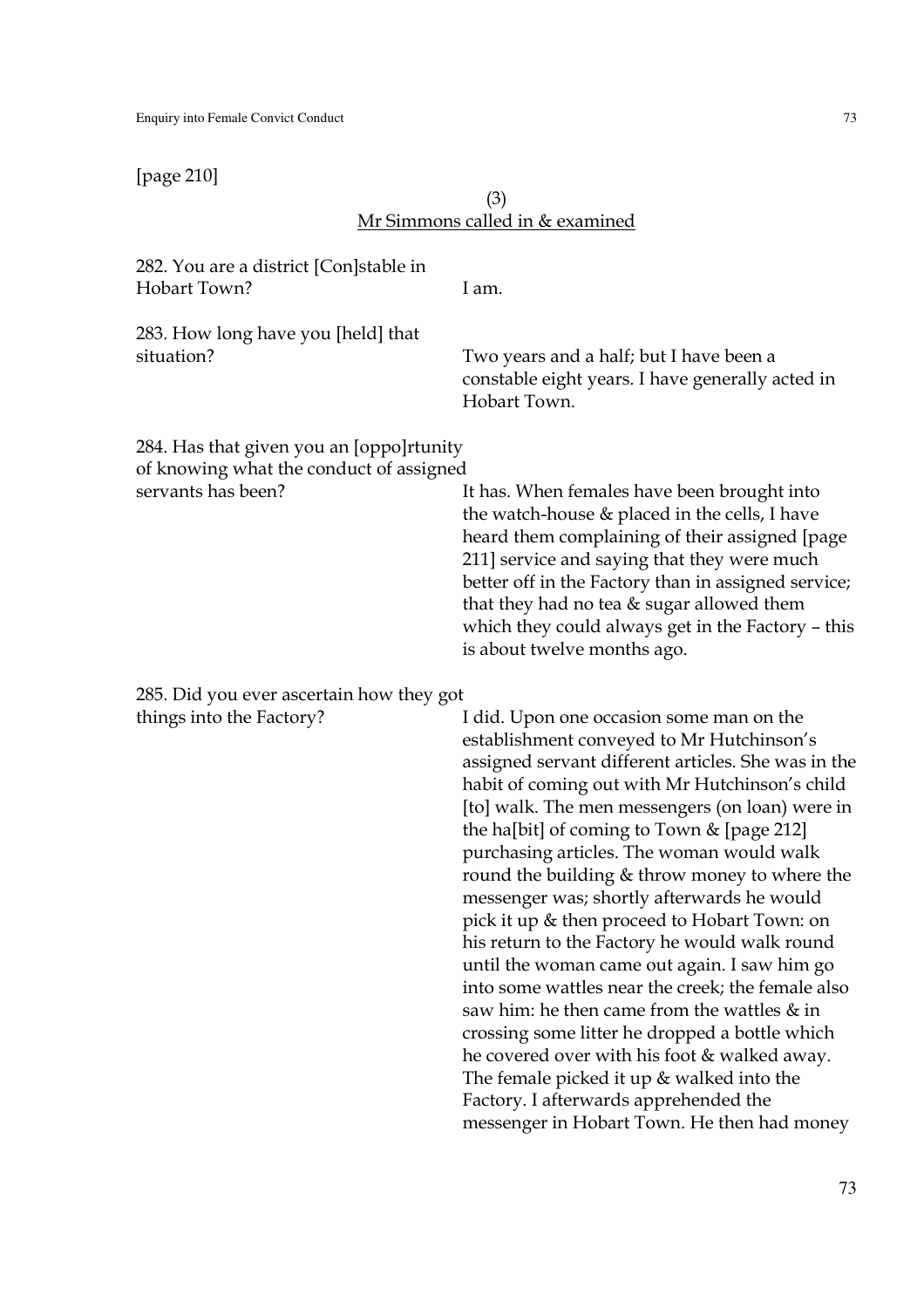[page 210]

## (3) Mr Simmons called in & examined

| 282. You are a district [Con]stable in<br>Hobart Town?                              | I am.                                                                                                                                                                                                                                                                                                                                                                                                                                                                                                                                                                                                                                                                                                                                                                                                                                                                                                                                   |
|-------------------------------------------------------------------------------------|-----------------------------------------------------------------------------------------------------------------------------------------------------------------------------------------------------------------------------------------------------------------------------------------------------------------------------------------------------------------------------------------------------------------------------------------------------------------------------------------------------------------------------------------------------------------------------------------------------------------------------------------------------------------------------------------------------------------------------------------------------------------------------------------------------------------------------------------------------------------------------------------------------------------------------------------|
| 283. How long have you [held] that<br>situation?                                    | Two years and a half; but I have been a<br>constable eight years. I have generally acted in<br>Hobart Town.                                                                                                                                                                                                                                                                                                                                                                                                                                                                                                                                                                                                                                                                                                                                                                                                                             |
| 284. Has that given you an [oppo]rtunity<br>of knowing what the conduct of assigned |                                                                                                                                                                                                                                                                                                                                                                                                                                                                                                                                                                                                                                                                                                                                                                                                                                                                                                                                         |
| servants has been?                                                                  | It has. When females have been brought into<br>the watch-house & placed in the cells, I have<br>heard them complaining of their assigned [page<br>211] service and saying that they were much<br>better off in the Factory than in assigned service;<br>that they had no tea & sugar allowed them<br>which they could always get in the Factory - this<br>is about twelve months ago.                                                                                                                                                                                                                                                                                                                                                                                                                                                                                                                                                   |
| 285. Did you ever ascertain how they got                                            |                                                                                                                                                                                                                                                                                                                                                                                                                                                                                                                                                                                                                                                                                                                                                                                                                                                                                                                                         |
| things into the Factory?                                                            | I did. Upon one occasion some man on the<br>establishment conveyed to Mr Hutchinson's<br>assigned servant different articles. She was in the<br>habit of coming out with Mr Hutchinson's child<br>[to] walk. The men messengers (on loan) were in<br>the ha[bit] of coming to Town & [page 212]<br>purchasing articles. The woman would walk<br>round the building & throw money to where the<br>messenger was; shortly afterwards he would<br>pick it up & then proceed to Hobart Town: on<br>his return to the Factory he would walk round<br>until the woman came out again. I saw him go<br>into some wattles near the creek; the female also<br>saw him: he then came from the wattles & in<br>crossing some litter he dropped a bottle which<br>he covered over with his foot & walked away.<br>The female picked it up & walked into the<br>Factory. I afterwards apprehended the<br>messenger in Hobart Town. He then had money |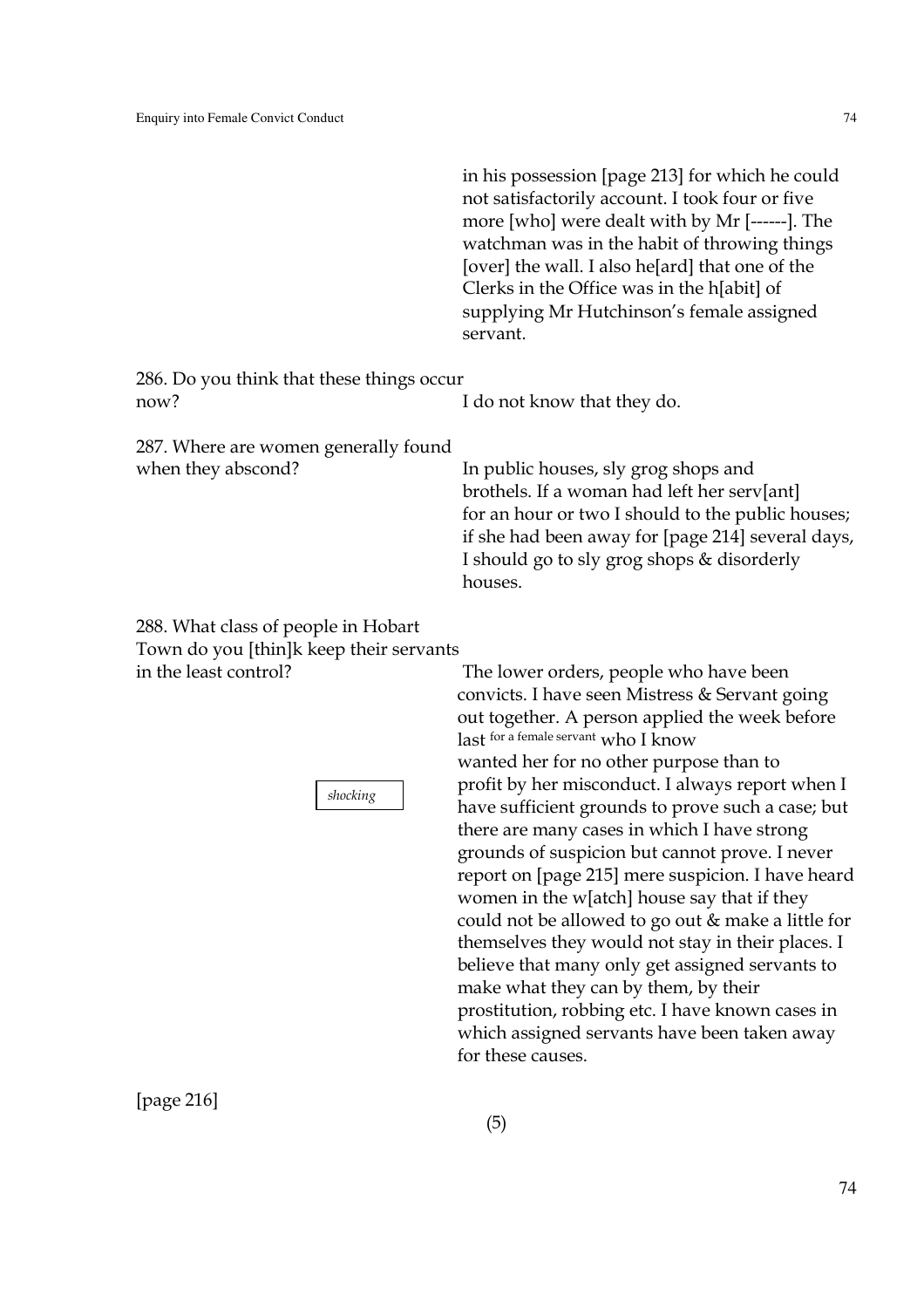|                                                                                                                     | in his possession [page 213] for which he could<br>not satisfactorily account. I took four or five<br>more [who] were dealt with by Mr [------]. The<br>watchman was in the habit of throwing things<br>[over] the wall. I also he[ard] that one of the<br>Clerks in the Office was in the h[abit] of<br>supplying Mr Hutchinson's female assigned<br>servant.                                                                                                                                                                                                                                                                                                                                                                                                                                                                                                             |
|---------------------------------------------------------------------------------------------------------------------|----------------------------------------------------------------------------------------------------------------------------------------------------------------------------------------------------------------------------------------------------------------------------------------------------------------------------------------------------------------------------------------------------------------------------------------------------------------------------------------------------------------------------------------------------------------------------------------------------------------------------------------------------------------------------------------------------------------------------------------------------------------------------------------------------------------------------------------------------------------------------|
| 286. Do you think that these things occur<br>now?                                                                   | I do not know that they do.                                                                                                                                                                                                                                                                                                                                                                                                                                                                                                                                                                                                                                                                                                                                                                                                                                                |
| 287. Where are women generally found<br>when they abscond?                                                          | In public houses, sly grog shops and<br>brothels. If a woman had left her serv[ant]<br>for an hour or two I should to the public houses;<br>if she had been away for [page 214] several days,<br>I should go to sly grog shops & disorderly<br>houses.                                                                                                                                                                                                                                                                                                                                                                                                                                                                                                                                                                                                                     |
| 288. What class of people in Hobart<br>Town do you [thin]k keep their servants<br>in the least control?<br>shocking | The lower orders, people who have been<br>convicts. I have seen Mistress & Servant going<br>out together. A person applied the week before<br>last for a female servant who I know<br>wanted her for no other purpose than to<br>profit by her misconduct. I always report when I<br>have sufficient grounds to prove such a case; but<br>there are many cases in which I have strong<br>grounds of suspicion but cannot prove. I never<br>report on [page 215] mere suspicion. I have heard<br>women in the w[atch] house say that if they<br>could not be allowed to go out & make a little for<br>themselves they would not stay in their places. I<br>believe that many only get assigned servants to<br>make what they can by them, by their<br>prostitution, robbing etc. I have known cases in<br>which assigned servants have been taken away<br>for these causes. |

[page 216]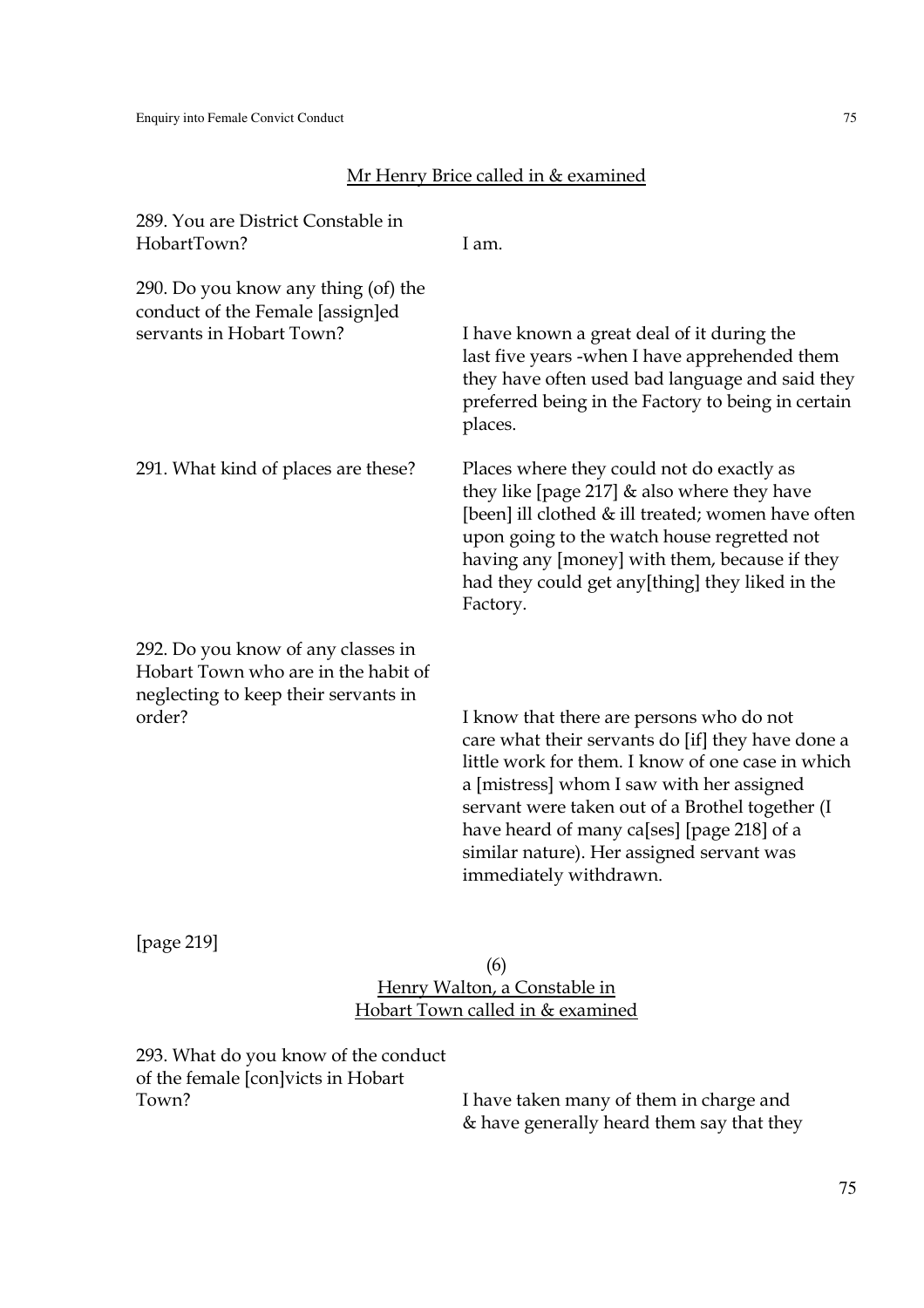# Mr Henry Brice called in & examined

| 289. You are District Constable in<br>HobartTown?                                                                           | I am.                                                                                                                                                                                                                                                                                                                                                                   |
|-----------------------------------------------------------------------------------------------------------------------------|-------------------------------------------------------------------------------------------------------------------------------------------------------------------------------------------------------------------------------------------------------------------------------------------------------------------------------------------------------------------------|
| 290. Do you know any thing (of) the<br>conduct of the Female [assign]ed<br>servants in Hobart Town?                         | I have known a great deal of it during the<br>last five years -when I have apprehended them<br>they have often used bad language and said they<br>preferred being in the Factory to being in certain<br>places.                                                                                                                                                         |
| 291. What kind of places are these?                                                                                         | Places where they could not do exactly as<br>they like [page 217] $\&$ also where they have<br>[been] ill clothed & ill treated; women have often<br>upon going to the watch house regretted not<br>having any [money] with them, because if they<br>had they could get any[thing] they liked in the<br>Factory.                                                        |
| 292. Do you know of any classes in<br>Hobart Town who are in the habit of<br>neglecting to keep their servants in<br>order? | I know that there are persons who do not<br>care what their servants do [if] they have done a<br>little work for them. I know of one case in which<br>a [mistress] whom I saw with her assigned<br>servant were taken out of a Brothel together (I<br>have heard of many ca[ses] [page 218] of a<br>similar nature). Her assigned servant was<br>immediately withdrawn. |

[page 219]

(6) Henry Walton, a Constable in Hobart Town called in & examined

293. What do you know of the conduct of the female [con]victs in Hobart

I have taken many of them in charge and & have generally heard them say that they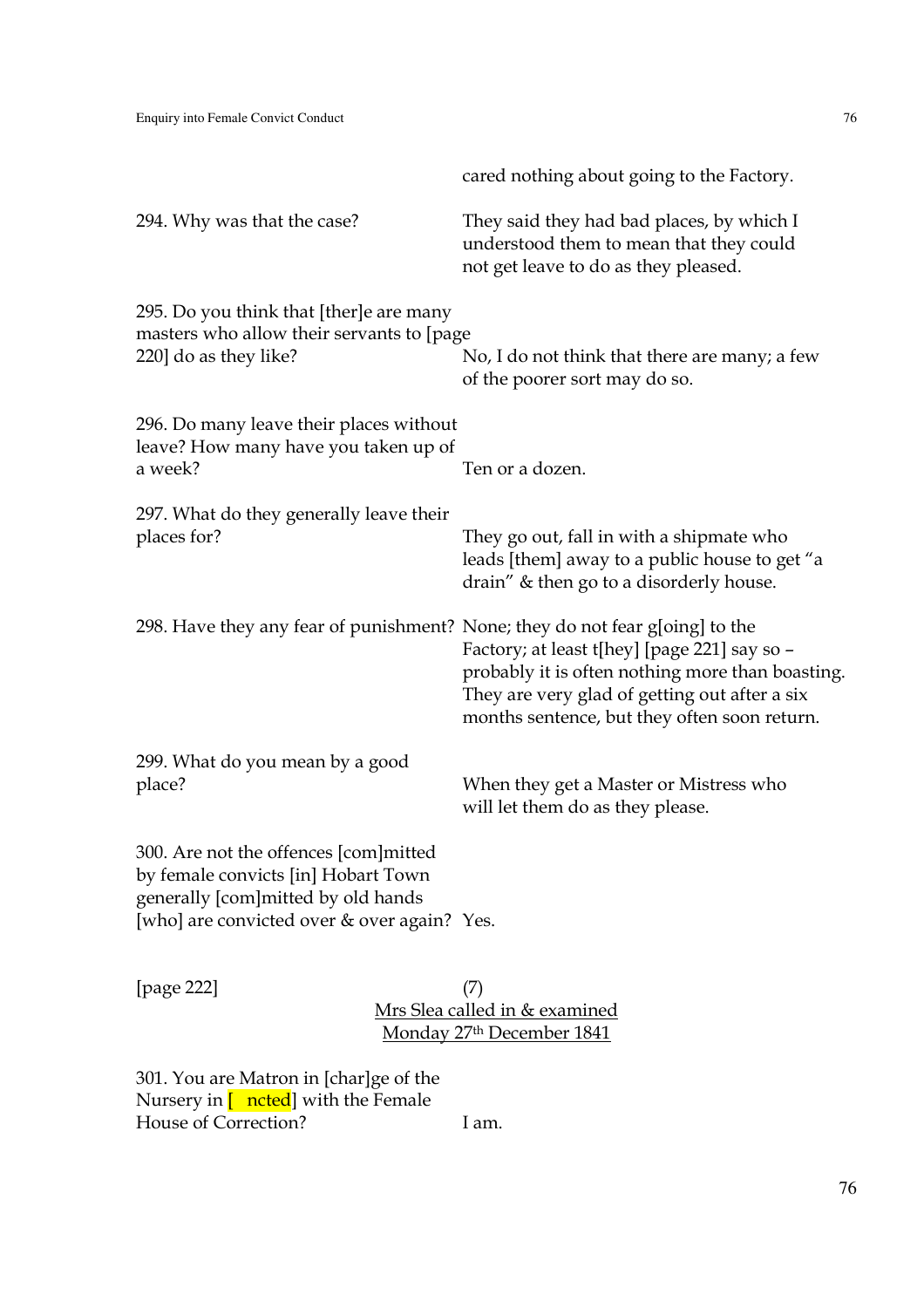| They said they had bad places, by which I<br>understood them to mean that they could                                                                                                                                                                                              |
|-----------------------------------------------------------------------------------------------------------------------------------------------------------------------------------------------------------------------------------------------------------------------------------|
| not get leave to do as they pleased.                                                                                                                                                                                                                                              |
| masters who allow their servants to [page<br>No, I do not think that there are many; a few<br>of the poorer sort may do so.                                                                                                                                                       |
| Ten or a dozen.                                                                                                                                                                                                                                                                   |
| They go out, fall in with a shipmate who<br>leads [them] away to a public house to get "a<br>drain" & then go to a disorderly house.                                                                                                                                              |
| 298. Have they any fear of punishment? None; they do not fear g[oing] to the<br>Factory; at least t[hey] [page 221] say so -<br>probably it is often nothing more than boasting.<br>They are very glad of getting out after a six<br>months sentence, but they often soon return. |
| When they get a Master or Mistress who<br>will let them do as they please.                                                                                                                                                                                                        |
| [who] are convicted over & over again? Yes.                                                                                                                                                                                                                                       |
|                                                                                                                                                                                                                                                                                   |

[page 222] (7) Mrs Slea called in & examined Monday 27<sup>th</sup> December 1841

301. You are Matron in [char]ge of the Nursery in [ ncted] with the Female House of Correction? I am.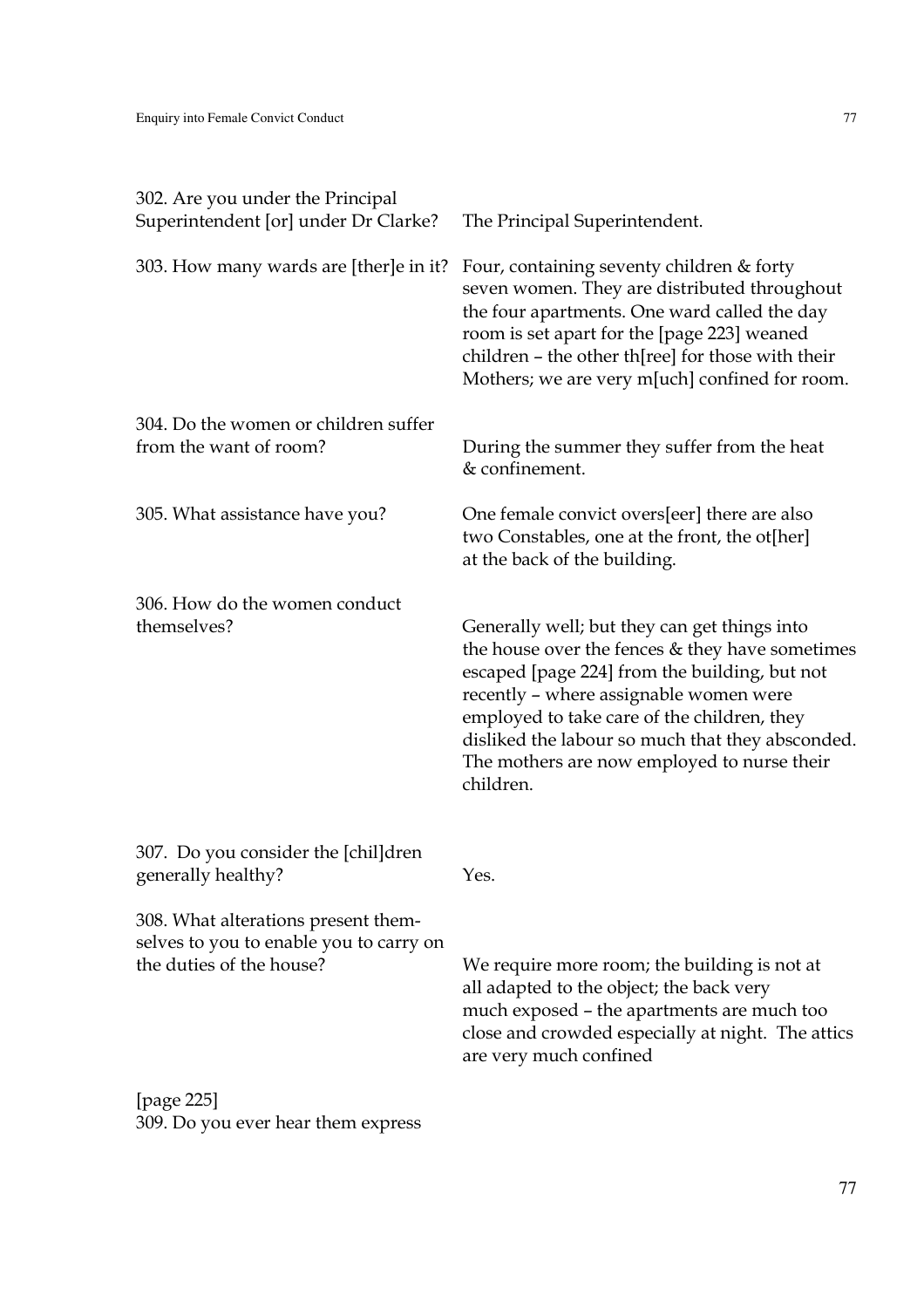| 302. Are you under the Principal<br>Superintendent [or] under Dr Clarke?                                   | The Principal Superintendent.                                                                                                                                                                                                                                                                                                                             |
|------------------------------------------------------------------------------------------------------------|-----------------------------------------------------------------------------------------------------------------------------------------------------------------------------------------------------------------------------------------------------------------------------------------------------------------------------------------------------------|
| 303. How many wards are [ther]e in it?                                                                     | Four, containing seventy children & forty<br>seven women. They are distributed throughout<br>the four apartments. One ward called the day<br>room is set apart for the [page 223] weaned<br>children - the other th[ree] for those with their<br>Mothers; we are very m[uch] confined for room.                                                           |
| 304. Do the women or children suffer<br>from the want of room?                                             | During the summer they suffer from the heat<br>& confinement.                                                                                                                                                                                                                                                                                             |
| 305. What assistance have you?                                                                             | One female convict overs[eer] there are also<br>two Constables, one at the front, the ot[her]<br>at the back of the building.                                                                                                                                                                                                                             |
| 306. How do the women conduct<br>themselves?                                                               | Generally well; but they can get things into<br>the house over the fences & they have sometimes<br>escaped [page 224] from the building, but not<br>recently - where assignable women were<br>employed to take care of the children, they<br>disliked the labour so much that they absconded.<br>The mothers are now employed to nurse their<br>children. |
| 307. Do you consider the [chil]dren<br>generally healthy?                                                  | Yes.                                                                                                                                                                                                                                                                                                                                                      |
| 308. What alterations present them-<br>selves to you to enable you to carry on<br>the duties of the house? | We require more room; the building is not at<br>all adapted to the object; the back very<br>much exposed - the apartments are much too<br>close and crowded especially at night. The attics<br>are very much confined                                                                                                                                     |
| [page 225]                                                                                                 |                                                                                                                                                                                                                                                                                                                                                           |

309. Do you ever hear them express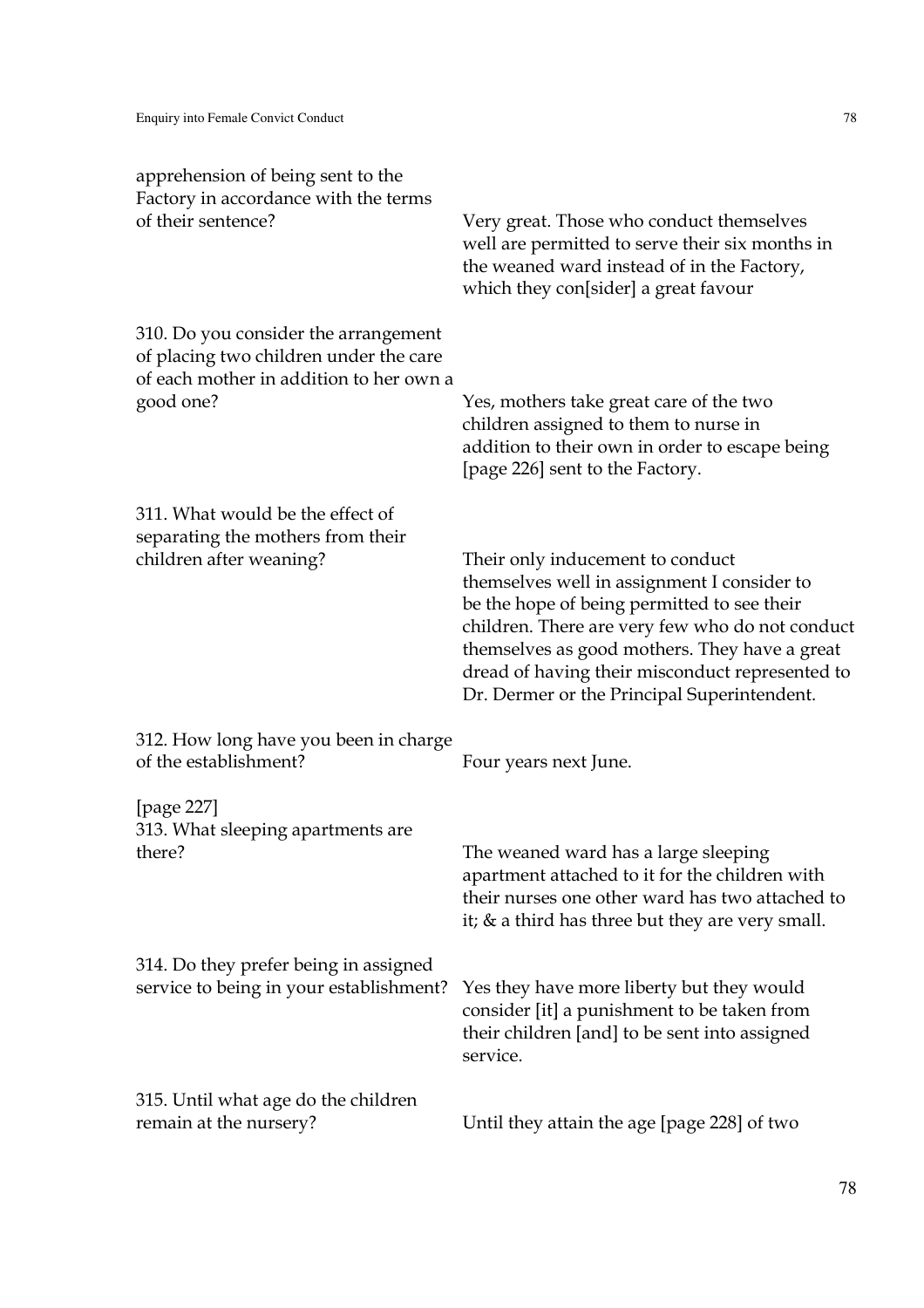| apprehension of being sent to the<br>Factory in accordance with the terms<br>of their sentence?                                        | Very great. Those who conduct themselves<br>well are permitted to serve their six months in<br>the weaned ward instead of in the Factory,<br>which they con[sider] a great favour                                                                                                                                                    |
|----------------------------------------------------------------------------------------------------------------------------------------|--------------------------------------------------------------------------------------------------------------------------------------------------------------------------------------------------------------------------------------------------------------------------------------------------------------------------------------|
| 310. Do you consider the arrangement<br>of placing two children under the care<br>of each mother in addition to her own a<br>good one? | Yes, mothers take great care of the two<br>children assigned to them to nurse in<br>addition to their own in order to escape being<br>[page 226] sent to the Factory.                                                                                                                                                                |
| 311. What would be the effect of<br>separating the mothers from their<br>children after weaning?                                       | Their only inducement to conduct<br>themselves well in assignment I consider to<br>be the hope of being permitted to see their<br>children. There are very few who do not conduct<br>themselves as good mothers. They have a great<br>dread of having their misconduct represented to<br>Dr. Dermer or the Principal Superintendent. |
| 312. How long have you been in charge<br>of the establishment?                                                                         | Four years next June.                                                                                                                                                                                                                                                                                                                |
| [page 227]<br>313. What sleeping apartments are<br>there?                                                                              | The weaned ward has a large sleeping<br>apartment attached to it for the children with<br>their nurses one other ward has two attached to<br>it; & a third has three but they are very small.                                                                                                                                        |
| 314. Do they prefer being in assigned<br>service to being in your establishment?                                                       | Yes they have more liberty but they would<br>consider [it] a punishment to be taken from<br>their children [and] to be sent into assigned<br>service.                                                                                                                                                                                |
| 315. Until what age do the children<br>remain at the nursery?                                                                          | Until they attain the age [page 228] of two                                                                                                                                                                                                                                                                                          |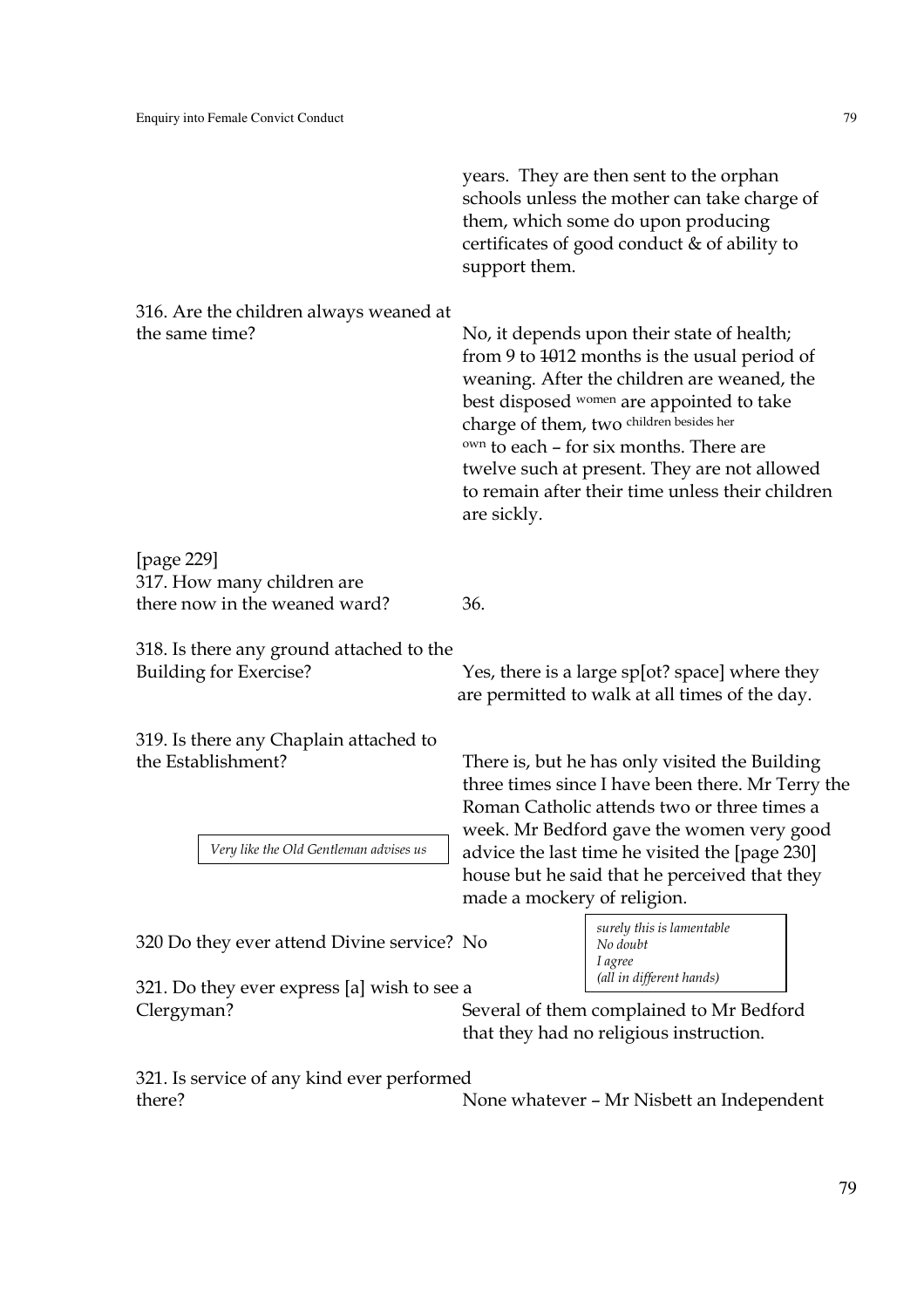|            |                                                                                                        | support them.               | years. They are then sent to the orphan<br>schools unless the mother can take charge of<br>them, which some do upon producing<br>certificates of good conduct & of ability to                                                                                                                                                                                                                |  |
|------------|--------------------------------------------------------------------------------------------------------|-----------------------------|----------------------------------------------------------------------------------------------------------------------------------------------------------------------------------------------------------------------------------------------------------------------------------------------------------------------------------------------------------------------------------------------|--|
|            | 316. Are the children always weaned at<br>the same time?                                               | are sickly.                 | No, it depends upon their state of health;<br>from 9 to 1012 months is the usual period of<br>weaning. After the children are weaned, the<br>best disposed women are appointed to take<br>charge of them, two children besides her<br><sup>own</sup> to each - for six months. There are<br>twelve such at present. They are not allowed<br>to remain after their time unless their children |  |
| [page 229] | 317. How many children are<br>there now in the weaned ward?                                            | 36.                         |                                                                                                                                                                                                                                                                                                                                                                                              |  |
|            | 318. Is there any ground attached to the<br><b>Building for Exercise?</b>                              |                             | Yes, there is a large sp[ot? space] where they<br>are permitted to walk at all times of the day.                                                                                                                                                                                                                                                                                             |  |
|            | 319. Is there any Chaplain attached to<br>the Establishment?<br>Very like the Old Gentleman advises us | made a mockery of religion. | There is, but he has only visited the Building<br>three times since I have been there. Mr Terry the<br>Roman Catholic attends two or three times a<br>week. Mr Bedford gave the women very good<br>advice the last time he visited the [page 230]<br>house but he said that he perceived that they                                                                                           |  |
|            | 320 Do they ever attend Divine service? No                                                             |                             | surely this is lamentable<br>No doubt<br>I agree<br>(all in different hands)                                                                                                                                                                                                                                                                                                                 |  |
| Clergyman? | 321. Do they ever express [a] wish to see a                                                            |                             | Several of them complained to Mr Bedford<br>that they had no religious instruction.                                                                                                                                                                                                                                                                                                          |  |

321. Is service of any kind ever performed<br>there?  $$\rm{N}$$ None whatever – Mr Nisbett an Independent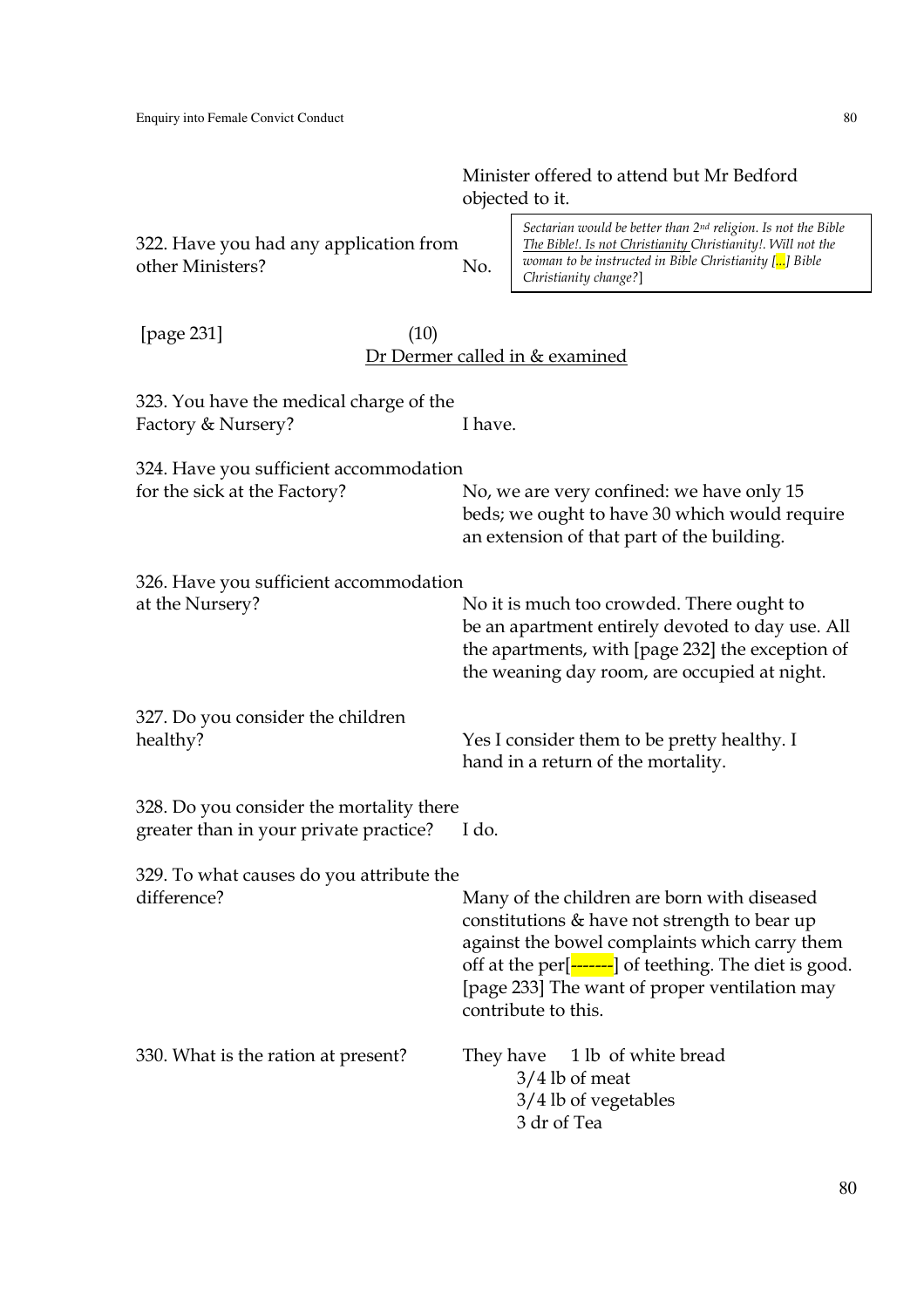Minister offered to attend but Mr Bedford objected to it.

| 322. Have you had any application from<br>other Ministers?                                  | No.       | Sectarian would be better than 2nd religion. Is not the Bible<br>The Bible!. Is not Christianity Christianity!. Will not the<br>woman to be instructed in Bible Christianity [] Bible<br>Christianity change?]                                                                 |
|---------------------------------------------------------------------------------------------|-----------|--------------------------------------------------------------------------------------------------------------------------------------------------------------------------------------------------------------------------------------------------------------------------------|
| [page 231]<br>(10)                                                                          |           | Dr Dermer called in & examined                                                                                                                                                                                                                                                 |
| 323. You have the medical charge of the<br>Factory & Nursery?                               | I have.   |                                                                                                                                                                                                                                                                                |
| 324. Have you sufficient accommodation<br>for the sick at the Factory?                      |           | No, we are very confined: we have only 15<br>beds; we ought to have 30 which would require<br>an extension of that part of the building.                                                                                                                                       |
| 326. Have you sufficient accommodation<br>at the Nursery?                                   |           | No it is much too crowded. There ought to<br>be an apartment entirely devoted to day use. All<br>the apartments, with [page 232] the exception of<br>the weaning day room, are occupied at night.                                                                              |
| 327. Do you consider the children<br>healthy?                                               |           | Yes I consider them to be pretty healthy. I<br>hand in a return of the mortality.                                                                                                                                                                                              |
| 328. Do you consider the mortality there<br>greater than in your private practice?<br>I do. |           |                                                                                                                                                                                                                                                                                |
| 329. To what causes do you attribute the<br>difference?                                     |           | Many of the children are born with diseased<br>constitutions & have not strength to bear up<br>against the bowel complaints which carry them<br>off at the per[-------] of teething. The diet is good.<br>[page 233] The want of proper ventilation may<br>contribute to this. |
| 330. What is the ration at present?                                                         | They have | 1 lb of white bread<br>$3/4$ lb of meat<br>3/4 lb of vegetables<br>3 dr of Tea                                                                                                                                                                                                 |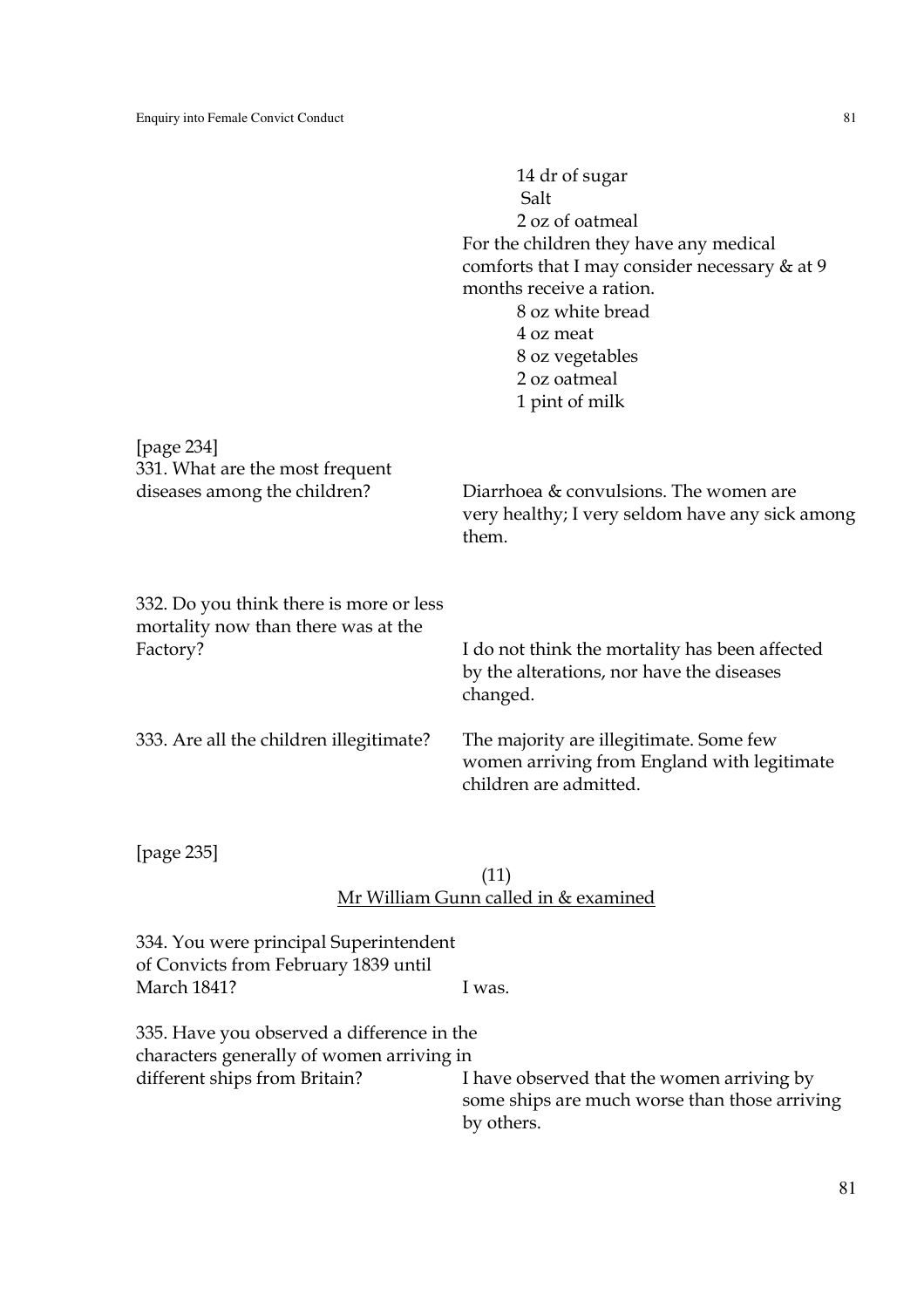14 dr of sugar Salt 2 oz of oatmeal For the children they have any medical comforts that I may consider necessary & at 9 months receive a ration. 8 oz white bread 4 oz meat 8 oz vegetables 2 oz oatmeal 1 pint of milk [page 234] 331. What are the most frequent diseases among the children? Diarrhoea & convulsions. The women are very healthy; I very seldom have any sick among them. 332. Do you think there is more or less mortality now than there was at the Factory? I do not think the mortality has been affected by the alterations, nor have the diseases changed. 333. Are all the children illegitimate? The majority are illegitimate. Some few women arriving from England with legitimate children are admitted. [page 235] (11) Mr William Gunn called in & examined 334. You were principal Superintendent of Convicts from February 1839 until March 1841? I was.

335. Have you observed a difference in the characters generally of women arriving in different ships from Britain? I have observed that the women arriving by some ships are much worse than those arriving

by others.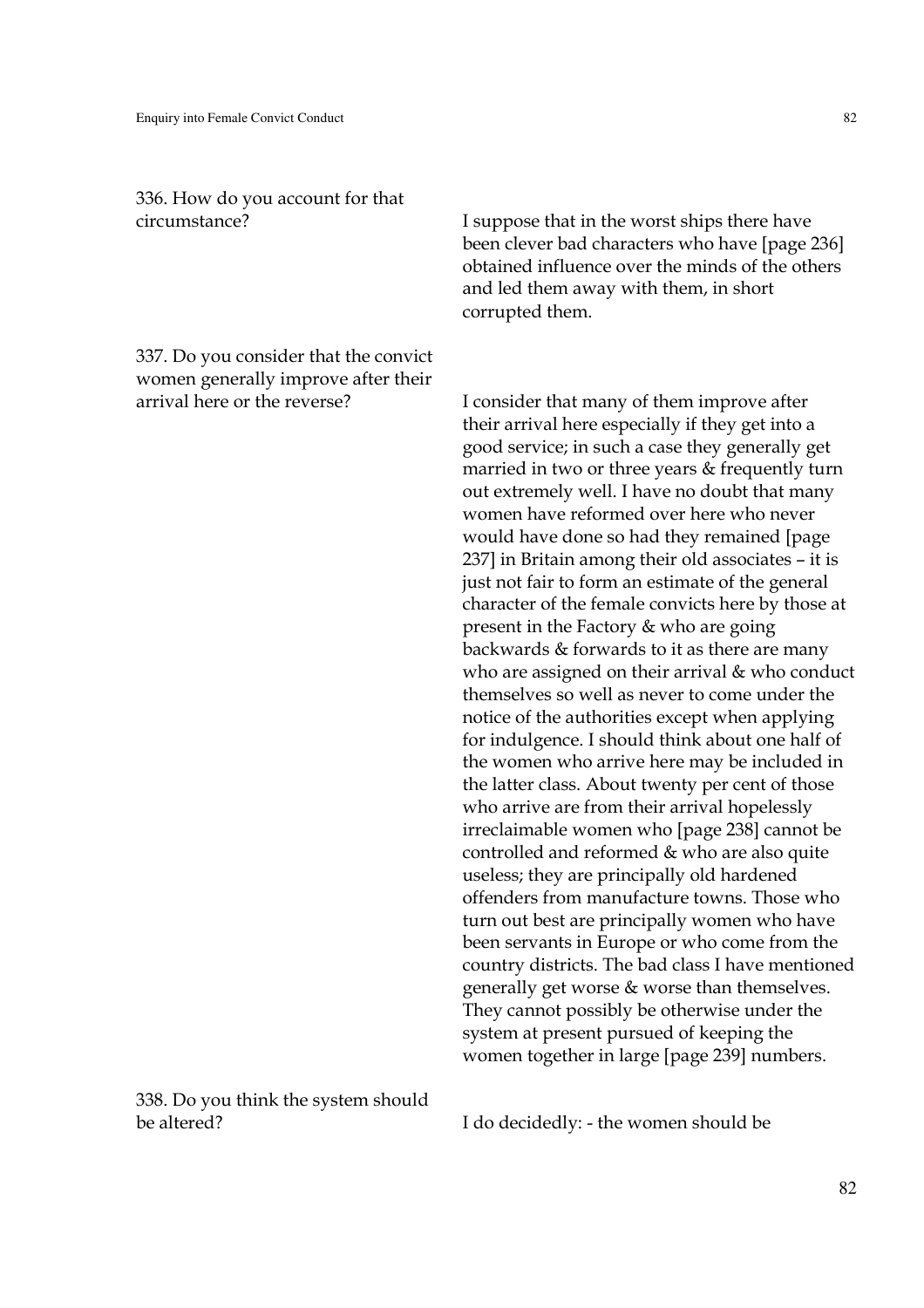336. How do you account for that

337. Do you consider that the convict women generally improve after their

338. Do you think the system should

circumstance? I suppose that in the worst ships there have been clever bad characters who have [page 236] obtained influence over the minds of the others and led them away with them, in short corrupted them.

arrival here or the reverse? I consider that many of them improve after their arrival here especially if they get into a good service; in such a case they generally get married in two or three years & frequently turn out extremely well. I have no doubt that many women have reformed over here who never would have done so had they remained [page 237] in Britain among their old associates – it is just not fair to form an estimate of the general character of the female convicts here by those at present in the Factory & who are going backwards & forwards to it as there are many who are assigned on their arrival & who conduct themselves so well as never to come under the notice of the authorities except when applying for indulgence. I should think about one half of the women who arrive here may be included in the latter class. About twenty per cent of those who arrive are from their arrival hopelessly irreclaimable women who [page 238] cannot be controlled and reformed & who are also quite useless; they are principally old hardened offenders from manufacture towns. Those who turn out best are principally women who have been servants in Europe or who come from the country districts. The bad class I have mentioned generally get worse & worse than themselves. They cannot possibly be otherwise under the system at present pursued of keeping the women together in large [page 239] numbers.

be altered? I do decidedly: - the women should be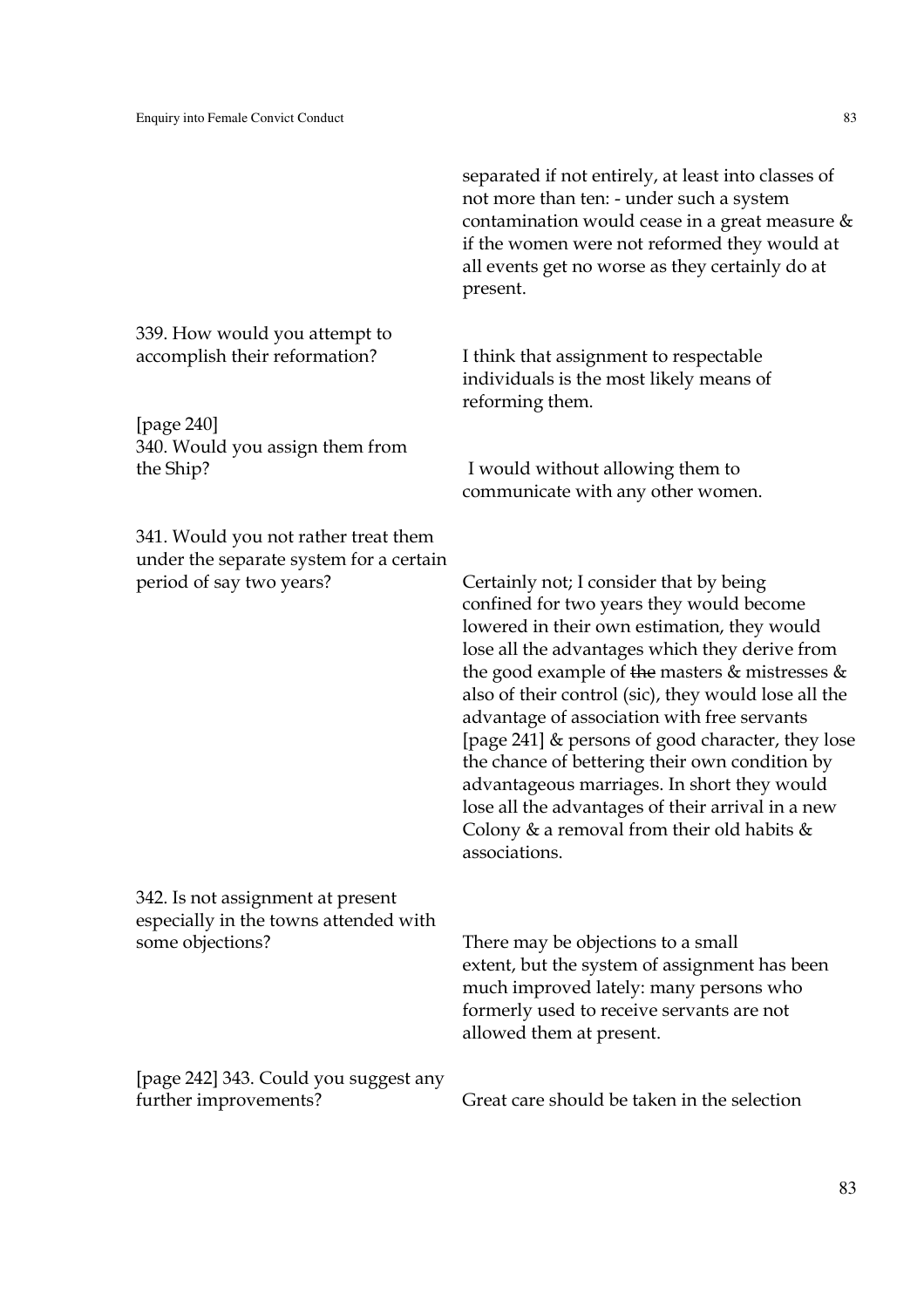separated if not entirely, at least into classes of not more than ten: - under such a system contamination would cease in a great measure & if the women were not reformed they would at all events get no worse as they certainly do at present.

individuals is the most likely means of

communicate with any other women.

reforming them.

339. How would you attempt to accomplish their reformation? I think that assignment to respectable

[page 240] 340. Would you assign them from the Ship? I would without allowing them to

341. Would you not rather treat them under the separate system for a certain period of say two years? Certainly not; I consider that by being

confined for two years they would become lowered in their own estimation, they would lose all the advantages which they derive from the good example of the masters & mistresses & also of their control (sic), they would lose all the advantage of association with free servants [page 241] & persons of good character, they lose the chance of bettering their own condition by advantageous marriages. In short they would lose all the advantages of their arrival in a new Colony  $&$  a removal from their old habits  $&$ associations.

342. Is not assignment at present especially in the towns attended with some objections? There may be objections to a small

extent, but the system of assignment has been much improved lately: many persons who formerly used to receive servants are not allowed them at present.

[page 242] 343. Could you suggest any further improvements? Great care should be taken in the selection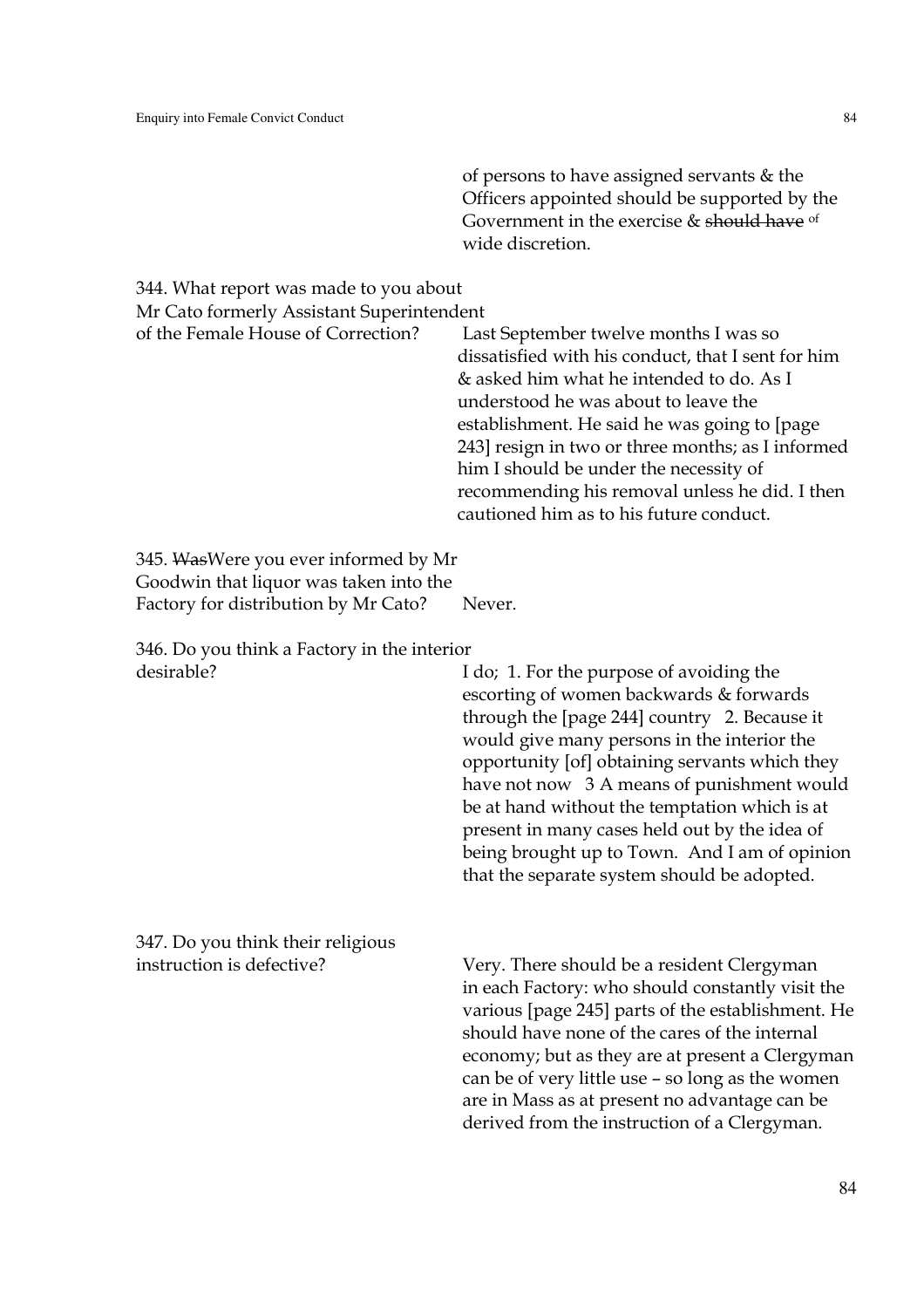of persons to have assigned servants & the Officers appointed should be supported by the Government in the exercise & should have of wide discretion.

#### 344. What report was made to you about

Mr Cato formerly Assistant Superintendent

of the Female House of Correction? Last September twelve months I was so dissatisfied with his conduct, that I sent for him & asked him what he intended to do. As I understood he was about to leave the establishment. He said he was going to [page 243] resign in two or three months; as I informed him I should be under the necessity of recommending his removal unless he did. I then cautioned him as to his future conduct.

| 345. WasWere you ever informed by Mr        |  |
|---------------------------------------------|--|
| Goodwin that liquor was taken into the      |  |
| Factory for distribution by Mr Cato? Never. |  |

346. Do you think a Factory in the interior desirable? I do; 1. For the purpose of avoiding the

escorting of women backwards & forwards through the [page 244] country 2. Because it would give many persons in the interior the opportunity [of] obtaining servants which they have not now 3 A means of punishment would be at hand without the temptation which is at present in many cases held out by the idea of being brought up to Town. And I am of opinion that the separate system should be adopted.

347. Do you think their religious

instruction is defective? Very. There should be a resident Clergyman in each Factory: who should constantly visit the various [page 245] parts of the establishment. He should have none of the cares of the internal economy; but as they are at present a Clergyman can be of very little use – so long as the women are in Mass as at present no advantage can be derived from the instruction of a Clergyman.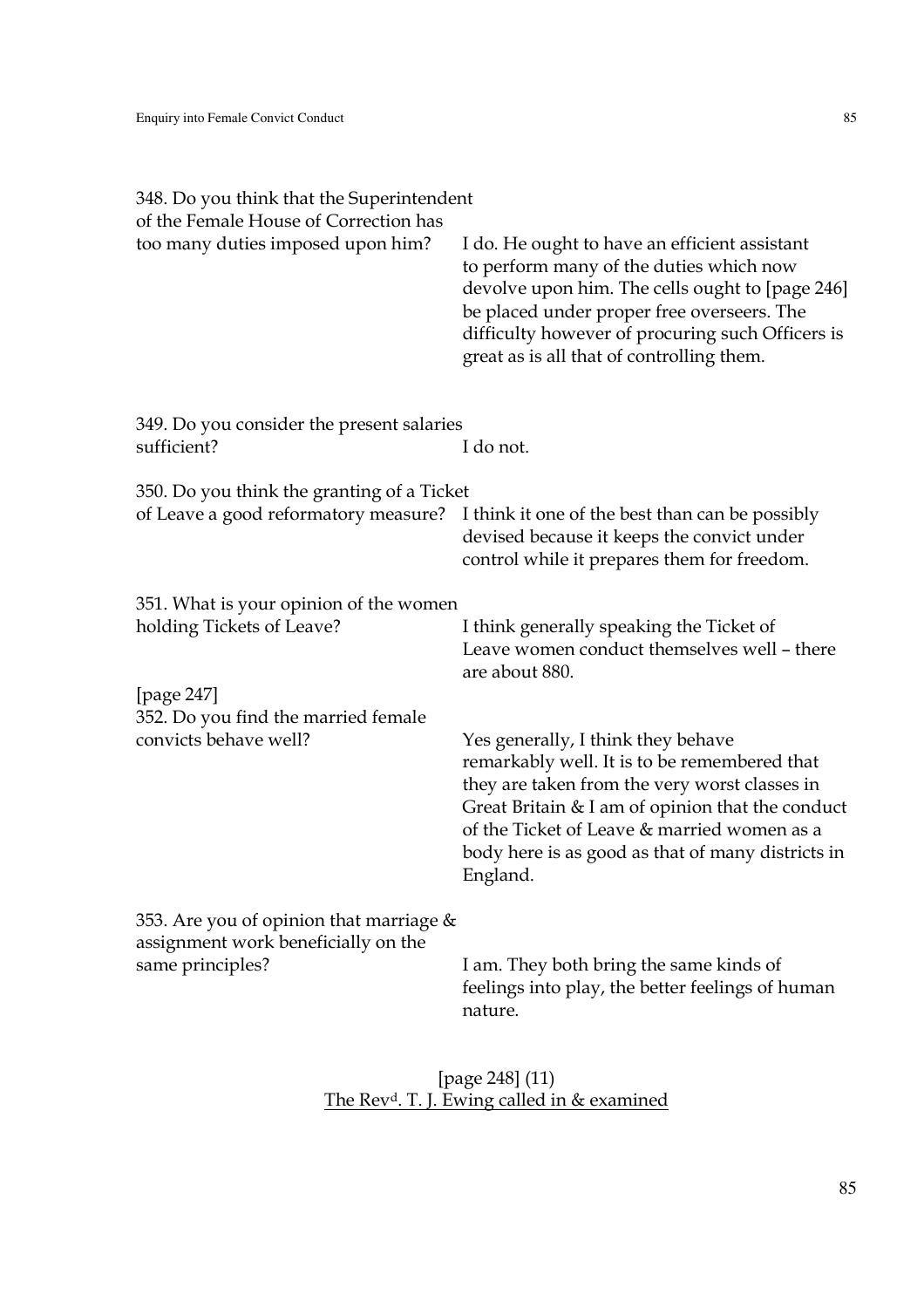| 348. Do you think that the Superintendent<br>of the Female House of Correction has                 |                                                                                                                                                                                                                                                                                                         |
|----------------------------------------------------------------------------------------------------|---------------------------------------------------------------------------------------------------------------------------------------------------------------------------------------------------------------------------------------------------------------------------------------------------------|
| too many duties imposed upon him?                                                                  | I do. He ought to have an efficient assistant<br>to perform many of the duties which now<br>devolve upon him. The cells ought to [page 246]<br>be placed under proper free overseers. The<br>difficulty however of procuring such Officers is<br>great as is all that of controlling them.              |
| 349. Do you consider the present salaries<br>sufficient?                                           | I do not.                                                                                                                                                                                                                                                                                               |
| 350. Do you think the granting of a Ticket<br>of Leave a good reformatory measure?                 | I think it one of the best than can be possibly<br>devised because it keeps the convict under<br>control while it prepares them for freedom.                                                                                                                                                            |
| 351. What is your opinion of the women                                                             |                                                                                                                                                                                                                                                                                                         |
| holding Tickets of Leave?                                                                          | I think generally speaking the Ticket of<br>Leave women conduct themselves well - there<br>are about 880.                                                                                                                                                                                               |
| [page 247]                                                                                         |                                                                                                                                                                                                                                                                                                         |
| 352. Do you find the married female<br>convicts behave well?                                       | Yes generally, I think they behave<br>remarkably well. It is to be remembered that<br>they are taken from the very worst classes in<br>Great Britain & I am of opinion that the conduct<br>of the Ticket of Leave & married women as a<br>body here is as good as that of many districts in<br>England. |
| 353. Are you of opinion that marriage &<br>assignment work beneficially on the<br>same principles? | I am. They both bring the same kinds of<br>feelings into play, the better feelings of human<br>nature.                                                                                                                                                                                                  |

[page 248] (11) <u>The Rev<sup>d</sup>. T. J. Ewing called in & examined</u>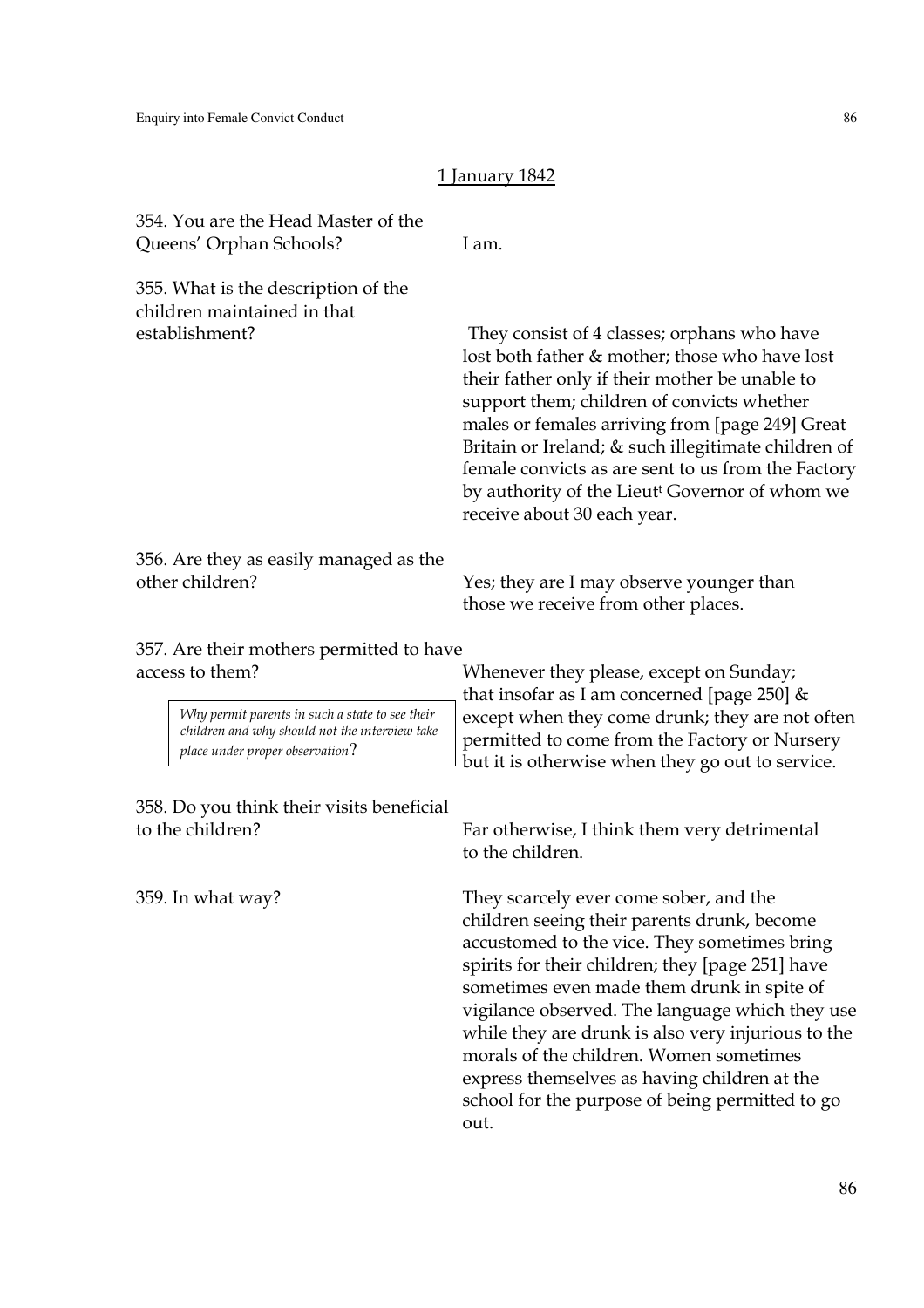# 1 January 1842

| 354. You are the Head Master of the<br>Queens' Orphan Schools?                       | I am.                                                                                                                                                                                                                                                                                                                                                                                                                                                                                                  |
|--------------------------------------------------------------------------------------|--------------------------------------------------------------------------------------------------------------------------------------------------------------------------------------------------------------------------------------------------------------------------------------------------------------------------------------------------------------------------------------------------------------------------------------------------------------------------------------------------------|
| 355. What is the description of the<br>children maintained in that<br>establishment? | They consist of 4 classes; orphans who have<br>lost both father & mother; those who have lost<br>their father only if their mother be unable to<br>support them; children of convicts whether<br>males or females arriving from [page 249] Great<br>Britain or Ireland; & such illegitimate children of<br>female convicts as are sent to us from the Factory<br>by authority of the Lieut <sup>t</sup> Governor of whom we<br>receive about 30 each year.                                             |
| 356. Are they as easily managed as the                                               | Yes; they are I may observe younger than                                                                                                                                                                                                                                                                                                                                                                                                                                                               |
| other children?                                                                      | those we receive from other places.                                                                                                                                                                                                                                                                                                                                                                                                                                                                    |
| 357. Are their mothers permitted to have                                             | Whenever they please, except on Sunday;                                                                                                                                                                                                                                                                                                                                                                                                                                                                |
| access to them?                                                                      | that insofar as I am concerned [page 250] $\&$                                                                                                                                                                                                                                                                                                                                                                                                                                                         |
| Why permit parents in such a state to see their                                      | except when they come drunk; they are not often                                                                                                                                                                                                                                                                                                                                                                                                                                                        |
| children and why should not the interview take                                       | permitted to come from the Factory or Nursery                                                                                                                                                                                                                                                                                                                                                                                                                                                          |
| place under proper observation?                                                      | but it is otherwise when they go out to service.                                                                                                                                                                                                                                                                                                                                                                                                                                                       |
| 358. Do you think their visits beneficial                                            | Far otherwise, I think them very detrimental                                                                                                                                                                                                                                                                                                                                                                                                                                                           |
| to the children?                                                                     | to the children.                                                                                                                                                                                                                                                                                                                                                                                                                                                                                       |
| 359. In what way?                                                                    | They scarcely ever come sober, and the<br>children seeing their parents drunk, become<br>accustomed to the vice. They sometimes bring<br>spirits for their children; they [page 251] have<br>sometimes even made them drunk in spite of<br>vigilance observed. The language which they use<br>while they are drunk is also very injurious to the<br>morals of the children. Women sometimes<br>express themselves as having children at the<br>school for the purpose of being permitted to go<br>out. |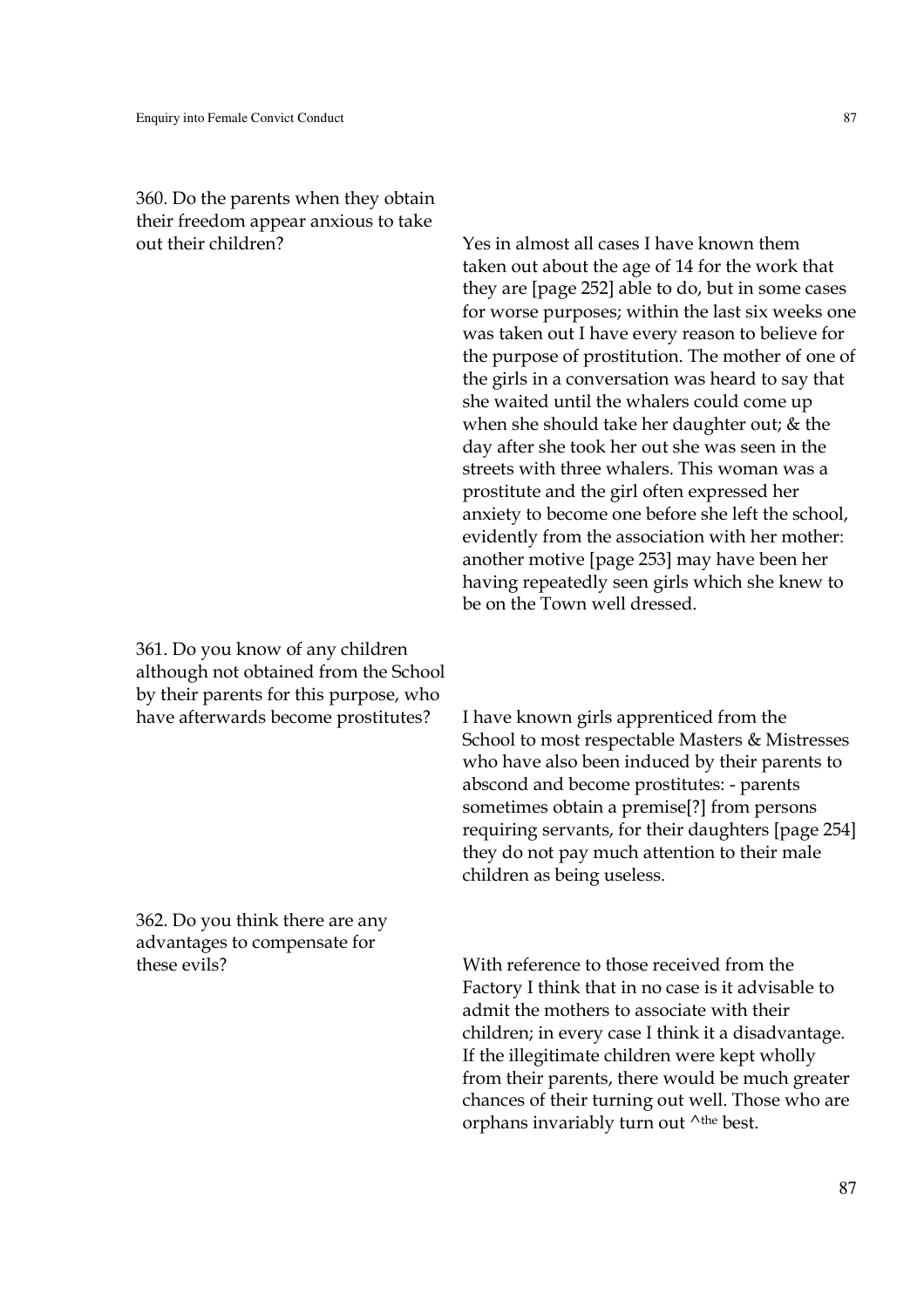360. Do the parents when they obtain their freedom appear anxious to take out their children? Yes in almost all cases I have known them

361. Do you know of any children although not obtained from the School by their parents for this purpose, who have afterwards become prostitutes? I have known girls apprenticed from the

362. Do you think there are any advantages to compensate for

taken out about the age of 14 for the work that they are [page 252] able to do, but in some cases for worse purposes; within the last six weeks one was taken out I have every reason to believe for the purpose of prostitution. The mother of one of the girls in a conversation was heard to say that she waited until the whalers could come up when she should take her daughter out; & the day after she took her out she was seen in the streets with three whalers. This woman was a prostitute and the girl often expressed her anxiety to become one before she left the school, evidently from the association with her mother: another motive [page 253] may have been her having repeatedly seen girls which she knew to be on the Town well dressed.

School to most respectable Masters & Mistresses who have also been induced by their parents to abscond and become prostitutes: - parents sometimes obtain a premise[?] from persons requiring servants, for their daughters [page 254] they do not pay much attention to their male children as being useless.

these evils? With reference to those received from the Factory I think that in no case is it advisable to admit the mothers to associate with their children; in every case I think it a disadvantage. If the illegitimate children were kept wholly from their parents, there would be much greater chances of their turning out well. Those who are orphans invariably turn out ^the best.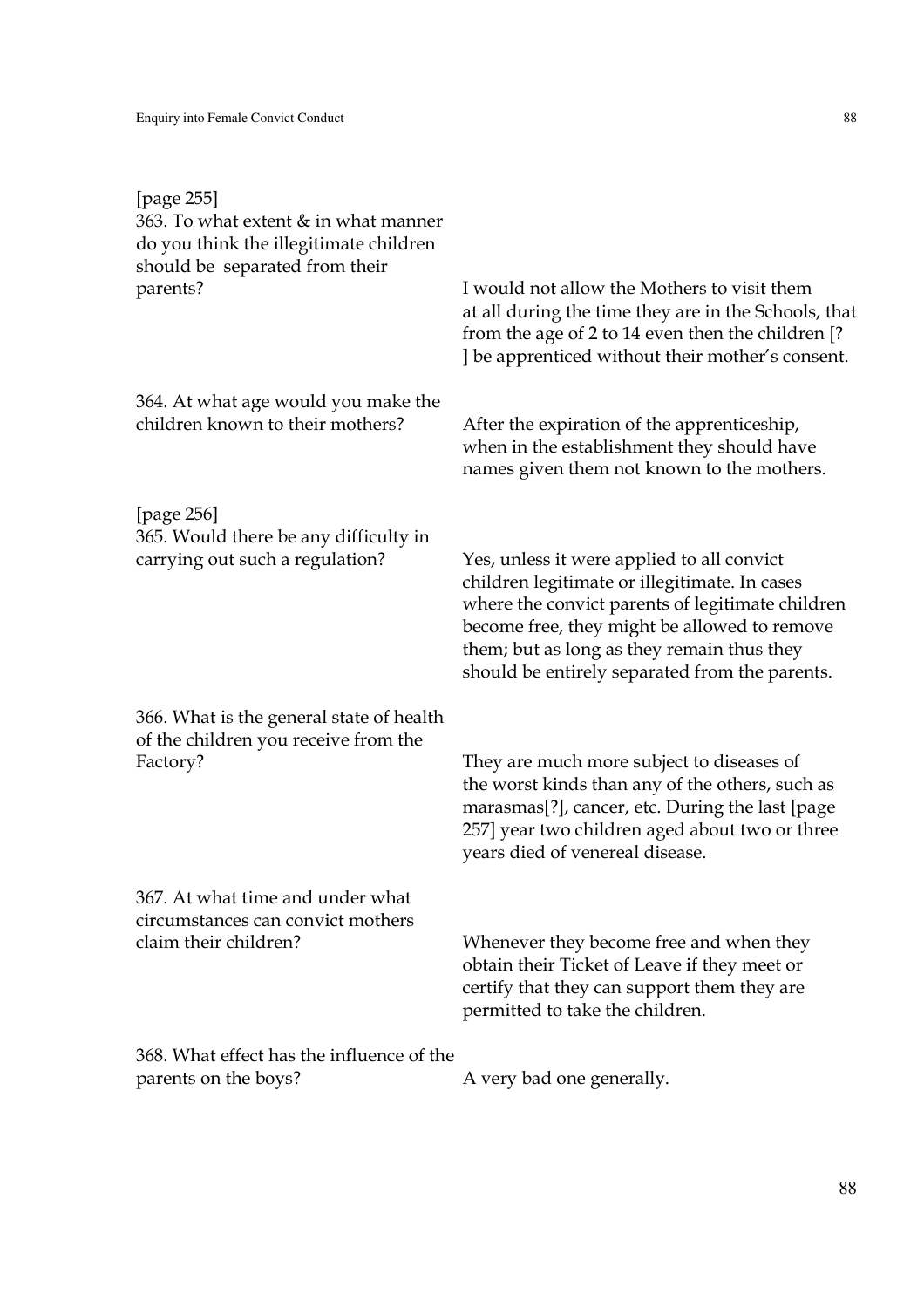| [page 255]<br>363. To what extent & in what manner<br>do you think the illegitimate children<br>should be separated from their<br>parents? | I would not allow the Mothers to visit them<br>at all during the time they are in the Schools, that<br>from the age of 2 to 14 even then the children [?<br>] be apprenticed without their mother's consent.                                                                                    |
|--------------------------------------------------------------------------------------------------------------------------------------------|-------------------------------------------------------------------------------------------------------------------------------------------------------------------------------------------------------------------------------------------------------------------------------------------------|
| 364. At what age would you make the<br>children known to their mothers?                                                                    | After the expiration of the apprenticeship,<br>when in the establishment they should have<br>names given them not known to the mothers.                                                                                                                                                         |
| [page 256]<br>365. Would there be any difficulty in<br>carrying out such a regulation?                                                     | Yes, unless it were applied to all convict<br>children legitimate or illegitimate. In cases<br>where the convict parents of legitimate children<br>become free, they might be allowed to remove<br>them; but as long as they remain thus they<br>should be entirely separated from the parents. |
| 366. What is the general state of health<br>of the children you receive from the<br>Factory?                                               | They are much more subject to diseases of                                                                                                                                                                                                                                                       |

marasmas[?], cancer, etc. During the last [page 257] year two children aged about two or three years died of venereal disease.

367. At what time and under what circumstances can convict mothers

claim their children? Whenever they become free and when they obtain their Ticket of Leave if they meet or certify that they can support them they are

the worst kinds than any of the others, such as

368. What effect has the influence of the parents on the boys? A very bad one generally.

permitted to take the children.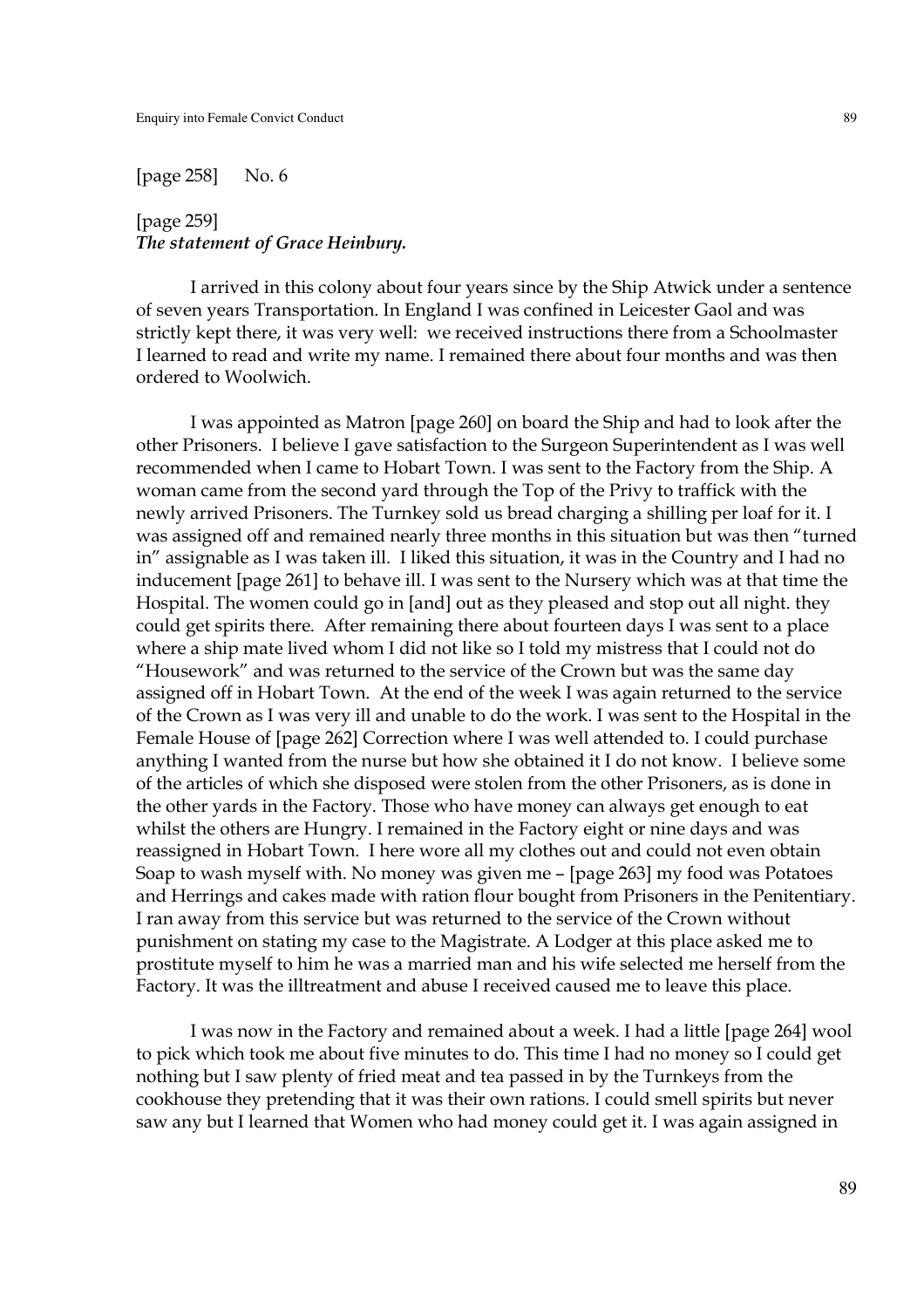[page 258] No. 6

## [page 259] The statement of Grace Heinbury.

I arrived in this colony about four years since by the Ship Atwick under a sentence of seven years Transportation. In England I was confined in Leicester Gaol and was strictly kept there, it was very well: we received instructions there from a Schoolmaster I learned to read and write my name. I remained there about four months and was then ordered to Woolwich.

 I was appointed as Matron [page 260] on board the Ship and had to look after the other Prisoners. I believe I gave satisfaction to the Surgeon Superintendent as I was well recommended when I came to Hobart Town. I was sent to the Factory from the Ship. A woman came from the second yard through the Top of the Privy to traffick with the newly arrived Prisoners. The Turnkey sold us bread charging a shilling per loaf for it. I was assigned off and remained nearly three months in this situation but was then "turned in" assignable as I was taken ill. I liked this situation, it was in the Country and I had no inducement [page 261] to behave ill. I was sent to the Nursery which was at that time the Hospital. The women could go in [and] out as they pleased and stop out all night. they could get spirits there. After remaining there about fourteen days I was sent to a place where a ship mate lived whom I did not like so I told my mistress that I could not do "Housework" and was returned to the service of the Crown but was the same day assigned off in Hobart Town. At the end of the week I was again returned to the service of the Crown as I was very ill and unable to do the work. I was sent to the Hospital in the Female House of [page 262] Correction where I was well attended to. I could purchase anything I wanted from the nurse but how she obtained it I do not know. I believe some of the articles of which she disposed were stolen from the other Prisoners, as is done in the other yards in the Factory. Those who have money can always get enough to eat whilst the others are Hungry. I remained in the Factory eight or nine days and was reassigned in Hobart Town. I here wore all my clothes out and could not even obtain Soap to wash myself with. No money was given me – [page 263] my food was Potatoes and Herrings and cakes made with ration flour bought from Prisoners in the Penitentiary. I ran away from this service but was returned to the service of the Crown without punishment on stating my case to the Magistrate. A Lodger at this place asked me to prostitute myself to him he was a married man and his wife selected me herself from the Factory. It was the illtreatment and abuse I received caused me to leave this place.

I was now in the Factory and remained about a week. I had a little [page 264] wool to pick which took me about five minutes to do. This time I had no money so I could get nothing but I saw plenty of fried meat and tea passed in by the Turnkeys from the cookhouse they pretending that it was their own rations. I could smell spirits but never saw any but I learned that Women who had money could get it. I was again assigned in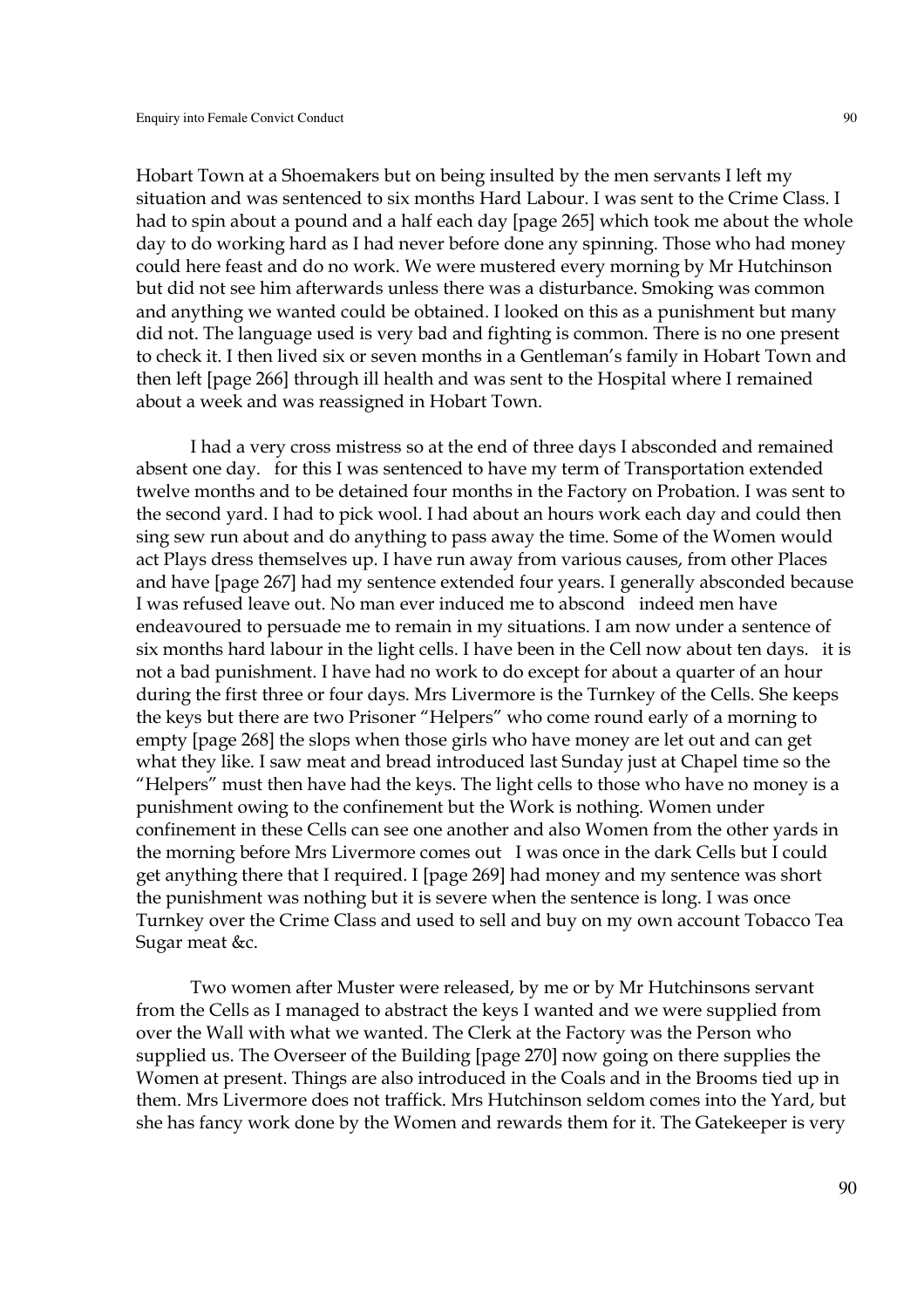Hobart Town at a Shoemakers but on being insulted by the men servants I left my situation and was sentenced to six months Hard Labour. I was sent to the Crime Class. I had to spin about a pound and a half each day [page 265] which took me about the whole day to do working hard as I had never before done any spinning. Those who had money could here feast and do no work. We were mustered every morning by Mr Hutchinson but did not see him afterwards unless there was a disturbance. Smoking was common and anything we wanted could be obtained. I looked on this as a punishment but many did not. The language used is very bad and fighting is common. There is no one present to check it. I then lived six or seven months in a Gentleman's family in Hobart Town and then left [page 266] through ill health and was sent to the Hospital where I remained about a week and was reassigned in Hobart Town.

I had a very cross mistress so at the end of three days I absconded and remained absent one day. for this I was sentenced to have my term of Transportation extended twelve months and to be detained four months in the Factory on Probation. I was sent to the second yard. I had to pick wool. I had about an hours work each day and could then sing sew run about and do anything to pass away the time. Some of the Women would act Plays dress themselves up. I have run away from various causes, from other Places and have [page 267] had my sentence extended four years. I generally absconded because I was refused leave out. No man ever induced me to abscond indeed men have endeavoured to persuade me to remain in my situations. I am now under a sentence of six months hard labour in the light cells. I have been in the Cell now about ten days. it is not a bad punishment. I have had no work to do except for about a quarter of an hour during the first three or four days. Mrs Livermore is the Turnkey of the Cells. She keeps the keys but there are two Prisoner "Helpers" who come round early of a morning to empty [page 268] the slops when those girls who have money are let out and can get what they like. I saw meat and bread introduced last Sunday just at Chapel time so the "Helpers" must then have had the keys. The light cells to those who have no money is a punishment owing to the confinement but the Work is nothing. Women under confinement in these Cells can see one another and also Women from the other yards in the morning before Mrs Livermore comes out I was once in the dark Cells but I could get anything there that I required. I [page 269] had money and my sentence was short the punishment was nothing but it is severe when the sentence is long. I was once Turnkey over the Crime Class and used to sell and buy on my own account Tobacco Tea Sugar meat &c.

Two women after Muster were released, by me or by Mr Hutchinsons servant from the Cells as I managed to abstract the keys I wanted and we were supplied from over the Wall with what we wanted. The Clerk at the Factory was the Person who supplied us. The Overseer of the Building [page 270] now going on there supplies the Women at present. Things are also introduced in the Coals and in the Brooms tied up in them. Mrs Livermore does not traffick. Mrs Hutchinson seldom comes into the Yard, but she has fancy work done by the Women and rewards them for it. The Gatekeeper is very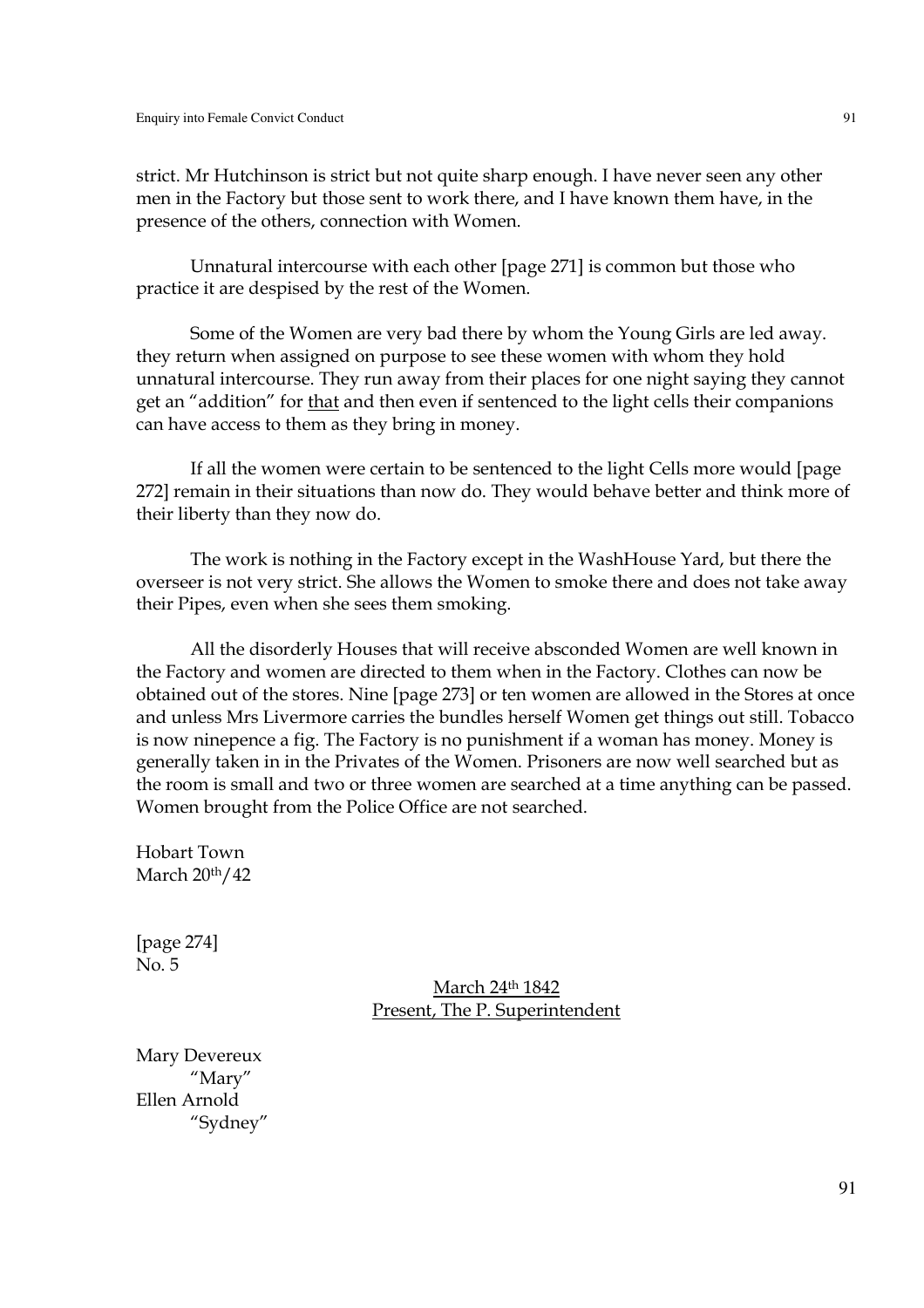strict. Mr Hutchinson is strict but not quite sharp enough. I have never seen any other men in the Factory but those sent to work there, and I have known them have, in the presence of the others, connection with Women.

 Unnatural intercourse with each other [page 271] is common but those who practice it are despised by the rest of the Women.

Some of the Women are very bad there by whom the Young Girls are led away. they return when assigned on purpose to see these women with whom they hold unnatural intercourse. They run away from their places for one night saying they cannot get an "addition" for that and then even if sentenced to the light cells their companions can have access to them as they bring in money.

 If all the women were certain to be sentenced to the light Cells more would [page 272] remain in their situations than now do. They would behave better and think more of their liberty than they now do.

The work is nothing in the Factory except in the WashHouse Yard, but there the overseer is not very strict. She allows the Women to smoke there and does not take away their Pipes, even when she sees them smoking.

All the disorderly Houses that will receive absconded Women are well known in the Factory and women are directed to them when in the Factory. Clothes can now be obtained out of the stores. Nine [page 273] or ten women are allowed in the Stores at once and unless Mrs Livermore carries the bundles herself Women get things out still. Tobacco is now ninepence a fig. The Factory is no punishment if a woman has money. Money is generally taken in in the Privates of the Women. Prisoners are now well searched but as the room is small and two or three women are searched at a time anything can be passed. Women brought from the Police Office are not searched.

Hobart Town March 20<sup>th</sup>/42

[page 274] No. 5

> March 24th 1842 Present, The P. Superintendent

Mary Devereux "Mary" Ellen Arnold "Sydney"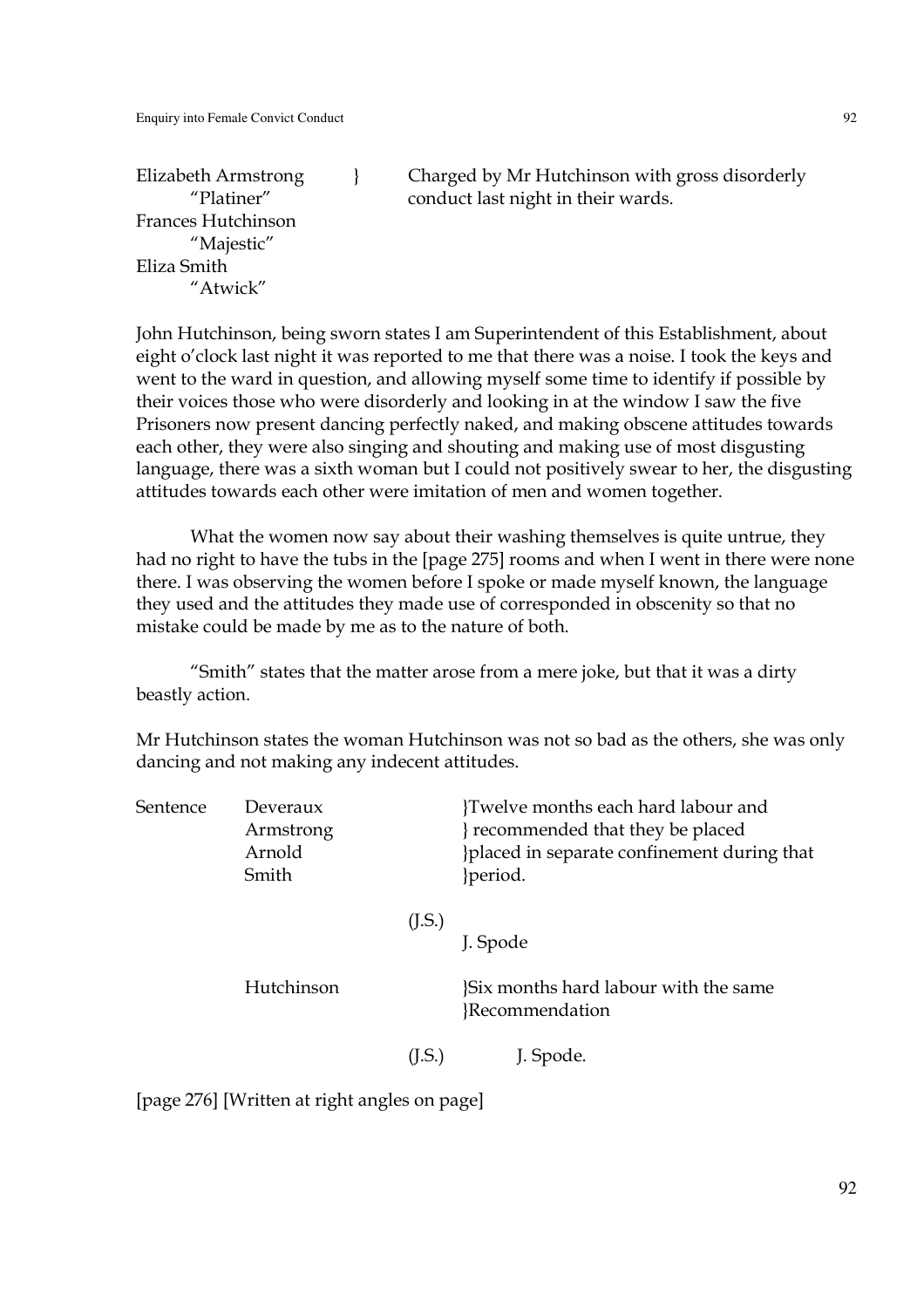| Elizabeth Armstrong<br>"Platiner" | Charged by Mr Hutchinson with gross disorderly<br>conduct last night in their wards. |
|-----------------------------------|--------------------------------------------------------------------------------------|
| Frances Hutchinson                |                                                                                      |
| "Majestic"                        |                                                                                      |
| Eliza Smith                       |                                                                                      |
| "Atwick"                          |                                                                                      |

John Hutchinson, being sworn states I am Superintendent of this Establishment, about eight o'clock last night it was reported to me that there was a noise. I took the keys and went to the ward in question, and allowing myself some time to identify if possible by their voices those who were disorderly and looking in at the window I saw the five Prisoners now present dancing perfectly naked, and making obscene attitudes towards each other, they were also singing and shouting and making use of most disgusting language, there was a sixth woman but I could not positively swear to her, the disgusting attitudes towards each other were imitation of men and women together.

 What the women now say about their washing themselves is quite untrue, they had no right to have the tubs in the [page 275] rooms and when I went in there were none there. I was observing the women before I spoke or made myself known, the language they used and the attitudes they made use of corresponded in obscenity so that no mistake could be made by me as to the nature of both.

 "Smith" states that the matter arose from a mere joke, but that it was a dirty beastly action.

Mr Hutchinson states the woman Hutchinson was not so bad as the others, she was only dancing and not making any indecent attitudes.

| Sentence | Deveraux<br>Armstrong<br>Arnold<br>Smith |        | Twelve months each hard labour and<br>} recommended that they be placed<br>placed in separate confinement during that<br>period. |
|----------|------------------------------------------|--------|----------------------------------------------------------------------------------------------------------------------------------|
|          |                                          | (J.S.) | J. Spode                                                                                                                         |
|          | Hutchinson                               |        | Six months hard labour with the same<br>Recommendation                                                                           |
|          |                                          | (I.S.) | J. Spode.                                                                                                                        |

[page 276] [Written at right angles on page]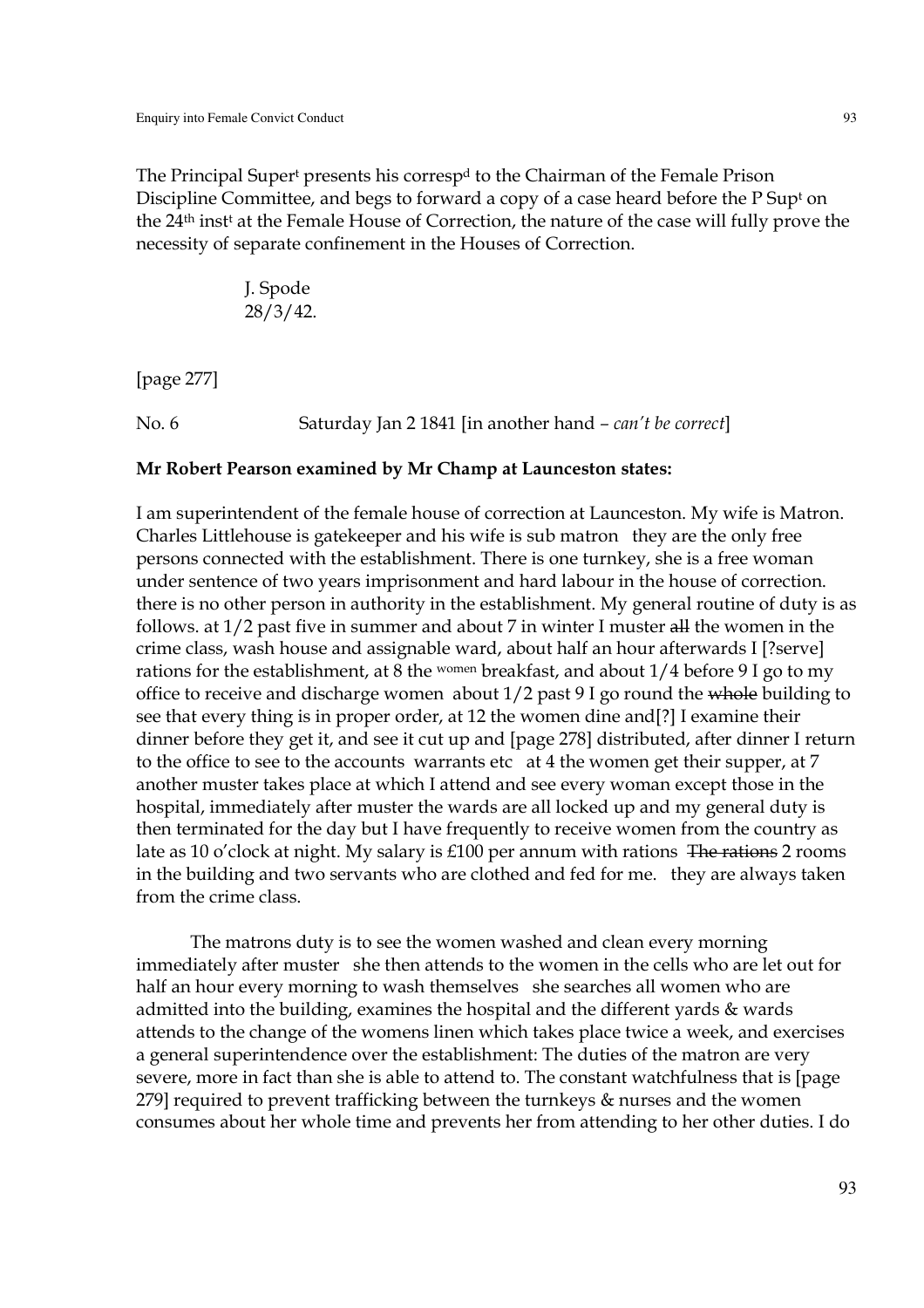The Principal Super<sup>t</sup> presents his corresp<sup>d</sup> to the Chairman of the Female Prison Discipline Committee, and begs to forward a copy of a case heard before the P Sup<sup>t</sup> on the 24<sup>th</sup> inst<sup>t</sup> at the Female House of Correction, the nature of the case will fully prove the necessity of separate confinement in the Houses of Correction.

> J. Spode 28/3/42.

[page 277]

No. 6 Saturday Jan 2 1841 [in another hand – *can't be correct*]

## Mr Robert Pearson examined by Mr Champ at Launceston states:

I am superintendent of the female house of correction at Launceston. My wife is Matron. Charles Littlehouse is gatekeeper and his wife is sub matron they are the only free persons connected with the establishment. There is one turnkey, she is a free woman under sentence of two years imprisonment and hard labour in the house of correction. there is no other person in authority in the establishment. My general routine of duty is as follows. at  $1/2$  past five in summer and about 7 in winter I muster  $all$  the women in the crime class, wash house and assignable ward, about half an hour afterwards I [?serve] rations for the establishment, at 8 the women breakfast, and about 1/4 before 9 I go to my office to receive and discharge women about  $1/2$  past 9 I go round the whole building to see that every thing is in proper order, at 12 the women dine and[?] I examine their dinner before they get it, and see it cut up and [page 278] distributed, after dinner I return to the office to see to the accounts warrants etc at 4 the women get their supper, at 7 another muster takes place at which I attend and see every woman except those in the hospital, immediately after muster the wards are all locked up and my general duty is then terminated for the day but I have frequently to receive women from the country as late as 10 o'clock at night. My salary is £100 per annum with rations The rations 2 rooms in the building and two servants who are clothed and fed for me. they are always taken from the crime class.

 The matrons duty is to see the women washed and clean every morning immediately after muster she then attends to the women in the cells who are let out for half an hour every morning to wash themselves she searches all women who are admitted into the building, examines the hospital and the different yards & wards attends to the change of the womens linen which takes place twice a week, and exercises a general superintendence over the establishment: The duties of the matron are very severe, more in fact than she is able to attend to. The constant watchfulness that is [page 279] required to prevent trafficking between the turnkeys & nurses and the women consumes about her whole time and prevents her from attending to her other duties. I do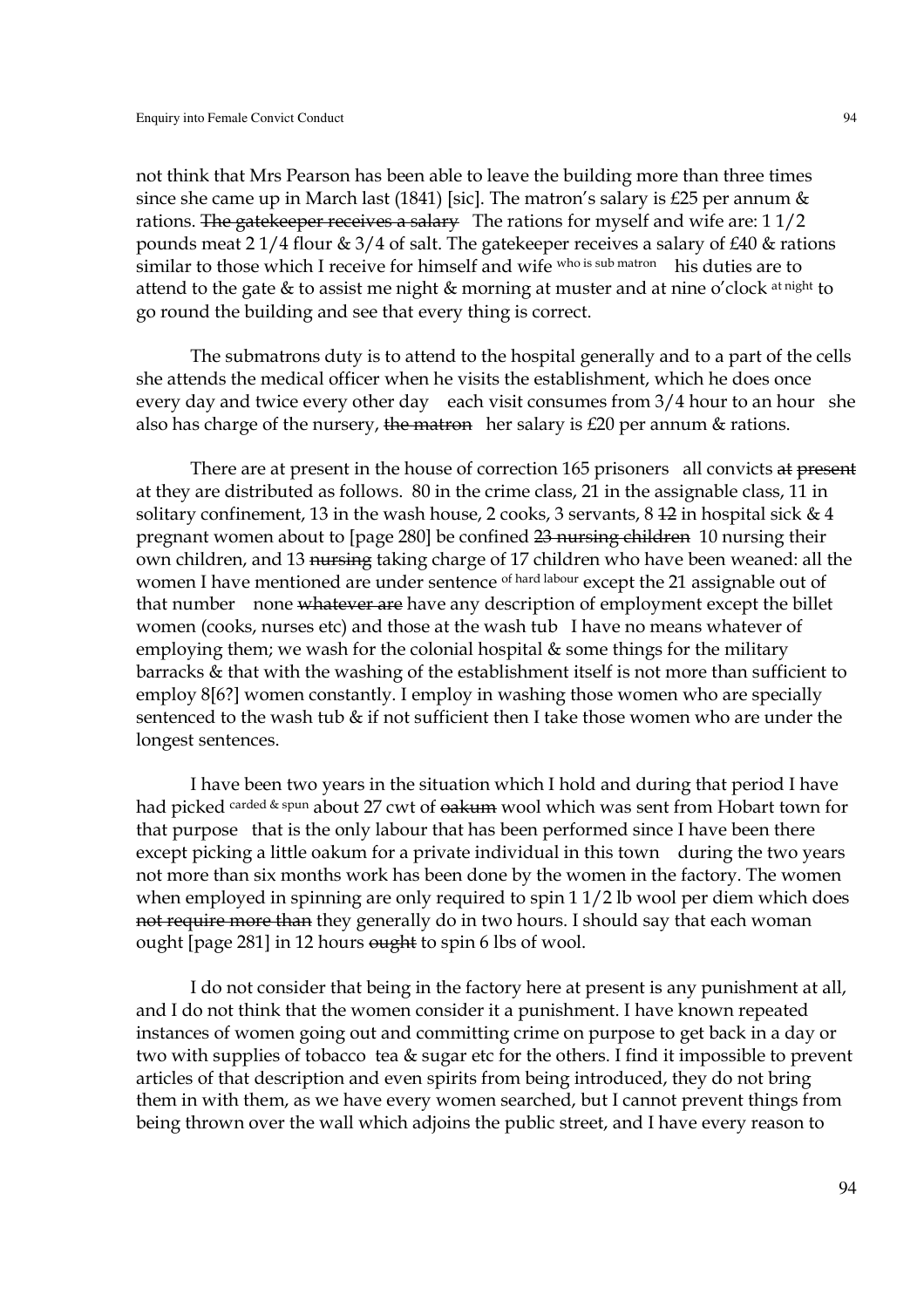not think that Mrs Pearson has been able to leave the building more than three times since she came up in March last (1841) [sic]. The matron's salary is £25 per annum & rations. The gate keeper receives a salary The rations for myself and wife are:  $11/2$ pounds meat 2 1/4 flour & 3/4 of salt. The gatekeeper receives a salary of £40 & rations similar to those which I receive for himself and wife who is sub matron his duties are to attend to the gate & to assist me night & morning at muster and at nine o'clock at night to go round the building and see that every thing is correct.

The submatrons duty is to attend to the hospital generally and to a part of the cells she attends the medical officer when he visits the establishment, which he does once every day and twice every other day each visit consumes from 3/4 hour to an hour she also has charge of the nursery, the matron her salary is  $£20$  per annum  $&$  rations.

There are at present in the house of correction 165 prisoners all convicts at present at they are distributed as follows. 80 in the crime class, 21 in the assignable class, 11 in solitary confinement, 13 in the wash house, 2 cooks, 3 servants,  $8\sqrt{12}$  in hospital sick & 4 pregnant women about to [page 280] be confined 23 nursing children 10 nursing their own children, and 13 nursing taking charge of 17 children who have been weaned: all the women I have mentioned are under sentence of hard labour except the 21 assignable out of that number none whatever are have any description of employment except the billet women (cooks, nurses etc) and those at the wash tub I have no means whatever of employing them; we wash for the colonial hospital & some things for the military barracks & that with the washing of the establishment itself is not more than sufficient to employ 8[6?] women constantly. I employ in washing those women who are specially sentenced to the wash tub & if not sufficient then I take those women who are under the longest sentences.

I have been two years in the situation which I hold and during that period I have had picked carded & spun about 27 cwt of oakum wool which was sent from Hobart town for that purpose that is the only labour that has been performed since I have been there except picking a little oakum for a private individual in this town during the two years not more than six months work has been done by the women in the factory. The women when employed in spinning are only required to spin 1 1/2 lb wool per diem which does not require more than they generally do in two hours. I should say that each woman ought [page 281] in 12 hours ought to spin 6 lbs of wool.

I do not consider that being in the factory here at present is any punishment at all, and I do not think that the women consider it a punishment. I have known repeated instances of women going out and committing crime on purpose to get back in a day or two with supplies of tobacco tea & sugar etc for the others. I find it impossible to prevent articles of that description and even spirits from being introduced, they do not bring them in with them, as we have every women searched, but I cannot prevent things from being thrown over the wall which adjoins the public street, and I have every reason to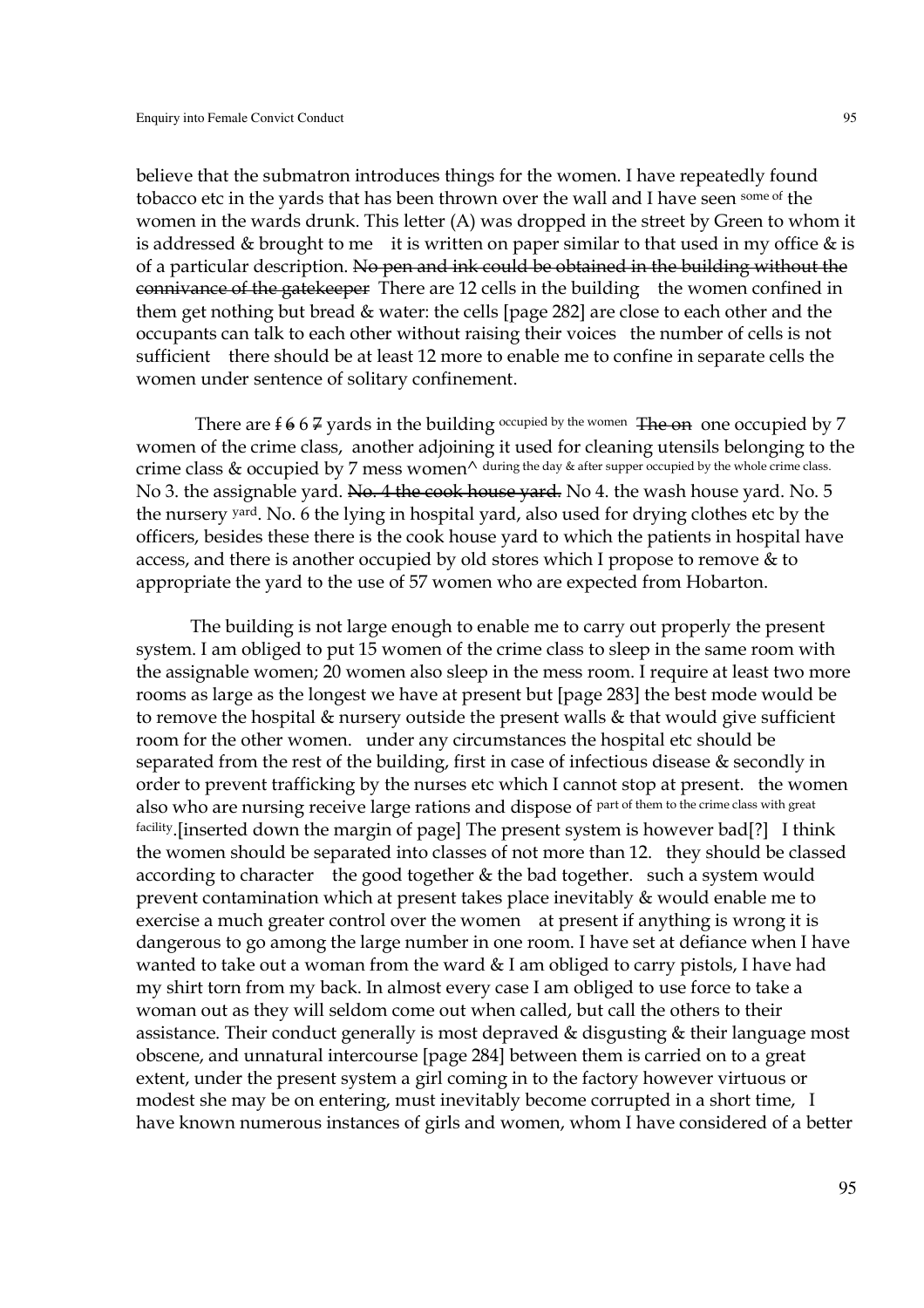believe that the submatron introduces things for the women. I have repeatedly found tobacco etc in the yards that has been thrown over the wall and I have seen some of the women in the wards drunk. This letter (A) was dropped in the street by Green to whom it is addressed  $&$  brought to me it is written on paper similar to that used in my office  $&$  is of a particular description. No pen and ink could be obtained in the building without the connivance of the gatekeeper There are 12 cells in the building the women confined in them get nothing but bread & water: the cells [page 282] are close to each other and the occupants can talk to each other without raising their voices the number of cells is not sufficient there should be at least 12 more to enable me to confine in separate cells the women under sentence of solitary confinement.

There are  $f \not\in 6 \nsubseteq y$  ards in the building occupied by the women The on one occupied by 7 women of the crime class, another adjoining it used for cleaning utensils belonging to the  $\rm crime$  class  $\rm \&$  occupied by  $7$  mess women $^\wedge$  during the day & after supper occupied by the whole crime class. No 3. the assignable yard. No. 4 the cook house yard. No 4. the wash house yard. No. 5 the nursery yard. No. 6 the lying in hospital yard, also used for drying clothes etc by the officers, besides these there is the cook house yard to which the patients in hospital have access, and there is another occupied by old stores which I propose to remove & to appropriate the yard to the use of 57 women who are expected from Hobarton.

 The building is not large enough to enable me to carry out properly the present system. I am obliged to put 15 women of the crime class to sleep in the same room with the assignable women; 20 women also sleep in the mess room. I require at least two more rooms as large as the longest we have at present but [page 283] the best mode would be to remove the hospital & nursery outside the present walls & that would give sufficient room for the other women. under any circumstances the hospital etc should be separated from the rest of the building, first in case of infectious disease & secondly in order to prevent trafficking by the nurses etc which I cannot stop at present. the women also who are nursing receive large rations and dispose of part of them to the crime class with great facility.[inserted down the margin of page] The present system is however bad[?] I think the women should be separated into classes of not more than 12. they should be classed according to character the good together & the bad together. such a system would prevent contamination which at present takes place inevitably & would enable me to exercise a much greater control over the women at present if anything is wrong it is dangerous to go among the large number in one room. I have set at defiance when I have wanted to take out a woman from the ward & I am obliged to carry pistols, I have had my shirt torn from my back. In almost every case I am obliged to use force to take a woman out as they will seldom come out when called, but call the others to their assistance. Their conduct generally is most depraved & disgusting & their language most obscene, and unnatural intercourse [page 284] between them is carried on to a great extent, under the present system a girl coming in to the factory however virtuous or modest she may be on entering, must inevitably become corrupted in a short time, I have known numerous instances of girls and women, whom I have considered of a better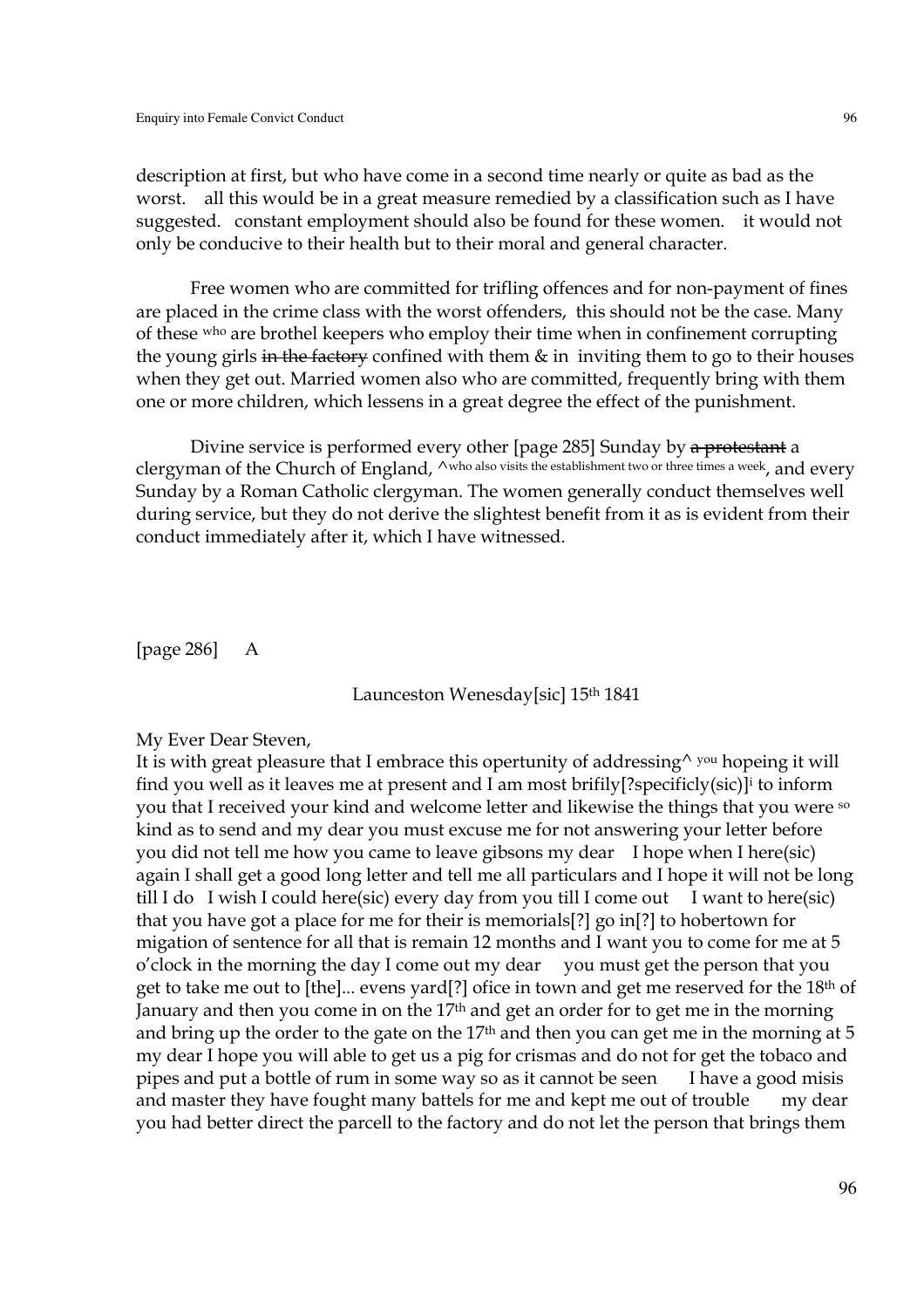description at first, but who have come in a second time nearly or quite as bad as the worst. all this would be in a great measure remedied by a classification such as I have suggested. constant employment should also be found for these women. it would not only be conducive to their health but to their moral and general character.

 Free women who are committed for trifling offences and for non-payment of fines are placed in the crime class with the worst offenders, this should not be the case. Many of these who are brothel keepers who employ their time when in confinement corrupting the young girls in the factory confined with them & in inviting them to go to their houses when they get out. Married women also who are committed, frequently bring with them one or more children, which lessens in a great degree the effect of the punishment.

Divine service is performed every other [page 285] Sunday by a protestant a clergyman of the Church of England, Awho also visits the establishment two or three times a week, and every Sunday by a Roman Catholic clergyman. The women generally conduct themselves well during service, but they do not derive the slightest benefit from it as is evident from their conduct immediately after it, which I have witnessed.

[page 286] A

Launceston Wenesday[sic] 15th 1841

#### My Ever Dear Steven,

It is with great pleasure that I embrace this opertunity of addressing  $\gamma$  you hopeing it will find you well as it leaves me at present and I am most brifily[?specificly(sic)]<sup>i</sup> to inform you that I received your kind and welcome letter and likewise the things that you were <sup>so</sup> kind as to send and my dear you must excuse me for not answering your letter before you did not tell me how you came to leave gibsons my dear I hope when I here(sic) again I shall get a good long letter and tell me all particulars and I hope it will not be long till I do I wish I could here(sic) every day from you till I come out I want to here(sic) that you have got a place for me for their is memorials[?] go in[?] to hobertown for migation of sentence for all that is remain 12 months and I want you to come for me at 5 o'clock in the morning the day I come out my dear you must get the person that you get to take me out to [the]... evens yard[?] ofice in town and get me reserved for the 18th of January and then you come in on the 17<sup>th</sup> and get an order for to get me in the morning and bring up the order to the gate on the  $17<sup>th</sup>$  and then you can get me in the morning at 5 my dear I hope you will able to get us a pig for crismas and do not for get the tobaco and pipes and put a bottle of rum in some way so as it cannot be seen I have a good misis and master they have fought many battels for me and kept me out of trouble my dear you had better direct the parcell to the factory and do not let the person that brings them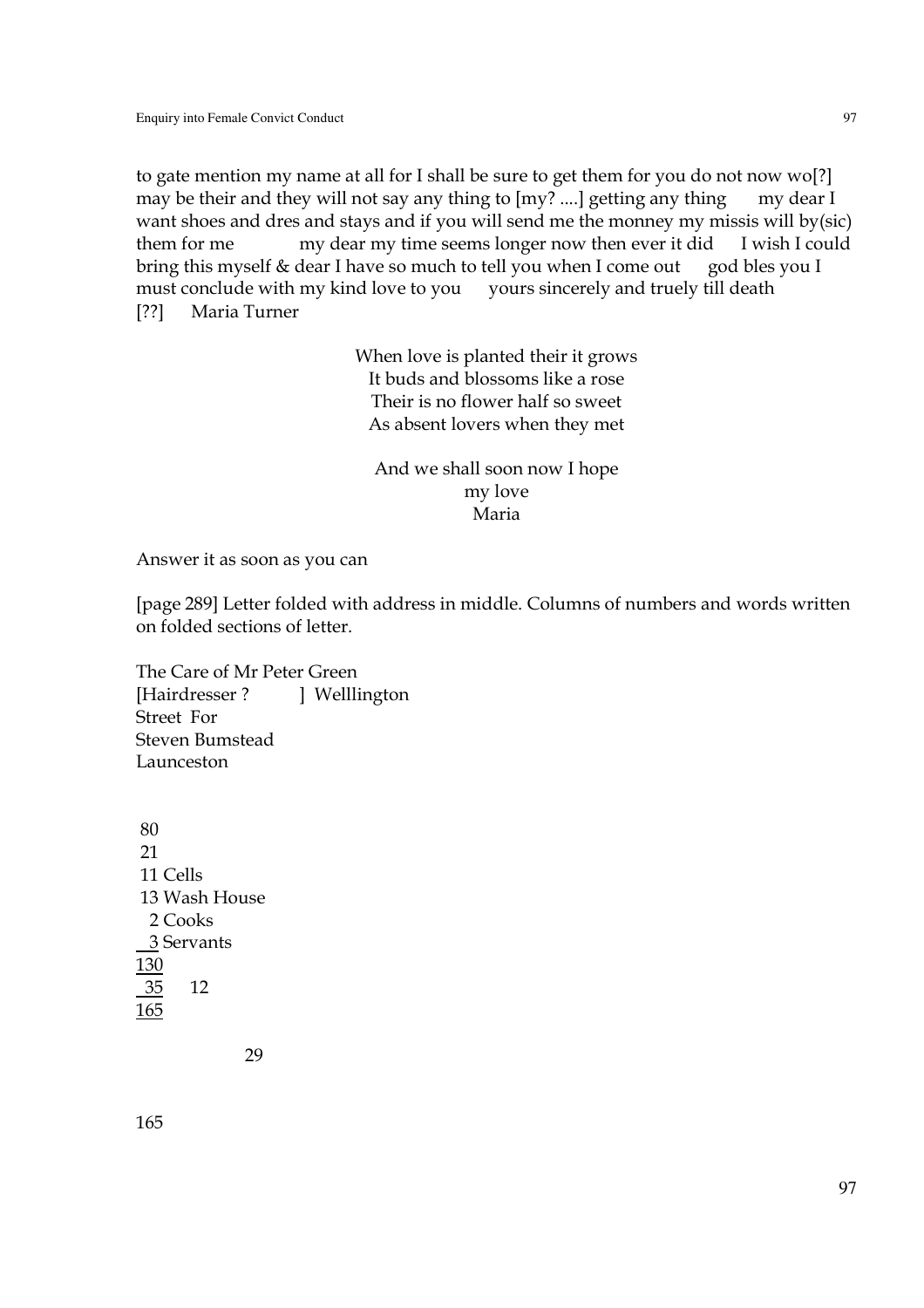to gate mention my name at all for I shall be sure to get them for you do not now wo[?] may be their and they will not say any thing to [my? ....] getting any thing my dear I want shoes and dres and stays and if you will send me the monney my missis will by(sic) them for me my dear my time seems longer now then ever it did I wish I could bring this myself & dear I have so much to tell you when I come out god bles you I must conclude with my kind love to you yours sincerely and truely till death [??] Maria Turner

> When love is planted their it grows It buds and blossoms like a rose Their is no flower half so sweet As absent lovers when they met

And we shall soon now I hope my love Maria

Answer it as soon as you can

[page 289] Letter folded with address in middle. Columns of numbers and words written on folded sections of letter.

The Care of Mr Peter Green [Hairdresser ? ] Welllington Street For Steven Bumstead Launceston

29

165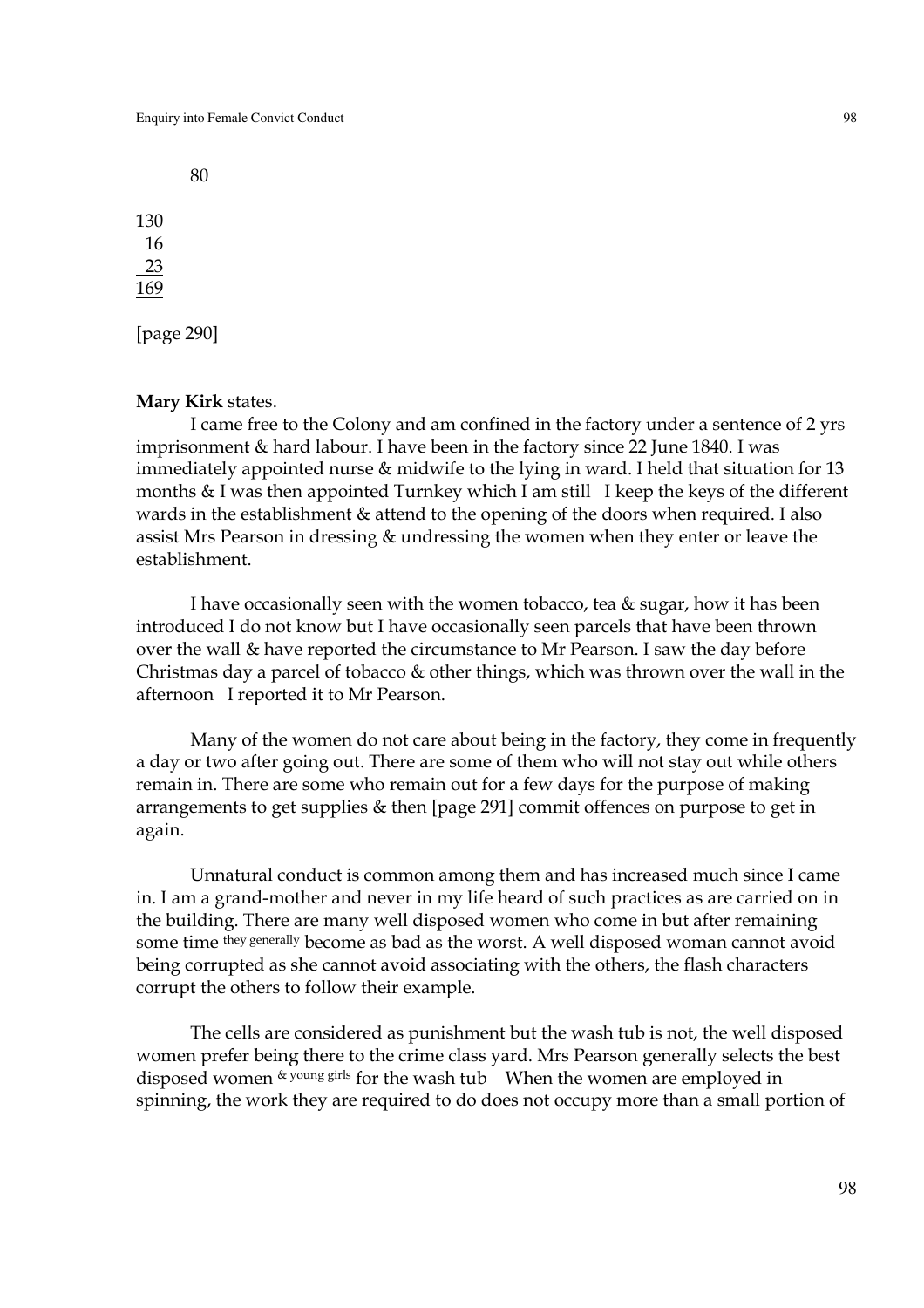80

[page 290]

Mary Kirk states.

I came free to the Colony and am confined in the factory under a sentence of 2 yrs imprisonment & hard labour. I have been in the factory since 22 June 1840. I was immediately appointed nurse & midwife to the lying in ward. I held that situation for 13 months & I was then appointed Turnkey which I am still I keep the keys of the different wards in the establishment & attend to the opening of the doors when required. I also assist Mrs Pearson in dressing & undressing the women when they enter or leave the establishment.

I have occasionally seen with the women tobacco, tea & sugar, how it has been introduced I do not know but I have occasionally seen parcels that have been thrown over the wall & have reported the circumstance to Mr Pearson. I saw the day before Christmas day a parcel of tobacco & other things, which was thrown over the wall in the afternoon I reported it to Mr Pearson.

Many of the women do not care about being in the factory, they come in frequently a day or two after going out. There are some of them who will not stay out while others remain in. There are some who remain out for a few days for the purpose of making arrangements to get supplies & then [page 291] commit offences on purpose to get in again.

Unnatural conduct is common among them and has increased much since I came in. I am a grand-mother and never in my life heard of such practices as are carried on in the building. There are many well disposed women who come in but after remaining some time they generally become as bad as the worst. A well disposed woman cannot avoid being corrupted as she cannot avoid associating with the others, the flash characters corrupt the others to follow their example.

The cells are considered as punishment but the wash tub is not, the well disposed women prefer being there to the crime class yard. Mrs Pearson generally selects the best disposed women & young girls for the wash tub When the women are employed in spinning, the work they are required to do does not occupy more than a small portion of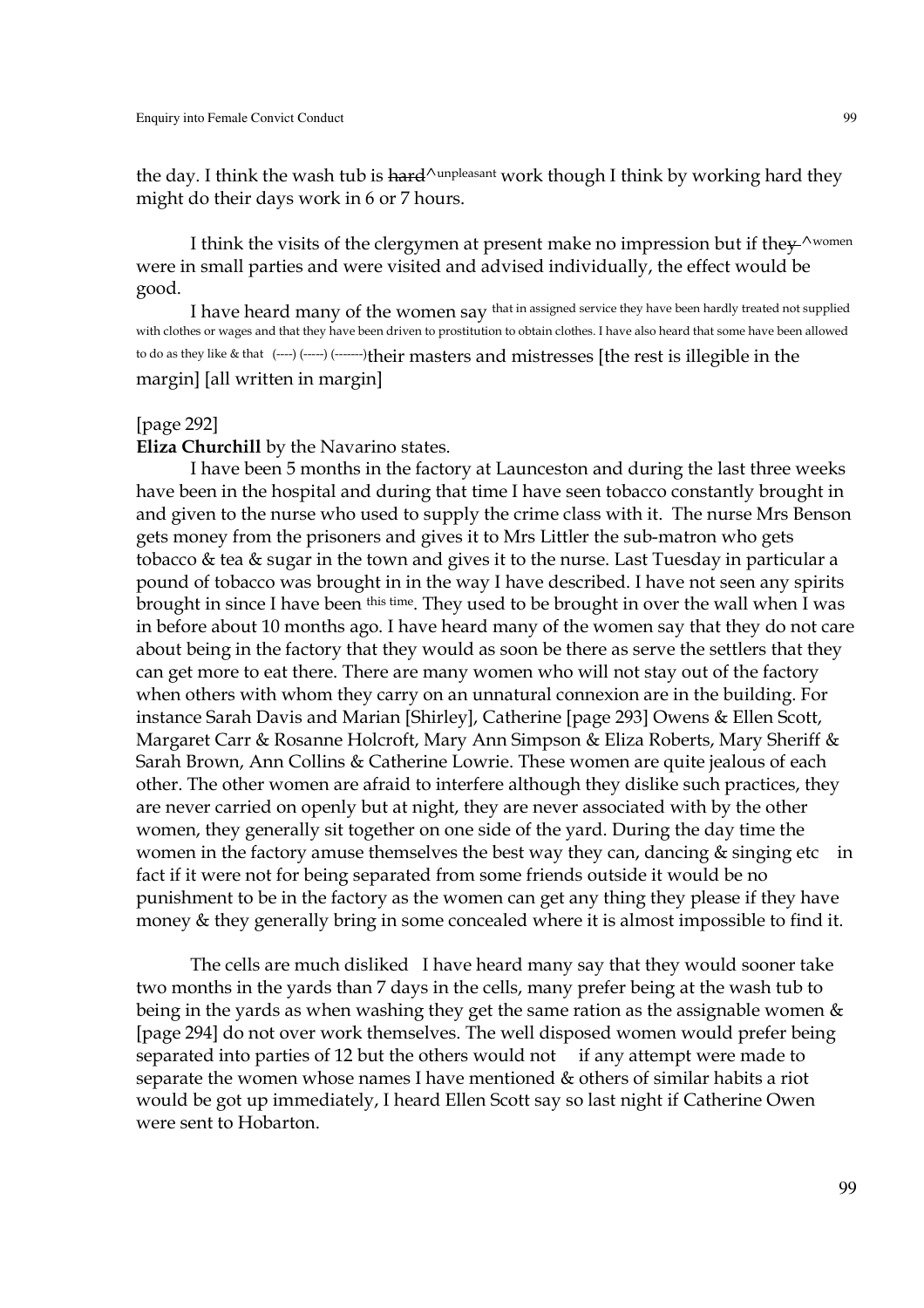the day. I think the wash tub is  $\text{hard}^{\wedge}$ unpleasant work though I think by working hard they might do their days work in 6 or 7 hours.

I think the visits of the clergymen at present make no impression but if they  $\wedge$  women were in small parties and were visited and advised individually, the effect would be good.

I have heard many of the women say that in assigned service they have been hardly treated not supplied with clothes or wages and that they have been driven to prostitution to obtain clothes. I have also heard that some have been allowed to do as they like & that (----) (-----) (-------) their masters and mistresses [the rest is illegible in the margin] [all written in margin]

#### [page 292]

Eliza Churchill by the Navarino states.

I have been 5 months in the factory at Launceston and during the last three weeks have been in the hospital and during that time I have seen tobacco constantly brought in and given to the nurse who used to supply the crime class with it. The nurse Mrs Benson gets money from the prisoners and gives it to Mrs Littler the sub-matron who gets tobacco & tea & sugar in the town and gives it to the nurse. Last Tuesday in particular a pound of tobacco was brought in in the way I have described. I have not seen any spirits brought in since I have been this time. They used to be brought in over the wall when I was in before about 10 months ago. I have heard many of the women say that they do not care about being in the factory that they would as soon be there as serve the settlers that they can get more to eat there. There are many women who will not stay out of the factory when others with whom they carry on an unnatural connexion are in the building. For instance Sarah Davis and Marian [Shirley], Catherine [page 293] Owens & Ellen Scott, Margaret Carr & Rosanne Holcroft, Mary Ann Simpson & Eliza Roberts, Mary Sheriff & Sarah Brown, Ann Collins & Catherine Lowrie. These women are quite jealous of each other. The other women are afraid to interfere although they dislike such practices, they are never carried on openly but at night, they are never associated with by the other women, they generally sit together on one side of the yard. During the day time the women in the factory amuse themselves the best way they can, dancing & singing etc in fact if it were not for being separated from some friends outside it would be no punishment to be in the factory as the women can get any thing they please if they have money & they generally bring in some concealed where it is almost impossible to find it.

The cells are much disliked I have heard many say that they would sooner take two months in the yards than 7 days in the cells, many prefer being at the wash tub to being in the yards as when washing they get the same ration as the assignable women & [page 294] do not over work themselves. The well disposed women would prefer being separated into parties of 12 but the others would not if any attempt were made to separate the women whose names I have mentioned & others of similar habits a riot would be got up immediately, I heard Ellen Scott say so last night if Catherine Owen were sent to Hobarton.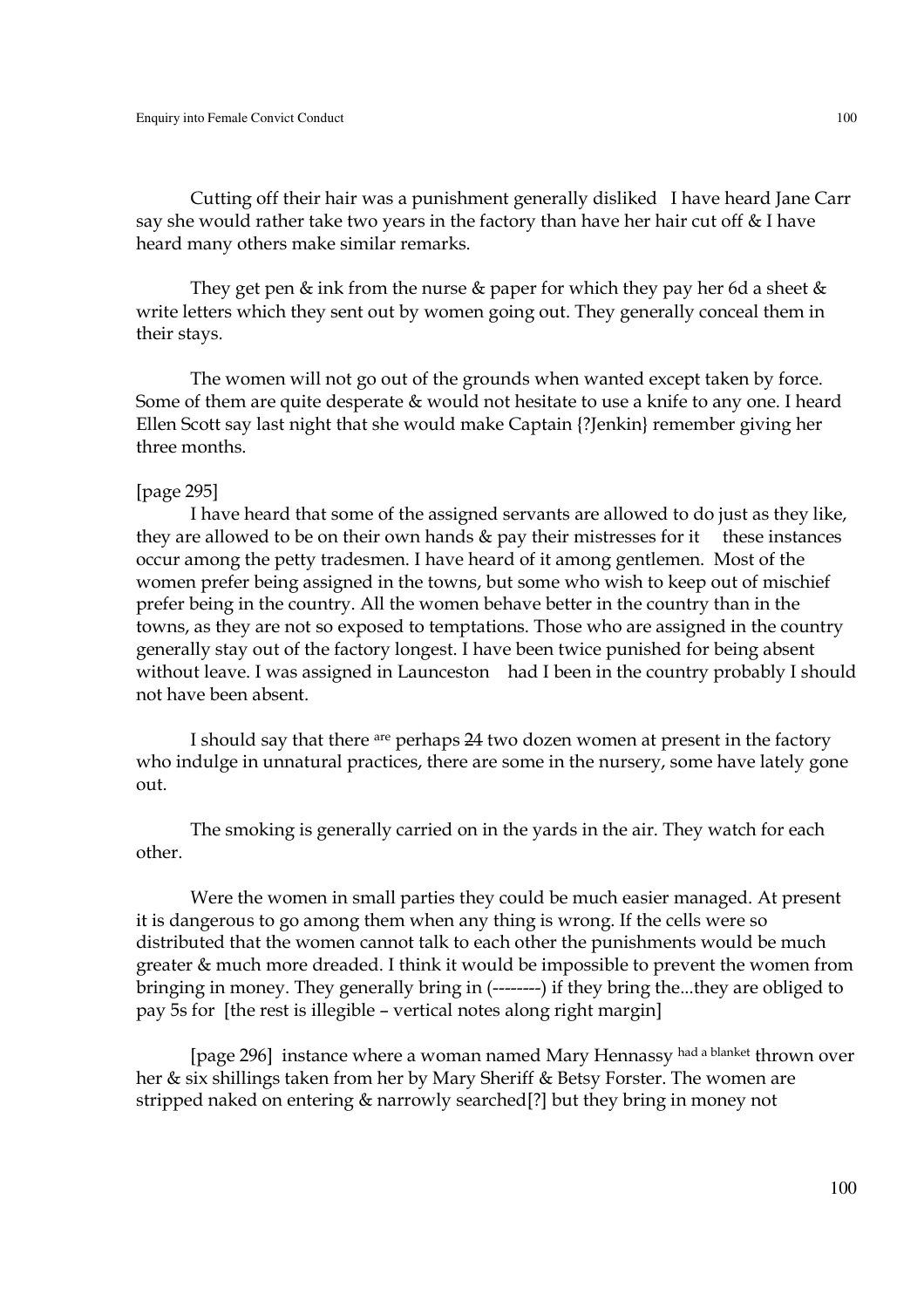Cutting off their hair was a punishment generally disliked I have heard Jane Carr say she would rather take two years in the factory than have her hair cut off  $&$  I have heard many others make similar remarks.

They get pen  $\&$  ink from the nurse  $\&$  paper for which they pay her 6d a sheet  $\&$ write letters which they sent out by women going out. They generally conceal them in their stays.

The women will not go out of the grounds when wanted except taken by force. Some of them are quite desperate & would not hesitate to use a knife to any one. I heard Ellen Scott say last night that she would make Captain {?Jenkin} remember giving her three months.

## [page 295]

I have heard that some of the assigned servants are allowed to do just as they like, they are allowed to be on their own hands  $&$  pay their mistresses for it these instances occur among the petty tradesmen. I have heard of it among gentlemen. Most of the women prefer being assigned in the towns, but some who wish to keep out of mischief prefer being in the country. All the women behave better in the country than in the towns, as they are not so exposed to temptations. Those who are assigned in the country generally stay out of the factory longest. I have been twice punished for being absent without leave. I was assigned in Launceston had I been in the country probably I should not have been absent.

I should say that there are perhaps 24 two dozen women at present in the factory who indulge in unnatural practices, there are some in the nursery, some have lately gone out.

The smoking is generally carried on in the yards in the air. They watch for each other.

Were the women in small parties they could be much easier managed. At present it is dangerous to go among them when any thing is wrong. If the cells were so distributed that the women cannot talk to each other the punishments would be much greater & much more dreaded. I think it would be impossible to prevent the women from bringing in money. They generally bring in (--------) if they bring the...they are obliged to pay 5s for [the rest is illegible – vertical notes along right margin]

[page 296] instance where a woman named Mary Hennassy had a blanket thrown over her & six shillings taken from her by Mary Sheriff & Betsy Forster. The women are stripped naked on entering & narrowly searched[?] but they bring in money not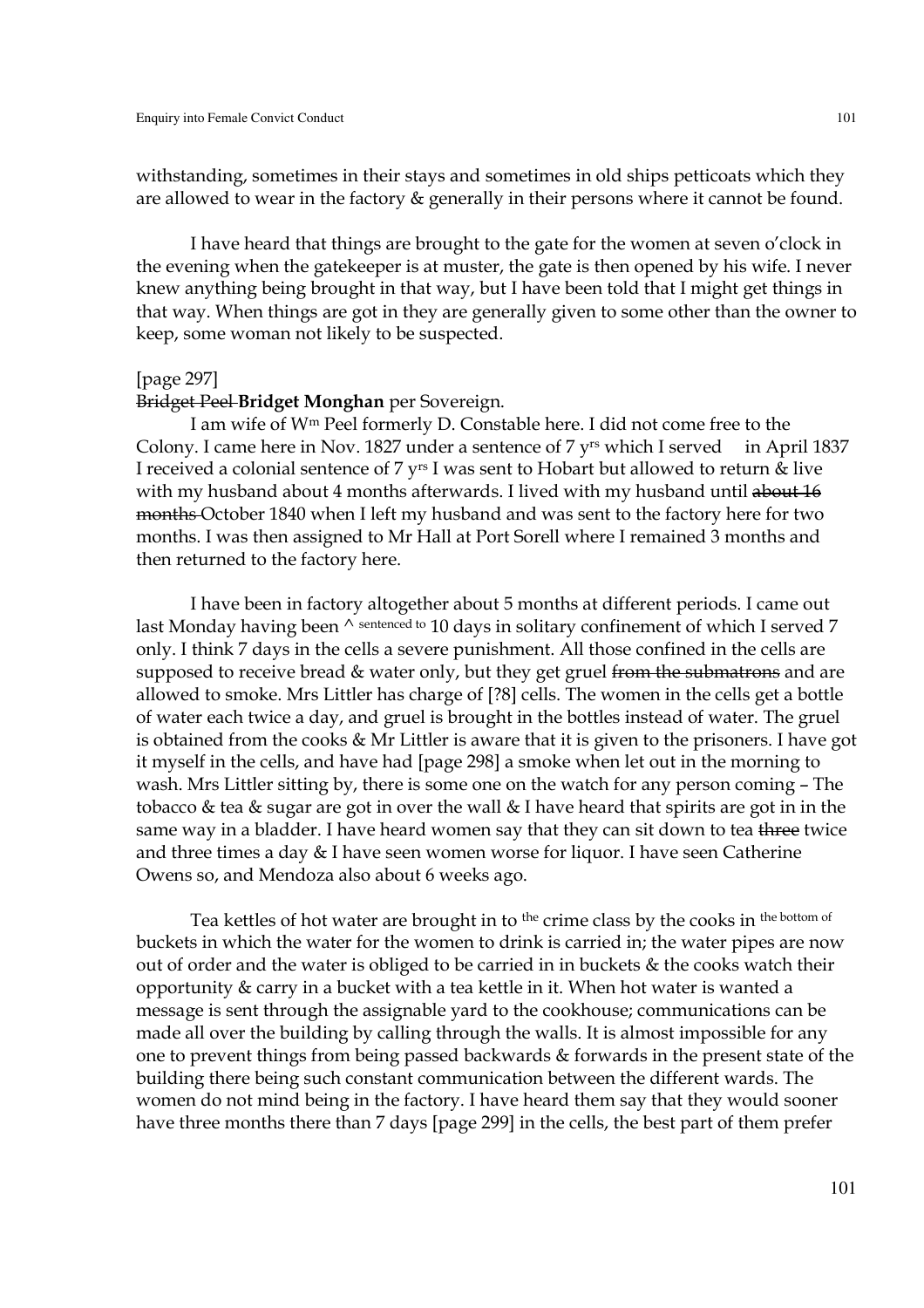withstanding, sometimes in their stays and sometimes in old ships petticoats which they are allowed to wear in the factory & generally in their persons where it cannot be found.

I have heard that things are brought to the gate for the women at seven o'clock in the evening when the gatekeeper is at muster, the gate is then opened by his wife. I never knew anything being brought in that way, but I have been told that I might get things in that way. When things are got in they are generally given to some other than the owner to keep, some woman not likely to be suspected.

#### [page 297]

### Bridget Peel Bridget Monghan per Sovereign.

I am wife of W<sup>m</sup> Peel formerly D. Constable here. I did not come free to the Colony. I came here in Nov. 1827 under a sentence of 7 yrs which I served in April 1837 I received a colonial sentence of 7 yrs I was sent to Hobart but allowed to return & live with my husband about 4 months afterwards. I lived with my husband until about 16 months October 1840 when I left my husband and was sent to the factory here for two months. I was then assigned to Mr Hall at Port Sorell where I remained 3 months and then returned to the factory here.

I have been in factory altogether about 5 months at different periods. I came out last Monday having been  $\wedge$  sentenced to 10 days in solitary confinement of which I served 7 only. I think 7 days in the cells a severe punishment. All those confined in the cells are supposed to receive bread & water only, but they get gruel from the submatrons and are allowed to smoke. Mrs Littler has charge of [?8] cells. The women in the cells get a bottle of water each twice a day, and gruel is brought in the bottles instead of water. The gruel is obtained from the cooks & Mr Littler is aware that it is given to the prisoners. I have got it myself in the cells, and have had [page 298] a smoke when let out in the morning to wash. Mrs Littler sitting by, there is some one on the watch for any person coming – The tobacco & tea & sugar are got in over the wall & I have heard that spirits are got in in the same way in a bladder. I have heard women say that they can sit down to tea three twice and three times a day & I have seen women worse for liquor. I have seen Catherine Owens so, and Mendoza also about 6 weeks ago.

Tea kettles of hot water are brought in to the crime class by the cooks in the bottom of buckets in which the water for the women to drink is carried in; the water pipes are now out of order and the water is obliged to be carried in in buckets & the cooks watch their opportunity & carry in a bucket with a tea kettle in it. When hot water is wanted a message is sent through the assignable yard to the cookhouse; communications can be made all over the building by calling through the walls. It is almost impossible for any one to prevent things from being passed backwards & forwards in the present state of the building there being such constant communication between the different wards. The women do not mind being in the factory. I have heard them say that they would sooner have three months there than 7 days [page 299] in the cells, the best part of them prefer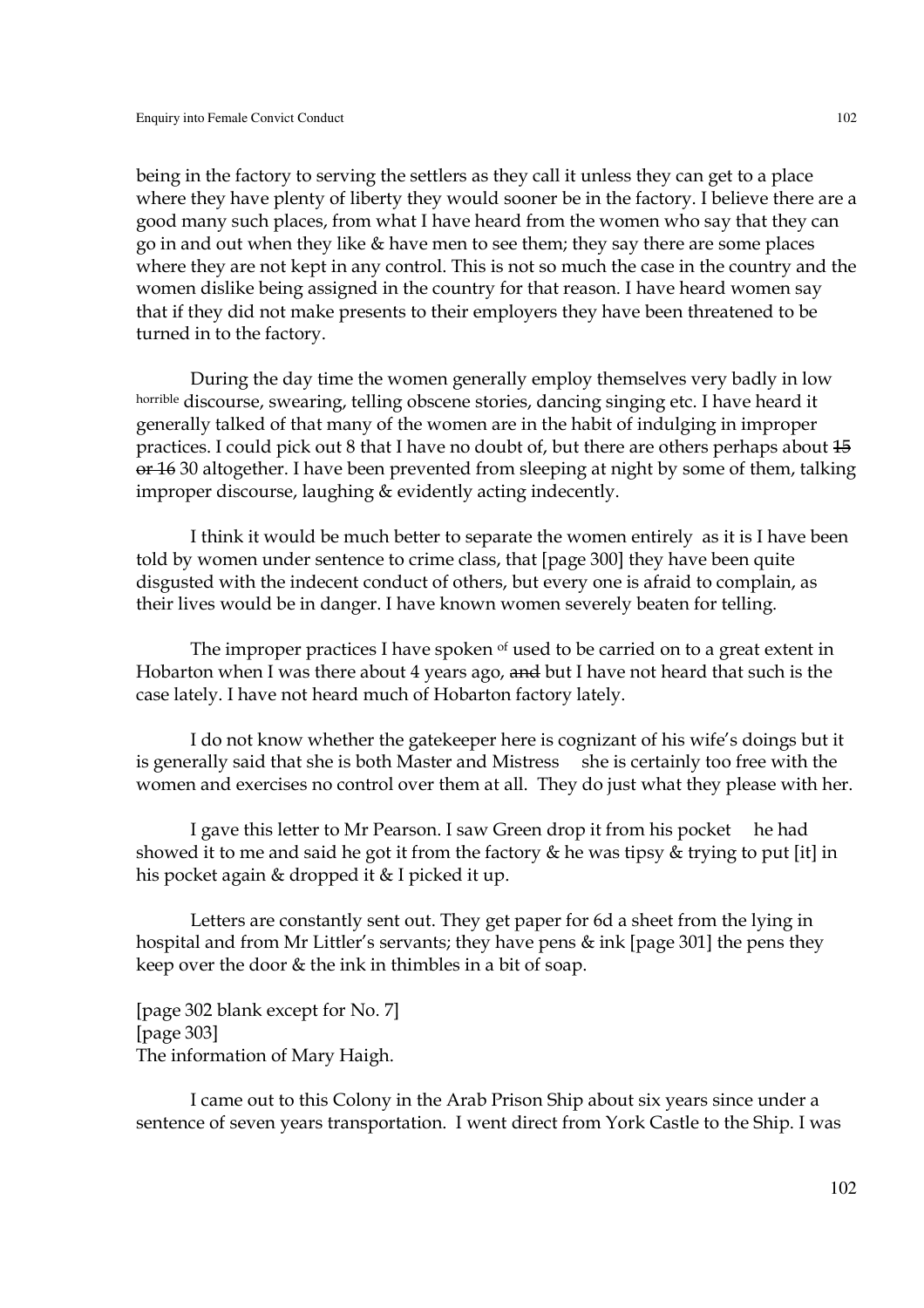being in the factory to serving the settlers as they call it unless they can get to a place where they have plenty of liberty they would sooner be in the factory. I believe there are a good many such places, from what I have heard from the women who say that they can go in and out when they like & have men to see them; they say there are some places where they are not kept in any control. This is not so much the case in the country and the women dislike being assigned in the country for that reason. I have heard women say that if they did not make presents to their employers they have been threatened to be turned in to the factory.

During the day time the women generally employ themselves very badly in low horrible discourse, swearing, telling obscene stories, dancing singing etc. I have heard it generally talked of that many of the women are in the habit of indulging in improper practices. I could pick out 8 that I have no doubt of, but there are others perhaps about 15 or 16 30 altogether. I have been prevented from sleeping at night by some of them, talking improper discourse, laughing & evidently acting indecently.

I think it would be much better to separate the women entirely as it is I have been told by women under sentence to crime class, that [page 300] they have been quite disgusted with the indecent conduct of others, but every one is afraid to complain, as their lives would be in danger. I have known women severely beaten for telling.

The improper practices I have spoken of used to be carried on to a great extent in Hobarton when I was there about 4 years ago, and but I have not heard that such is the case lately. I have not heard much of Hobarton factory lately.

I do not know whether the gatekeeper here is cognizant of his wife's doings but it is generally said that she is both Master and Mistress she is certainly too free with the women and exercises no control over them at all. They do just what they please with her.

I gave this letter to Mr Pearson. I saw Green drop it from his pocket he had showed it to me and said he got it from the factory & he was tipsy & trying to put [it] in his pocket again & dropped it & I picked it up.

Letters are constantly sent out. They get paper for 6d a sheet from the lying in hospital and from Mr Littler's servants; they have pens & ink [page 301] the pens they keep over the door & the ink in thimbles in a bit of soap.

[page 302 blank except for No. 7] [page 303] The information of Mary Haigh.

I came out to this Colony in the Arab Prison Ship about six years since under a sentence of seven years transportation. I went direct from York Castle to the Ship. I was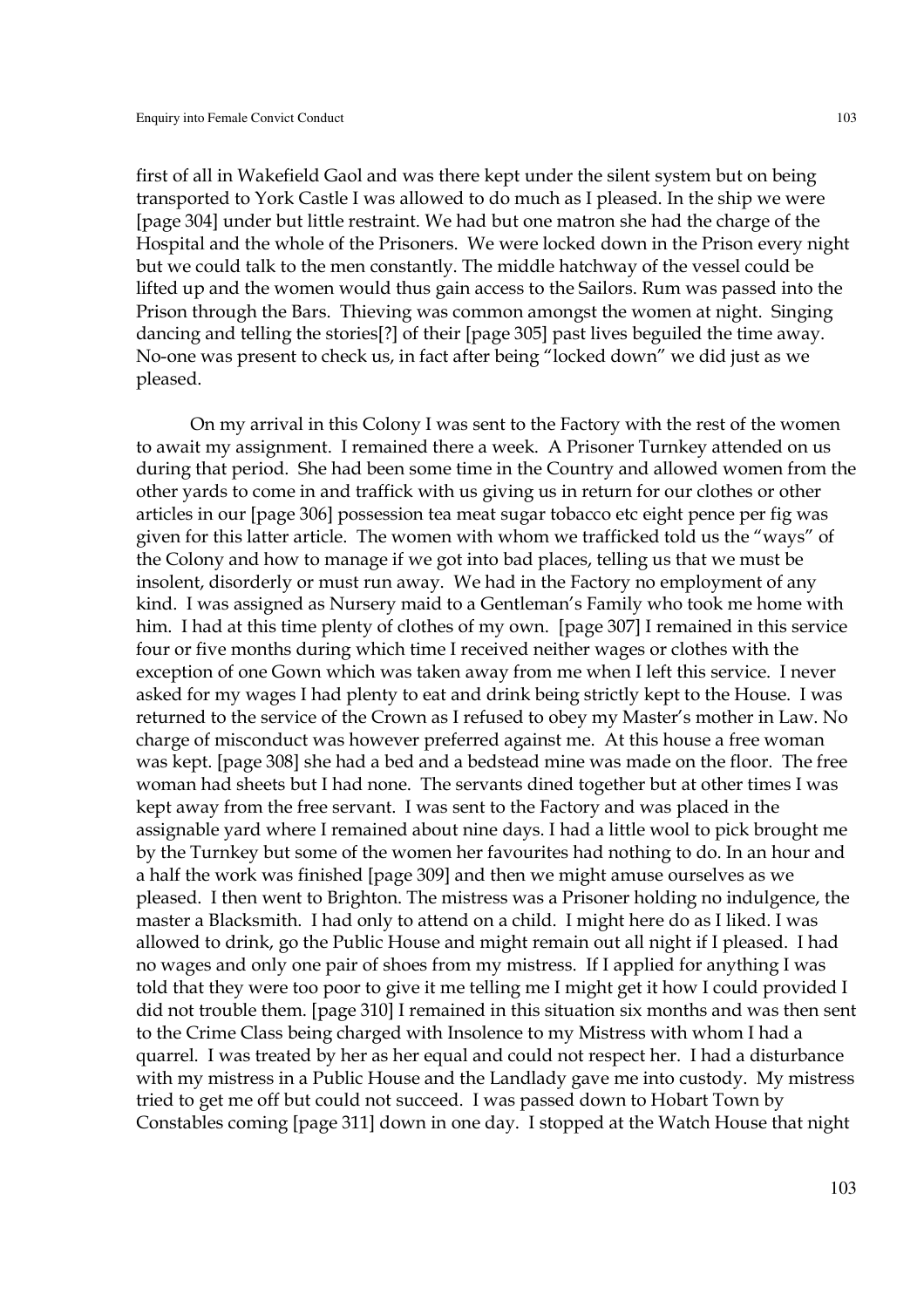first of all in Wakefield Gaol and was there kept under the silent system but on being transported to York Castle I was allowed to do much as I pleased. In the ship we were [page 304] under but little restraint. We had but one matron she had the charge of the Hospital and the whole of the Prisoners. We were locked down in the Prison every night but we could talk to the men constantly. The middle hatchway of the vessel could be lifted up and the women would thus gain access to the Sailors. Rum was passed into the Prison through the Bars. Thieving was common amongst the women at night. Singing dancing and telling the stories[?] of their [page 305] past lives beguiled the time away. No-one was present to check us, in fact after being "locked down" we did just as we pleased.

 On my arrival in this Colony I was sent to the Factory with the rest of the women to await my assignment. I remained there a week. A Prisoner Turnkey attended on us during that period. She had been some time in the Country and allowed women from the other yards to come in and traffick with us giving us in return for our clothes or other articles in our [page 306] possession tea meat sugar tobacco etc eight pence per fig was given for this latter article. The women with whom we trafficked told us the "ways" of the Colony and how to manage if we got into bad places, telling us that we must be insolent, disorderly or must run away. We had in the Factory no employment of any kind. I was assigned as Nursery maid to a Gentleman's Family who took me home with him. I had at this time plenty of clothes of my own. [page 307] I remained in this service four or five months during which time I received neither wages or clothes with the exception of one Gown which was taken away from me when I left this service. I never asked for my wages I had plenty to eat and drink being strictly kept to the House. I was returned to the service of the Crown as I refused to obey my Master's mother in Law. No charge of misconduct was however preferred against me. At this house a free woman was kept. [page 308] she had a bed and a bedstead mine was made on the floor. The free woman had sheets but I had none. The servants dined together but at other times I was kept away from the free servant. I was sent to the Factory and was placed in the assignable yard where I remained about nine days. I had a little wool to pick brought me by the Turnkey but some of the women her favourites had nothing to do. In an hour and a half the work was finished [page 309] and then we might amuse ourselves as we pleased. I then went to Brighton. The mistress was a Prisoner holding no indulgence, the master a Blacksmith. I had only to attend on a child. I might here do as I liked. I was allowed to drink, go the Public House and might remain out all night if I pleased. I had no wages and only one pair of shoes from my mistress. If I applied for anything I was told that they were too poor to give it me telling me I might get it how I could provided I did not trouble them. [page 310] I remained in this situation six months and was then sent to the Crime Class being charged with Insolence to my Mistress with whom I had a quarrel. I was treated by her as her equal and could not respect her. I had a disturbance with my mistress in a Public House and the Landlady gave me into custody. My mistress tried to get me off but could not succeed. I was passed down to Hobart Town by Constables coming [page 311] down in one day. I stopped at the Watch House that night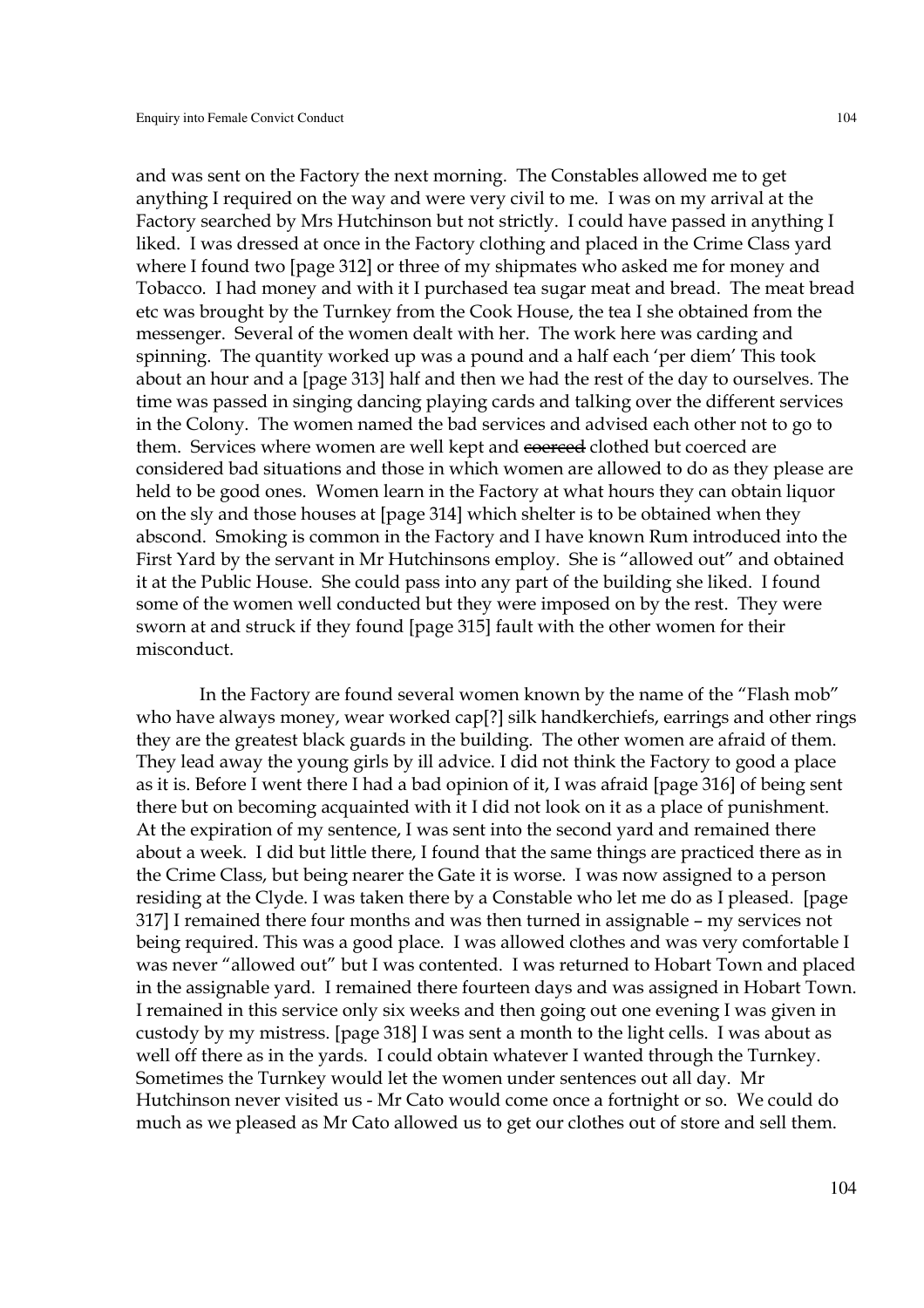and was sent on the Factory the next morning. The Constables allowed me to get anything I required on the way and were very civil to me. I was on my arrival at the Factory searched by Mrs Hutchinson but not strictly. I could have passed in anything I liked. I was dressed at once in the Factory clothing and placed in the Crime Class yard where I found two [page 312] or three of my shipmates who asked me for money and Tobacco. I had money and with it I purchased tea sugar meat and bread. The meat bread etc was brought by the Turnkey from the Cook House, the tea I she obtained from the messenger. Several of the women dealt with her. The work here was carding and spinning. The quantity worked up was a pound and a half each 'per diem' This took about an hour and a [page 313] half and then we had the rest of the day to ourselves. The time was passed in singing dancing playing cards and talking over the different services in the Colony. The women named the bad services and advised each other not to go to them. Services where women are well kept and coerced clothed but coerced are considered bad situations and those in which women are allowed to do as they please are held to be good ones. Women learn in the Factory at what hours they can obtain liquor on the sly and those houses at [page 314] which shelter is to be obtained when they abscond. Smoking is common in the Factory and I have known Rum introduced into the First Yard by the servant in Mr Hutchinsons employ. She is "allowed out" and obtained it at the Public House. She could pass into any part of the building she liked. I found some of the women well conducted but they were imposed on by the rest. They were sworn at and struck if they found [page 315] fault with the other women for their misconduct.

 In the Factory are found several women known by the name of the "Flash mob" who have always money, wear worked cap[?] silk handkerchiefs, earrings and other rings they are the greatest black guards in the building. The other women are afraid of them. They lead away the young girls by ill advice. I did not think the Factory to good a place as it is. Before I went there I had a bad opinion of it, I was afraid [page 316] of being sent there but on becoming acquainted with it I did not look on it as a place of punishment. At the expiration of my sentence, I was sent into the second yard and remained there about a week. I did but little there, I found that the same things are practiced there as in the Crime Class, but being nearer the Gate it is worse. I was now assigned to a person residing at the Clyde. I was taken there by a Constable who let me do as I pleased. [page 317] I remained there four months and was then turned in assignable – my services not being required. This was a good place. I was allowed clothes and was very comfortable I was never "allowed out" but I was contented. I was returned to Hobart Town and placed in the assignable yard. I remained there fourteen days and was assigned in Hobart Town. I remained in this service only six weeks and then going out one evening I was given in custody by my mistress. [page 318] I was sent a month to the light cells. I was about as well off there as in the yards. I could obtain whatever I wanted through the Turnkey. Sometimes the Turnkey would let the women under sentences out all day. Mr Hutchinson never visited us - Mr Cato would come once a fortnight or so. We could do much as we pleased as Mr Cato allowed us to get our clothes out of store and sell them.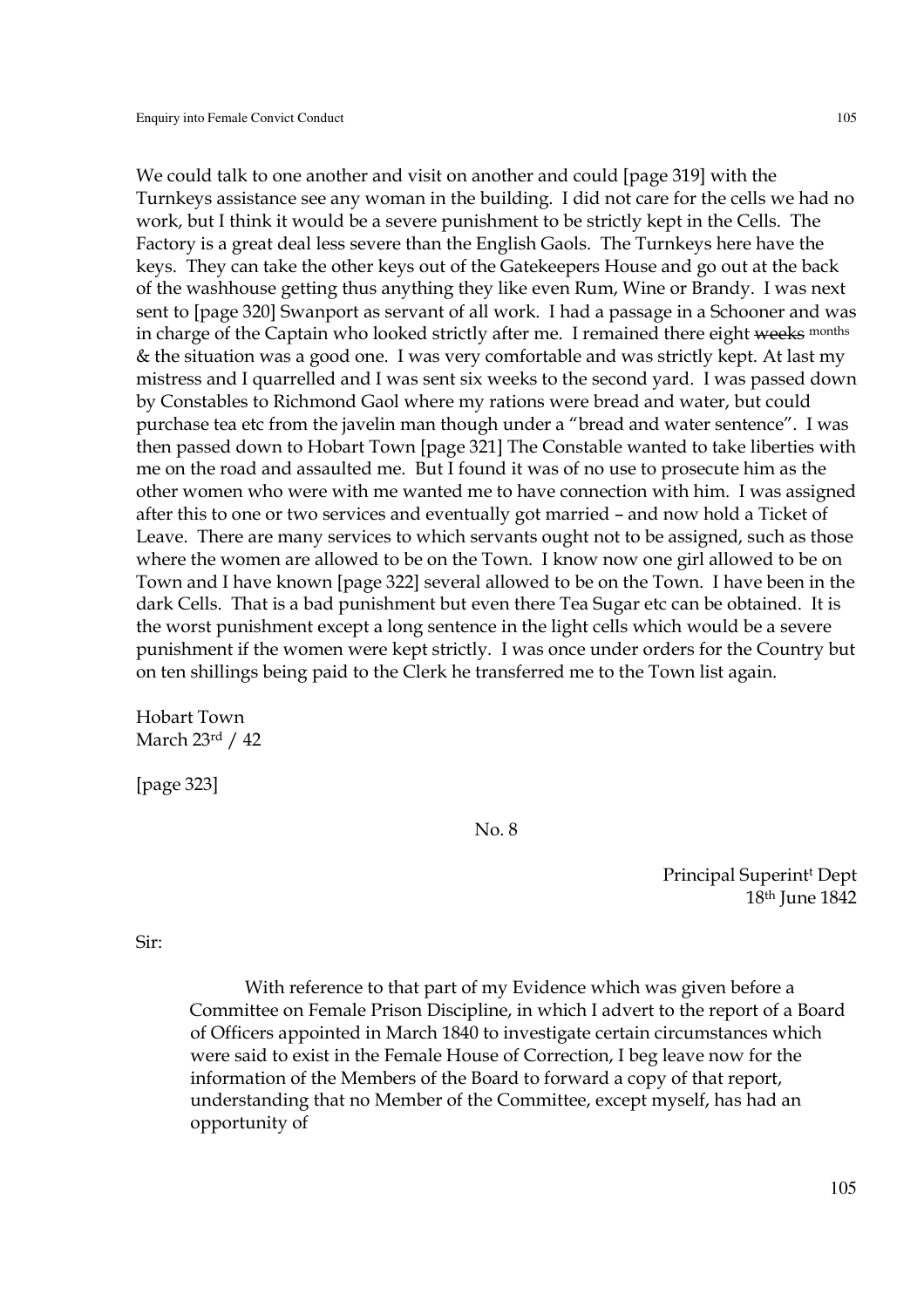We could talk to one another and visit on another and could [page 319] with the Turnkeys assistance see any woman in the building. I did not care for the cells we had no work, but I think it would be a severe punishment to be strictly kept in the Cells. The Factory is a great deal less severe than the English Gaols. The Turnkeys here have the keys. They can take the other keys out of the Gatekeepers House and go out at the back of the washhouse getting thus anything they like even Rum, Wine or Brandy. I was next sent to [page 320] Swanport as servant of all work. I had a passage in a Schooner and was in charge of the Captain who looked strictly after me. I remained there eight weeks months & the situation was a good one. I was very comfortable and was strictly kept. At last my mistress and I quarrelled and I was sent six weeks to the second yard. I was passed down by Constables to Richmond Gaol where my rations were bread and water, but could purchase tea etc from the javelin man though under a "bread and water sentence". I was then passed down to Hobart Town [page 321] The Constable wanted to take liberties with me on the road and assaulted me. But I found it was of no use to prosecute him as the other women who were with me wanted me to have connection with him. I was assigned after this to one or two services and eventually got married – and now hold a Ticket of Leave. There are many services to which servants ought not to be assigned, such as those where the women are allowed to be on the Town. I know now one girl allowed to be on Town and I have known [page 322] several allowed to be on the Town. I have been in the dark Cells. That is a bad punishment but even there Tea Sugar etc can be obtained. It is the worst punishment except a long sentence in the light cells which would be a severe punishment if the women were kept strictly. I was once under orders for the Country but on ten shillings being paid to the Clerk he transferred me to the Town list again.

Hobart Town March 23rd / 42

[page 323]

No. 8

Principal Superint<sup>t</sup> Dept 18th June 1842

Sir:

 With reference to that part of my Evidence which was given before a Committee on Female Prison Discipline, in which I advert to the report of a Board of Officers appointed in March 1840 to investigate certain circumstances which were said to exist in the Female House of Correction, I beg leave now for the information of the Members of the Board to forward a copy of that report, understanding that no Member of the Committee, except myself, has had an opportunity of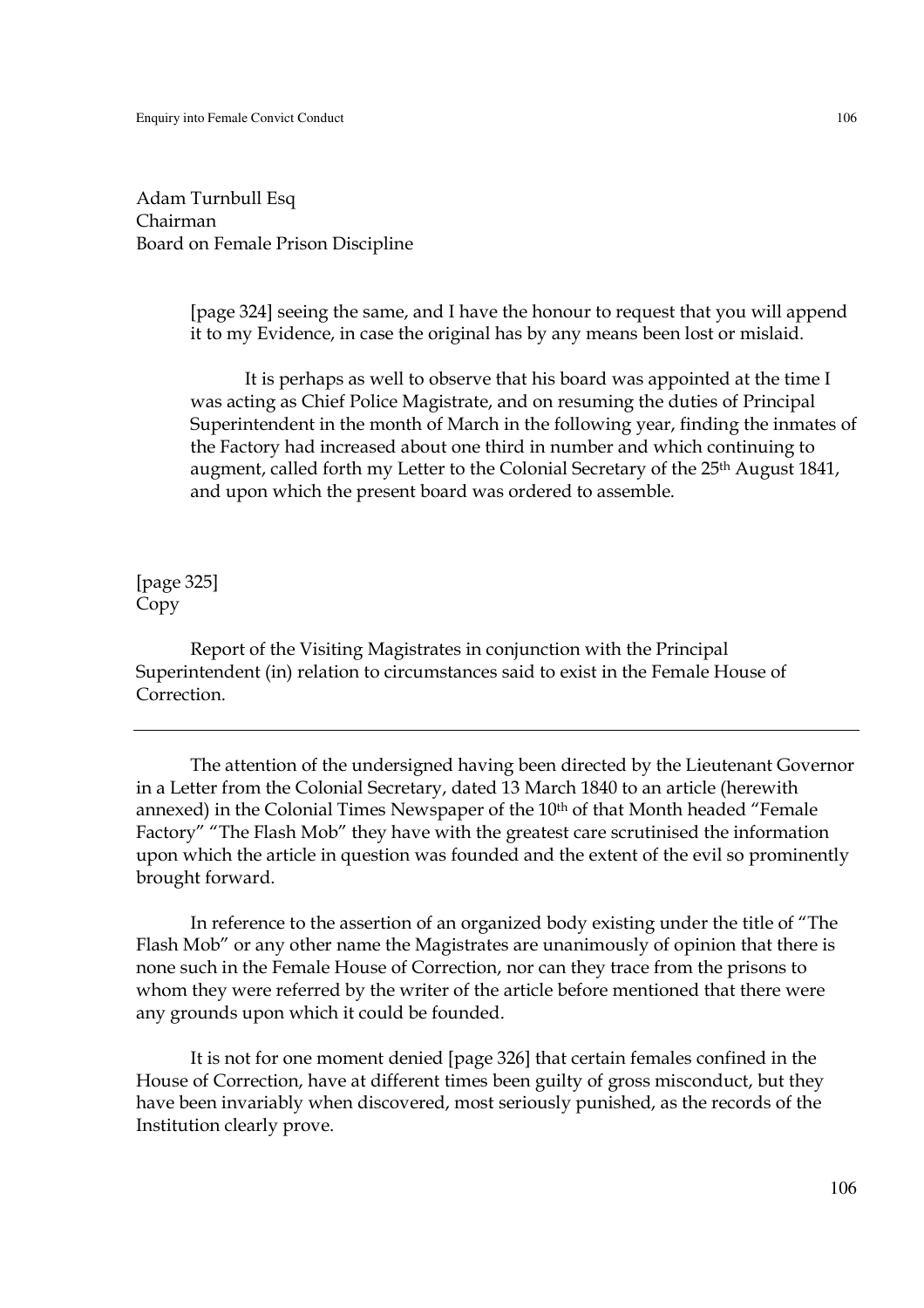Adam Turnbull Esq Chairman Board on Female Prison Discipline

> [page 324] seeing the same, and I have the honour to request that you will append it to my Evidence, in case the original has by any means been lost or mislaid.

It is perhaps as well to observe that his board was appointed at the time I was acting as Chief Police Magistrate, and on resuming the duties of Principal Superintendent in the month of March in the following year, finding the inmates of the Factory had increased about one third in number and which continuing to augment, called forth my Letter to the Colonial Secretary of the 25<sup>th</sup> August 1841, and upon which the present board was ordered to assemble.

[page 325] Copy

 Report of the Visiting Magistrates in conjunction with the Principal Superintendent (in) relation to circumstances said to exist in the Female House of Correction.

 The attention of the undersigned having been directed by the Lieutenant Governor in a Letter from the Colonial Secretary, dated 13 March 1840 to an article (herewith annexed) in the Colonial Times Newspaper of the 10<sup>th</sup> of that Month headed "Female Factory" "The Flash Mob" they have with the greatest care scrutinised the information upon which the article in question was founded and the extent of the evil so prominently brought forward.

 In reference to the assertion of an organized body existing under the title of "The Flash Mob" or any other name the Magistrates are unanimously of opinion that there is none such in the Female House of Correction, nor can they trace from the prisons to whom they were referred by the writer of the article before mentioned that there were any grounds upon which it could be founded.

 It is not for one moment denied [page 326] that certain females confined in the House of Correction, have at different times been guilty of gross misconduct, but they have been invariably when discovered, most seriously punished, as the records of the Institution clearly prove.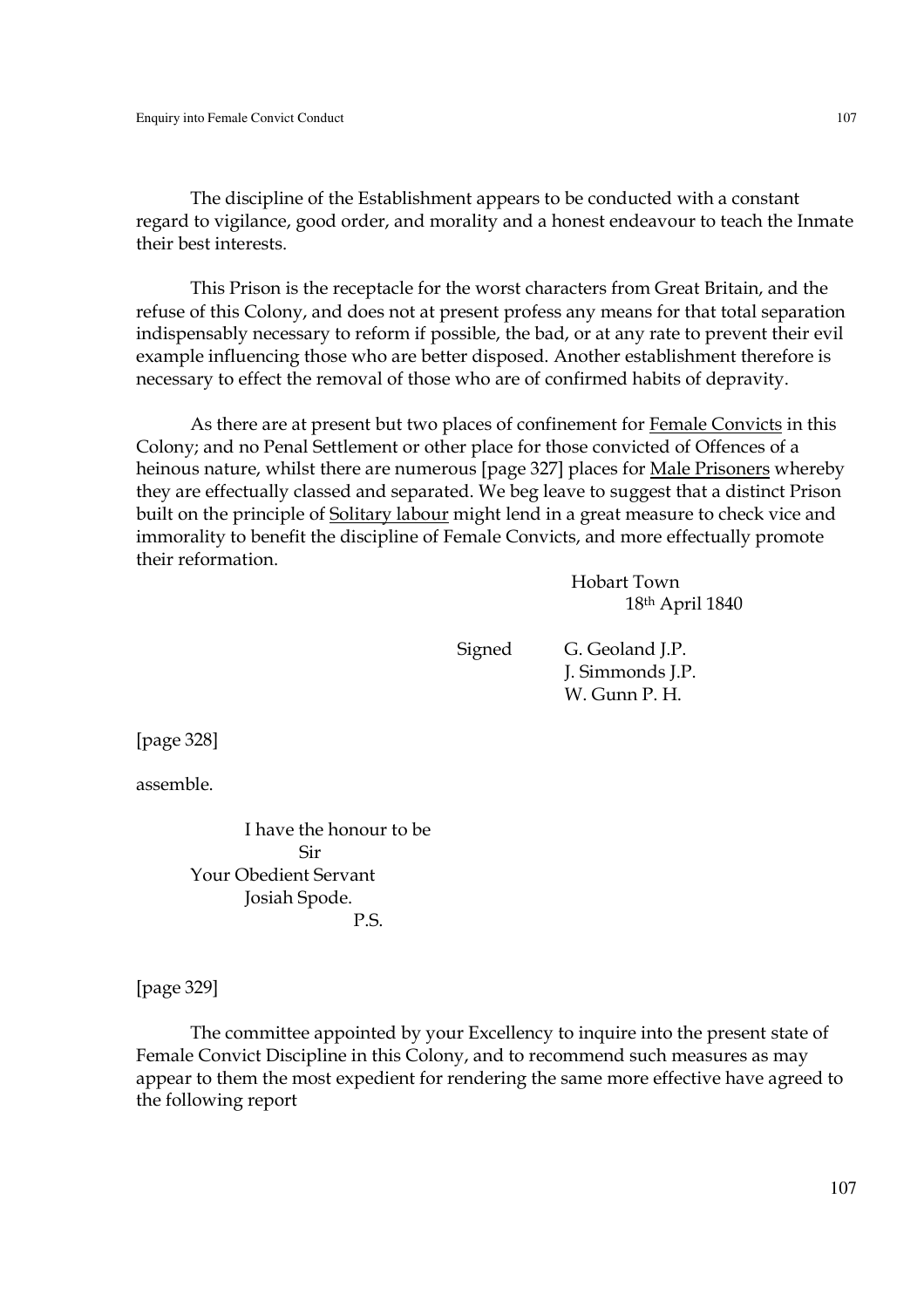The discipline of the Establishment appears to be conducted with a constant regard to vigilance, good order, and morality and a honest endeavour to teach the Inmate their best interests.

This Prison is the receptacle for the worst characters from Great Britain, and the refuse of this Colony, and does not at present profess any means for that total separation indispensably necessary to reform if possible, the bad, or at any rate to prevent their evil example influencing those who are better disposed. Another establishment therefore is necessary to effect the removal of those who are of confirmed habits of depravity.

As there are at present but two places of confinement for Female Convicts in this Colony; and no Penal Settlement or other place for those convicted of Offences of a heinous nature, whilst there are numerous [page 327] places for Male Prisoners whereby they are effectually classed and separated. We beg leave to suggest that a distinct Prison built on the principle of Solitary labour might lend in a great measure to check vice and immorality to benefit the discipline of Female Convicts, and more effectually promote their reformation.

> Hobart Town 18th April 1840

Signed G. Geoland J.P. J. Simmonds J.P. W. Gunn P. H.

[page 328]

assemble.

 I have the honour to be Sir Your Obedient Servant Josiah Spode. P.S.

[page 329]

The committee appointed by your Excellency to inquire into the present state of Female Convict Discipline in this Colony, and to recommend such measures as may appear to them the most expedient for rendering the same more effective have agreed to the following report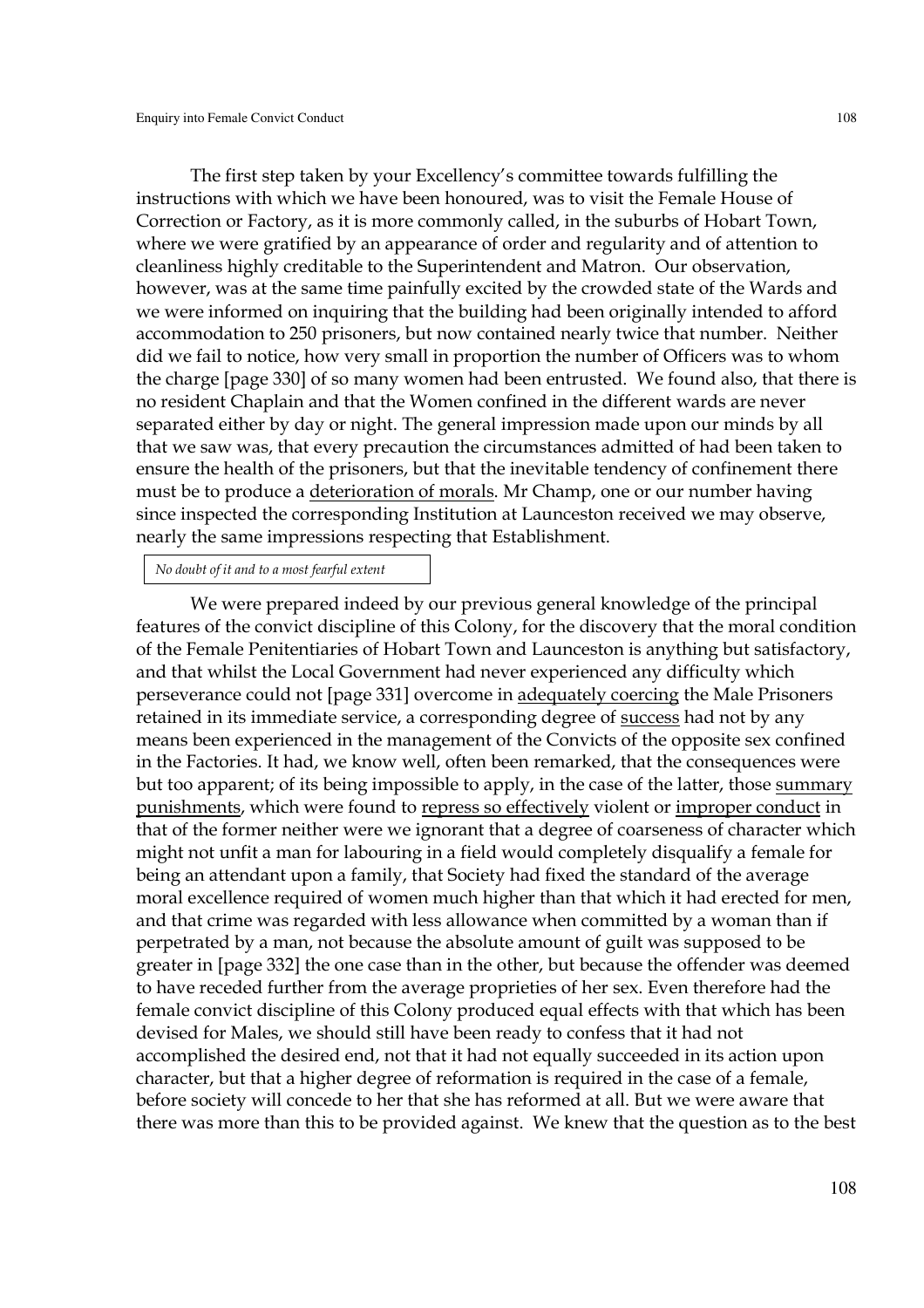The first step taken by your Excellency's committee towards fulfilling the instructions with which we have been honoured, was to visit the Female House of Correction or Factory, as it is more commonly called, in the suburbs of Hobart Town, where we were gratified by an appearance of order and regularity and of attention to cleanliness highly creditable to the Superintendent and Matron. Our observation, however, was at the same time painfully excited by the crowded state of the Wards and we were informed on inquiring that the building had been originally intended to afford accommodation to 250 prisoners, but now contained nearly twice that number. Neither did we fail to notice, how very small in proportion the number of Officers was to whom the charge [page 330] of so many women had been entrusted. We found also, that there is no resident Chaplain and that the Women confined in the different wards are never separated either by day or night. The general impression made upon our minds by all that we saw was, that every precaution the circumstances admitted of had been taken to ensure the health of the prisoners, but that the inevitable tendency of confinement there must be to produce a deterioration of morals. Mr Champ, one or our number having since inspected the corresponding Institution at Launceston received we may observe, nearly the same impressions respecting that Establishment.

No doubt of it and to a most fearful extent

 We were prepared indeed by our previous general knowledge of the principal features of the convict discipline of this Colony, for the discovery that the moral condition of the Female Penitentiaries of Hobart Town and Launceston is anything but satisfactory, and that whilst the Local Government had never experienced any difficulty which perseverance could not [page 331] overcome in adequately coercing the Male Prisoners retained in its immediate service, a corresponding degree of success had not by any means been experienced in the management of the Convicts of the opposite sex confined in the Factories. It had, we know well, often been remarked, that the consequences were but too apparent; of its being impossible to apply, in the case of the latter, those summary punishments, which were found to repress so effectively violent or improper conduct in that of the former neither were we ignorant that a degree of coarseness of character which might not unfit a man for labouring in a field would completely disqualify a female for being an attendant upon a family, that Society had fixed the standard of the average moral excellence required of women much higher than that which it had erected for men, and that crime was regarded with less allowance when committed by a woman than if perpetrated by a man, not because the absolute amount of guilt was supposed to be greater in [page 332] the one case than in the other, but because the offender was deemed to have receded further from the average proprieties of her sex. Even therefore had the female convict discipline of this Colony produced equal effects with that which has been devised for Males, we should still have been ready to confess that it had not accomplished the desired end, not that it had not equally succeeded in its action upon character, but that a higher degree of reformation is required in the case of a female, before society will concede to her that she has reformed at all. But we were aware that there was more than this to be provided against. We knew that the question as to the best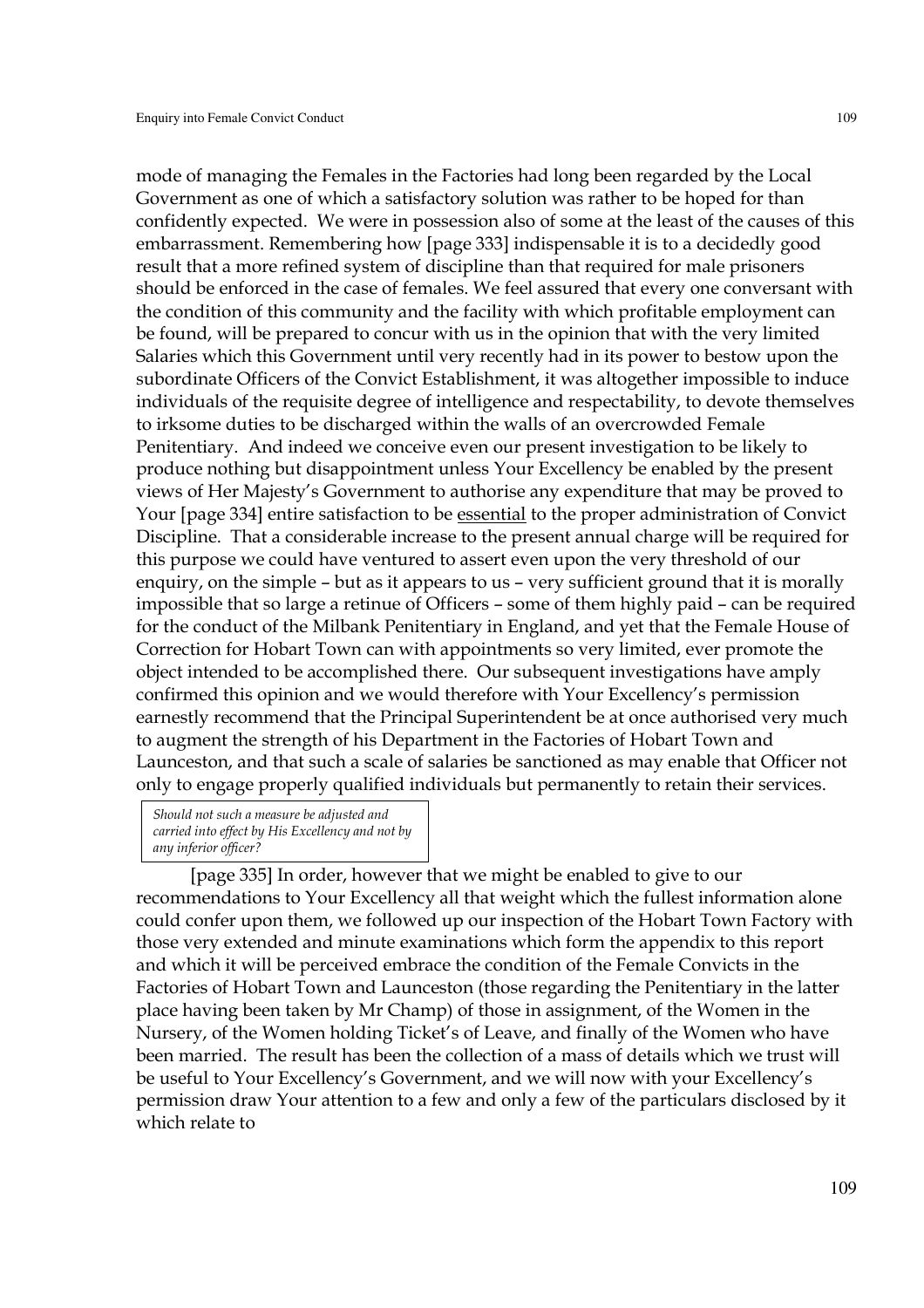mode of managing the Females in the Factories had long been regarded by the Local Government as one of which a satisfactory solution was rather to be hoped for than confidently expected. We were in possession also of some at the least of the causes of this embarrassment. Remembering how [page 333] indispensable it is to a decidedly good result that a more refined system of discipline than that required for male prisoners should be enforced in the case of females. We feel assured that every one conversant with the condition of this community and the facility with which profitable employment can be found, will be prepared to concur with us in the opinion that with the very limited Salaries which this Government until very recently had in its power to bestow upon the subordinate Officers of the Convict Establishment, it was altogether impossible to induce individuals of the requisite degree of intelligence and respectability, to devote themselves to irksome duties to be discharged within the walls of an overcrowded Female Penitentiary. And indeed we conceive even our present investigation to be likely to produce nothing but disappointment unless Your Excellency be enabled by the present views of Her Majesty's Government to authorise any expenditure that may be proved to Your [page 334] entire satisfaction to be essential to the proper administration of Convict Discipline. That a considerable increase to the present annual charge will be required for this purpose we could have ventured to assert even upon the very threshold of our enquiry, on the simple – but as it appears to us – very sufficient ground that it is morally impossible that so large a retinue of Officers – some of them highly paid – can be required for the conduct of the Milbank Penitentiary in England, and yet that the Female House of Correction for Hobart Town can with appointments so very limited, ever promote the object intended to be accomplished there. Our subsequent investigations have amply confirmed this opinion and we would therefore with Your Excellency's permission earnestly recommend that the Principal Superintendent be at once authorised very much to augment the strength of his Department in the Factories of Hobart Town and Launceston, and that such a scale of salaries be sanctioned as may enable that Officer not only to engage properly qualified individuals but permanently to retain their services.

Should not such a measure be adjusted and carried into effect by His Excellency and not by any inferior officer?

 [page 335] In order, however that we might be enabled to give to our recommendations to Your Excellency all that weight which the fullest information alone could confer upon them, we followed up our inspection of the Hobart Town Factory with those very extended and minute examinations which form the appendix to this report and which it will be perceived embrace the condition of the Female Convicts in the Factories of Hobart Town and Launceston (those regarding the Penitentiary in the latter place having been taken by Mr Champ) of those in assignment, of the Women in the Nursery, of the Women holding Ticket's of Leave, and finally of the Women who have been married. The result has been the collection of a mass of details which we trust will be useful to Your Excellency's Government, and we will now with your Excellency's permission draw Your attention to a few and only a few of the particulars disclosed by it which relate to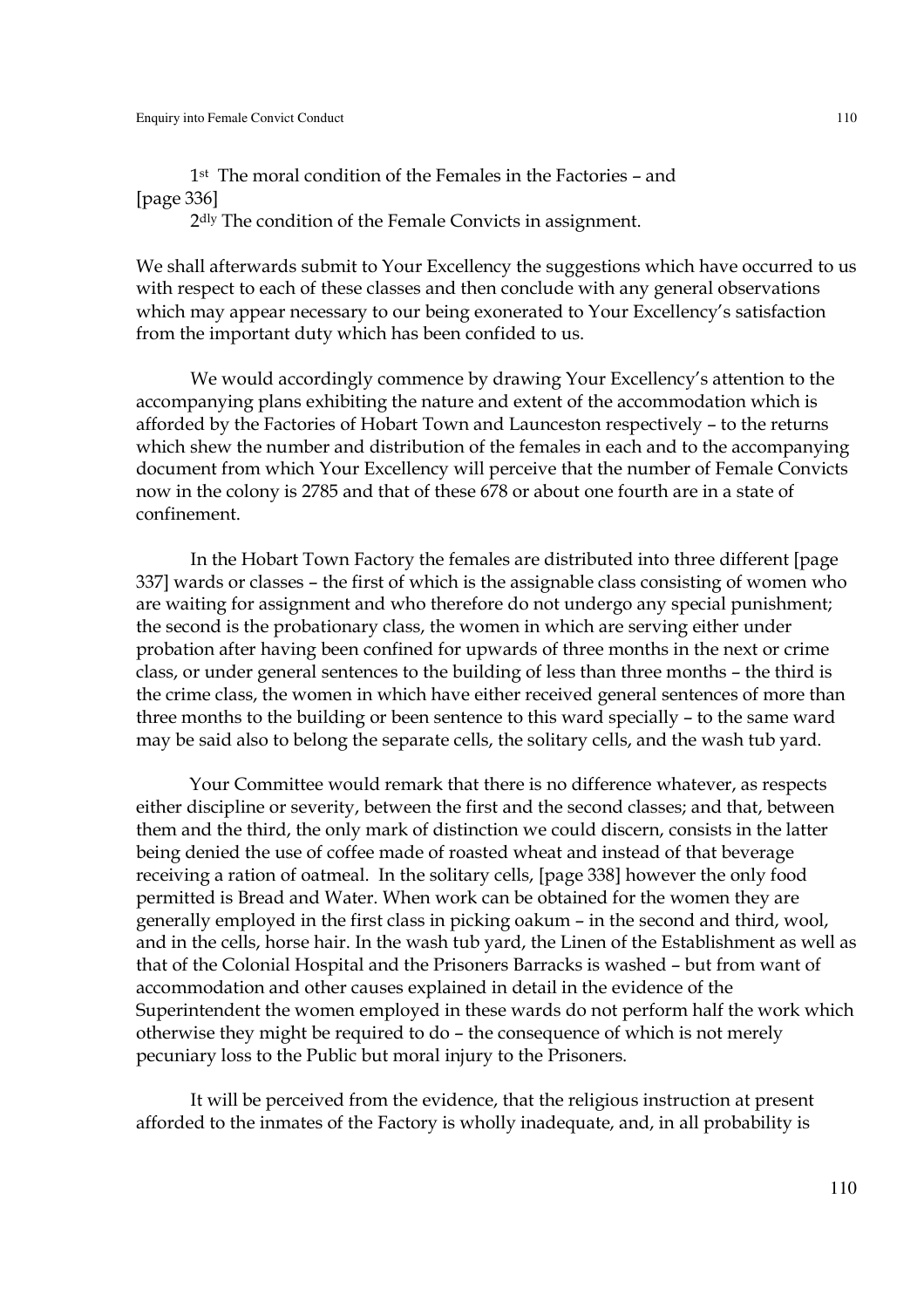1st The moral condition of the Females in the Factories – and [page 336]

2dly The condition of the Female Convicts in assignment.

We shall afterwards submit to Your Excellency the suggestions which have occurred to us with respect to each of these classes and then conclude with any general observations which may appear necessary to our being exonerated to Your Excellency's satisfaction from the important duty which has been confided to us.

 We would accordingly commence by drawing Your Excellency's attention to the accompanying plans exhibiting the nature and extent of the accommodation which is afforded by the Factories of Hobart Town and Launceston respectively – to the returns which shew the number and distribution of the females in each and to the accompanying document from which Your Excellency will perceive that the number of Female Convicts now in the colony is 2785 and that of these 678 or about one fourth are in a state of confinement.

 In the Hobart Town Factory the females are distributed into three different [page 337] wards or classes – the first of which is the assignable class consisting of women who are waiting for assignment and who therefore do not undergo any special punishment; the second is the probationary class, the women in which are serving either under probation after having been confined for upwards of three months in the next or crime class, or under general sentences to the building of less than three months – the third is the crime class, the women in which have either received general sentences of more than three months to the building or been sentence to this ward specially – to the same ward may be said also to belong the separate cells, the solitary cells, and the wash tub yard.

Your Committee would remark that there is no difference whatever, as respects either discipline or severity, between the first and the second classes; and that, between them and the third, the only mark of distinction we could discern, consists in the latter being denied the use of coffee made of roasted wheat and instead of that beverage receiving a ration of oatmeal. In the solitary cells, [page 338] however the only food permitted is Bread and Water. When work can be obtained for the women they are generally employed in the first class in picking oakum – in the second and third, wool, and in the cells, horse hair. In the wash tub yard, the Linen of the Establishment as well as that of the Colonial Hospital and the Prisoners Barracks is washed – but from want of accommodation and other causes explained in detail in the evidence of the Superintendent the women employed in these wards do not perform half the work which otherwise they might be required to do – the consequence of which is not merely pecuniary loss to the Public but moral injury to the Prisoners.

It will be perceived from the evidence, that the religious instruction at present afforded to the inmates of the Factory is wholly inadequate, and, in all probability is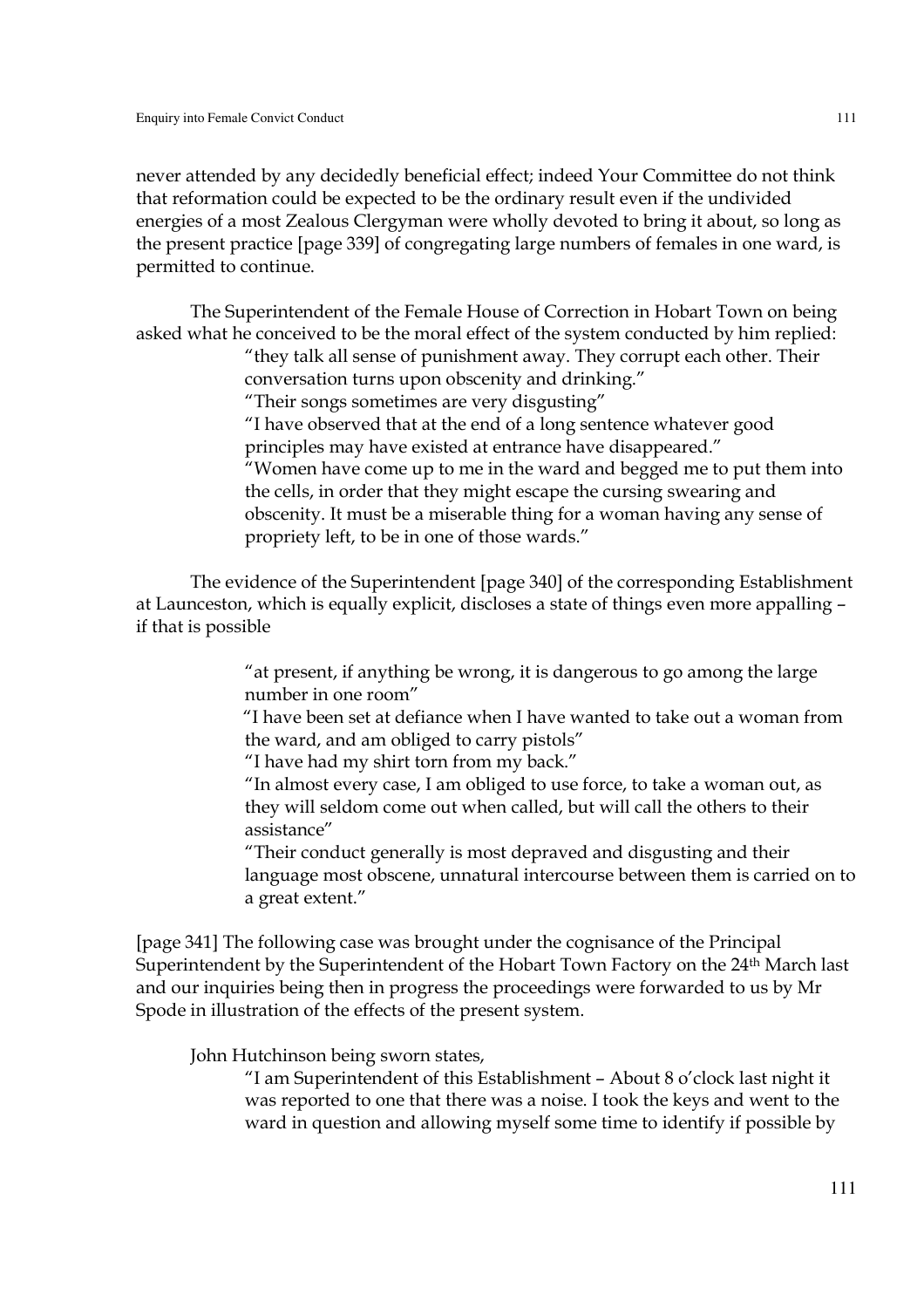never attended by any decidedly beneficial effect; indeed Your Committee do not think that reformation could be expected to be the ordinary result even if the undivided energies of a most Zealous Clergyman were wholly devoted to bring it about, so long as the present practice [page 339] of congregating large numbers of females in one ward, is permitted to continue.

The Superintendent of the Female House of Correction in Hobart Town on being asked what he conceived to be the moral effect of the system conducted by him replied:

> "they talk all sense of punishment away. They corrupt each other. Their conversation turns upon obscenity and drinking."

"Their songs sometimes are very disgusting"

"I have observed that at the end of a long sentence whatever good principles may have existed at entrance have disappeared."

"Women have come up to me in the ward and begged me to put them into the cells, in order that they might escape the cursing swearing and obscenity. It must be a miserable thing for a woman having any sense of propriety left, to be in one of those wards."

The evidence of the Superintendent [page 340] of the corresponding Establishment at Launceston, which is equally explicit, discloses a state of things even more appalling – if that is possible

> "at present, if anything be wrong, it is dangerous to go among the large number in one room"

"I have been set at defiance when I have wanted to take out a woman from the ward, and am obliged to carry pistols"

"I have had my shirt torn from my back."

"In almost every case, I am obliged to use force, to take a woman out, as they will seldom come out when called, but will call the others to their assistance"

"Their conduct generally is most depraved and disgusting and their language most obscene, unnatural intercourse between them is carried on to a great extent."

[page 341] The following case was brought under the cognisance of the Principal Superintendent by the Superintendent of the Hobart Town Factory on the 24th March last and our inquiries being then in progress the proceedings were forwarded to us by Mr Spode in illustration of the effects of the present system.

John Hutchinson being sworn states,

"I am Superintendent of this Establishment – About 8 o'clock last night it was reported to one that there was a noise. I took the keys and went to the ward in question and allowing myself some time to identify if possible by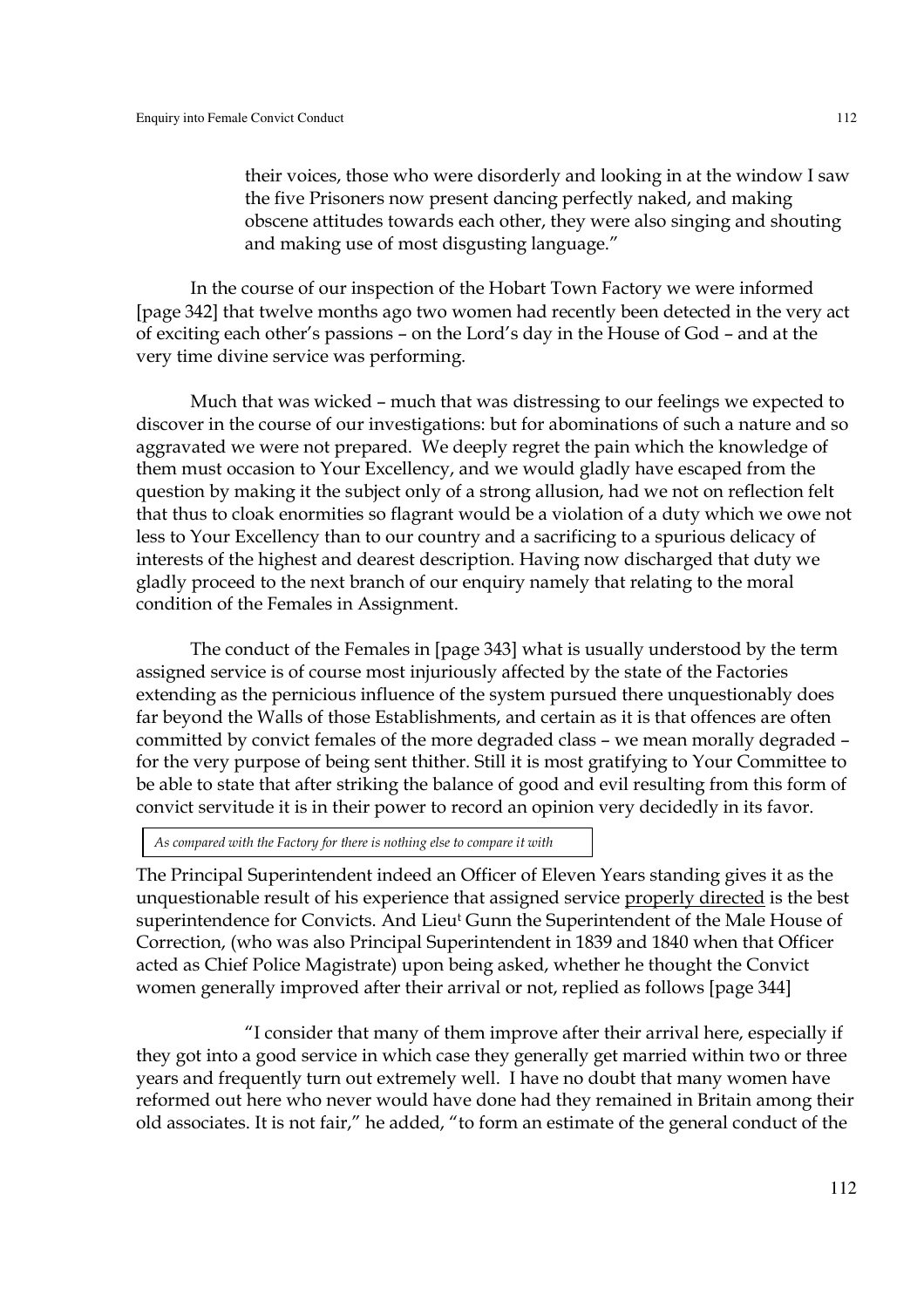their voices, those who were disorderly and looking in at the window I saw the five Prisoners now present dancing perfectly naked, and making obscene attitudes towards each other, they were also singing and shouting and making use of most disgusting language."

 In the course of our inspection of the Hobart Town Factory we were informed [page 342] that twelve months ago two women had recently been detected in the very act of exciting each other's passions – on the Lord's day in the House of God – and at the very time divine service was performing.

 Much that was wicked – much that was distressing to our feelings we expected to discover in the course of our investigations: but for abominations of such a nature and so aggravated we were not prepared. We deeply regret the pain which the knowledge of them must occasion to Your Excellency, and we would gladly have escaped from the question by making it the subject only of a strong allusion, had we not on reflection felt that thus to cloak enormities so flagrant would be a violation of a duty which we owe not less to Your Excellency than to our country and a sacrificing to a spurious delicacy of interests of the highest and dearest description. Having now discharged that duty we gladly proceed to the next branch of our enquiry namely that relating to the moral condition of the Females in Assignment.

 The conduct of the Females in [page 343] what is usually understood by the term assigned service is of course most injuriously affected by the state of the Factories extending as the pernicious influence of the system pursued there unquestionably does far beyond the Walls of those Establishments, and certain as it is that offences are often committed by convict females of the more degraded class – we mean morally degraded – for the very purpose of being sent thither. Still it is most gratifying to Your Committee to be able to state that after striking the balance of good and evil resulting from this form of convict servitude it is in their power to record an opinion very decidedly in its favor.

As compared with the Factory for there is nothing else to compare it with

The Principal Superintendent indeed an Officer of Eleven Years standing gives it as the unquestionable result of his experience that assigned service properly directed is the best superintendence for Convicts. And Lieu<sup>t</sup> Gunn the Superintendent of the Male House of Correction, (who was also Principal Superintendent in 1839 and 1840 when that Officer acted as Chief Police Magistrate) upon being asked, whether he thought the Convict women generally improved after their arrival or not, replied as follows [page 344]

 "I consider that many of them improve after their arrival here, especially if they got into a good service in which case they generally get married within two or three years and frequently turn out extremely well. I have no doubt that many women have reformed out here who never would have done had they remained in Britain among their old associates. It is not fair," he added, "to form an estimate of the general conduct of the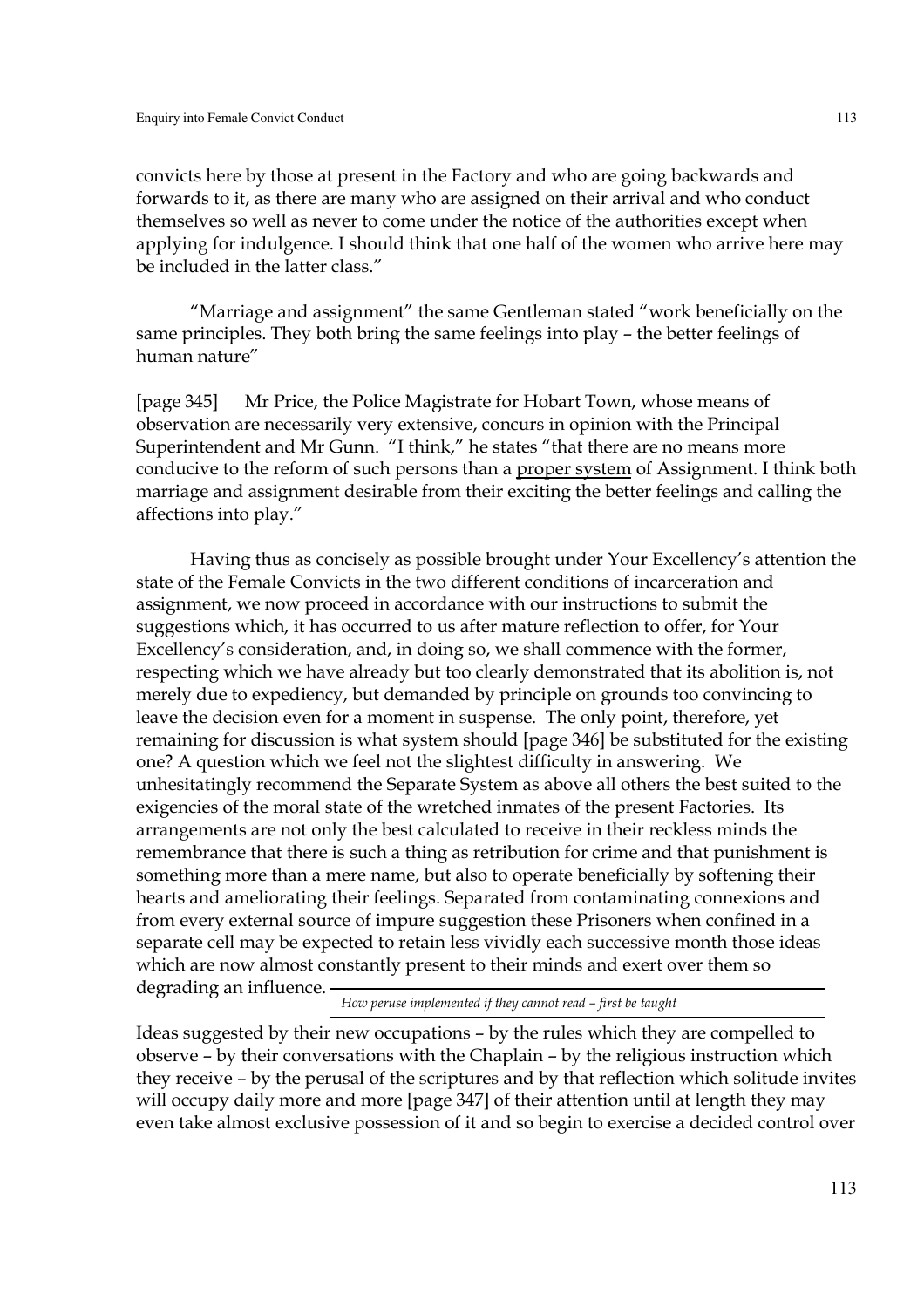convicts here by those at present in the Factory and who are going backwards and forwards to it, as there are many who are assigned on their arrival and who conduct themselves so well as never to come under the notice of the authorities except when applying for indulgence. I should think that one half of the women who arrive here may be included in the latter class."

 "Marriage and assignment" the same Gentleman stated "work beneficially on the same principles. They both bring the same feelings into play – the better feelings of human nature"

[page 345] Mr Price, the Police Magistrate for Hobart Town, whose means of observation are necessarily very extensive, concurs in opinion with the Principal Superintendent and Mr Gunn. "I think," he states "that there are no means more conducive to the reform of such persons than a proper system of Assignment. I think both marriage and assignment desirable from their exciting the better feelings and calling the affections into play."

 Having thus as concisely as possible brought under Your Excellency's attention the state of the Female Convicts in the two different conditions of incarceration and assignment, we now proceed in accordance with our instructions to submit the suggestions which, it has occurred to us after mature reflection to offer, for Your Excellency's consideration, and, in doing so, we shall commence with the former, respecting which we have already but too clearly demonstrated that its abolition is, not merely due to expediency, but demanded by principle on grounds too convincing to leave the decision even for a moment in suspense. The only point, therefore, yet remaining for discussion is what system should [page 346] be substituted for the existing one? A question which we feel not the slightest difficulty in answering. We unhesitatingly recommend the Separate System as above all others the best suited to the exigencies of the moral state of the wretched inmates of the present Factories. Its arrangements are not only the best calculated to receive in their reckless minds the remembrance that there is such a thing as retribution for crime and that punishment is something more than a mere name, but also to operate beneficially by softening their hearts and ameliorating their feelings. Separated from contaminating connexions and from every external source of impure suggestion these Prisoners when confined in a separate cell may be expected to retain less vividly each successive month those ideas which are now almost constantly present to their minds and exert over them so degrading an influence.

How peruse implemented if they cannot read – first be taught

Ideas suggested by their new occupations – by the rules which they are compelled to observe – by their conversations with the Chaplain – by the religious instruction which they receive – by the perusal of the scriptures and by that reflection which solitude invites will occupy daily more and more [page 347] of their attention until at length they may even take almost exclusive possession of it and so begin to exercise a decided control over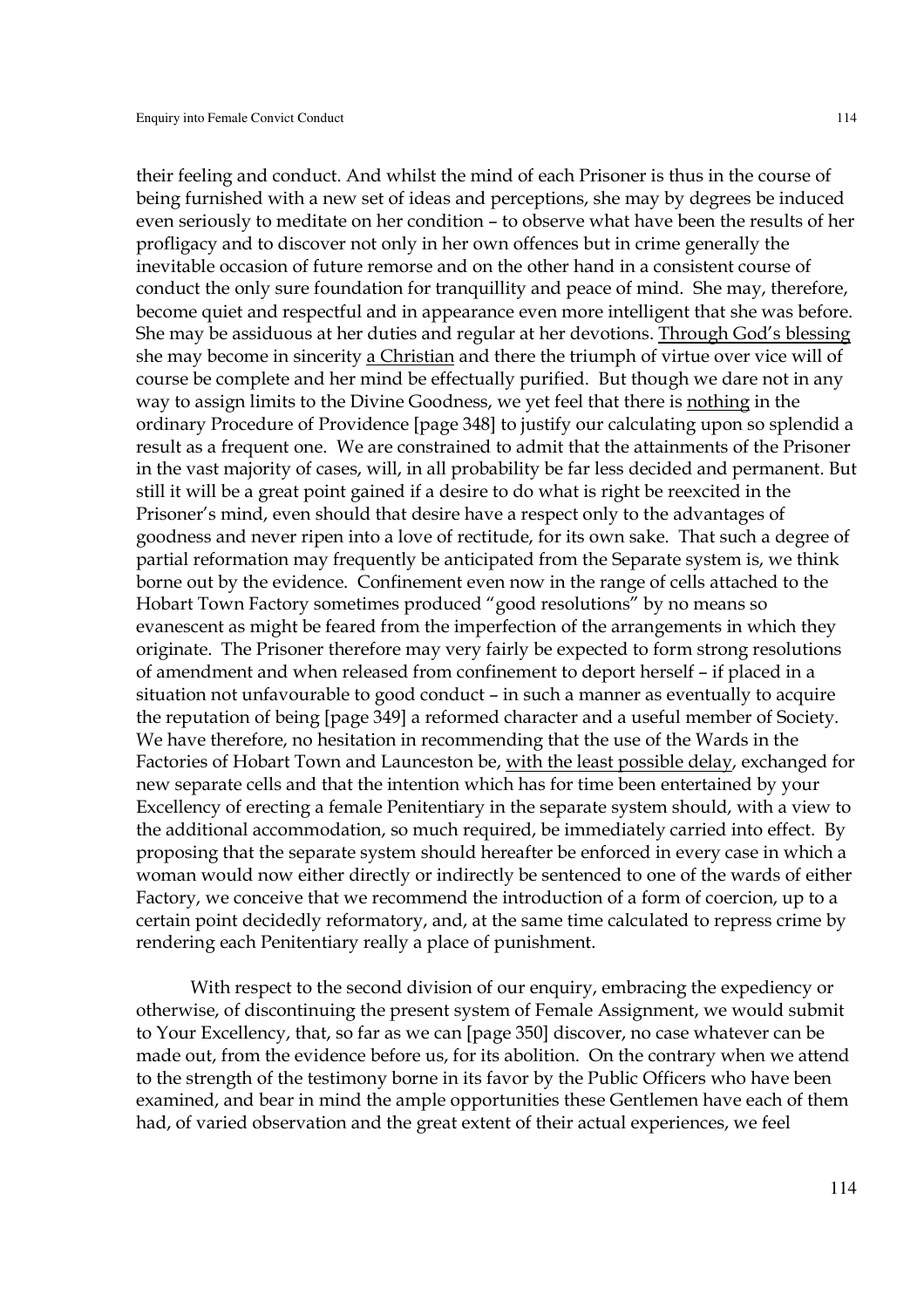their feeling and conduct. And whilst the mind of each Prisoner is thus in the course of being furnished with a new set of ideas and perceptions, she may by degrees be induced even seriously to meditate on her condition – to observe what have been the results of her profligacy and to discover not only in her own offences but in crime generally the inevitable occasion of future remorse and on the other hand in a consistent course of conduct the only sure foundation for tranquillity and peace of mind. She may, therefore, become quiet and respectful and in appearance even more intelligent that she was before. She may be assiduous at her duties and regular at her devotions. Through God's blessing she may become in sincerity a Christian and there the triumph of virtue over vice will of course be complete and her mind be effectually purified. But though we dare not in any way to assign limits to the Divine Goodness, we yet feel that there is nothing in the ordinary Procedure of Providence [page 348] to justify our calculating upon so splendid a result as a frequent one. We are constrained to admit that the attainments of the Prisoner in the vast majority of cases, will, in all probability be far less decided and permanent. But still it will be a great point gained if a desire to do what is right be reexcited in the Prisoner's mind, even should that desire have a respect only to the advantages of goodness and never ripen into a love of rectitude, for its own sake. That such a degree of partial reformation may frequently be anticipated from the Separate system is, we think borne out by the evidence. Confinement even now in the range of cells attached to the Hobart Town Factory sometimes produced "good resolutions" by no means so evanescent as might be feared from the imperfection of the arrangements in which they originate. The Prisoner therefore may very fairly be expected to form strong resolutions of amendment and when released from confinement to deport herself – if placed in a situation not unfavourable to good conduct – in such a manner as eventually to acquire the reputation of being [page 349] a reformed character and a useful member of Society. We have therefore, no hesitation in recommending that the use of the Wards in the Factories of Hobart Town and Launceston be, with the least possible delay, exchanged for new separate cells and that the intention which has for time been entertained by your Excellency of erecting a female Penitentiary in the separate system should, with a view to the additional accommodation, so much required, be immediately carried into effect. By proposing that the separate system should hereafter be enforced in every case in which a woman would now either directly or indirectly be sentenced to one of the wards of either Factory, we conceive that we recommend the introduction of a form of coercion, up to a certain point decidedly reformatory, and, at the same time calculated to repress crime by rendering each Penitentiary really a place of punishment.

 With respect to the second division of our enquiry, embracing the expediency or otherwise, of discontinuing the present system of Female Assignment, we would submit to Your Excellency, that, so far as we can [page 350] discover, no case whatever can be made out, from the evidence before us, for its abolition. On the contrary when we attend to the strength of the testimony borne in its favor by the Public Officers who have been examined, and bear in mind the ample opportunities these Gentlemen have each of them had, of varied observation and the great extent of their actual experiences, we feel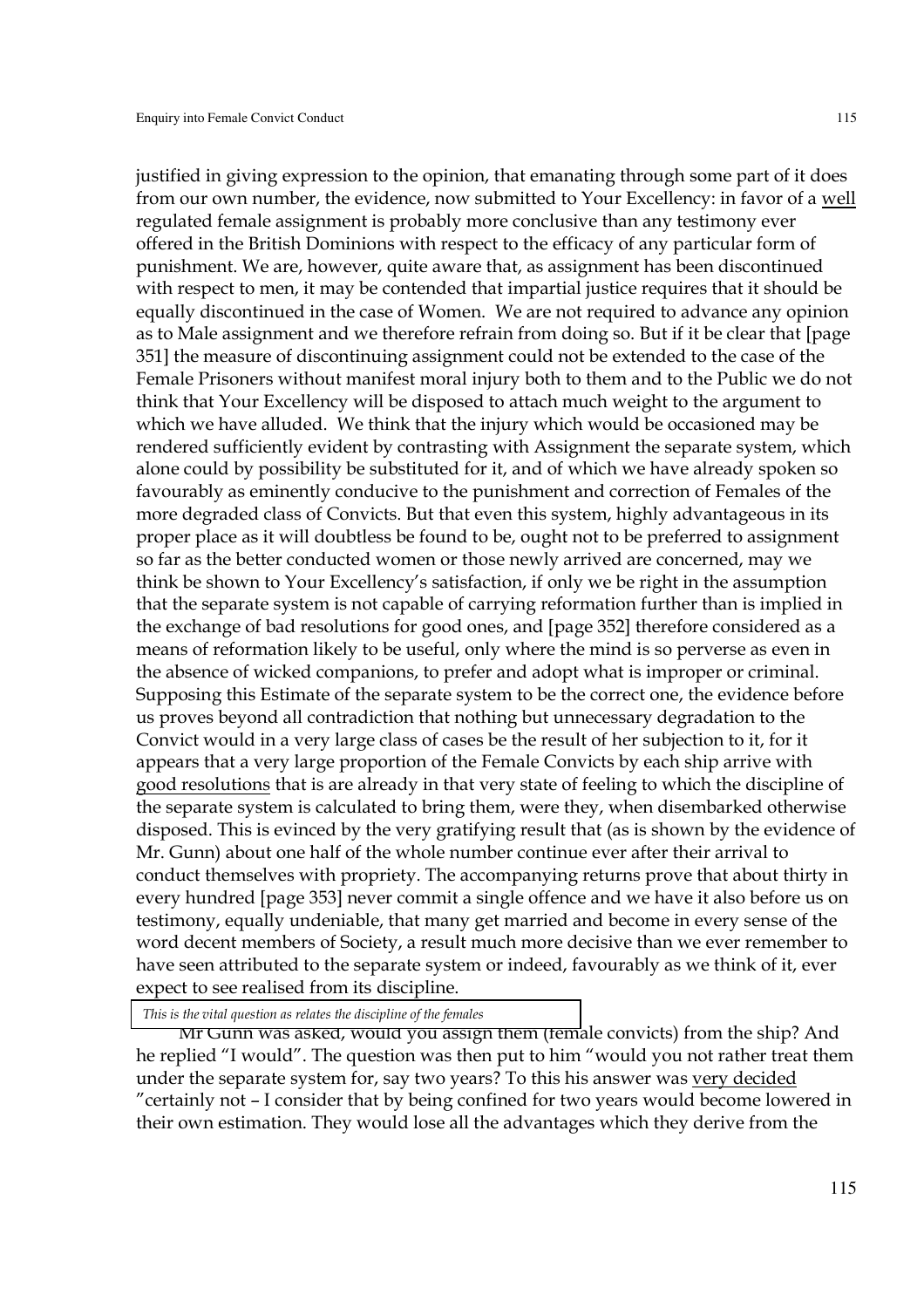justified in giving expression to the opinion, that emanating through some part of it does from our own number, the evidence, now submitted to Your Excellency: in favor of a well regulated female assignment is probably more conclusive than any testimony ever offered in the British Dominions with respect to the efficacy of any particular form of punishment. We are, however, quite aware that, as assignment has been discontinued with respect to men, it may be contended that impartial justice requires that it should be equally discontinued in the case of Women. We are not required to advance any opinion as to Male assignment and we therefore refrain from doing so. But if it be clear that [page 351] the measure of discontinuing assignment could not be extended to the case of the Female Prisoners without manifest moral injury both to them and to the Public we do not think that Your Excellency will be disposed to attach much weight to the argument to which we have alluded. We think that the injury which would be occasioned may be rendered sufficiently evident by contrasting with Assignment the separate system, which alone could by possibility be substituted for it, and of which we have already spoken so favourably as eminently conducive to the punishment and correction of Females of the more degraded class of Convicts. But that even this system, highly advantageous in its proper place as it will doubtless be found to be, ought not to be preferred to assignment so far as the better conducted women or those newly arrived are concerned, may we think be shown to Your Excellency's satisfaction, if only we be right in the assumption that the separate system is not capable of carrying reformation further than is implied in the exchange of bad resolutions for good ones, and [page 352] therefore considered as a means of reformation likely to be useful, only where the mind is so perverse as even in the absence of wicked companions, to prefer and adopt what is improper or criminal. Supposing this Estimate of the separate system to be the correct one, the evidence before us proves beyond all contradiction that nothing but unnecessary degradation to the Convict would in a very large class of cases be the result of her subjection to it, for it appears that a very large proportion of the Female Convicts by each ship arrive with good resolutions that is are already in that very state of feeling to which the discipline of the separate system is calculated to bring them, were they, when disembarked otherwise disposed. This is evinced by the very gratifying result that (as is shown by the evidence of Mr. Gunn) about one half of the whole number continue ever after their arrival to conduct themselves with propriety. The accompanying returns prove that about thirty in every hundred [page 353] never commit a single offence and we have it also before us on testimony, equally undeniable, that many get married and become in every sense of the word decent members of Society, a result much more decisive than we ever remember to have seen attributed to the separate system or indeed, favourably as we think of it, ever expect to see realised from its discipline.

This is the vital question as relates the discipline of the females

Mr Gunn was asked, would you assign them (female convicts) from the ship? And he replied "I would". The question was then put to him "would you not rather treat them under the separate system for, say two years? To this his answer was very decided "certainly not – I consider that by being confined for two years would become lowered in their own estimation. They would lose all the advantages which they derive from the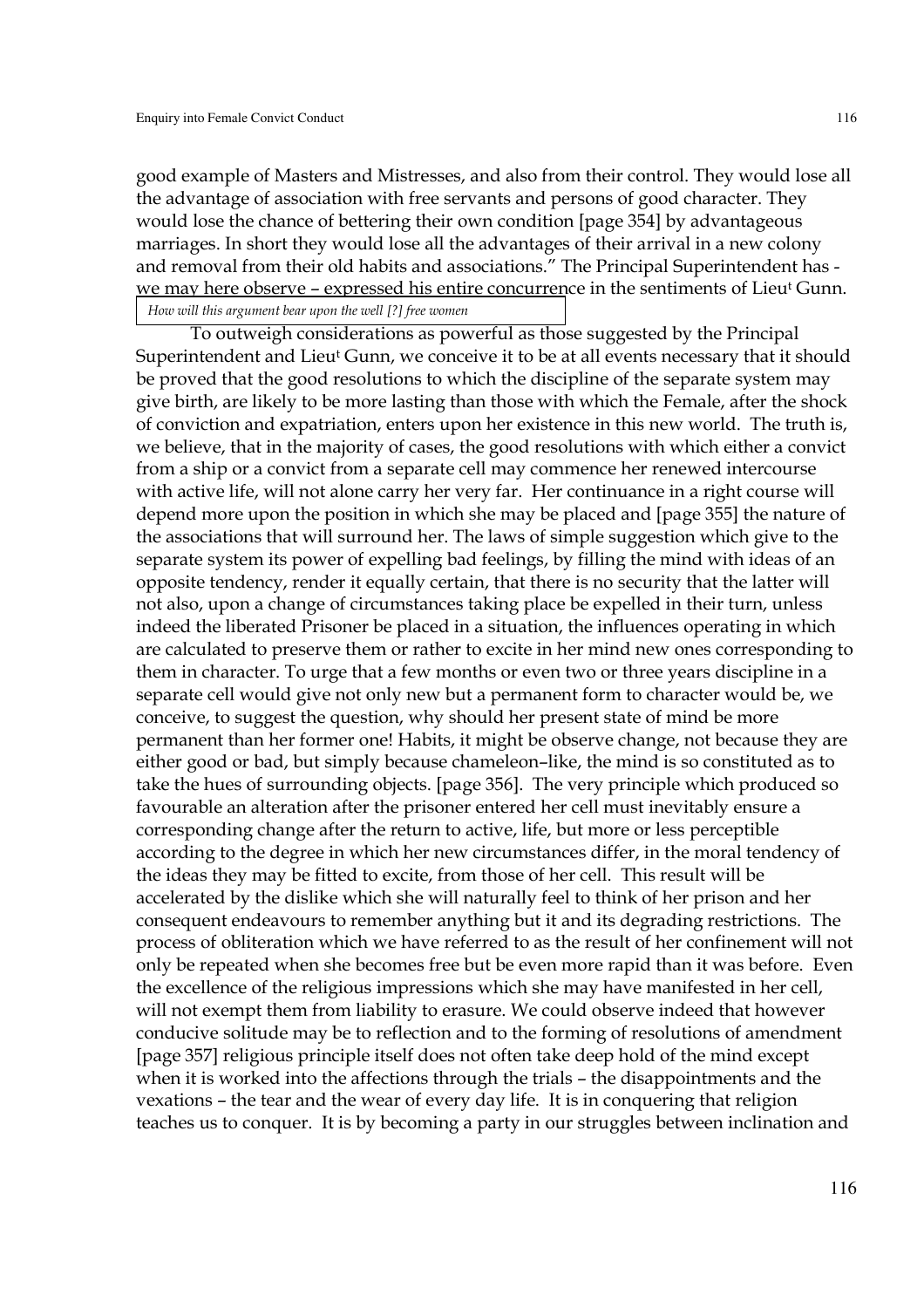good example of Masters and Mistresses, and also from their control. They would lose all the advantage of association with free servants and persons of good character. They would lose the chance of bettering their own condition [page 354] by advantageous marriages. In short they would lose all the advantages of their arrival in a new colony and removal from their old habits and associations." The Principal Superintendent has - <u>we may here observe – expressed his entire concurren</u>ce in the sentiments of Lieu<sup>t</sup> Gunn. How will this argument bear upon the well [?] free women

 To outweigh considerations as powerful as those suggested by the Principal Superintendent and Lieu<sup>t</sup> Gunn, we conceive it to be at all events necessary that it should be proved that the good resolutions to which the discipline of the separate system may give birth, are likely to be more lasting than those with which the Female, after the shock of conviction and expatriation, enters upon her existence in this new world. The truth is, we believe, that in the majority of cases, the good resolutions with which either a convict from a ship or a convict from a separate cell may commence her renewed intercourse with active life, will not alone carry her very far. Her continuance in a right course will depend more upon the position in which she may be placed and [page 355] the nature of the associations that will surround her. The laws of simple suggestion which give to the separate system its power of expelling bad feelings, by filling the mind with ideas of an opposite tendency, render it equally certain, that there is no security that the latter will not also, upon a change of circumstances taking place be expelled in their turn, unless indeed the liberated Prisoner be placed in a situation, the influences operating in which are calculated to preserve them or rather to excite in her mind new ones corresponding to them in character. To urge that a few months or even two or three years discipline in a separate cell would give not only new but a permanent form to character would be, we conceive, to suggest the question, why should her present state of mind be more permanent than her former one! Habits, it might be observe change, not because they are either good or bad, but simply because chameleon–like, the mind is so constituted as to take the hues of surrounding objects. [page 356]. The very principle which produced so favourable an alteration after the prisoner entered her cell must inevitably ensure a corresponding change after the return to active, life, but more or less perceptible according to the degree in which her new circumstances differ, in the moral tendency of the ideas they may be fitted to excite, from those of her cell. This result will be accelerated by the dislike which she will naturally feel to think of her prison and her consequent endeavours to remember anything but it and its degrading restrictions. The process of obliteration which we have referred to as the result of her confinement will not only be repeated when she becomes free but be even more rapid than it was before. Even the excellence of the religious impressions which she may have manifested in her cell, will not exempt them from liability to erasure. We could observe indeed that however conducive solitude may be to reflection and to the forming of resolutions of amendment [page 357] religious principle itself does not often take deep hold of the mind except when it is worked into the affections through the trials – the disappointments and the vexations – the tear and the wear of every day life. It is in conquering that religion teaches us to conquer. It is by becoming a party in our struggles between inclination and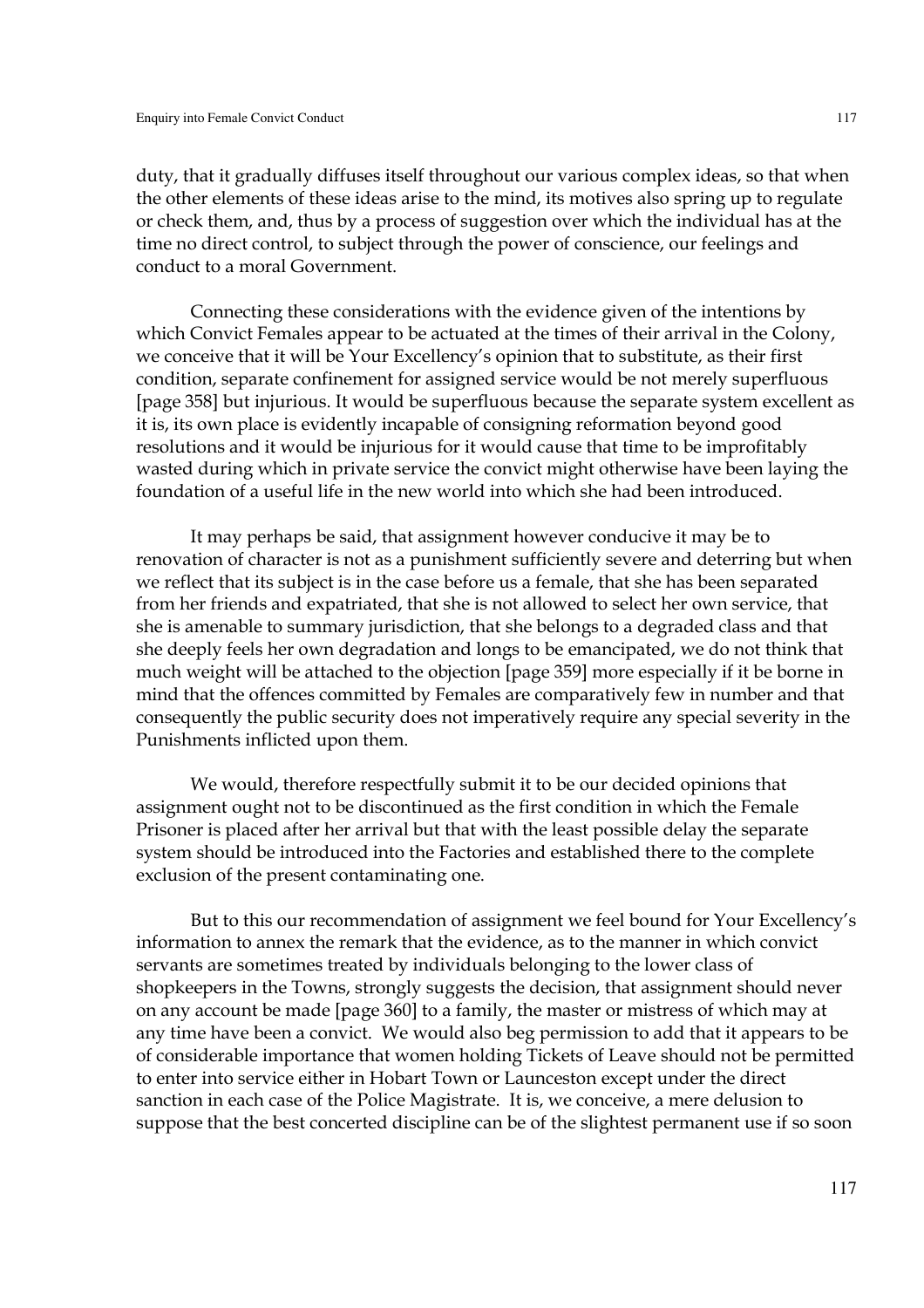duty, that it gradually diffuses itself throughout our various complex ideas, so that when the other elements of these ideas arise to the mind, its motives also spring up to regulate or check them, and, thus by a process of suggestion over which the individual has at the time no direct control, to subject through the power of conscience, our feelings and conduct to a moral Government.

 Connecting these considerations with the evidence given of the intentions by which Convict Females appear to be actuated at the times of their arrival in the Colony, we conceive that it will be Your Excellency's opinion that to substitute, as their first condition, separate confinement for assigned service would be not merely superfluous [page 358] but injurious. It would be superfluous because the separate system excellent as it is, its own place is evidently incapable of consigning reformation beyond good resolutions and it would be injurious for it would cause that time to be improfitably wasted during which in private service the convict might otherwise have been laying the foundation of a useful life in the new world into which she had been introduced.

 It may perhaps be said, that assignment however conducive it may be to renovation of character is not as a punishment sufficiently severe and deterring but when we reflect that its subject is in the case before us a female, that she has been separated from her friends and expatriated, that she is not allowed to select her own service, that she is amenable to summary jurisdiction, that she belongs to a degraded class and that she deeply feels her own degradation and longs to be emancipated, we do not think that much weight will be attached to the objection [page 359] more especially if it be borne in mind that the offences committed by Females are comparatively few in number and that consequently the public security does not imperatively require any special severity in the Punishments inflicted upon them.

 We would, therefore respectfully submit it to be our decided opinions that assignment ought not to be discontinued as the first condition in which the Female Prisoner is placed after her arrival but that with the least possible delay the separate system should be introduced into the Factories and established there to the complete exclusion of the present contaminating one.

 But to this our recommendation of assignment we feel bound for Your Excellency's information to annex the remark that the evidence, as to the manner in which convict servants are sometimes treated by individuals belonging to the lower class of shopkeepers in the Towns, strongly suggests the decision, that assignment should never on any account be made [page 360] to a family, the master or mistress of which may at any time have been a convict. We would also beg permission to add that it appears to be of considerable importance that women holding Tickets of Leave should not be permitted to enter into service either in Hobart Town or Launceston except under the direct sanction in each case of the Police Magistrate. It is, we conceive, a mere delusion to suppose that the best concerted discipline can be of the slightest permanent use if so soon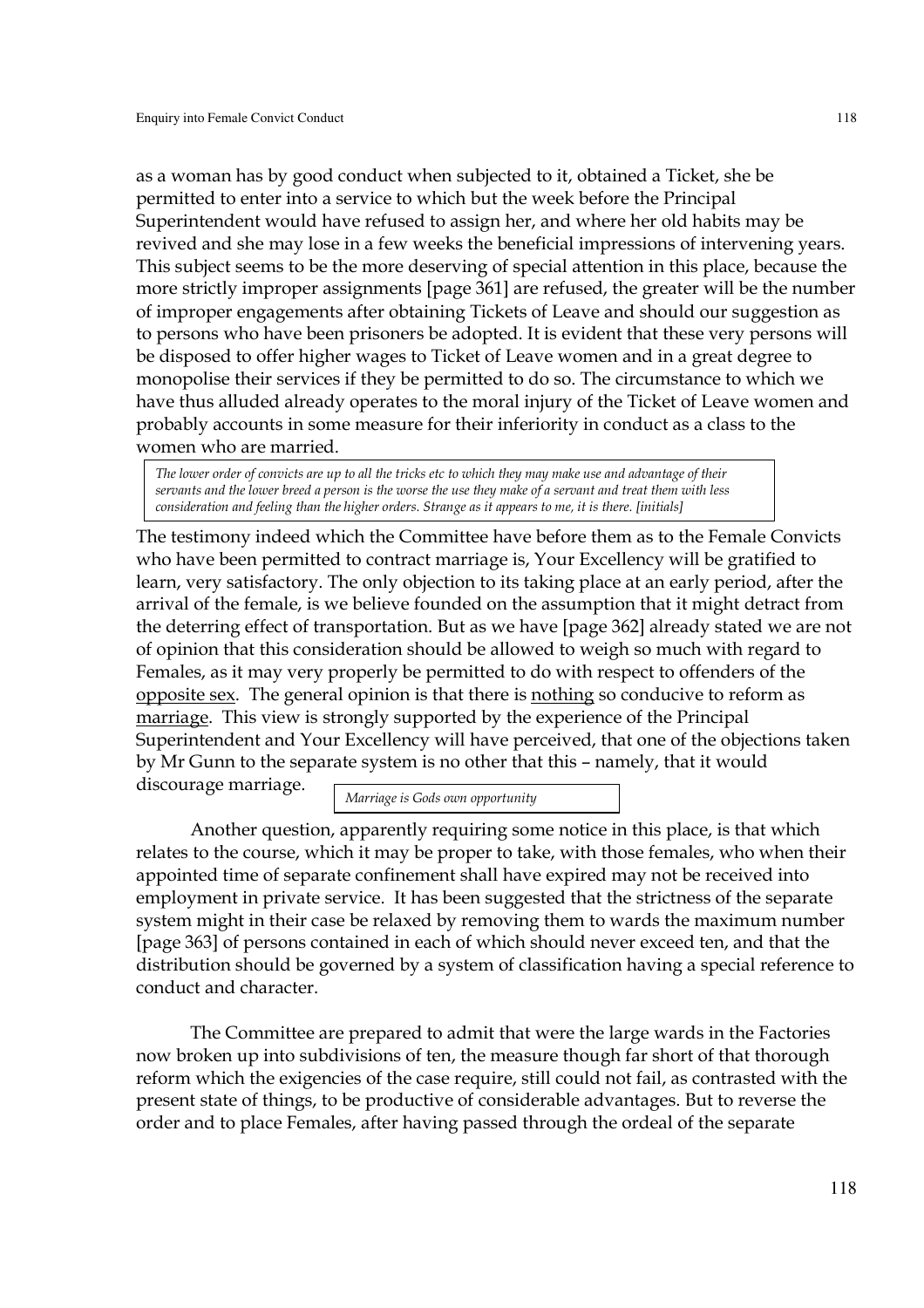as a woman has by good conduct when subjected to it, obtained a Ticket, she be permitted to enter into a service to which but the week before the Principal Superintendent would have refused to assign her, and where her old habits may be revived and she may lose in a few weeks the beneficial impressions of intervening years. This subject seems to be the more deserving of special attention in this place, because the more strictly improper assignments [page 361] are refused, the greater will be the number of improper engagements after obtaining Tickets of Leave and should our suggestion as to persons who have been prisoners be adopted. It is evident that these very persons will be disposed to offer higher wages to Ticket of Leave women and in a great degree to monopolise their services if they be permitted to do so. The circumstance to which we have thus alluded already operates to the moral injury of the Ticket of Leave women and probably accounts in some measure for their inferiority in conduct as a class to the women who are married.

The lower order of convicts are up to all the tricks etc to which they may make use and advantage of their servants and the lower breed a person is the worse the use they make of a servant and treat them with less consideration and feeling than the higher orders. Strange as it appears to me, it is there. [initials]

The testimony indeed which the Committee have before them as to the Female Convicts who have been permitted to contract marriage is, Your Excellency will be gratified to learn, very satisfactory. The only objection to its taking place at an early period, after the arrival of the female, is we believe founded on the assumption that it might detract from the deterring effect of transportation. But as we have [page 362] already stated we are not of opinion that this consideration should be allowed to weigh so much with regard to Females, as it may very properly be permitted to do with respect to offenders of the opposite sex. The general opinion is that there is nothing so conducive to reform as marriage. This view is strongly supported by the experience of the Principal Superintendent and Your Excellency will have perceived, that one of the objections taken by Mr Gunn to the separate system is no other that this – namely, that it would discourage marriage.

Marriage is Gods own opportunity

 Another question, apparently requiring some notice in this place, is that which relates to the course, which it may be proper to take, with those females, who when their appointed time of separate confinement shall have expired may not be received into employment in private service. It has been suggested that the strictness of the separate system might in their case be relaxed by removing them to wards the maximum number [page 363] of persons contained in each of which should never exceed ten, and that the distribution should be governed by a system of classification having a special reference to conduct and character.

 The Committee are prepared to admit that were the large wards in the Factories now broken up into subdivisions of ten, the measure though far short of that thorough reform which the exigencies of the case require, still could not fail, as contrasted with the present state of things, to be productive of considerable advantages. But to reverse the order and to place Females, after having passed through the ordeal of the separate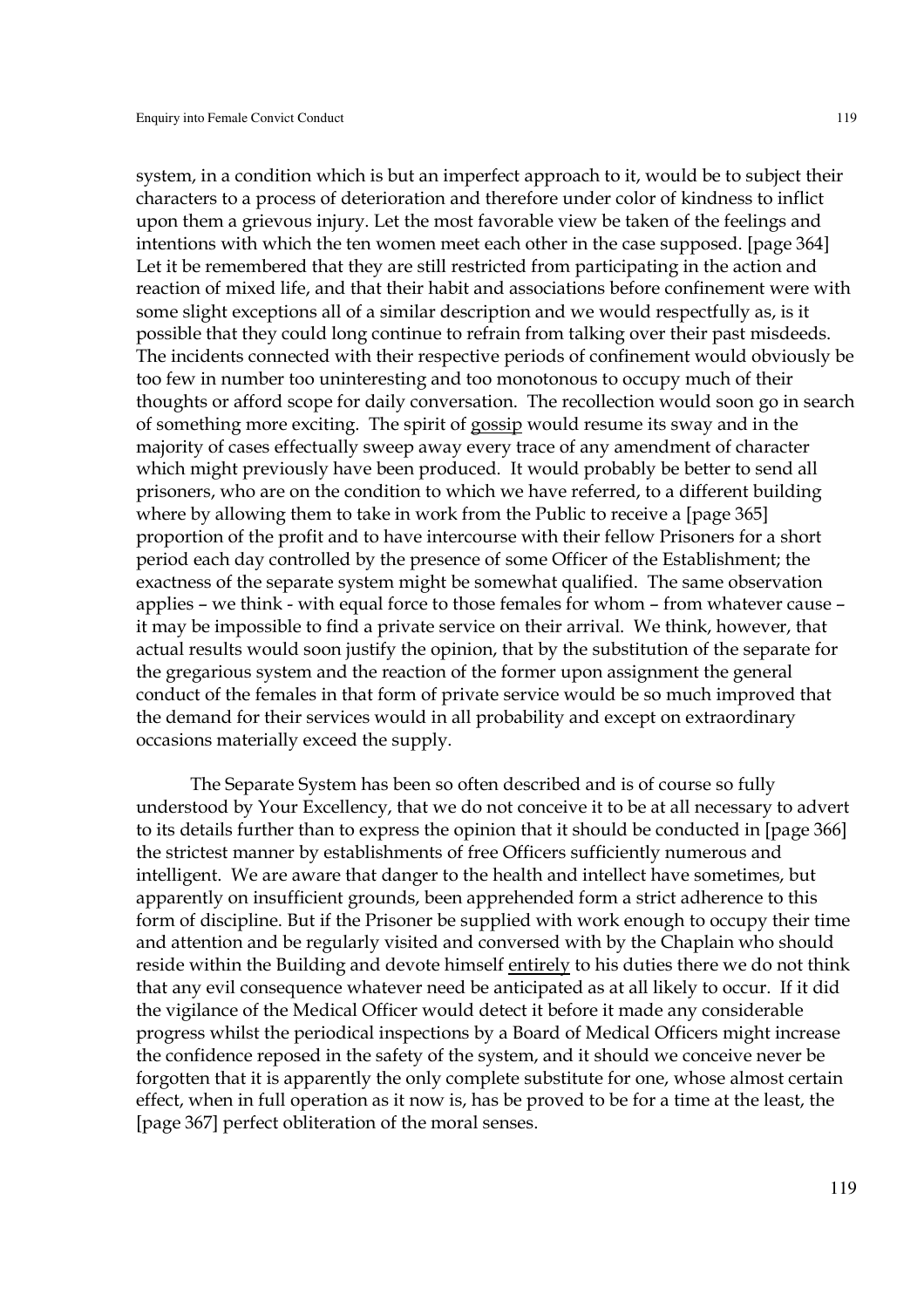system, in a condition which is but an imperfect approach to it, would be to subject their characters to a process of deterioration and therefore under color of kindness to inflict upon them a grievous injury. Let the most favorable view be taken of the feelings and intentions with which the ten women meet each other in the case supposed. [page 364] Let it be remembered that they are still restricted from participating in the action and reaction of mixed life, and that their habit and associations before confinement were with some slight exceptions all of a similar description and we would respectfully as, is it possible that they could long continue to refrain from talking over their past misdeeds. The incidents connected with their respective periods of confinement would obviously be too few in number too uninteresting and too monotonous to occupy much of their thoughts or afford scope for daily conversation. The recollection would soon go in search of something more exciting. The spirit of gossip would resume its sway and in the majority of cases effectually sweep away every trace of any amendment of character which might previously have been produced. It would probably be better to send all prisoners, who are on the condition to which we have referred, to a different building where by allowing them to take in work from the Public to receive a [page 365] proportion of the profit and to have intercourse with their fellow Prisoners for a short period each day controlled by the presence of some Officer of the Establishment; the exactness of the separate system might be somewhat qualified. The same observation applies – we think - with equal force to those females for whom – from whatever cause – it may be impossible to find a private service on their arrival. We think, however, that actual results would soon justify the opinion, that by the substitution of the separate for the gregarious system and the reaction of the former upon assignment the general conduct of the females in that form of private service would be so much improved that the demand for their services would in all probability and except on extraordinary occasions materially exceed the supply.

 The Separate System has been so often described and is of course so fully understood by Your Excellency, that we do not conceive it to be at all necessary to advert to its details further than to express the opinion that it should be conducted in [page 366] the strictest manner by establishments of free Officers sufficiently numerous and intelligent. We are aware that danger to the health and intellect have sometimes, but apparently on insufficient grounds, been apprehended form a strict adherence to this form of discipline. But if the Prisoner be supplied with work enough to occupy their time and attention and be regularly visited and conversed with by the Chaplain who should reside within the Building and devote himself entirely to his duties there we do not think that any evil consequence whatever need be anticipated as at all likely to occur. If it did the vigilance of the Medical Officer would detect it before it made any considerable progress whilst the periodical inspections by a Board of Medical Officers might increase the confidence reposed in the safety of the system, and it should we conceive never be forgotten that it is apparently the only complete substitute for one, whose almost certain effect, when in full operation as it now is, has be proved to be for a time at the least, the [page 367] perfect obliteration of the moral senses.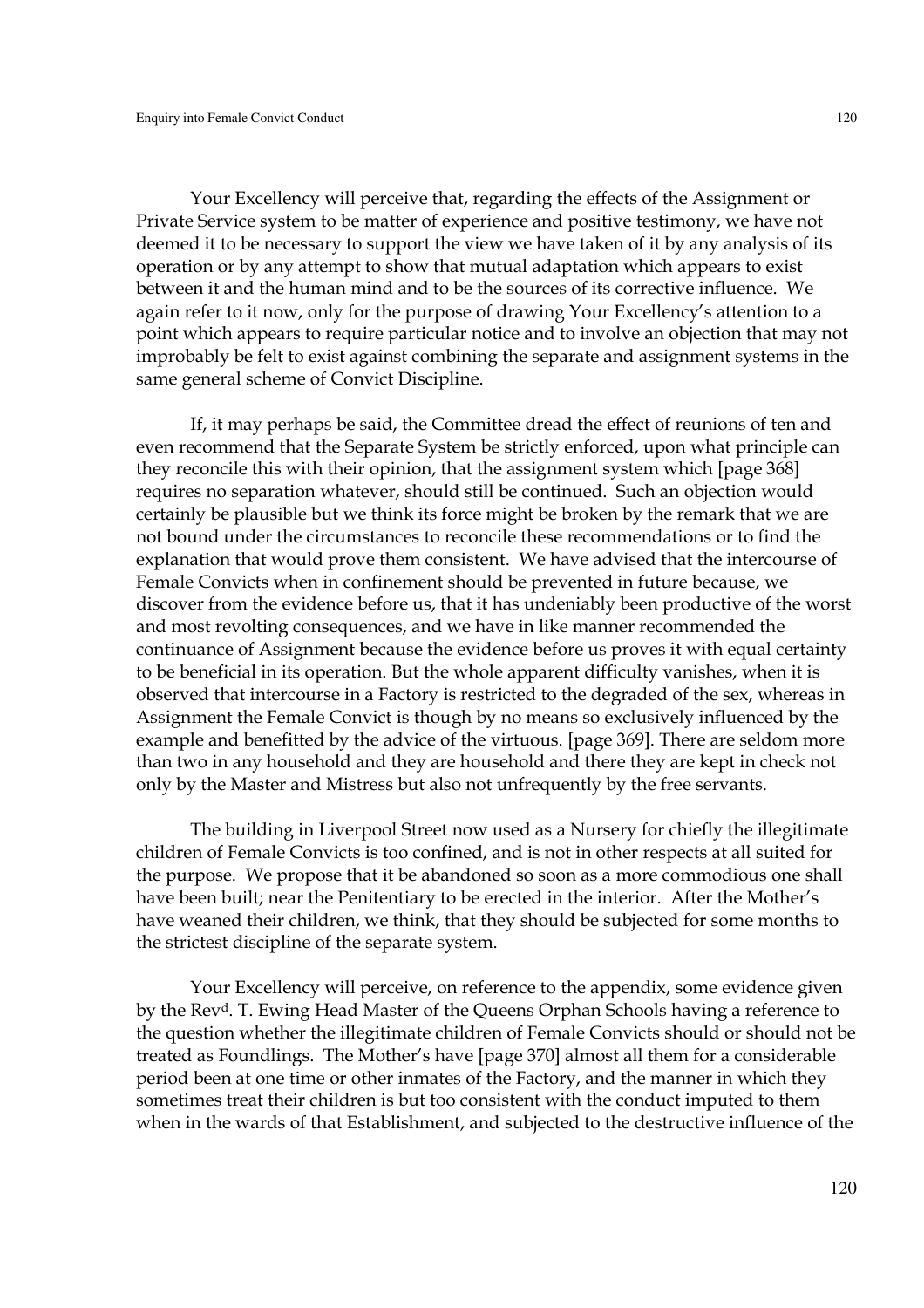Your Excellency will perceive that, regarding the effects of the Assignment or Private Service system to be matter of experience and positive testimony, we have not deemed it to be necessary to support the view we have taken of it by any analysis of its operation or by any attempt to show that mutual adaptation which appears to exist between it and the human mind and to be the sources of its corrective influence. We again refer to it now, only for the purpose of drawing Your Excellency's attention to a point which appears to require particular notice and to involve an objection that may not improbably be felt to exist against combining the separate and assignment systems in the same general scheme of Convict Discipline.

 If, it may perhaps be said, the Committee dread the effect of reunions of ten and even recommend that the Separate System be strictly enforced, upon what principle can they reconcile this with their opinion, that the assignment system which [page 368] requires no separation whatever, should still be continued. Such an objection would certainly be plausible but we think its force might be broken by the remark that we are not bound under the circumstances to reconcile these recommendations or to find the explanation that would prove them consistent. We have advised that the intercourse of Female Convicts when in confinement should be prevented in future because, we discover from the evidence before us, that it has undeniably been productive of the worst and most revolting consequences, and we have in like manner recommended the continuance of Assignment because the evidence before us proves it with equal certainty to be beneficial in its operation. But the whole apparent difficulty vanishes, when it is observed that intercourse in a Factory is restricted to the degraded of the sex, whereas in Assignment the Female Convict is though by no means so exclusively influenced by the example and benefitted by the advice of the virtuous. [page 369]. There are seldom more than two in any household and they are household and there they are kept in check not only by the Master and Mistress but also not unfrequently by the free servants.

 The building in Liverpool Street now used as a Nursery for chiefly the illegitimate children of Female Convicts is too confined, and is not in other respects at all suited for the purpose. We propose that it be abandoned so soon as a more commodious one shall have been built; near the Penitentiary to be erected in the interior. After the Mother's have weaned their children, we think, that they should be subjected for some months to the strictest discipline of the separate system.

 Your Excellency will perceive, on reference to the appendix, some evidence given by the Rev<sup>d</sup>. T. Ewing Head Master of the Queens Orphan Schools having a reference to the question whether the illegitimate children of Female Convicts should or should not be treated as Foundlings. The Mother's have [page 370] almost all them for a considerable period been at one time or other inmates of the Factory, and the manner in which they sometimes treat their children is but too consistent with the conduct imputed to them when in the wards of that Establishment, and subjected to the destructive influence of the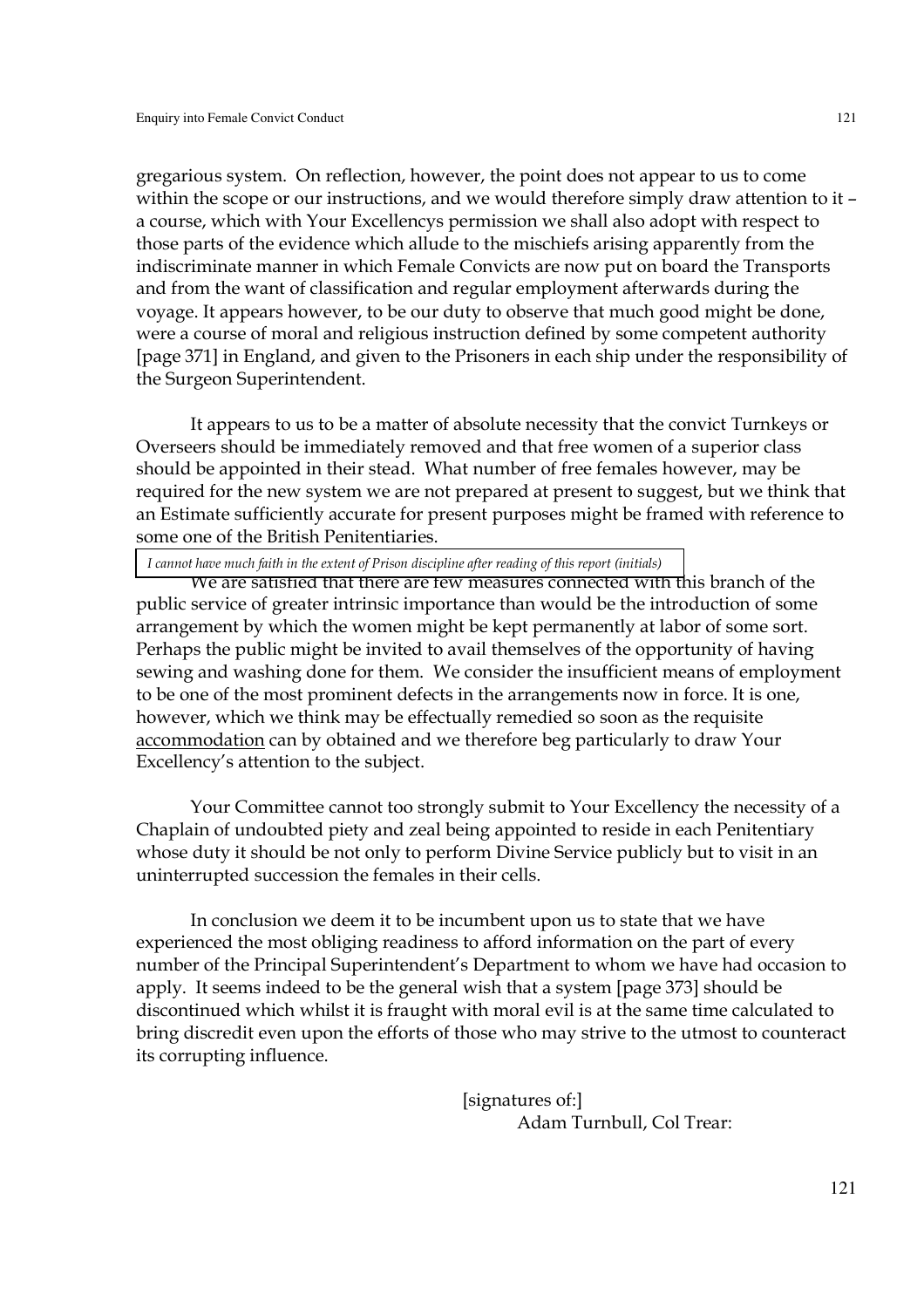gregarious system. On reflection, however, the point does not appear to us to come within the scope or our instructions, and we would therefore simply draw attention to it – a course, which with Your Excellencys permission we shall also adopt with respect to those parts of the evidence which allude to the mischiefs arising apparently from the indiscriminate manner in which Female Convicts are now put on board the Transports and from the want of classification and regular employment afterwards during the voyage. It appears however, to be our duty to observe that much good might be done, were a course of moral and religious instruction defined by some competent authority [page 371] in England, and given to the Prisoners in each ship under the responsibility of the Surgeon Superintendent.

 It appears to us to be a matter of absolute necessity that the convict Turnkeys or Overseers should be immediately removed and that free women of a superior class should be appointed in their stead. What number of free females however, may be required for the new system we are not prepared at present to suggest, but we think that an Estimate sufficiently accurate for present purposes might be framed with reference to some one of the British Penitentiaries.

I cannot have much faith in the extent of Prison discipline after reading of this report (initials)

 We are satisfied that there are few measures connected with this branch of the public service of greater intrinsic importance than would be the introduction of some arrangement by which the women might be kept permanently at labor of some sort. Perhaps the public might be invited to avail themselves of the opportunity of having sewing and washing done for them. We consider the insufficient means of employment to be one of the most prominent defects in the arrangements now in force. It is one, however, which we think may be effectually remedied so soon as the requisite accommodation can by obtained and we therefore beg particularly to draw Your Excellency's attention to the subject.

 Your Committee cannot too strongly submit to Your Excellency the necessity of a Chaplain of undoubted piety and zeal being appointed to reside in each Penitentiary whose duty it should be not only to perform Divine Service publicly but to visit in an uninterrupted succession the females in their cells.

 In conclusion we deem it to be incumbent upon us to state that we have experienced the most obliging readiness to afford information on the part of every number of the Principal Superintendent's Department to whom we have had occasion to apply. It seems indeed to be the general wish that a system [page 373] should be discontinued which whilst it is fraught with moral evil is at the same time calculated to bring discredit even upon the efforts of those who may strive to the utmost to counteract its corrupting influence.

> [signatures of:] Adam Turnbull, Col Trear: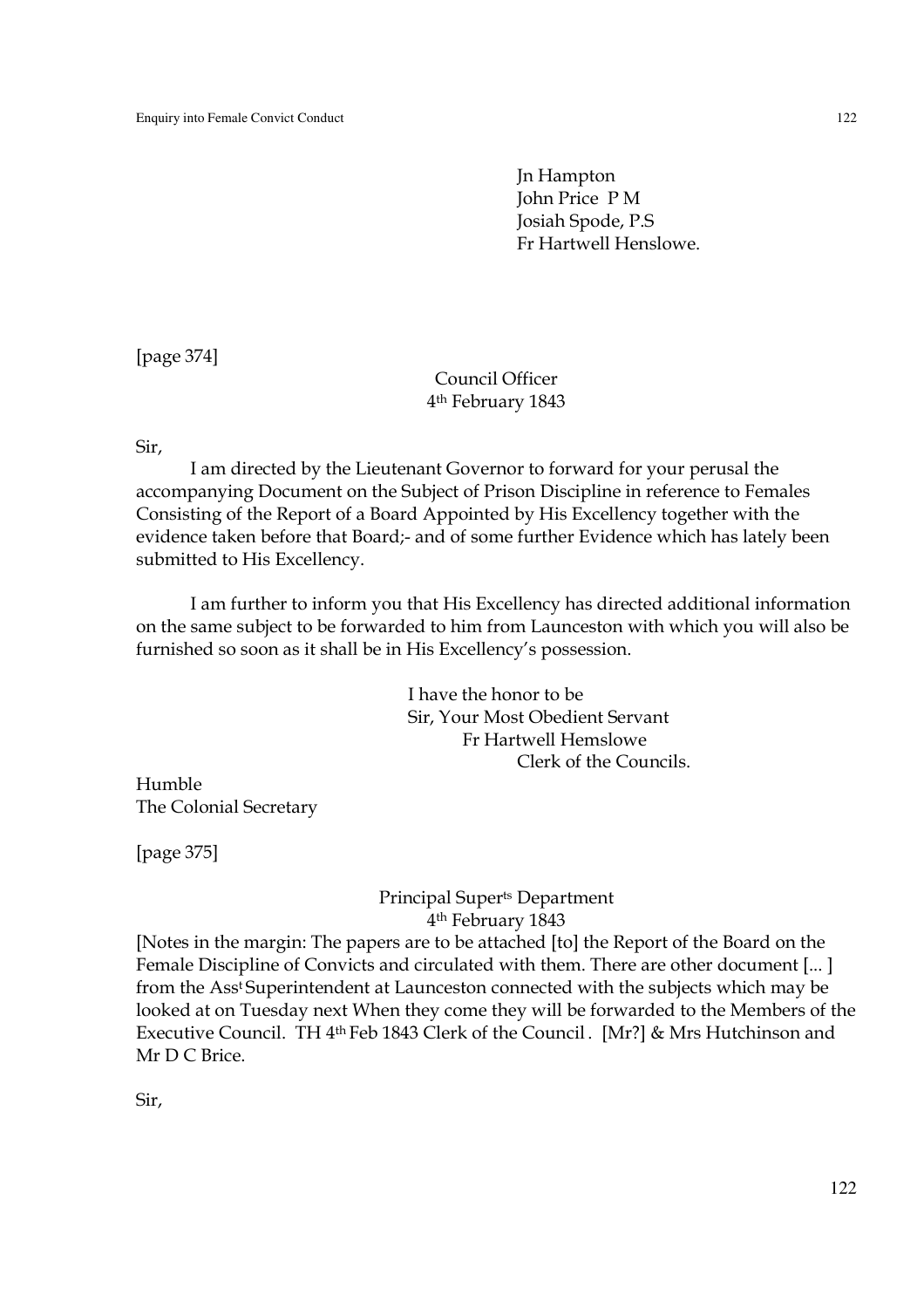Jn Hampton John Price P M Josiah Spode, P.S Fr Hartwell Henslowe.

[page 374]

## Council Officer 4th February 1843

#### Sir,

 I am directed by the Lieutenant Governor to forward for your perusal the accompanying Document on the Subject of Prison Discipline in reference to Females Consisting of the Report of a Board Appointed by His Excellency together with the evidence taken before that Board;- and of some further Evidence which has lately been submitted to His Excellency.

 I am further to inform you that His Excellency has directed additional information on the same subject to be forwarded to him from Launceston with which you will also be furnished so soon as it shall be in His Excellency's possession.

> I have the honor to be Sir, Your Most Obedient Servant Fr Hartwell Hemslowe Clerk of the Councils.

Humble The Colonial Secretary

[page 375]

## Principal Super<sup>ts</sup> Department 4th February 1843

[Notes in the margin: The papers are to be attached [to] the Report of the Board on the Female Discipline of Convicts and circulated with them. There are other document [... ] from the Ass<sup>t</sup>Superintendent at Launceston connected with the subjects which may be looked at on Tuesday next When they come they will be forwarded to the Members of the Executive Council. TH 4th Feb 1843 Clerk of the Council . [Mr?] & Mrs Hutchinson and Mr D C Brice.

Sir,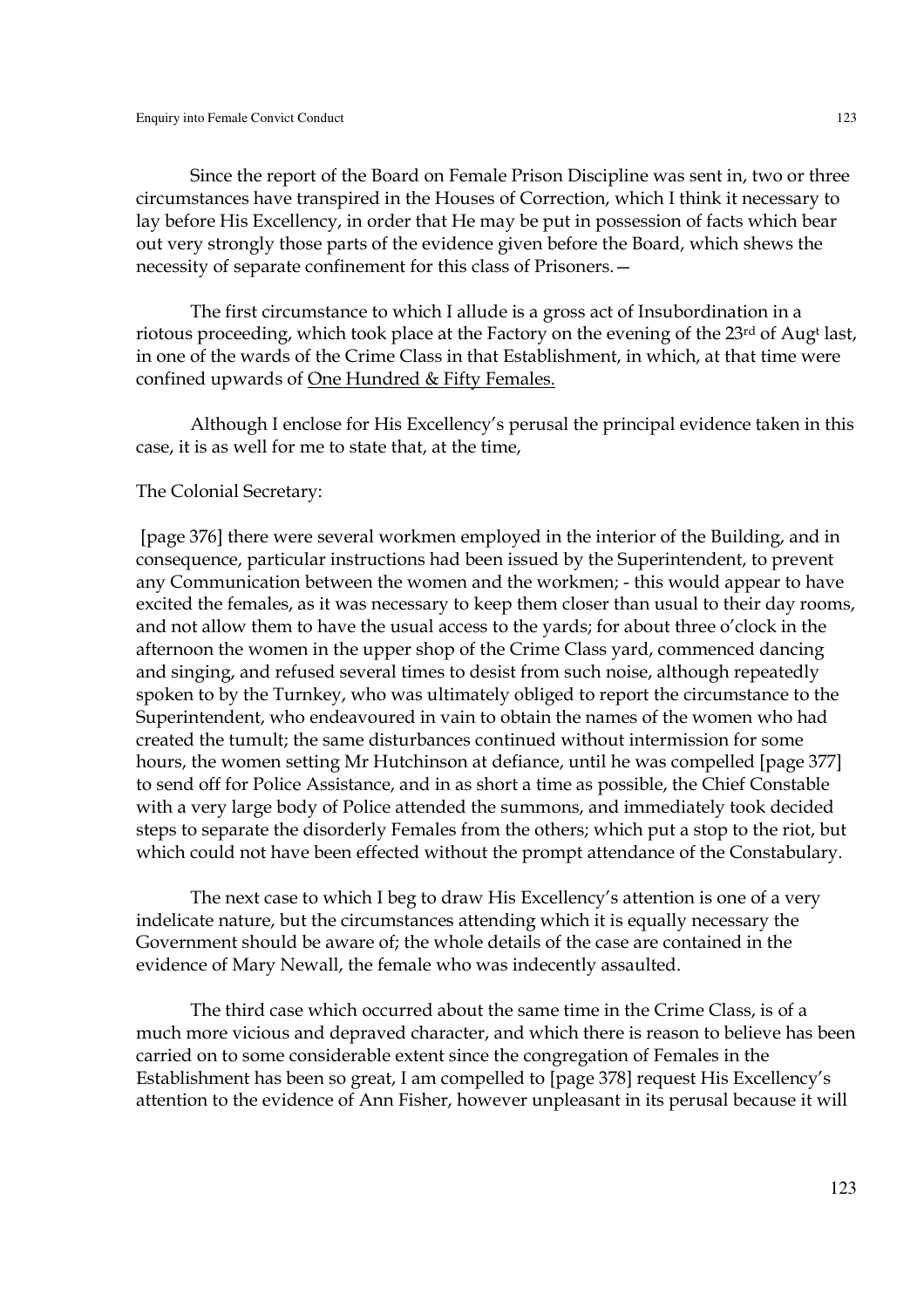Since the report of the Board on Female Prison Discipline was sent in, two or three circumstances have transpired in the Houses of Correction, which I think it necessary to lay before His Excellency, in order that He may be put in possession of facts which bear out very strongly those parts of the evidence given before the Board, which shews the necessity of separate confinement for this class of Prisoners.—

 The first circumstance to which I allude is a gross act of Insubordination in a riotous proceeding, which took place at the Factory on the evening of the 23<sup>rd</sup> of Aug<sup>t</sup> last, in one of the wards of the Crime Class in that Establishment, in which, at that time were confined upwards of One Hundred & Fifty Females.

 Although I enclose for His Excellency's perusal the principal evidence taken in this case, it is as well for me to state that, at the time,

### The Colonial Secretary:

 [page 376] there were several workmen employed in the interior of the Building, and in consequence, particular instructions had been issued by the Superintendent, to prevent any Communication between the women and the workmen; - this would appear to have excited the females, as it was necessary to keep them closer than usual to their day rooms, and not allow them to have the usual access to the yards; for about three o'clock in the afternoon the women in the upper shop of the Crime Class yard, commenced dancing and singing, and refused several times to desist from such noise, although repeatedly spoken to by the Turnkey, who was ultimately obliged to report the circumstance to the Superintendent, who endeavoured in vain to obtain the names of the women who had created the tumult; the same disturbances continued without intermission for some hours, the women setting Mr Hutchinson at defiance, until he was compelled [page 377] to send off for Police Assistance, and in as short a time as possible, the Chief Constable with a very large body of Police attended the summons, and immediately took decided steps to separate the disorderly Females from the others; which put a stop to the riot, but which could not have been effected without the prompt attendance of the Constabulary.

 The next case to which I beg to draw His Excellency's attention is one of a very indelicate nature, but the circumstances attending which it is equally necessary the Government should be aware of; the whole details of the case are contained in the evidence of Mary Newall, the female who was indecently assaulted.

The third case which occurred about the same time in the Crime Class, is of a much more vicious and depraved character, and which there is reason to believe has been carried on to some considerable extent since the congregation of Females in the Establishment has been so great, I am compelled to [page 378] request His Excellency's attention to the evidence of Ann Fisher, however unpleasant in its perusal because it will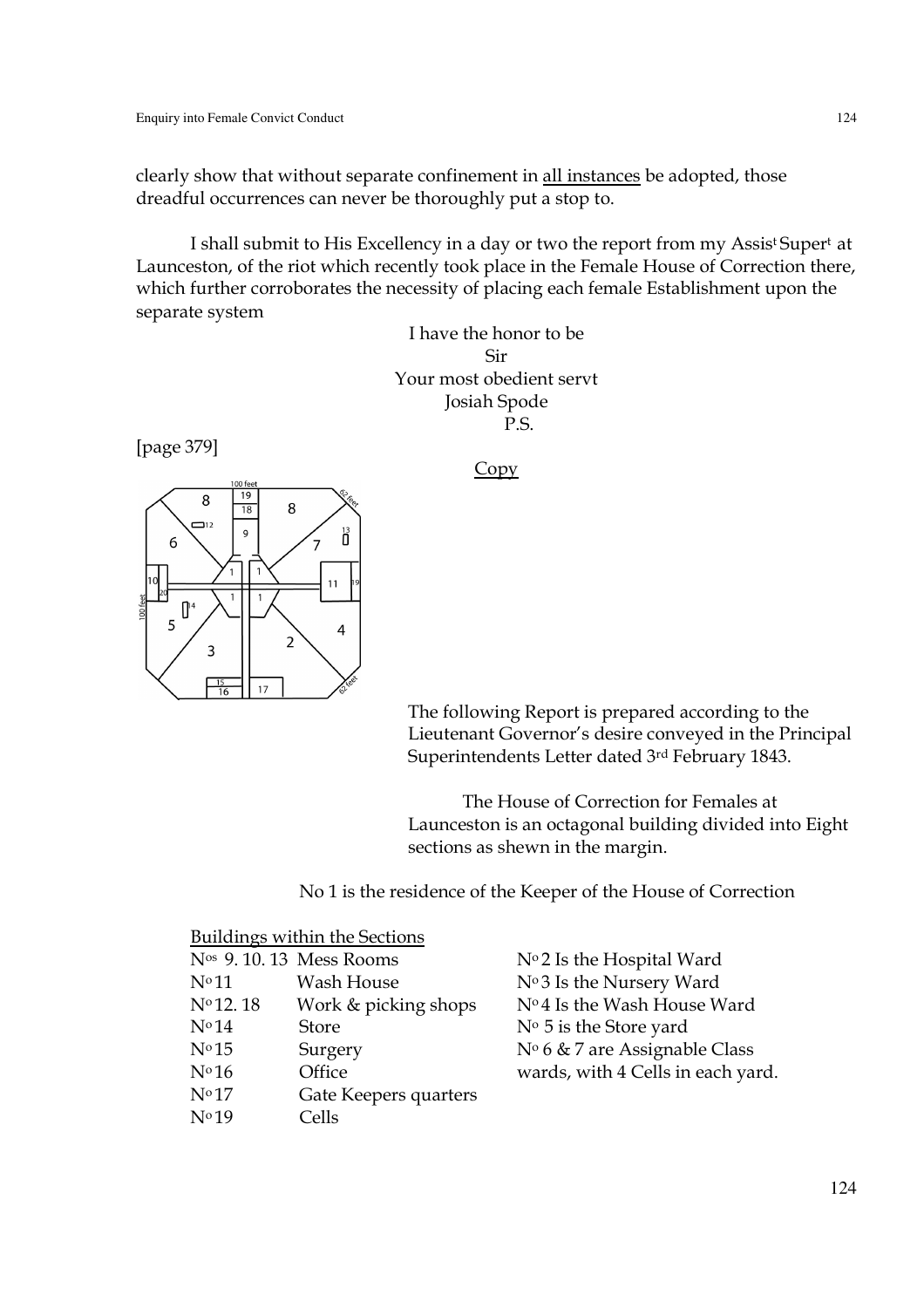clearly show that without separate confinement in all instances be adopted, those dreadful occurrences can never be thoroughly put a stop to.

I shall submit to His Excellency in a day or two the report from my Assist Supert at Launceston, of the riot which recently took place in the Female House of Correction there, which further corroborates the necessity of placing each female Establishment upon the separate system

> I have the honor to be Sir Your most obedient servt Josiah Spode P.S.

[page 379]





 The following Report is prepared according to the Lieutenant Governor's desire conveyed in the Principal Superintendents Letter dated 3rd February 1843.

The House of Correction for Females at Launceston is an octagonal building divided into Eight sections as shewn in the margin.

No 1 is the residence of the Keeper of the House of Correction

|                   | <b>Buildings within the Sections</b> |                                   |
|-------------------|--------------------------------------|-----------------------------------|
|                   | N <sup>os</sup> 9.10.13 Mess Rooms   | Nº 2 Is the Hospital Ward         |
| N <sup>0</sup> 11 | Wash House                           | Nº3 Is the Nursery Ward           |
| $N^{\circ}$ 12.18 | Work & picking shops                 | Nº4 Is the Wash House Ward        |
| N <sup>0</sup> 14 | <b>Store</b>                         | $No$ 5 is the Store yard          |
| N <sup>0</sup> 15 | Surgery                              | Nº 6 & 7 are Assignable Class     |
| N <sup>0</sup> 16 | Office                               | wards, with 4 Cells in each yard. |
| N <sup>0</sup> 17 | Gate Keepers quarters                |                                   |
| N <sup>0</sup> 19 | Cells                                |                                   |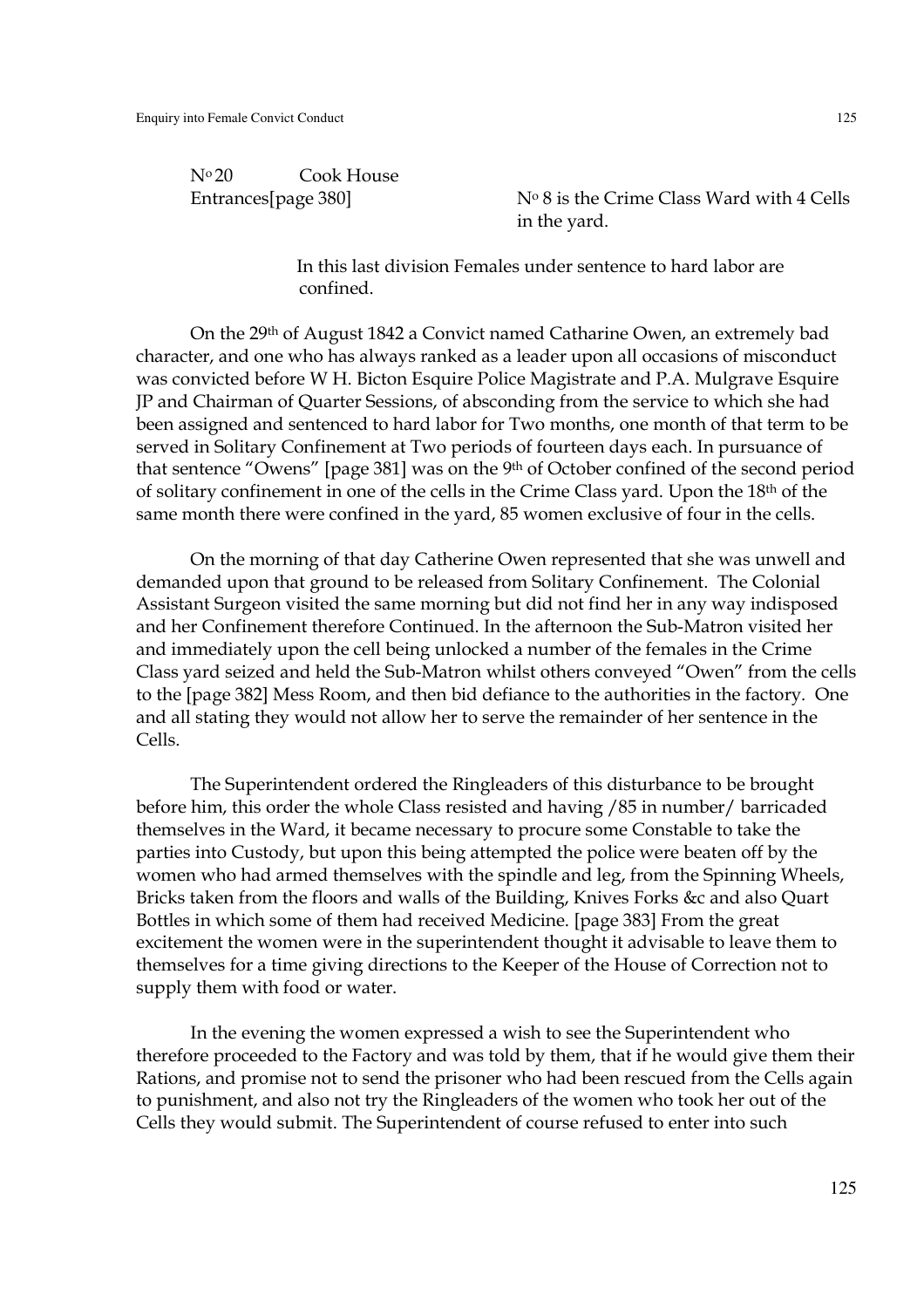N<sup>o</sup>20 Cook House

Entrances[page 380]  $N^{\circ}$  8 is the Crime Class Ward with 4 Cells in the yard.

> In this last division Females under sentence to hard labor are confined.

On the 29th of August 1842 a Convict named Catharine Owen, an extremely bad character, and one who has always ranked as a leader upon all occasions of misconduct was convicted before W H. Bicton Esquire Police Magistrate and P.A. Mulgrave Esquire JP and Chairman of Quarter Sessions, of absconding from the service to which she had been assigned and sentenced to hard labor for Two months, one month of that term to be served in Solitary Confinement at Two periods of fourteen days each. In pursuance of that sentence "Owens" [page 381] was on the 9th of October confined of the second period of solitary confinement in one of the cells in the Crime Class yard. Upon the 18th of the same month there were confined in the yard, 85 women exclusive of four in the cells.

 On the morning of that day Catherine Owen represented that she was unwell and demanded upon that ground to be released from Solitary Confinement. The Colonial Assistant Surgeon visited the same morning but did not find her in any way indisposed and her Confinement therefore Continued. In the afternoon the Sub-Matron visited her and immediately upon the cell being unlocked a number of the females in the Crime Class yard seized and held the Sub-Matron whilst others conveyed "Owen" from the cells to the [page 382] Mess Room, and then bid defiance to the authorities in the factory. One and all stating they would not allow her to serve the remainder of her sentence in the Cells.

 The Superintendent ordered the Ringleaders of this disturbance to be brought before him, this order the whole Class resisted and having /85 in number/ barricaded themselves in the Ward, it became necessary to procure some Constable to take the parties into Custody, but upon this being attempted the police were beaten off by the women who had armed themselves with the spindle and leg, from the Spinning Wheels, Bricks taken from the floors and walls of the Building, Knives Forks &c and also Quart Bottles in which some of them had received Medicine. [page 383] From the great excitement the women were in the superintendent thought it advisable to leave them to themselves for a time giving directions to the Keeper of the House of Correction not to supply them with food or water.

 In the evening the women expressed a wish to see the Superintendent who therefore proceeded to the Factory and was told by them, that if he would give them their Rations, and promise not to send the prisoner who had been rescued from the Cells again to punishment, and also not try the Ringleaders of the women who took her out of the Cells they would submit. The Superintendent of course refused to enter into such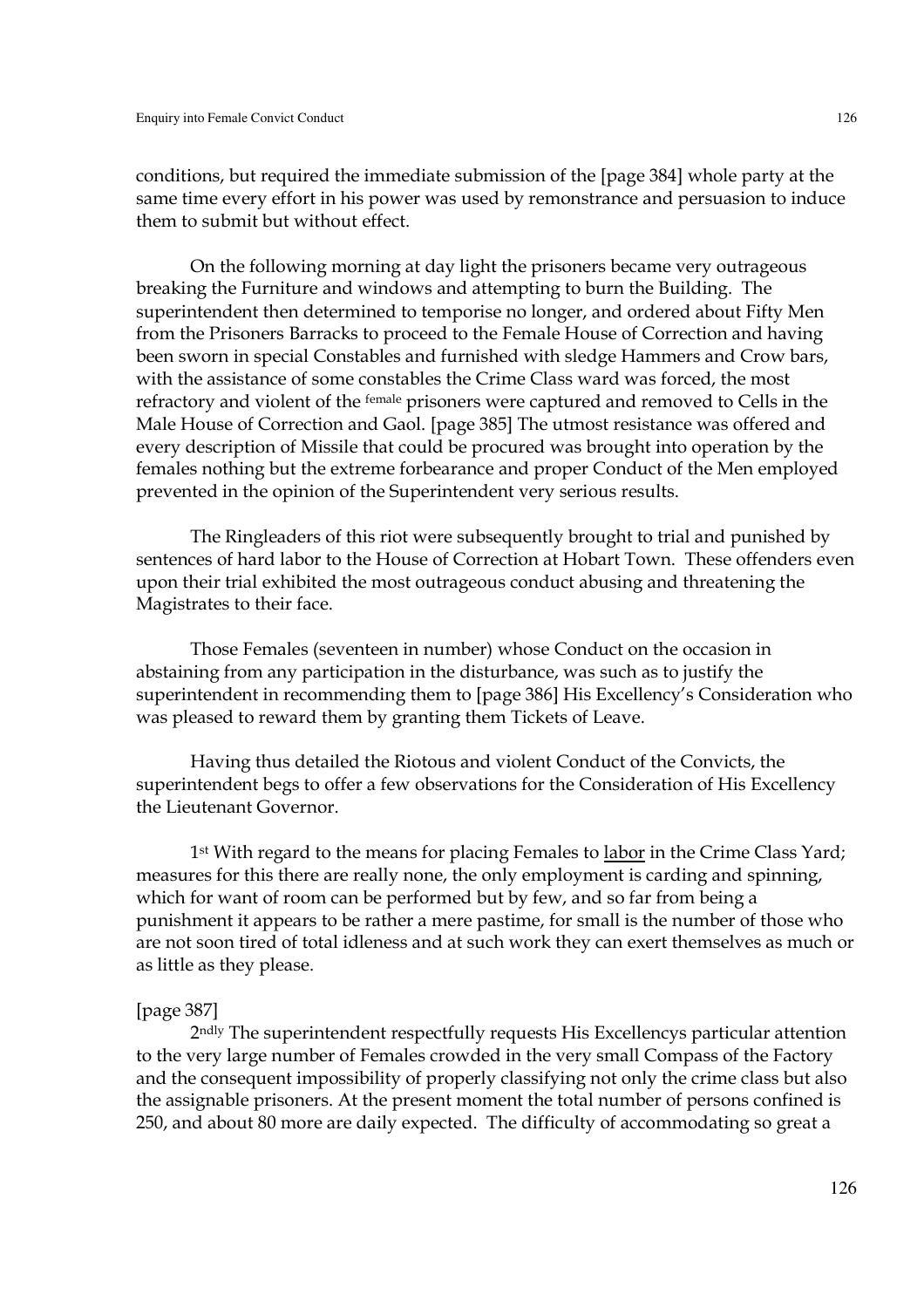conditions, but required the immediate submission of the [page 384] whole party at the same time every effort in his power was used by remonstrance and persuasion to induce them to submit but without effect.

 On the following morning at day light the prisoners became very outrageous breaking the Furniture and windows and attempting to burn the Building. The superintendent then determined to temporise no longer, and ordered about Fifty Men from the Prisoners Barracks to proceed to the Female House of Correction and having been sworn in special Constables and furnished with sledge Hammers and Crow bars, with the assistance of some constables the Crime Class ward was forced, the most refractory and violent of the female prisoners were captured and removed to Cells in the Male House of Correction and Gaol. [page 385] The utmost resistance was offered and every description of Missile that could be procured was brought into operation by the females nothing but the extreme forbearance and proper Conduct of the Men employed prevented in the opinion of the Superintendent very serious results.

 The Ringleaders of this riot were subsequently brought to trial and punished by sentences of hard labor to the House of Correction at Hobart Town. These offenders even upon their trial exhibited the most outrageous conduct abusing and threatening the Magistrates to their face.

 Those Females (seventeen in number) whose Conduct on the occasion in abstaining from any participation in the disturbance, was such as to justify the superintendent in recommending them to [page 386] His Excellency's Consideration who was pleased to reward them by granting them Tickets of Leave.

 Having thus detailed the Riotous and violent Conduct of the Convicts, the superintendent begs to offer a few observations for the Consideration of His Excellency the Lieutenant Governor.

 1st With regard to the means for placing Females to labor in the Crime Class Yard; measures for this there are really none, the only employment is carding and spinning, which for want of room can be performed but by few, and so far from being a punishment it appears to be rather a mere pastime, for small is the number of those who are not soon tired of total idleness and at such work they can exert themselves as much or as little as they please.

### [page 387]

2 ndly The superintendent respectfully requests His Excellencys particular attention to the very large number of Females crowded in the very small Compass of the Factory and the consequent impossibility of properly classifying not only the crime class but also the assignable prisoners. At the present moment the total number of persons confined is 250, and about 80 more are daily expected. The difficulty of accommodating so great a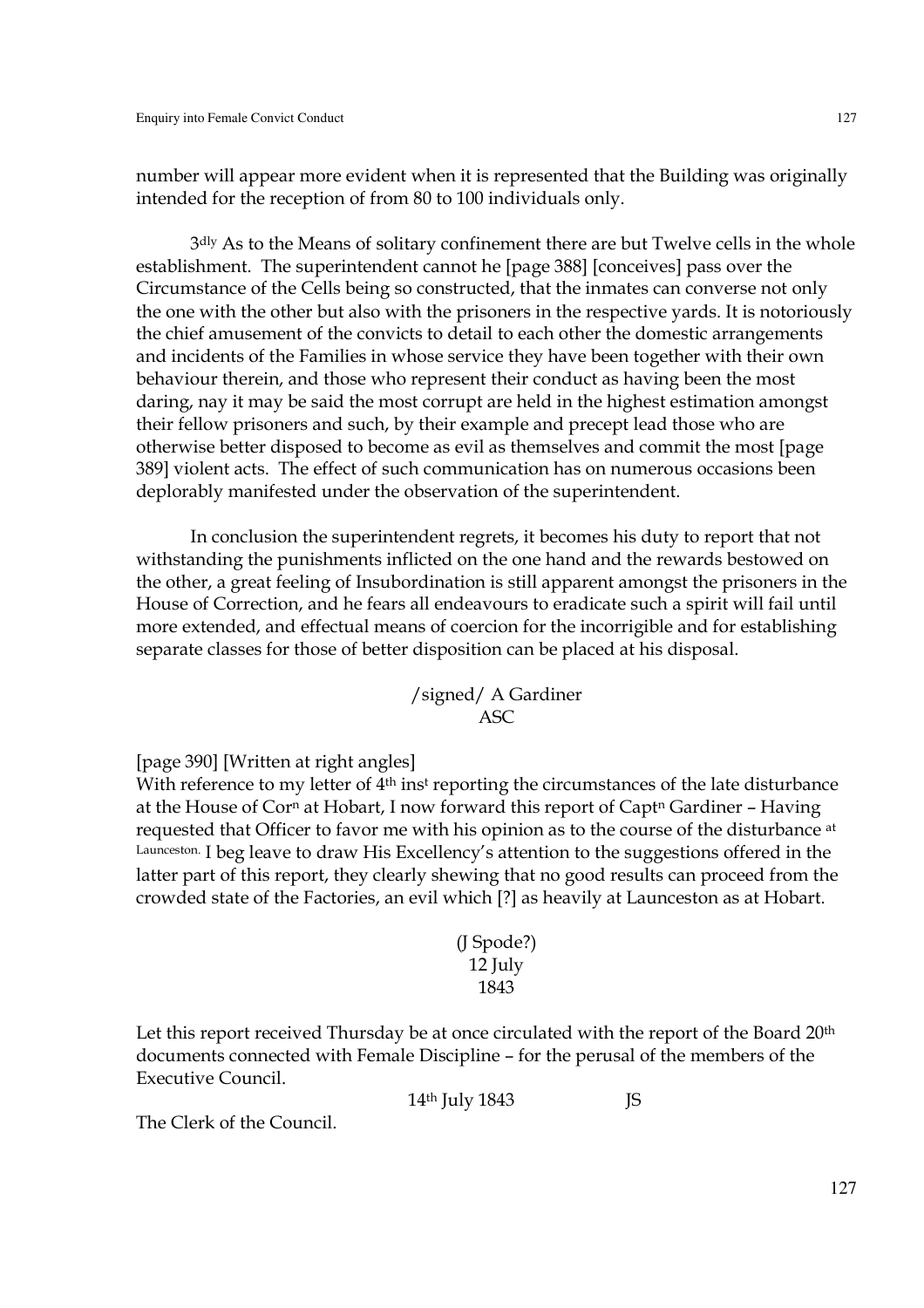number will appear more evident when it is represented that the Building was originally intended for the reception of from 80 to 100 individuals only.

3<sup>dly</sup> As to the Means of solitary confinement there are but Twelve cells in the whole establishment. The superintendent cannot he [page 388] [conceives] pass over the Circumstance of the Cells being so constructed, that the inmates can converse not only the one with the other but also with the prisoners in the respective yards. It is notoriously the chief amusement of the convicts to detail to each other the domestic arrangements and incidents of the Families in whose service they have been together with their own behaviour therein, and those who represent their conduct as having been the most daring, nay it may be said the most corrupt are held in the highest estimation amongst their fellow prisoners and such, by their example and precept lead those who are otherwise better disposed to become as evil as themselves and commit the most [page 389] violent acts. The effect of such communication has on numerous occasions been deplorably manifested under the observation of the superintendent.

 In conclusion the superintendent regrets, it becomes his duty to report that not withstanding the punishments inflicted on the one hand and the rewards bestowed on the other, a great feeling of Insubordination is still apparent amongst the prisoners in the House of Correction, and he fears all endeavours to eradicate such a spirit will fail until more extended, and effectual means of coercion for the incorrigible and for establishing separate classes for those of better disposition can be placed at his disposal.

/signed/ A Gardiner ASC

[page 390] [Written at right angles]

With reference to my letter of  $4^{\text{th}}$  ins<sup>t</sup> reporting the circumstances of the late disturbance at the House of Cor<sup>n</sup> at Hobart, I now forward this report of Capt<sup>n</sup> Gardiner - Having requested that Officer to favor me with his opinion as to the course of the disturbance at Launceston. I beg leave to draw His Excellency's attention to the suggestions offered in the latter part of this report, they clearly shewing that no good results can proceed from the crowded state of the Factories, an evil which [?] as heavily at Launceston as at Hobart.

(J Spode?) 12 July 1843

Let this report received Thursday be at once circulated with the report of the Board 20<sup>th</sup> documents connected with Female Discipline – for the perusal of the members of the Executive Council.

14<sup>th</sup> July 1843 **JS** 

The Clerk of the Council.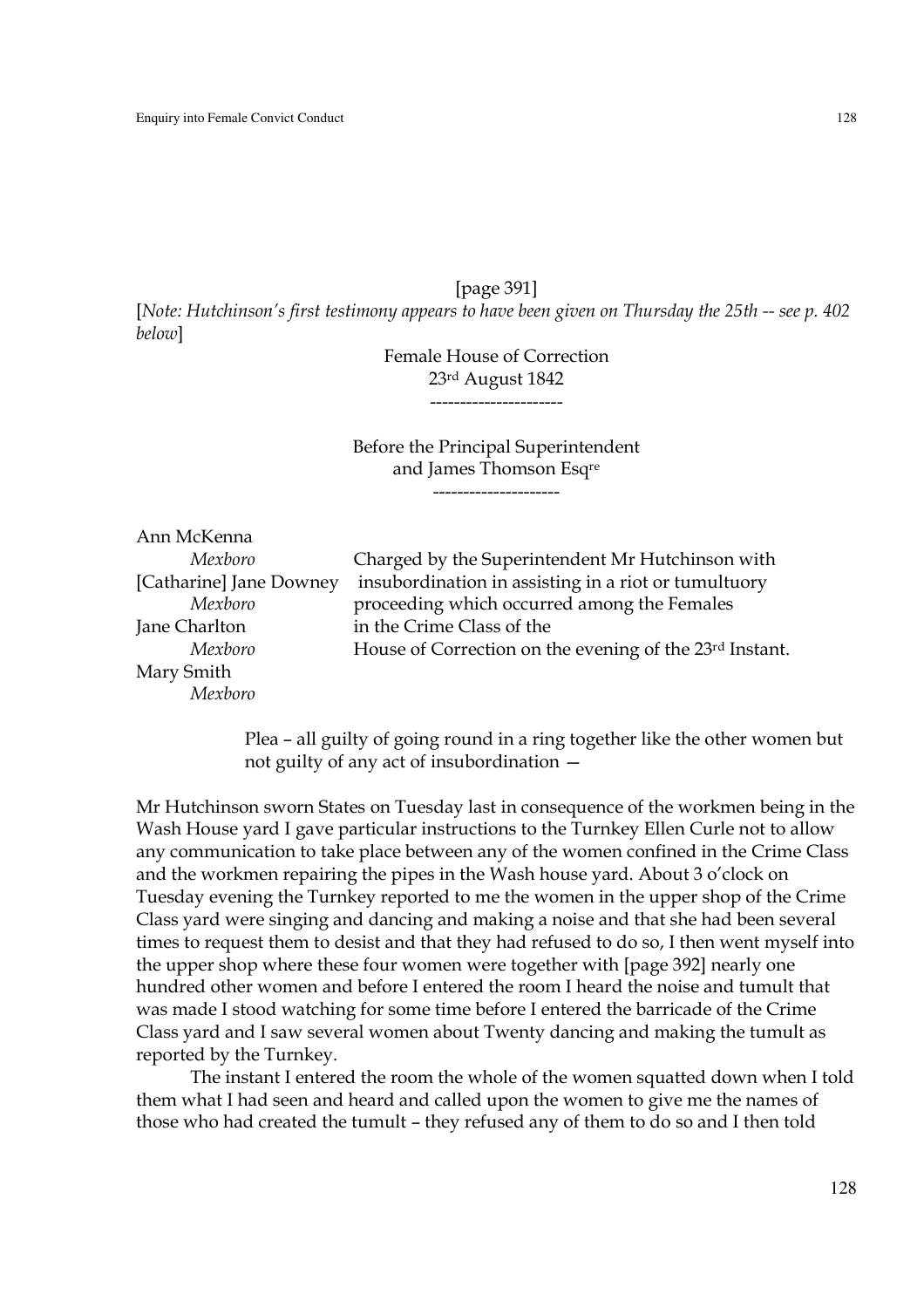[page 391]

[Note: Hutchinson's first testimony appears to have been given on Thursday the 25th -- see p. 402 below]

> Female House of Correction 23rd August 1842

> > ----------------------

# Before the Principal Superintendent and James Thomson Esqre

---------------------

| Ann McKenna             |                                                         |
|-------------------------|---------------------------------------------------------|
| Mexboro                 | Charged by the Superintendent Mr Hutchinson with        |
| [Catharine] Jane Downey | insubordination in assisting in a riot or tumultuory    |
| Mexboro                 | proceeding which occurred among the Females             |
| Jane Charlton           | in the Crime Class of the                               |
| Mexboro                 | House of Correction on the evening of the 23rd Instant. |
| Mary Smith              |                                                         |
| Mexboro                 |                                                         |

 Plea – all guilty of going round in a ring together like the other women but not guilty of any act of insubordination —

Mr Hutchinson sworn States on Tuesday last in consequence of the workmen being in the Wash House yard I gave particular instructions to the Turnkey Ellen Curle not to allow any communication to take place between any of the women confined in the Crime Class and the workmen repairing the pipes in the Wash house yard. About 3 o'clock on Tuesday evening the Turnkey reported to me the women in the upper shop of the Crime Class yard were singing and dancing and making a noise and that she had been several times to request them to desist and that they had refused to do so, I then went myself into the upper shop where these four women were together with [page 392] nearly one hundred other women and before I entered the room I heard the noise and tumult that was made I stood watching for some time before I entered the barricade of the Crime Class yard and I saw several women about Twenty dancing and making the tumult as reported by the Turnkey.

 The instant I entered the room the whole of the women squatted down when I told them what I had seen and heard and called upon the women to give me the names of those who had created the tumult – they refused any of them to do so and I then told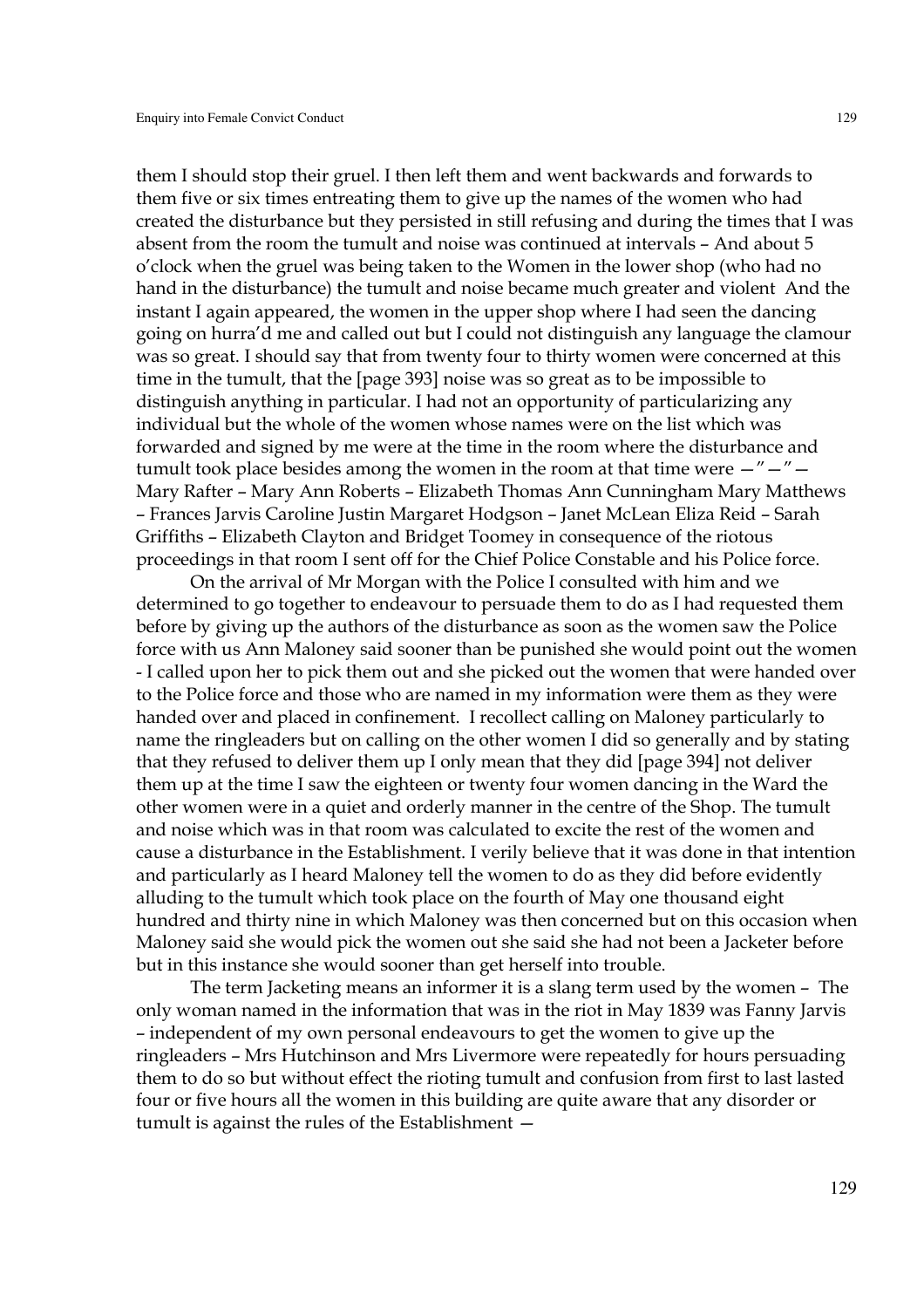them I should stop their gruel. I then left them and went backwards and forwards to them five or six times entreating them to give up the names of the women who had created the disturbance but they persisted in still refusing and during the times that I was absent from the room the tumult and noise was continued at intervals – And about 5 o'clock when the gruel was being taken to the Women in the lower shop (who had no hand in the disturbance) the tumult and noise became much greater and violent And the instant I again appeared, the women in the upper shop where I had seen the dancing going on hurra'd me and called out but I could not distinguish any language the clamour was so great. I should say that from twenty four to thirty women were concerned at this time in the tumult, that the [page 393] noise was so great as to be impossible to distinguish anything in particular. I had not an opportunity of particularizing any individual but the whole of the women whose names were on the list which was forwarded and signed by me were at the time in the room where the disturbance and tumult took place besides among the women in the room at that time were  $-\pi$  –  $\pi$  – Mary Rafter – Mary Ann Roberts – Elizabeth Thomas Ann Cunningham Mary Matthews – Frances Jarvis Caroline Justin Margaret Hodgson – Janet McLean Eliza Reid – Sarah Griffiths – Elizabeth Clayton and Bridget Toomey in consequence of the riotous proceedings in that room I sent off for the Chief Police Constable and his Police force.

 On the arrival of Mr Morgan with the Police I consulted with him and we determined to go together to endeavour to persuade them to do as I had requested them before by giving up the authors of the disturbance as soon as the women saw the Police force with us Ann Maloney said sooner than be punished she would point out the women - I called upon her to pick them out and she picked out the women that were handed over to the Police force and those who are named in my information were them as they were handed over and placed in confinement. I recollect calling on Maloney particularly to name the ringleaders but on calling on the other women I did so generally and by stating that they refused to deliver them up I only mean that they did [page 394] not deliver them up at the time I saw the eighteen or twenty four women dancing in the Ward the other women were in a quiet and orderly manner in the centre of the Shop. The tumult and noise which was in that room was calculated to excite the rest of the women and cause a disturbance in the Establishment. I verily believe that it was done in that intention and particularly as I heard Maloney tell the women to do as they did before evidently alluding to the tumult which took place on the fourth of May one thousand eight hundred and thirty nine in which Maloney was then concerned but on this occasion when Maloney said she would pick the women out she said she had not been a Jacketer before but in this instance she would sooner than get herself into trouble.

 The term Jacketing means an informer it is a slang term used by the women – The only woman named in the information that was in the riot in May 1839 was Fanny Jarvis – independent of my own personal endeavours to get the women to give up the ringleaders – Mrs Hutchinson and Mrs Livermore were repeatedly for hours persuading them to do so but without effect the rioting tumult and confusion from first to last lasted four or five hours all the women in this building are quite aware that any disorder or tumult is against the rules of the Establishment —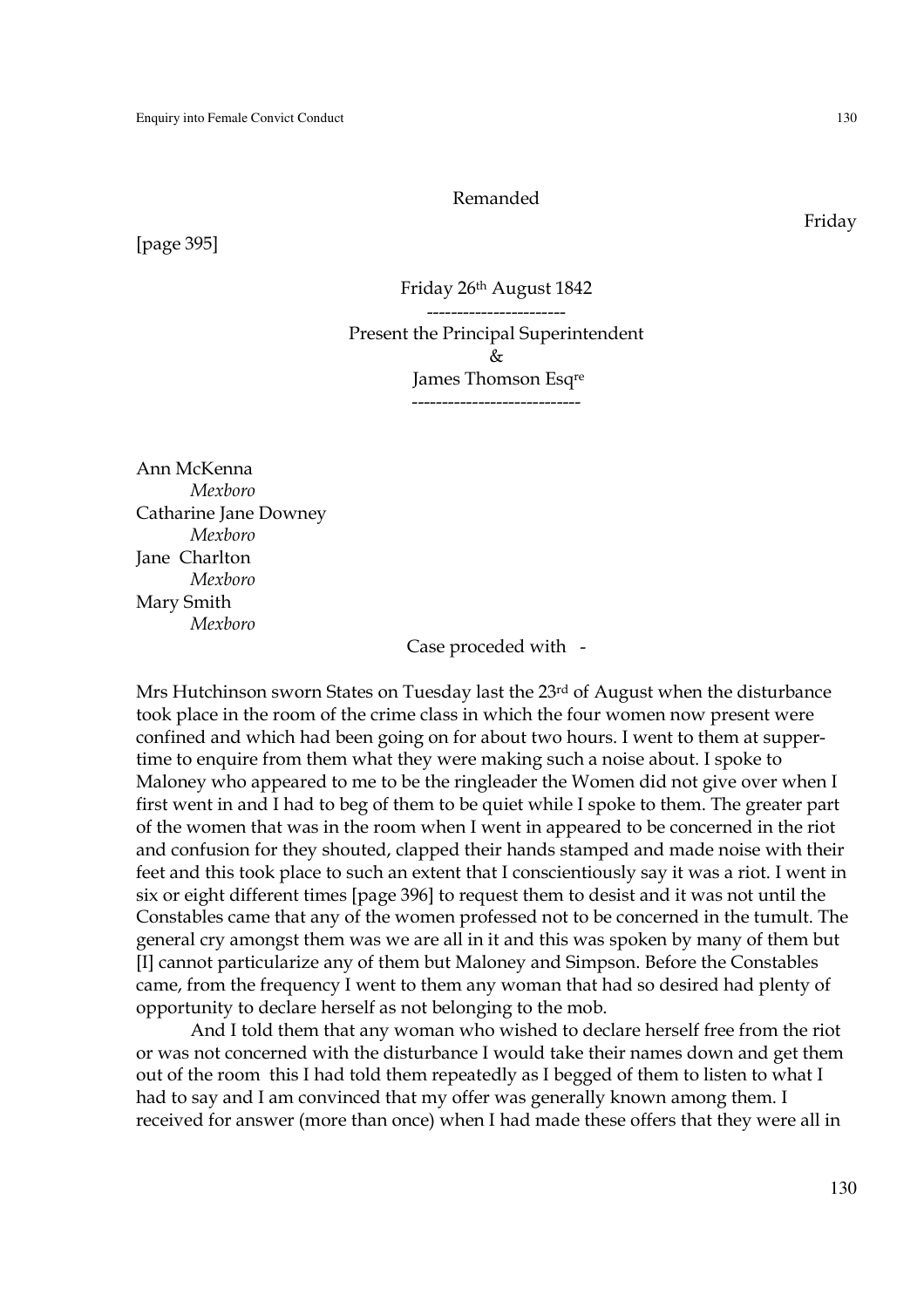#### Remanded

[page 395]

Friday 26th August 1842

----------------------- Present the Principal Superintendent & James Thomson Esqre ----------------------------

Ann McKenna Mexboro Catharine Jane Downey Mexboro Jane Charlton Mexboro Mary Smith Mexboro

Case proceded with -

Mrs Hutchinson sworn States on Tuesday last the 23rd of August when the disturbance took place in the room of the crime class in which the four women now present were confined and which had been going on for about two hours. I went to them at suppertime to enquire from them what they were making such a noise about. I spoke to Maloney who appeared to me to be the ringleader the Women did not give over when I first went in and I had to beg of them to be quiet while I spoke to them. The greater part of the women that was in the room when I went in appeared to be concerned in the riot and confusion for they shouted, clapped their hands stamped and made noise with their feet and this took place to such an extent that I conscientiously say it was a riot. I went in six or eight different times [page 396] to request them to desist and it was not until the Constables came that any of the women professed not to be concerned in the tumult. The general cry amongst them was we are all in it and this was spoken by many of them but [I] cannot particularize any of them but Maloney and Simpson. Before the Constables came, from the frequency I went to them any woman that had so desired had plenty of opportunity to declare herself as not belonging to the mob.

 And I told them that any woman who wished to declare herself free from the riot or was not concerned with the disturbance I would take their names down and get them out of the room this I had told them repeatedly as I begged of them to listen to what I had to say and I am convinced that my offer was generally known among them. I received for answer (more than once) when I had made these offers that they were all in

Friday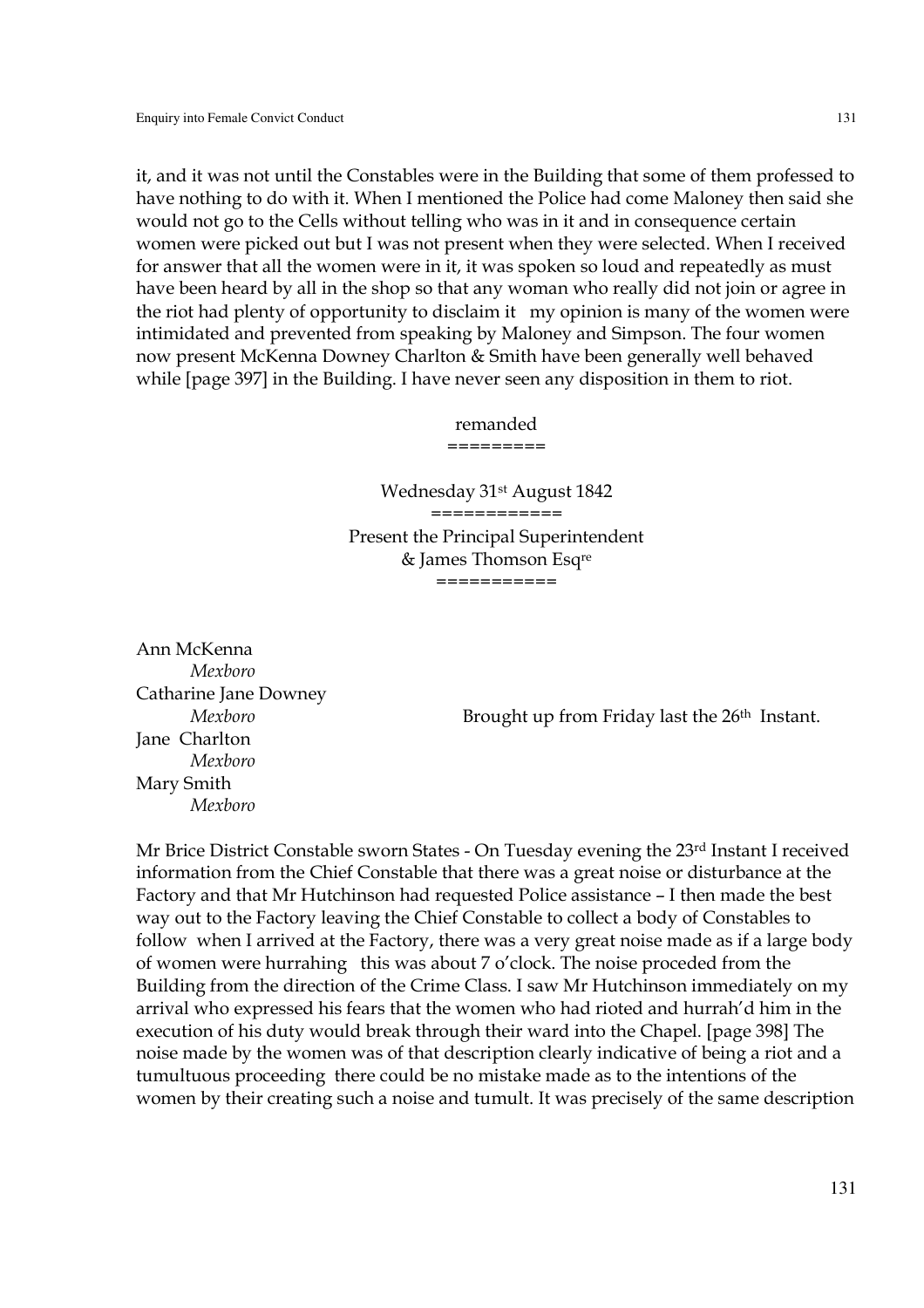it, and it was not until the Constables were in the Building that some of them professed to have nothing to do with it. When I mentioned the Police had come Maloney then said she would not go to the Cells without telling who was in it and in consequence certain women were picked out but I was not present when they were selected. When I received for answer that all the women were in it, it was spoken so loud and repeatedly as must have been heard by all in the shop so that any woman who really did not join or agree in the riot had plenty of opportunity to disclaim it my opinion is many of the women were intimidated and prevented from speaking by Maloney and Simpson. The four women now present McKenna Downey Charlton & Smith have been generally well behaved while [page 397] in the Building. I have never seen any disposition in them to riot.

> remanded =========

Wednesday 31st August 1842 ============ Present the Principal Superintendent & James Thomson Esqre ===========

Ann McKenna Mexboro Catharine Jane Downey Jane Charlton Mexboro Mary Smith Mexboro

Mexboro Brought up from Friday last the 26<sup>th</sup> Instant.

Mr Brice District Constable sworn States - On Tuesday evening the 23rd Instant I received information from the Chief Constable that there was a great noise or disturbance at the Factory and that Mr Hutchinson had requested Police assistance – I then made the best way out to the Factory leaving the Chief Constable to collect a body of Constables to follow when I arrived at the Factory, there was a very great noise made as if a large body of women were hurrahing this was about 7 o'clock. The noise proceded from the Building from the direction of the Crime Class. I saw Mr Hutchinson immediately on my arrival who expressed his fears that the women who had rioted and hurrah'd him in the execution of his duty would break through their ward into the Chapel. [page 398] The noise made by the women was of that description clearly indicative of being a riot and a tumultuous proceeding there could be no mistake made as to the intentions of the women by their creating such a noise and tumult. It was precisely of the same description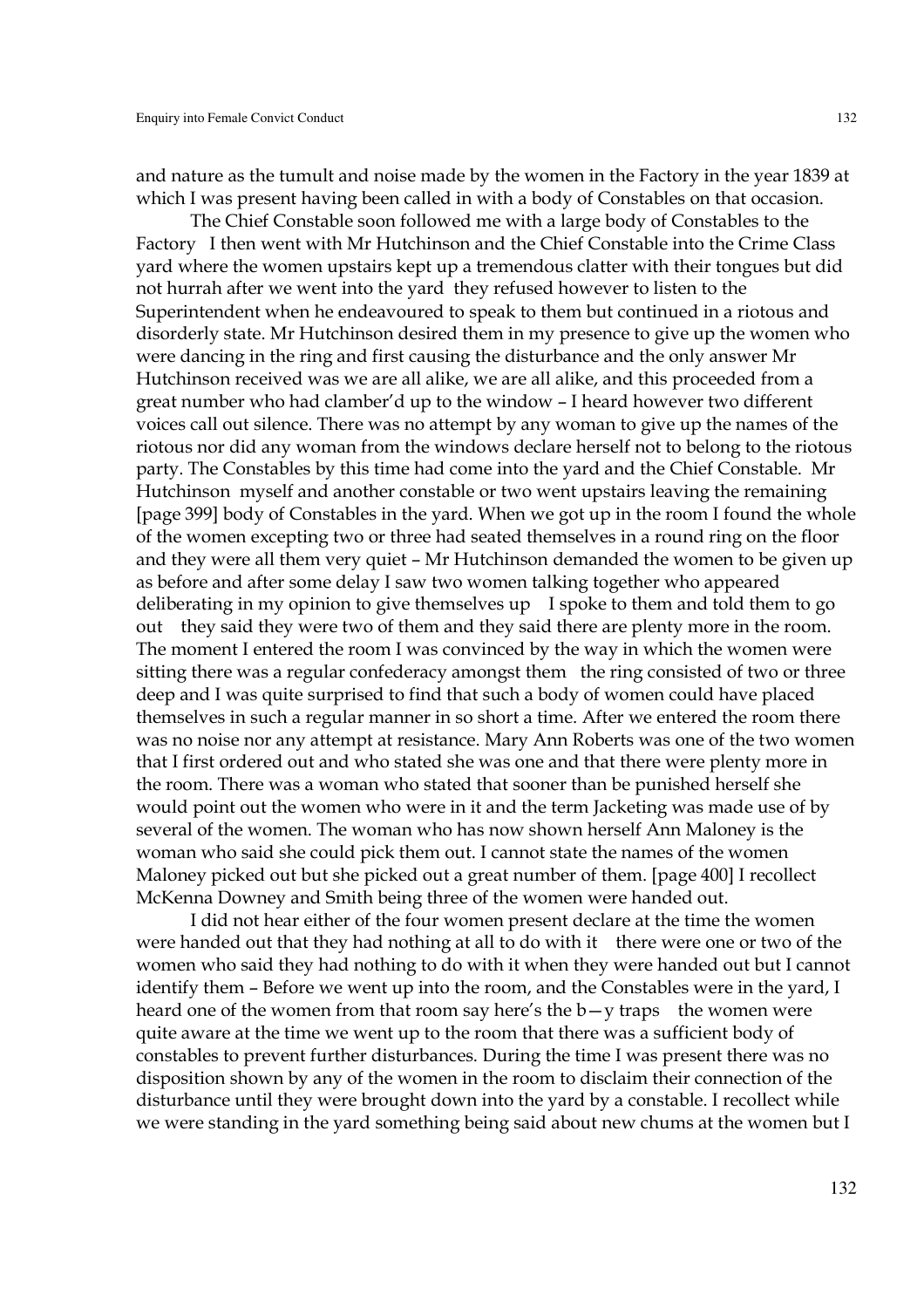and nature as the tumult and noise made by the women in the Factory in the year 1839 at which I was present having been called in with a body of Constables on that occasion.

 The Chief Constable soon followed me with a large body of Constables to the Factory I then went with Mr Hutchinson and the Chief Constable into the Crime Class yard where the women upstairs kept up a tremendous clatter with their tongues but did not hurrah after we went into the yard they refused however to listen to the Superintendent when he endeavoured to speak to them but continued in a riotous and disorderly state. Mr Hutchinson desired them in my presence to give up the women who were dancing in the ring and first causing the disturbance and the only answer Mr Hutchinson received was we are all alike, we are all alike, and this proceeded from a great number who had clamber'd up to the window – I heard however two different voices call out silence. There was no attempt by any woman to give up the names of the riotous nor did any woman from the windows declare herself not to belong to the riotous party. The Constables by this time had come into the yard and the Chief Constable. Mr Hutchinson myself and another constable or two went upstairs leaving the remaining [page 399] body of Constables in the yard. When we got up in the room I found the whole of the women excepting two or three had seated themselves in a round ring on the floor and they were all them very quiet – Mr Hutchinson demanded the women to be given up as before and after some delay I saw two women talking together who appeared deliberating in my opinion to give themselves up I spoke to them and told them to go out they said they were two of them and they said there are plenty more in the room. The moment I entered the room I was convinced by the way in which the women were sitting there was a regular confederacy amongst them the ring consisted of two or three deep and I was quite surprised to find that such a body of women could have placed themselves in such a regular manner in so short a time. After we entered the room there was no noise nor any attempt at resistance. Mary Ann Roberts was one of the two women that I first ordered out and who stated she was one and that there were plenty more in the room. There was a woman who stated that sooner than be punished herself she would point out the women who were in it and the term Jacketing was made use of by several of the women. The woman who has now shown herself Ann Maloney is the woman who said she could pick them out. I cannot state the names of the women Maloney picked out but she picked out a great number of them. [page 400] I recollect McKenna Downey and Smith being three of the women were handed out.

 I did not hear either of the four women present declare at the time the women were handed out that they had nothing at all to do with it there were one or two of the women who said they had nothing to do with it when they were handed out but I cannot identify them – Before we went up into the room, and the Constables were in the yard, I heard one of the women from that room say here's the  $b - y$  traps the women were quite aware at the time we went up to the room that there was a sufficient body of constables to prevent further disturbances. During the time I was present there was no disposition shown by any of the women in the room to disclaim their connection of the disturbance until they were brought down into the yard by a constable. I recollect while we were standing in the yard something being said about new chums at the women but I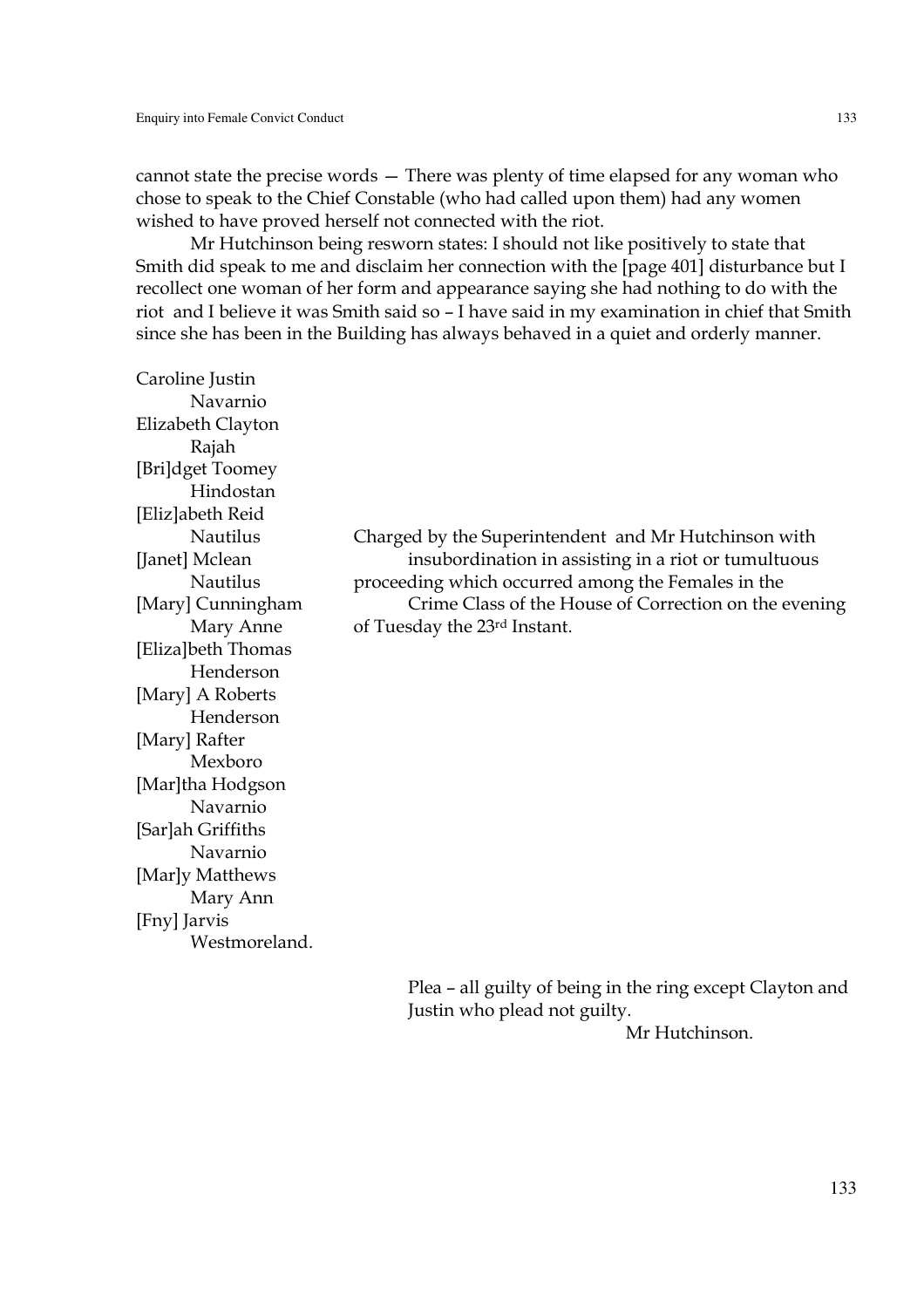cannot state the precise words — There was plenty of time elapsed for any woman who chose to speak to the Chief Constable (who had called upon them) had any women wished to have proved herself not connected with the riot.

 Mr Hutchinson being resworn states: I should not like positively to state that Smith did speak to me and disclaim her connection with the [page 401] disturbance but I recollect one woman of her form and appearance saying she had nothing to do with the riot and I believe it was Smith said so – I have said in my examination in chief that Smith since she has been in the Building has always behaved in a quiet and orderly manner.

Caroline Justin Navarnio Elizabeth Clayton Rajah [Bri]dget Toomey Hindostan [Eliz]abeth Reid [Eliza]beth Thomas Henderson [Mary] A Roberts Henderson [Mary] Rafter Mexboro [Mar]tha Hodgson Navarnio [Sar]ah Griffiths Navarnio [Mar]y Matthews Mary Ann [Fny] Jarvis Westmoreland.

 Nautilus Charged by the Superintendent and Mr Hutchinson with [Janet] Mclean insubordination in assisting in a riot or tumultuous Nautilus proceeding which occurred among the Females in the [Mary] Cunningham Crime Class of the House of Correction on the evening Mary Anne of Tuesday the 23<sup>rd</sup> Instant.

> Plea – all guilty of being in the ring except Clayton and Justin who plead not guilty.

> > Mr Hutchinson.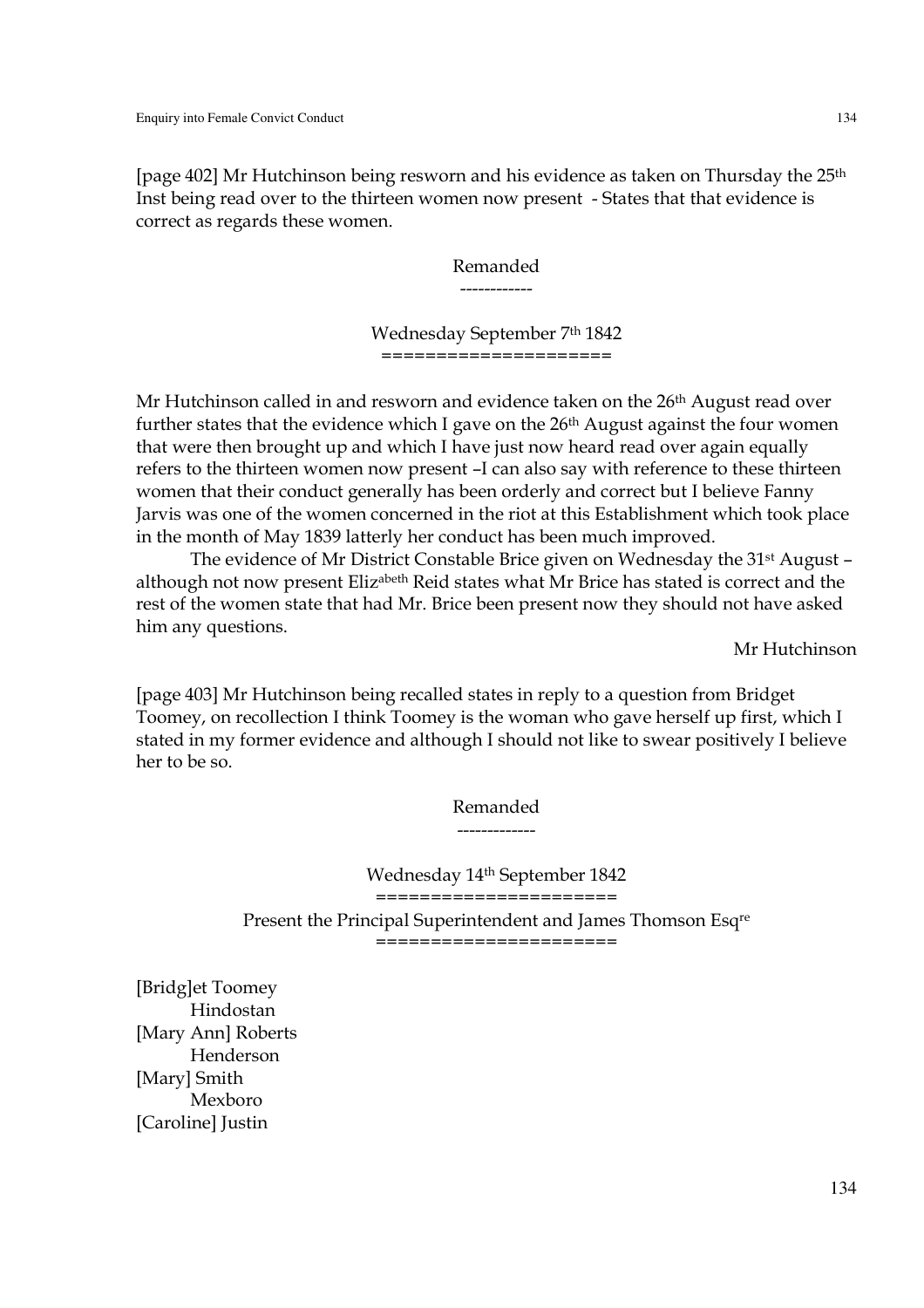[page 402] Mr Hutchinson being resworn and his evidence as taken on Thursday the 25th Inst being read over to the thirteen women now present - States that that evidence is correct as regards these women.

> Remanded ------------

Wednesday September 7th 1842 =====================

Mr Hutchinson called in and resworn and evidence taken on the 26<sup>th</sup> August read over further states that the evidence which I gave on the 26<sup>th</sup> August against the four women that were then brought up and which I have just now heard read over again equally refers to the thirteen women now present –I can also say with reference to these thirteen women that their conduct generally has been orderly and correct but I believe Fanny Jarvis was one of the women concerned in the riot at this Establishment which took place in the month of May 1839 latterly her conduct has been much improved.

The evidence of Mr District Constable Brice given on Wednesday the 31st August – although not now present Elizabeth Reid states what Mr Brice has stated is correct and the rest of the women state that had Mr. Brice been present now they should not have asked him any questions.

Mr Hutchinson

[page 403] Mr Hutchinson being recalled states in reply to a question from Bridget Toomey, on recollection I think Toomey is the woman who gave herself up first, which I stated in my former evidence and although I should not like to swear positively I believe her to be so.

> Remanded -------------

Wednesday 14th September 1842 ====================== Present the Principal Superintendent and James Thomson Esqre ======================

[Bridg]et Toomey Hindostan [Mary Ann] Roberts Henderson [Mary] Smith Mexboro [Caroline] Justin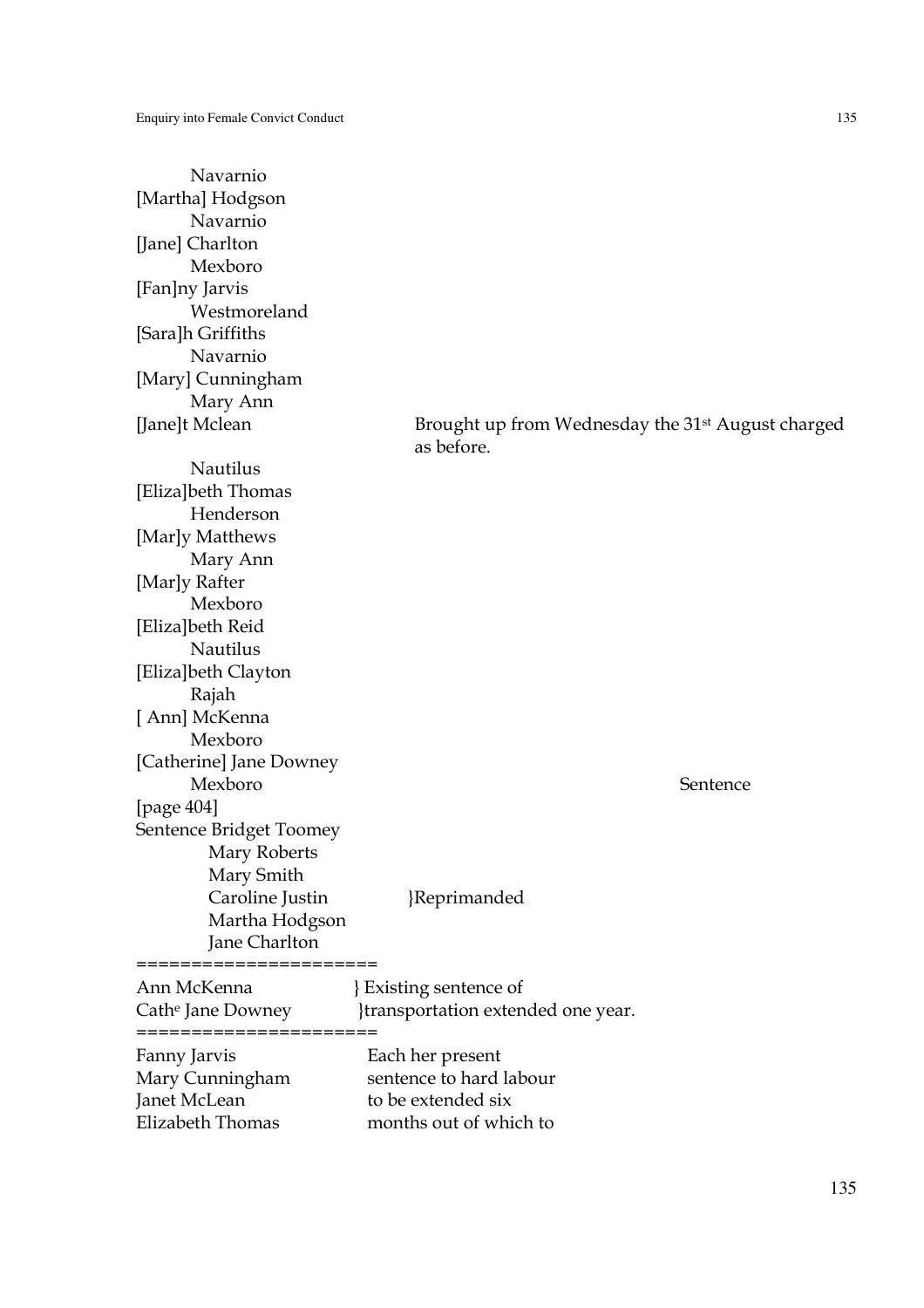Navarnio [Martha] Hodgson Navarnio [Jane] Charlton Mexboro [Fan]ny Jarvis Westmoreland [Sara]h Griffiths Navarnio [Mary] Cunningham Mary Ann as before. Nautilus [Eliza]beth Thomas Henderson [Mar]y Matthews Mary Ann [Mar]y Rafter Mexboro [Eliza]beth Reid Nautilus [Eliza]beth Clayton Rajah [ Ann] McKenna Mexboro [Catherine] Jane Downey Mexboro Sentence [page 404] Sentence Bridget Toomey Mary Roberts Mary Smith Caroline Justin }Reprimanded Martha Hodgson Jane Charlton ====================== Ann McKenna <br> } Existing sentence of Cath<sup>e</sup> Jane Downey }transportation extended one year. ======================

Fanny Jarvis Each her present Mary Cunningham sentence to hard labour Janet McLean to be extended six Elizabeth Thomas months out of which to

[Jane]t Mclean Brought up from Wednesday the 31st August charged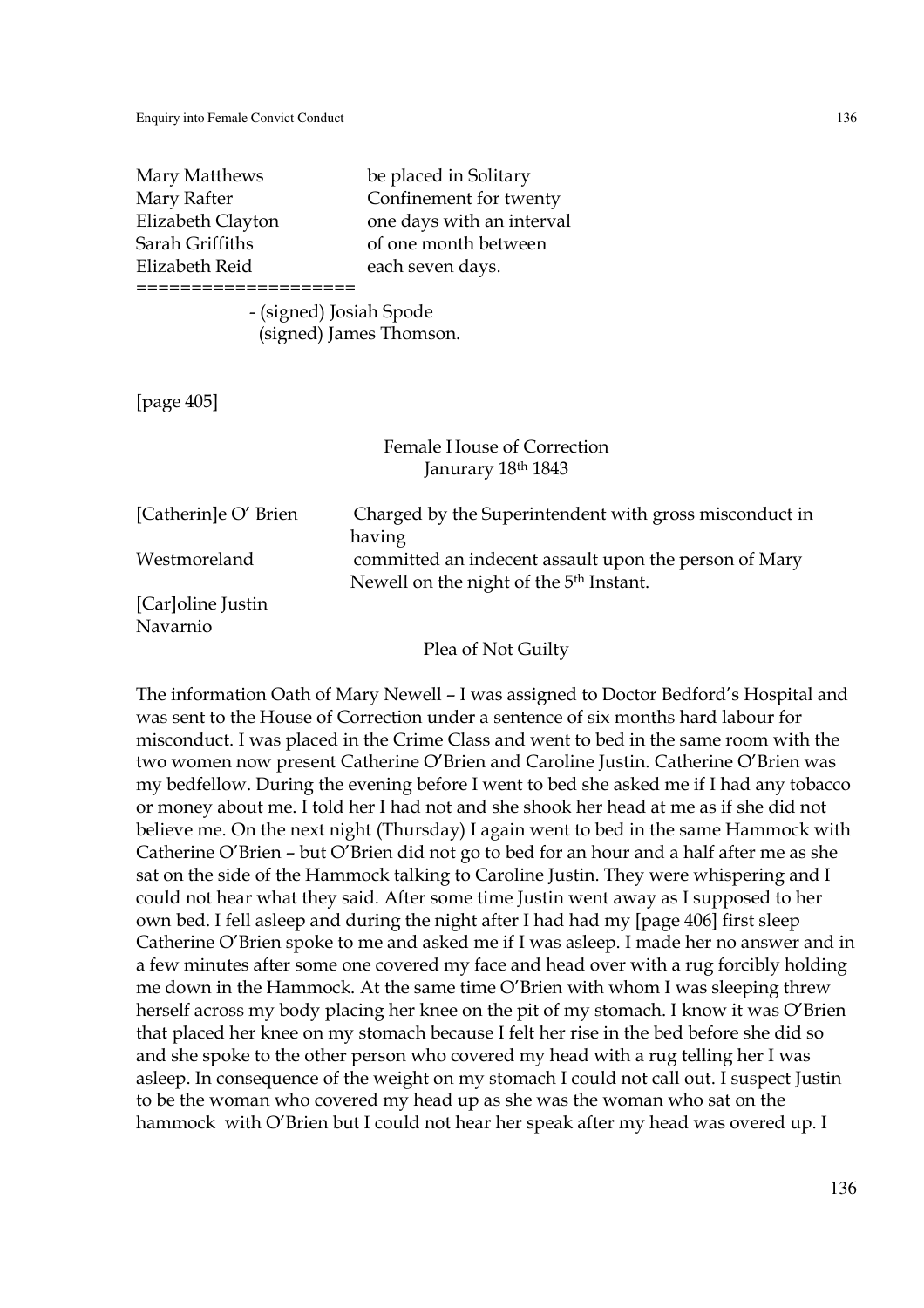Elizabeth Reid each seven days.

====================

Mary Matthews be placed in Solitary Mary Rafter **Confinement** for twenty Elizabeth Clayton one days with an interval Sarah Griffiths **Sarah Griffiths** of one month between

> - (signed) Josiah Spode (signed) James Thomson.

> > having

[page 405]

Female House of Correction Janurary 18th 1843

[Catherin]e O' Brien Charged by the Superintendent with gross misconduct in Westmoreland committed an indecent assault upon the person of Mary

[Car]oline Justin Navarnio

Plea of Not Guilty

Newell on the night of the 5<sup>th</sup> Instant.

The information Oath of Mary Newell – I was assigned to Doctor Bedford's Hospital and was sent to the House of Correction under a sentence of six months hard labour for misconduct. I was placed in the Crime Class and went to bed in the same room with the two women now present Catherine O'Brien and Caroline Justin. Catherine O'Brien was my bedfellow. During the evening before I went to bed she asked me if I had any tobacco or money about me. I told her I had not and she shook her head at me as if she did not believe me. On the next night (Thursday) I again went to bed in the same Hammock with Catherine O'Brien – but O'Brien did not go to bed for an hour and a half after me as she sat on the side of the Hammock talking to Caroline Justin. They were whispering and I could not hear what they said. After some time Justin went away as I supposed to her own bed. I fell asleep and during the night after I had had my [page 406] first sleep Catherine O'Brien spoke to me and asked me if I was asleep. I made her no answer and in a few minutes after some one covered my face and head over with a rug forcibly holding me down in the Hammock. At the same time O'Brien with whom I was sleeping threw herself across my body placing her knee on the pit of my stomach. I know it was O'Brien that placed her knee on my stomach because I felt her rise in the bed before she did so and she spoke to the other person who covered my head with a rug telling her I was asleep. In consequence of the weight on my stomach I could not call out. I suspect Justin to be the woman who covered my head up as she was the woman who sat on the hammock with O'Brien but I could not hear her speak after my head was overed up. I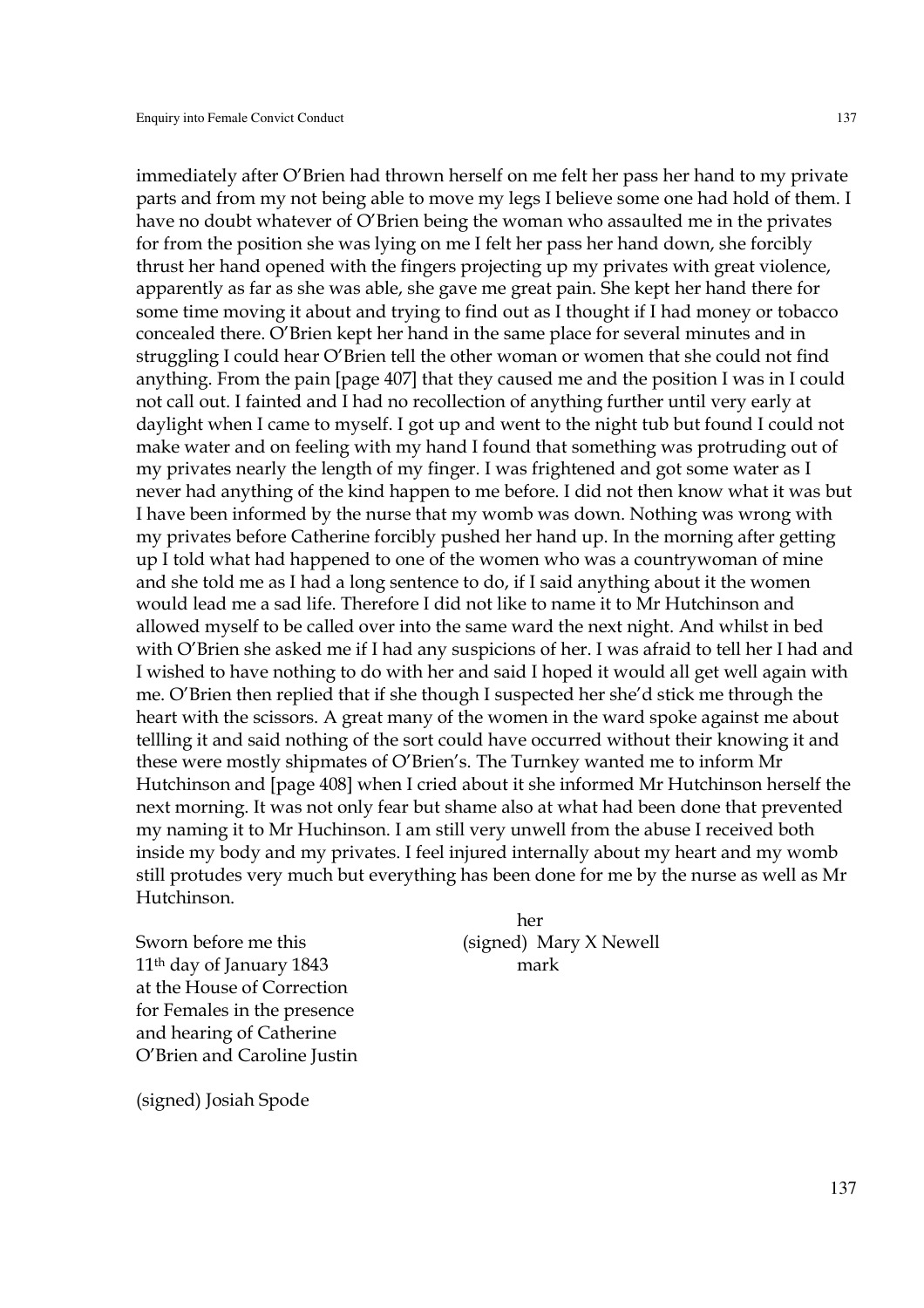immediately after O'Brien had thrown herself on me felt her pass her hand to my private parts and from my not being able to move my legs I believe some one had hold of them. I have no doubt whatever of O'Brien being the woman who assaulted me in the privates for from the position she was lying on me I felt her pass her hand down, she forcibly thrust her hand opened with the fingers projecting up my privates with great violence, apparently as far as she was able, she gave me great pain. She kept her hand there for some time moving it about and trying to find out as I thought if I had money or tobacco concealed there. O'Brien kept her hand in the same place for several minutes and in struggling I could hear O'Brien tell the other woman or women that she could not find anything. From the pain [page 407] that they caused me and the position I was in I could not call out. I fainted and I had no recollection of anything further until very early at daylight when I came to myself. I got up and went to the night tub but found I could not make water and on feeling with my hand I found that something was protruding out of my privates nearly the length of my finger. I was frightened and got some water as I never had anything of the kind happen to me before. I did not then know what it was but I have been informed by the nurse that my womb was down. Nothing was wrong with my privates before Catherine forcibly pushed her hand up. In the morning after getting up I told what had happened to one of the women who was a countrywoman of mine and she told me as I had a long sentence to do, if I said anything about it the women would lead me a sad life. Therefore I did not like to name it to Mr Hutchinson and allowed myself to be called over into the same ward the next night. And whilst in bed with O'Brien she asked me if I had any suspicions of her. I was afraid to tell her I had and I wished to have nothing to do with her and said I hoped it would all get well again with me. O'Brien then replied that if she though I suspected her she'd stick me through the heart with the scissors. A great many of the women in the ward spoke against me about tellling it and said nothing of the sort could have occurred without their knowing it and these were mostly shipmates of O'Brien's. The Turnkey wanted me to inform Mr Hutchinson and [page 408] when I cried about it she informed Mr Hutchinson herself the next morning. It was not only fear but shame also at what had been done that prevented my naming it to Mr Huchinson. I am still very unwell from the abuse I received both inside my body and my privates. I feel injured internally about my heart and my womb still protudes very much but everything has been done for me by the nurse as well as Mr Hutchinson.

Sworn before me this (signed) Mary X Newell 11th day of January 1843 mark at the House of Correction for Females in the presence and hearing of Catherine O'Brien and Caroline Justin

her

(signed) Josiah Spode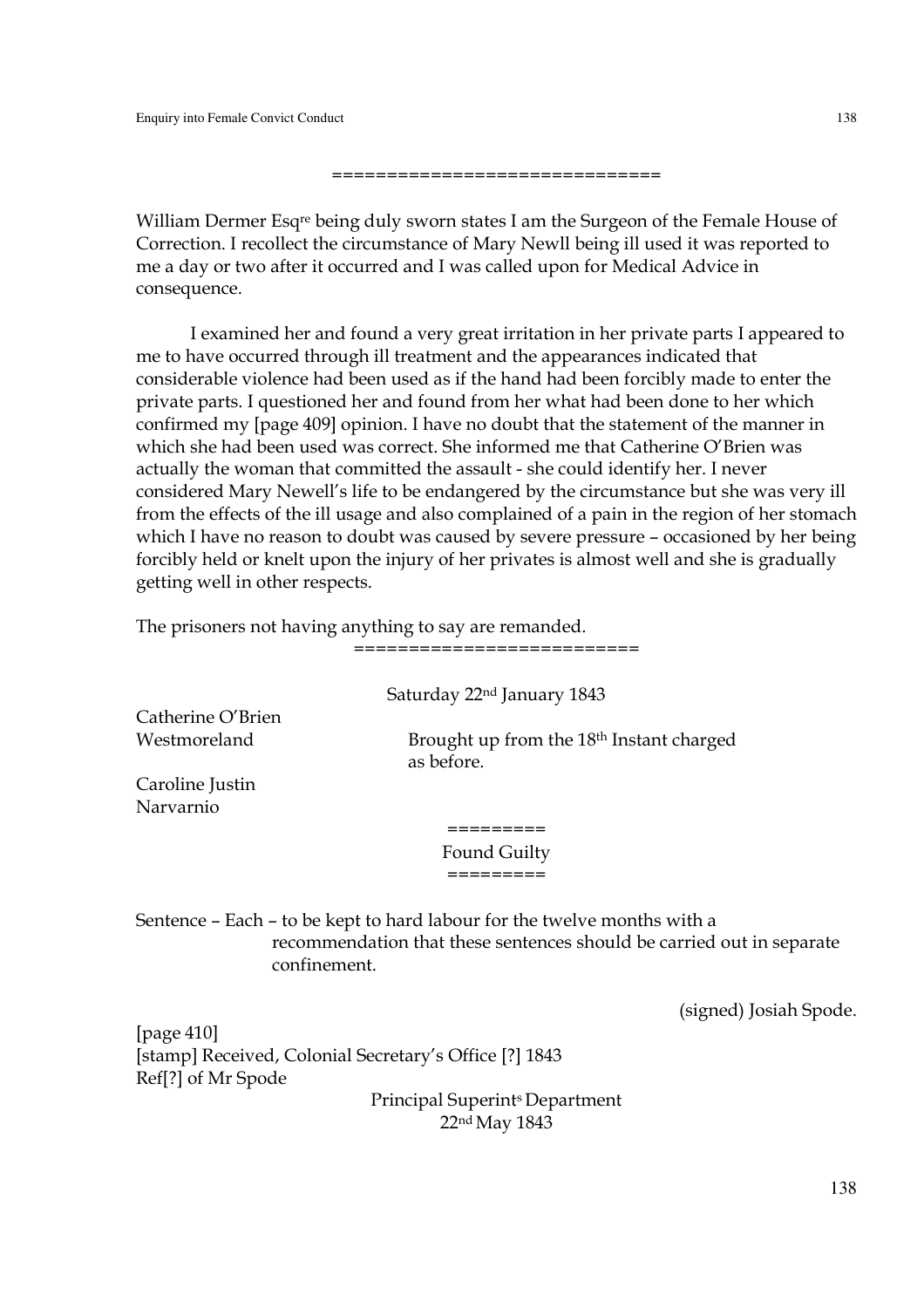==============================

William Dermer Esq<sup>re</sup> being duly sworn states I am the Surgeon of the Female House of Correction. I recollect the circumstance of Mary Newll being ill used it was reported to me a day or two after it occurred and I was called upon for Medical Advice in consequence.

 I examined her and found a very great irritation in her private parts I appeared to me to have occurred through ill treatment and the appearances indicated that considerable violence had been used as if the hand had been forcibly made to enter the private parts. I questioned her and found from her what had been done to her which confirmed my [page 409] opinion. I have no doubt that the statement of the manner in which she had been used was correct. She informed me that Catherine O'Brien was actually the woman that committed the assault - she could identify her. I never considered Mary Newell's life to be endangered by the circumstance but she was very ill from the effects of the ill usage and also complained of a pain in the region of her stomach which I have no reason to doubt was caused by severe pressure – occasioned by her being forcibly held or knelt upon the injury of her privates is almost well and she is gradually getting well in other respects.

The prisoners not having anything to say are remanded.

Catherine O'Brien

Saturday 22nd January 1843

==========================

Westmoreland Brought up from the 18<sup>th</sup> Instant charged as before.

Caroline Justin Narvarnio

> ========= Found Guilty =========

Sentence – Each – to be kept to hard labour for the twelve months with a recommendation that these sentences should be carried out in separate confinement.

(signed) Josiah Spode.

[page 410] [stamp] Received, Colonial Secretary's Office [?] 1843 Ref[?] of Mr Spode

Principal Superint<sup>s</sup> Department 22nd May 1843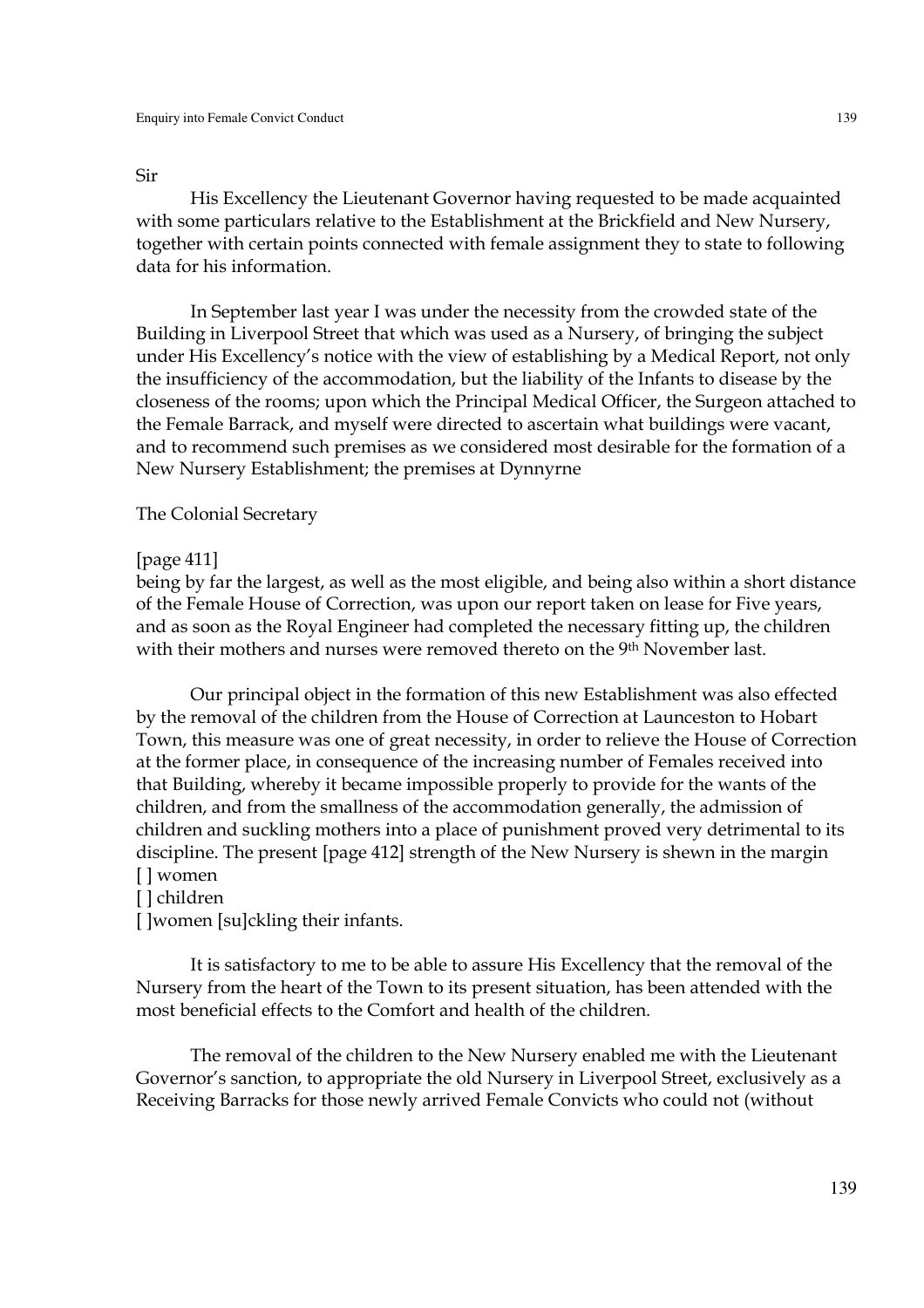#### Sir

 His Excellency the Lieutenant Governor having requested to be made acquainted with some particulars relative to the Establishment at the Brickfield and New Nursery, together with certain points connected with female assignment they to state to following data for his information.

 In September last year I was under the necessity from the crowded state of the Building in Liverpool Street that which was used as a Nursery, of bringing the subject under His Excellency's notice with the view of establishing by a Medical Report, not only the insufficiency of the accommodation, but the liability of the Infants to disease by the closeness of the rooms; upon which the Principal Medical Officer, the Surgeon attached to the Female Barrack, and myself were directed to ascertain what buildings were vacant, and to recommend such premises as we considered most desirable for the formation of a New Nursery Establishment; the premises at Dynnyrne

### The Colonial Secretary

#### [page 411]

being by far the largest, as well as the most eligible, and being also within a short distance of the Female House of Correction, was upon our report taken on lease for Five years, and as soon as the Royal Engineer had completed the necessary fitting up, the children with their mothers and nurses were removed thereto on the 9<sup>th</sup> November last.

 Our principal object in the formation of this new Establishment was also effected by the removal of the children from the House of Correction at Launceston to Hobart Town, this measure was one of great necessity, in order to relieve the House of Correction at the former place, in consequence of the increasing number of Females received into that Building, whereby it became impossible properly to provide for the wants of the children, and from the smallness of the accommodation generally, the admission of children and suckling mothers into a place of punishment proved very detrimental to its discipline. The present [page 412] strength of the New Nursery is shewn in the margin [ ] women

### [ ] children

[ ]women [su]ckling their infants.

 It is satisfactory to me to be able to assure His Excellency that the removal of the Nursery from the heart of the Town to its present situation, has been attended with the most beneficial effects to the Comfort and health of the children.

 The removal of the children to the New Nursery enabled me with the Lieutenant Governor's sanction, to appropriate the old Nursery in Liverpool Street, exclusively as a Receiving Barracks for those newly arrived Female Convicts who could not (without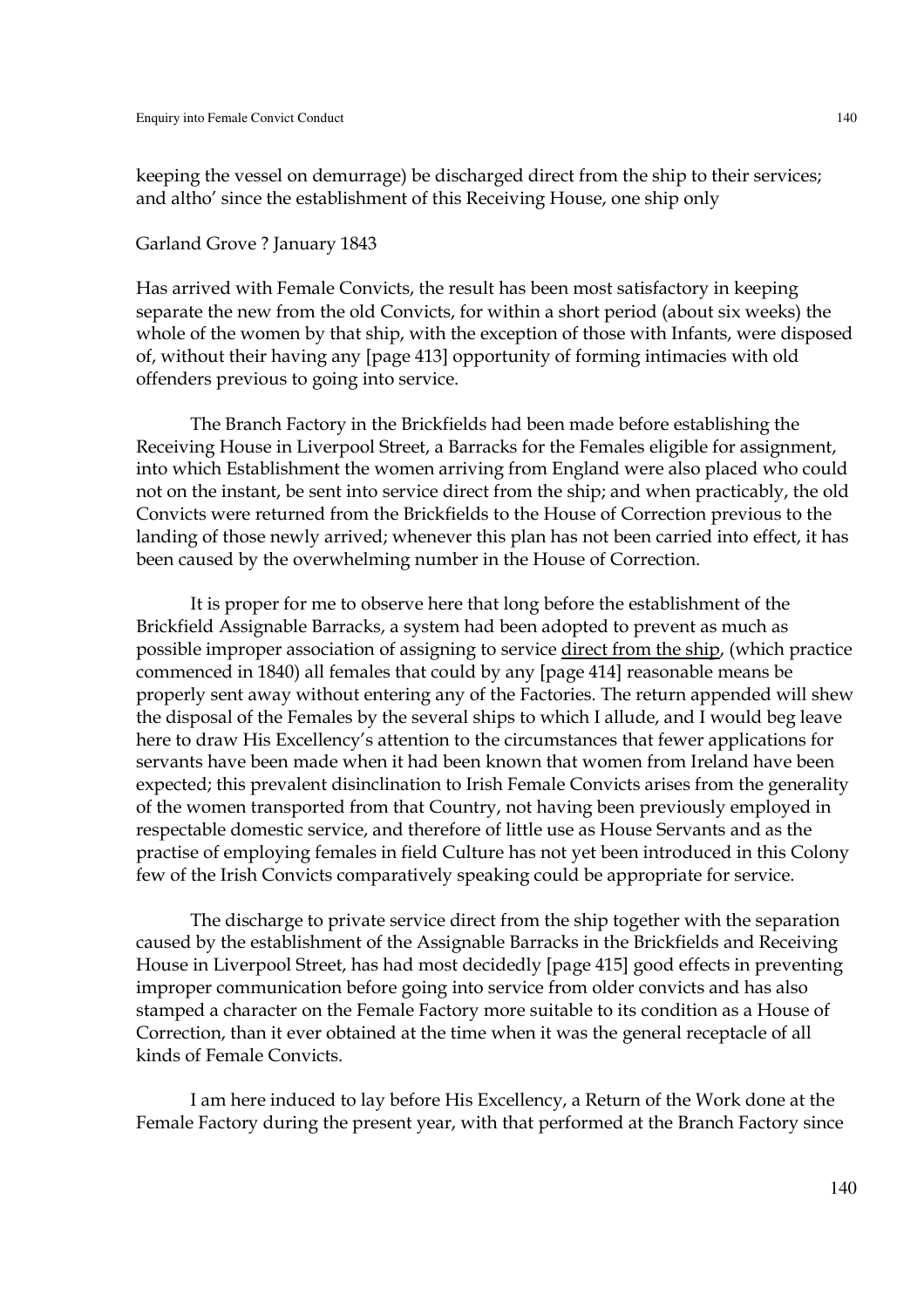keeping the vessel on demurrage) be discharged direct from the ship to their services; and altho' since the establishment of this Receiving House, one ship only

### Garland Grove ? January 1843

Has arrived with Female Convicts, the result has been most satisfactory in keeping separate the new from the old Convicts, for within a short period (about six weeks) the whole of the women by that ship, with the exception of those with Infants, were disposed of, without their having any [page 413] opportunity of forming intimacies with old offenders previous to going into service.

 The Branch Factory in the Brickfields had been made before establishing the Receiving House in Liverpool Street, a Barracks for the Females eligible for assignment, into which Establishment the women arriving from England were also placed who could not on the instant, be sent into service direct from the ship; and when practicably, the old Convicts were returned from the Brickfields to the House of Correction previous to the landing of those newly arrived; whenever this plan has not been carried into effect, it has been caused by the overwhelming number in the House of Correction.

 It is proper for me to observe here that long before the establishment of the Brickfield Assignable Barracks, a system had been adopted to prevent as much as possible improper association of assigning to service direct from the ship, (which practice commenced in 1840) all females that could by any [page 414] reasonable means be properly sent away without entering any of the Factories. The return appended will shew the disposal of the Females by the several ships to which I allude, and I would beg leave here to draw His Excellency's attention to the circumstances that fewer applications for servants have been made when it had been known that women from Ireland have been expected; this prevalent disinclination to Irish Female Convicts arises from the generality of the women transported from that Country, not having been previously employed in respectable domestic service, and therefore of little use as House Servants and as the practise of employing females in field Culture has not yet been introduced in this Colony few of the Irish Convicts comparatively speaking could be appropriate for service.

 The discharge to private service direct from the ship together with the separation caused by the establishment of the Assignable Barracks in the Brickfields and Receiving House in Liverpool Street, has had most decidedly [page 415] good effects in preventing improper communication before going into service from older convicts and has also stamped a character on the Female Factory more suitable to its condition as a House of Correction, than it ever obtained at the time when it was the general receptacle of all kinds of Female Convicts.

 I am here induced to lay before His Excellency, a Return of the Work done at the Female Factory during the present year, with that performed at the Branch Factory since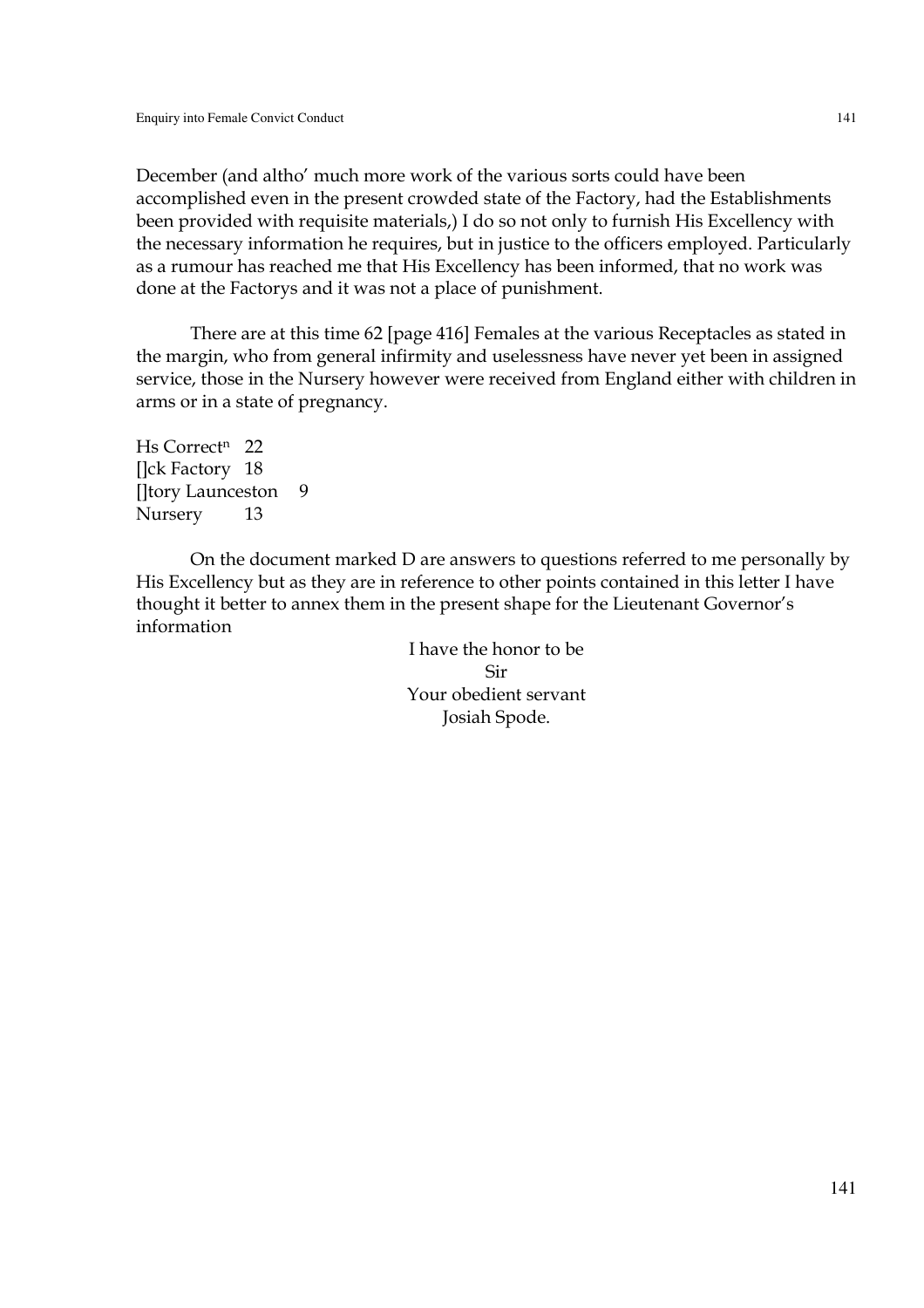December (and altho' much more work of the various sorts could have been accomplished even in the present crowded state of the Factory, had the Establishments been provided with requisite materials,) I do so not only to furnish His Excellency with the necessary information he requires, but in justice to the officers employed. Particularly as a rumour has reached me that His Excellency has been informed, that no work was done at the Factorys and it was not a place of punishment.

 There are at this time 62 [page 416] Females at the various Receptacles as stated in the margin, who from general infirmity and uselessness have never yet been in assigned service, those in the Nursery however were received from England either with children in arms or in a state of pregnancy.

Hs Correct<sup>n</sup> 22 []ck Factory 18 []tory Launceston 9 Nursery 13

 On the document marked D are answers to questions referred to me personally by His Excellency but as they are in reference to other points contained in this letter I have thought it better to annex them in the present shape for the Lieutenant Governor's information

> I have the honor to be Sir Your obedient servant Josiah Spode.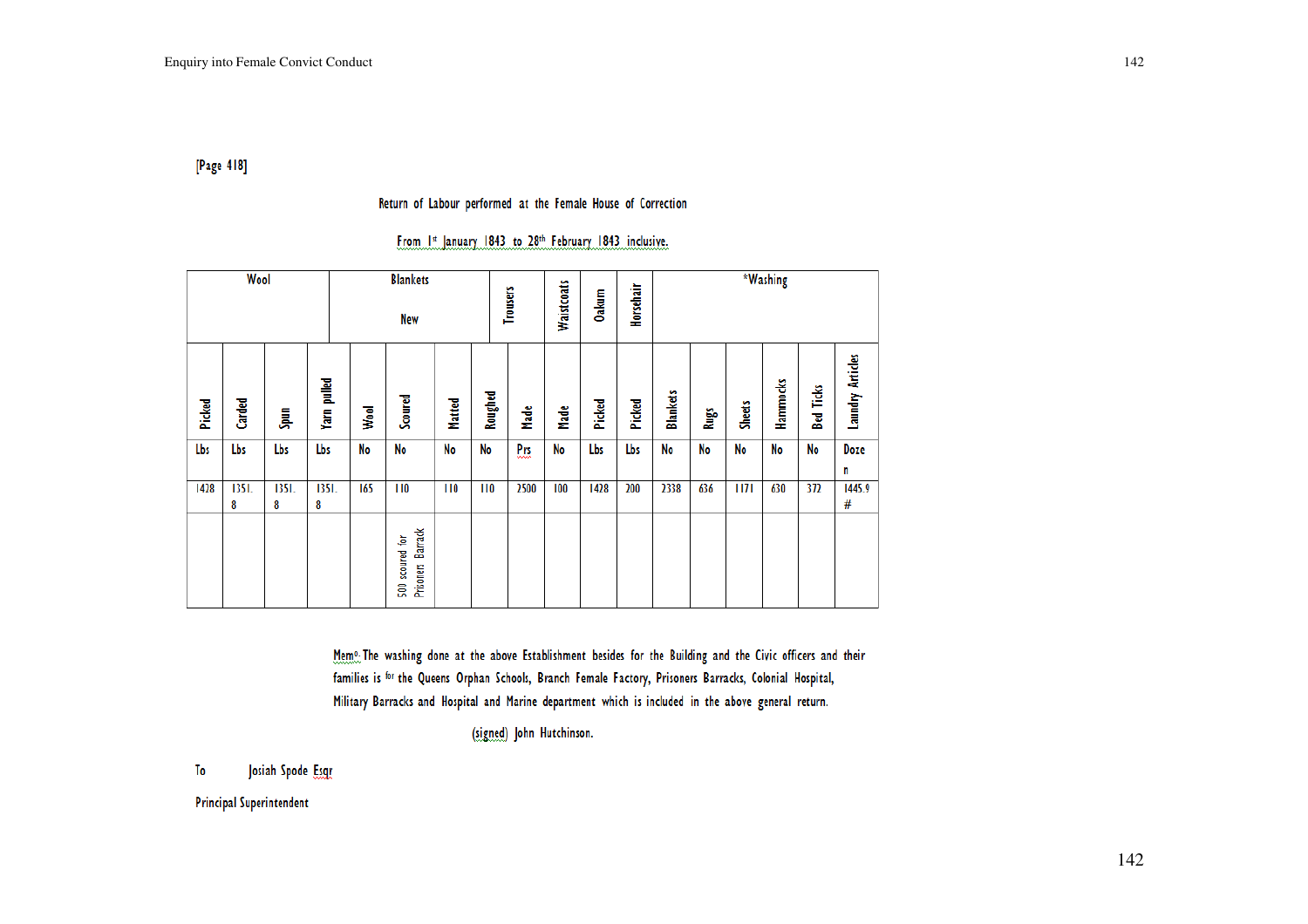### [Page 418]

Return of Labour performed at the Female House of Correction

#### From 1st January 1843 to 28th February 1843 inclusive.

|        | Wool       |            |             |      | <b>Blankets</b><br>New               |        |         | <b>Trousers</b> | Waistcoats | <b>Oakum</b> | Horsehair | *Washing        |      |               |          |                  |                  |
|--------|------------|------------|-------------|------|--------------------------------------|--------|---------|-----------------|------------|--------------|-----------|-----------------|------|---------------|----------|------------------|------------------|
| Picked | Carded     | 틇          | Yarn pulled | Wool | Scoured                              | Matted | Roughed | Made            | Made       | Picked       | Picked    | <b>Blankets</b> | kugs | <b>Sheets</b> | Hammocks | <b>Bed Ticks</b> | Laundry Articles |
| Lbs    | Lbs        | Lbs        | Lbs         | No   | No                                   | No     | No      | $P_{\text{L2}}$ | No         | Lbs          | Lbs       | No              | No   | No            | No       | No               | <b>Doze</b><br>n |
| 1428   | 1351.<br>8 | 1351.<br>8 | 1351.<br>8  | 165  | 110                                  | 110    | 110     | 2500            | 100        | 1428         | 200       | 2338            | 636  | 1171          | 630      | 372              | 1445.9<br>#      |
|        |            |            |             |      | Prisoners Barrack<br>500 scoured for |        |         |                 |            |              |           |                 |      |               |          |                  |                  |

Mem<sup>o</sup>. The washing done at the above Establishment besides for the Building and the Civic officers and their families is for the Queens Orphan Schools, Branch Female Factory, Prisoners Barracks, Colonial Hospital, Military Barracks and Hospital and Marine department which is included in the above general return.

(signed) John Hutchinson.

Josiah Spode Esgr To

**Principal Superintendent**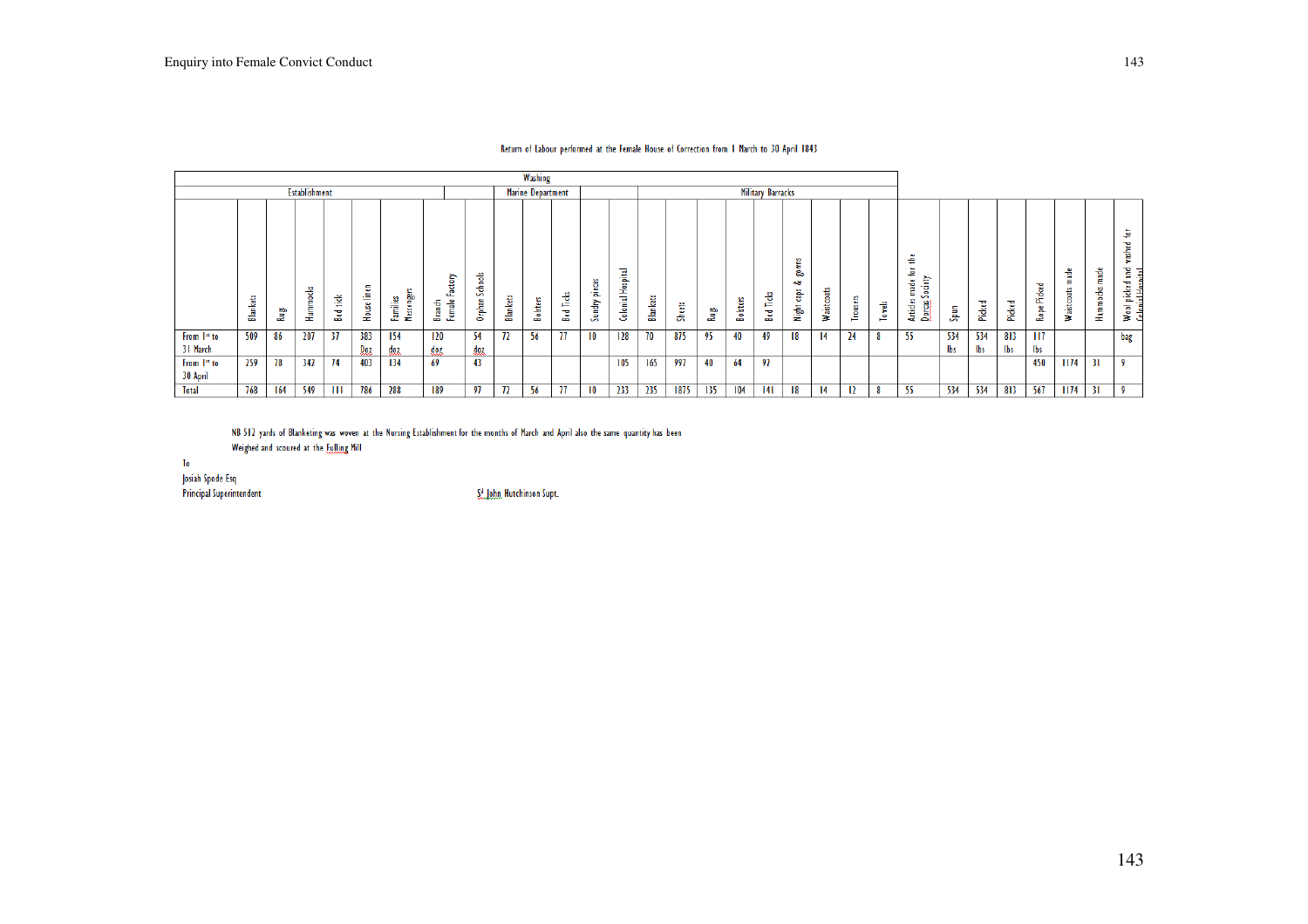| Washing     |          |      |               |             |                          |                            |                                                                                   |                       |                         |                   |                     |                  |                             |             |        |     |                 |                          |                              |            |          |        |                                                                                                               |      |        |        |                  |                           |                  |                                                                                            |
|-------------|----------|------|---------------|-------------|--------------------------|----------------------------|-----------------------------------------------------------------------------------|-----------------------|-------------------------|-------------------|---------------------|------------------|-----------------------------|-------------|--------|-----|-----------------|--------------------------|------------------------------|------------|----------|--------|---------------------------------------------------------------------------------------------------------------|------|--------|--------|------------------|---------------------------|------------------|--------------------------------------------------------------------------------------------|
|             |          |      | Establishment |             |                          |                            |                                                                                   |                       |                         | Marine Department |                     |                  |                             |             |        |     |                 | <b>Military Barracks</b> |                              |            |          |        |                                                                                                               |      |        |        |                  |                           |                  |                                                                                            |
|             | Blankets | త్తి | 봄<br>Hummoo   | 耋<br>공<br>œ | L<br>$\bullet$<br>ر<br>B | e<br>Messenger<br>Families | ξ<br>u<br>œ<br><b>u</b><br><b>Branch</b><br>യ<br>emak<br>$\overline{\phantom{a}}$ | chools<br>ū<br>Orphan | ankets<br>룹             | Bolsters          | Ticks<br><b>Bad</b> | pieces<br>Sundry | ospital<br>÷.<br>Colonial I | ankets<br>룹 | Sheets | ۵g  | <b>Bolsters</b> | 봄<br>F.<br>뎙             | n<br>₽<br>Ēь<br>ಯ<br>ឌួ<br>臺 | Waistcoats | Trousers | Towels | <b>CLE</b><br>÷<br>۰<br>÷<br>$\omega$<br>ਠ<br>ᇃ<br>٠ō<br>Ε<br>$\bullet$<br>$\sim$<br>X3<br>Dorcas<br><b>R</b> | Spun | Picked | Picked | Picked<br>Rope   | 륩<br>ε<br>씁<br>8<br>Waist | made<br>Hammocks | ءِ<br>$\overline{\phantom{a}}$<br>ō<br>튭<br>≈<br>情遇<br><b>Wool picked</b><br>Colonial Hosp |
| From 1st to | 509      | 86   | 207           | 37          | 383                      | 154                        | 120                                                                               | 54                    | $\overline{\mathbf{r}}$ | 56                | 77                  | 10               | 128                         | 70          | 875    | 95  | 40              | 49                       | 18                           | 14.        | 24       | $\sim$ | 55                                                                                                            | 534  | 534    | 813    | $\overline{117}$ |                           |                  | bag                                                                                        |
| 31 March    |          |      |               |             | <b>Doz</b>               | doz.                       | doz.                                                                              | doz                   |                         |                   |                     |                  |                             |             |        |     |                 |                          |                              |            |          |        |                                                                                                               | lbs  | Ibs    | lbs    | Ibs              |                           |                  |                                                                                            |
| From 1st to | 259      | 78   | 342           | 74          | 403                      | 134                        | 69                                                                                | 43                    |                         |                   |                     |                  | 105                         | 165         | 997    | 40  | 64              | 92                       |                              |            |          |        |                                                                                                               |      |        |        | 450              | 1174                      | 31               | $\Omega$                                                                                   |
| 30 April    |          |      |               |             |                          |                            |                                                                                   |                       |                         |                   |                     |                  |                             |             |        |     |                 |                          |                              |            |          |        |                                                                                                               |      |        |        |                  |                           |                  |                                                                                            |
| Total       | 768      | 164  | 549           | -111        | 786                      | 288                        | 189                                                                               | 97                    | 72                      | 56                | 77                  | 10               | 233                         | 235         | 1875   | 135 | 104             | -141                     | 18                           | 14         | 12       | -8     | -55                                                                                                           | 534  | 534    | 813    | 567              | 1174                      | 31               | $\mathbf 0$                                                                                |

#### Return of Labour performed at the Female House of Correction from 1 March to 30 April 1843

NB 512 yards of Blanketing was woven at the Nursing Establishment for the months of March and April also the same quantity has been Weighed and scoured at the Fulling Mill

 $\mathbf{I}_0$ 

Josiah Spode Esq Principal Superintendent

Sd John Hutchinson Supt.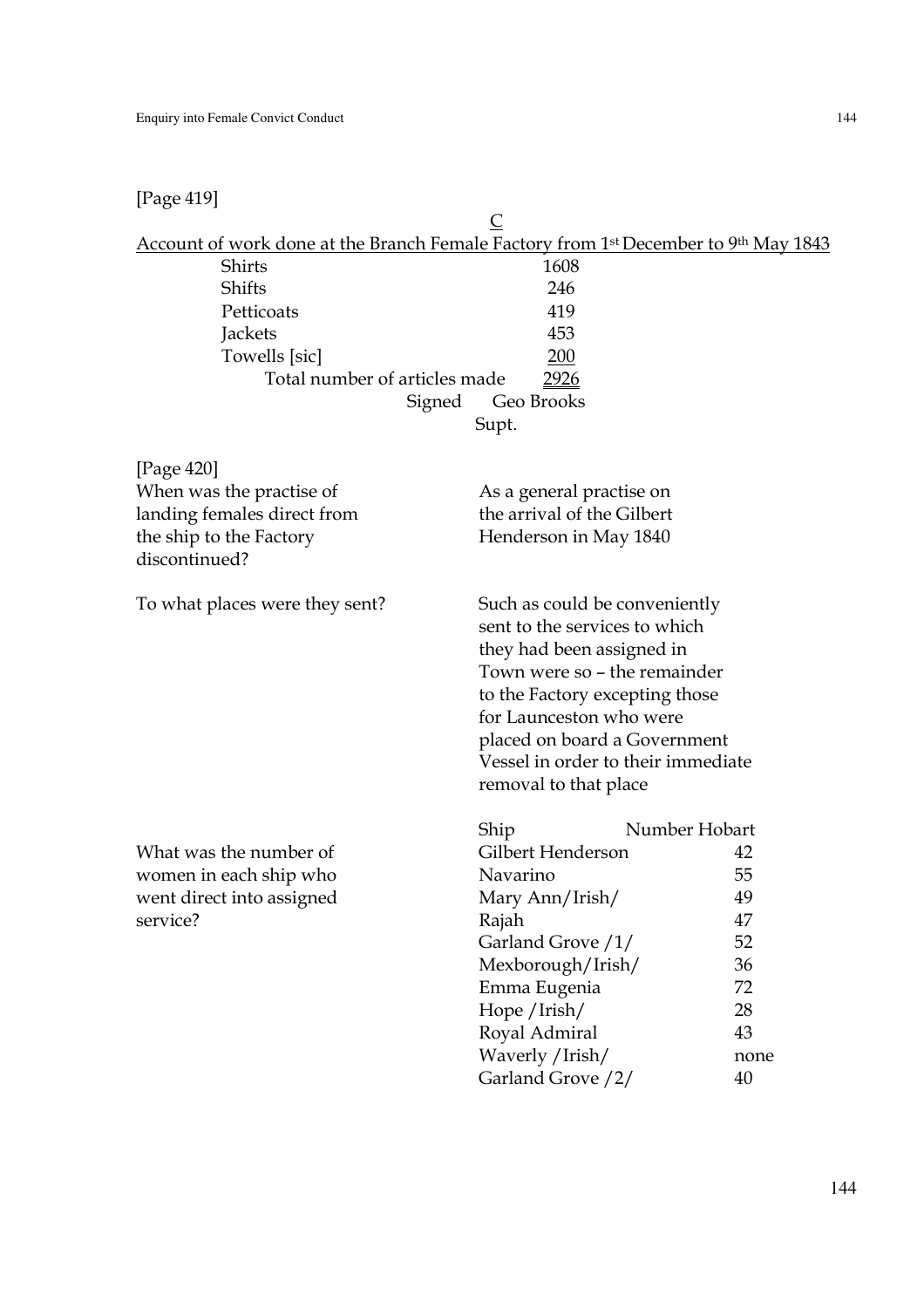|                                                                                     | $\mathsf{C}$                       |      |  |  |  |  |  |  |  |
|-------------------------------------------------------------------------------------|------------------------------------|------|--|--|--|--|--|--|--|
| Account of work done at the Branch Female Factory from 1st December to 9th May 1843 |                                    |      |  |  |  |  |  |  |  |
| <b>Shirts</b>                                                                       | 1608                               |      |  |  |  |  |  |  |  |
| Shifts                                                                              | 246                                |      |  |  |  |  |  |  |  |
| Petticoats                                                                          | 419                                |      |  |  |  |  |  |  |  |
| Jackets                                                                             | 453                                |      |  |  |  |  |  |  |  |
| Towells [sic]                                                                       | 200                                |      |  |  |  |  |  |  |  |
| Total number of articles made                                                       | <u>2926</u>                        |      |  |  |  |  |  |  |  |
| Signed                                                                              | Geo Brooks                         |      |  |  |  |  |  |  |  |
|                                                                                     | Supt.                              |      |  |  |  |  |  |  |  |
| [Page $420$ ]                                                                       |                                    |      |  |  |  |  |  |  |  |
| When was the practise of                                                            | As a general practise on           |      |  |  |  |  |  |  |  |
| landing females direct from                                                         | the arrival of the Gilbert         |      |  |  |  |  |  |  |  |
| the ship to the Factory                                                             | Henderson in May 1840              |      |  |  |  |  |  |  |  |
| discontinued?                                                                       |                                    |      |  |  |  |  |  |  |  |
|                                                                                     |                                    |      |  |  |  |  |  |  |  |
| To what places were they sent?                                                      | Such as could be conveniently      |      |  |  |  |  |  |  |  |
|                                                                                     | sent to the services to which      |      |  |  |  |  |  |  |  |
|                                                                                     | they had been assigned in          |      |  |  |  |  |  |  |  |
|                                                                                     | Town were so - the remainder       |      |  |  |  |  |  |  |  |
|                                                                                     | to the Factory excepting those     |      |  |  |  |  |  |  |  |
|                                                                                     | for Launceston who were            |      |  |  |  |  |  |  |  |
|                                                                                     | placed on board a Government       |      |  |  |  |  |  |  |  |
|                                                                                     | Vessel in order to their immediate |      |  |  |  |  |  |  |  |
|                                                                                     | removal to that place              |      |  |  |  |  |  |  |  |
|                                                                                     | Number Hobart<br>Ship              |      |  |  |  |  |  |  |  |
| What was the number of                                                              | Gilbert Henderson                  | 42   |  |  |  |  |  |  |  |
| women in each ship who                                                              | Navarino                           | 55   |  |  |  |  |  |  |  |
| went direct into assigned                                                           | Mary Ann/Irish/                    | 49   |  |  |  |  |  |  |  |
| service?                                                                            | Rajah                              | 47   |  |  |  |  |  |  |  |
|                                                                                     | Garland Grove /1/                  | 52   |  |  |  |  |  |  |  |
|                                                                                     | Mexborough/Irish/                  | 36   |  |  |  |  |  |  |  |
|                                                                                     | Emma Eugenia                       | 72   |  |  |  |  |  |  |  |
|                                                                                     | Hope / Irish/                      | 28   |  |  |  |  |  |  |  |
|                                                                                     | Royal Admiral                      | 43   |  |  |  |  |  |  |  |
|                                                                                     | Waverly /Irish/                    | none |  |  |  |  |  |  |  |
|                                                                                     | Garland Grove /2/                  | 40   |  |  |  |  |  |  |  |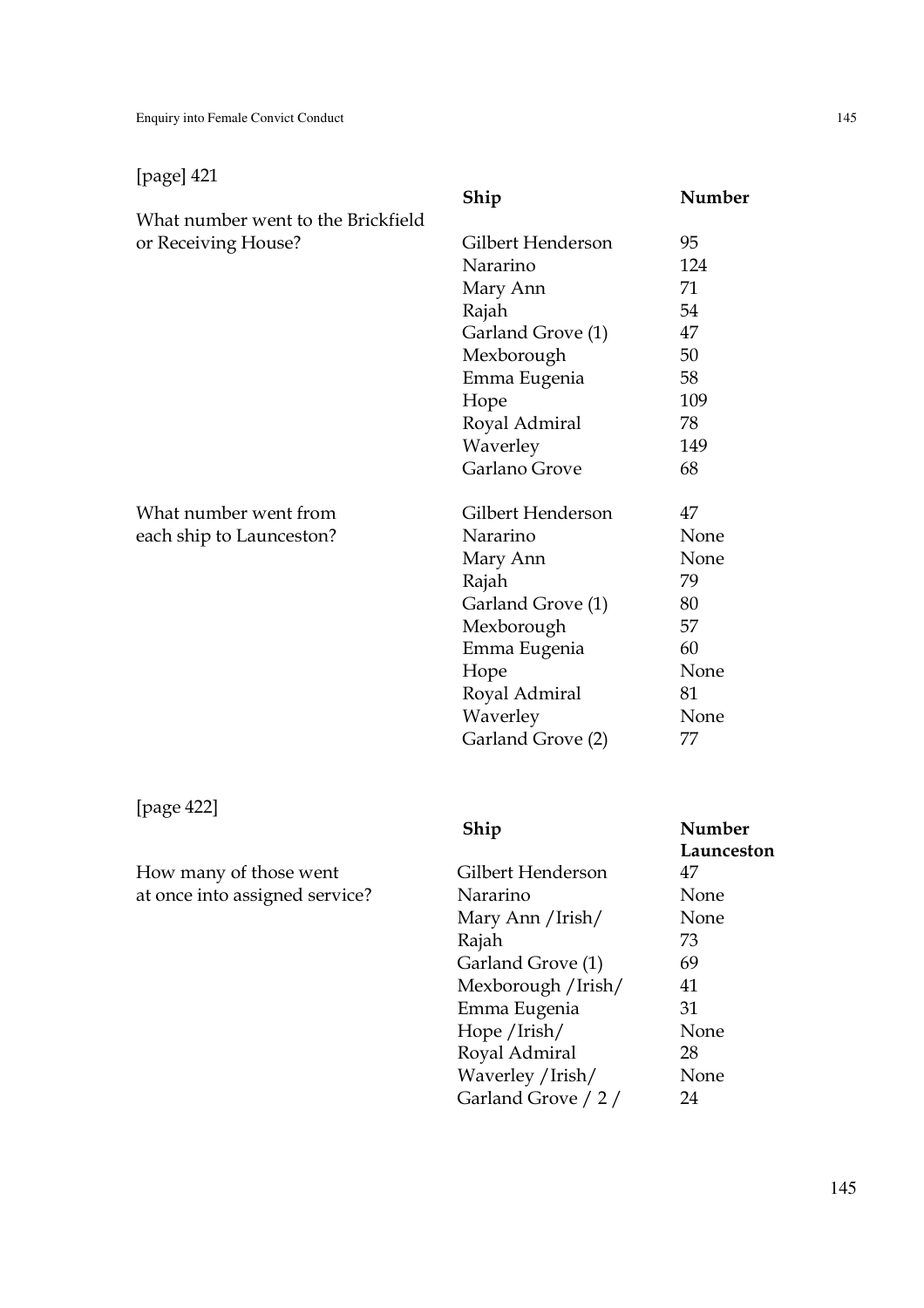## [page] 421

| נ־ס־                               | Ship                | Number     |
|------------------------------------|---------------------|------------|
| What number went to the Brickfield |                     |            |
| or Receiving House?                | Gilbert Henderson   | 95         |
|                                    | Nararino            | 124        |
|                                    | Mary Ann            | 71         |
|                                    | Rajah               | 54         |
|                                    | Garland Grove (1)   | 47         |
|                                    | Mexborough          | 50         |
|                                    | Emma Eugenia        | 58         |
|                                    | Hope                | 109        |
|                                    | Royal Admiral       | 78         |
|                                    | Waverley            | 149        |
|                                    | Garlano Grove       | 68         |
| What number went from              | Gilbert Henderson   | 47         |
| each ship to Launceston?           | Nararino            | None       |
|                                    | Mary Ann            | None       |
|                                    | Rajah               | 79         |
|                                    | Garland Grove (1)   | 80         |
|                                    | Mexborough          | 57         |
|                                    | Emma Eugenia        | 60         |
|                                    | Hope                | None       |
|                                    | Royal Admiral       | 81         |
|                                    | Waverley            | None       |
|                                    | Garland Grove (2)   | 77         |
| [page 422]                         |                     |            |
|                                    | Ship                | Number     |
|                                    |                     | Launceston |
| How many of those went             | Gilbert Henderson   | 47         |
| at once into assigned service?     | Nararino            | None       |
|                                    | Mary Ann / Irish/   | None       |
|                                    | Rajah               | 73         |
|                                    | Garland Grove (1)   | 69         |
|                                    | Mexborough / Irish/ | 41         |
|                                    | Emma Eugenia        | 31         |
|                                    | Hope / Irish/       | None       |
|                                    | Royal Admiral       | 28         |
|                                    | Waverley /Irish/    | None       |
|                                    | Garland Grove / 2 / | 24         |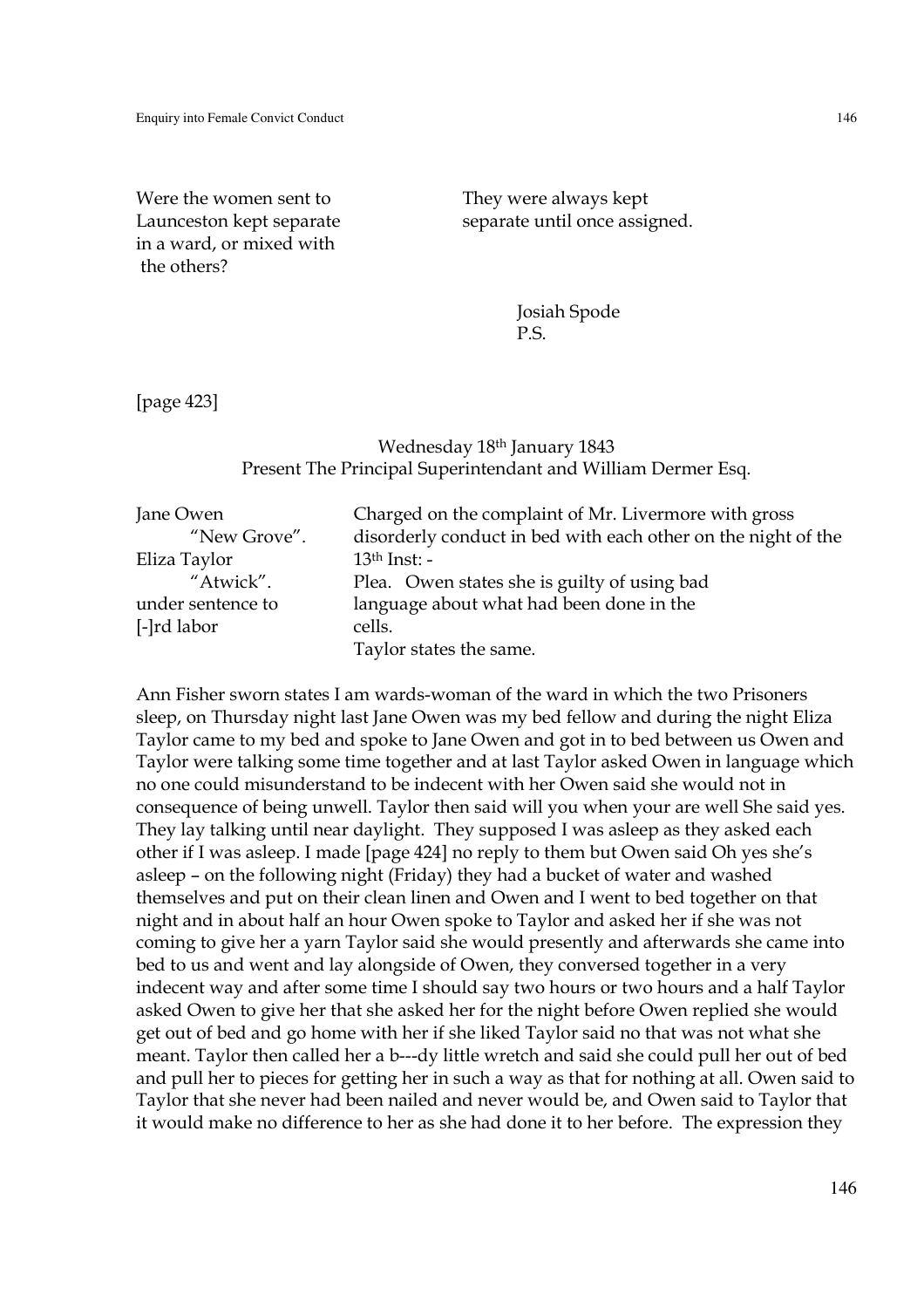Were the women sent to They were always kept in a ward, or mixed with the others?

Launceston kept separate separate separate until once assigned.

 Josiah Spode P.S.

[page 423]

## Wednesday 18th January 1843 Present The Principal Superintendant and William Dermer Esq.

| Jane Owen         | Charged on the complaint of Mr. Livermore with gross          |
|-------------------|---------------------------------------------------------------|
| "New Grove".      | disorderly conduct in bed with each other on the night of the |
| Eliza Taylor      | $13th$ Inst: -                                                |
| "Atwick".         | Plea. Owen states she is guilty of using bad                  |
| under sentence to | language about what had been done in the                      |
| [-]rd labor       | cells.                                                        |
|                   | Taylor states the same.                                       |

Ann Fisher sworn states I am wards-woman of the ward in which the two Prisoners sleep, on Thursday night last Jane Owen was my bed fellow and during the night Eliza Taylor came to my bed and spoke to Jane Owen and got in to bed between us Owen and Taylor were talking some time together and at last Taylor asked Owen in language which no one could misunderstand to be indecent with her Owen said she would not in consequence of being unwell. Taylor then said will you when your are well She said yes. They lay talking until near daylight. They supposed I was asleep as they asked each other if I was asleep. I made [page 424] no reply to them but Owen said Oh yes she's asleep – on the following night (Friday) they had a bucket of water and washed themselves and put on their clean linen and Owen and I went to bed together on that night and in about half an hour Owen spoke to Taylor and asked her if she was not coming to give her a yarn Taylor said she would presently and afterwards she came into bed to us and went and lay alongside of Owen, they conversed together in a very indecent way and after some time I should say two hours or two hours and a half Taylor asked Owen to give her that she asked her for the night before Owen replied she would get out of bed and go home with her if she liked Taylor said no that was not what she meant. Taylor then called her a b---dy little wretch and said she could pull her out of bed and pull her to pieces for getting her in such a way as that for nothing at all. Owen said to Taylor that she never had been nailed and never would be, and Owen said to Taylor that it would make no difference to her as she had done it to her before. The expression they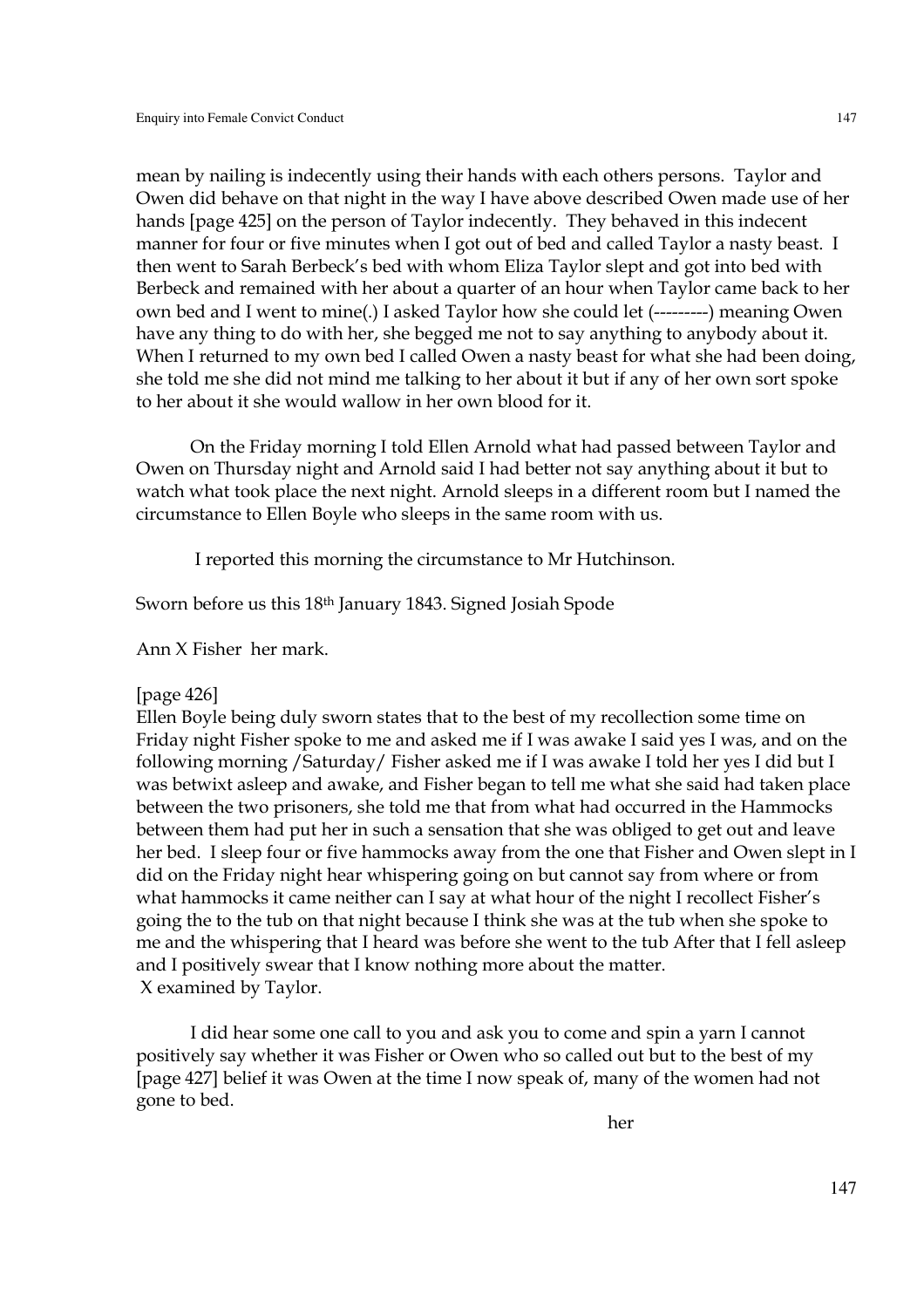mean by nailing is indecently using their hands with each others persons. Taylor and Owen did behave on that night in the way I have above described Owen made use of her hands [page 425] on the person of Taylor indecently. They behaved in this indecent manner for four or five minutes when I got out of bed and called Taylor a nasty beast. I then went to Sarah Berbeck's bed with whom Eliza Taylor slept and got into bed with Berbeck and remained with her about a quarter of an hour when Taylor came back to her own bed and I went to mine(.) I asked Taylor how she could let (---------) meaning Owen have any thing to do with her, she begged me not to say anything to anybody about it. When I returned to my own bed I called Owen a nasty beast for what she had been doing, she told me she did not mind me talking to her about it but if any of her own sort spoke to her about it she would wallow in her own blood for it.

 On the Friday morning I told Ellen Arnold what had passed between Taylor and Owen on Thursday night and Arnold said I had better not say anything about it but to watch what took place the next night. Arnold sleeps in a different room but I named the circumstance to Ellen Boyle who sleeps in the same room with us.

I reported this morning the circumstance to Mr Hutchinson.

Sworn before us this 18th January 1843. Signed Josiah Spode

Ann X Fisher her mark.

## [page 426]

Ellen Boyle being duly sworn states that to the best of my recollection some time on Friday night Fisher spoke to me and asked me if I was awake I said yes I was, and on the following morning /Saturday/ Fisher asked me if I was awake I told her yes I did but I was betwixt asleep and awake, and Fisher began to tell me what she said had taken place between the two prisoners, she told me that from what had occurred in the Hammocks between them had put her in such a sensation that she was obliged to get out and leave her bed. I sleep four or five hammocks away from the one that Fisher and Owen slept in I did on the Friday night hear whispering going on but cannot say from where or from what hammocks it came neither can I say at what hour of the night I recollect Fisher's going the to the tub on that night because I think she was at the tub when she spoke to me and the whispering that I heard was before she went to the tub After that I fell asleep and I positively swear that I know nothing more about the matter. X examined by Taylor.

 I did hear some one call to you and ask you to come and spin a yarn I cannot positively say whether it was Fisher or Owen who so called out but to the best of my [page 427] belief it was Owen at the time I now speak of, many of the women had not gone to bed.